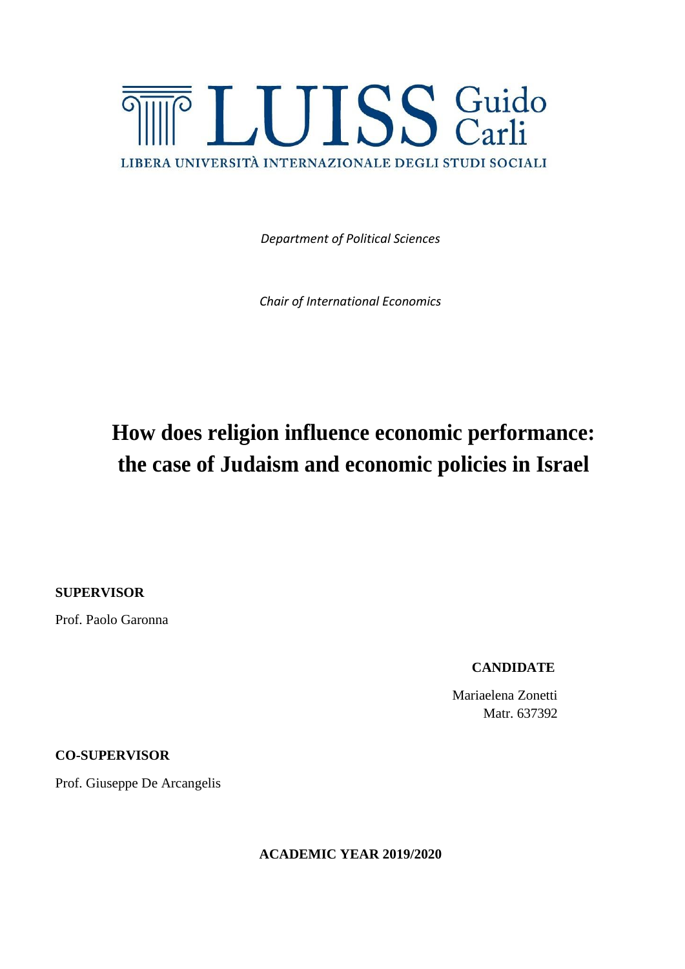

*Department of Political Sciences*

*Chair of International Economics*

## **How does religion influence economic performance: the case of Judaism and economic policies in Israel**

**SUPERVISOR**

Prof. Paolo Garonna

 **CANDIDATE**

 Mariaelena Zonetti Matr. 637392

**CO-SUPERVISOR**

Prof. Giuseppe De Arcangelis

**ACADEMIC YEAR 2019/2020**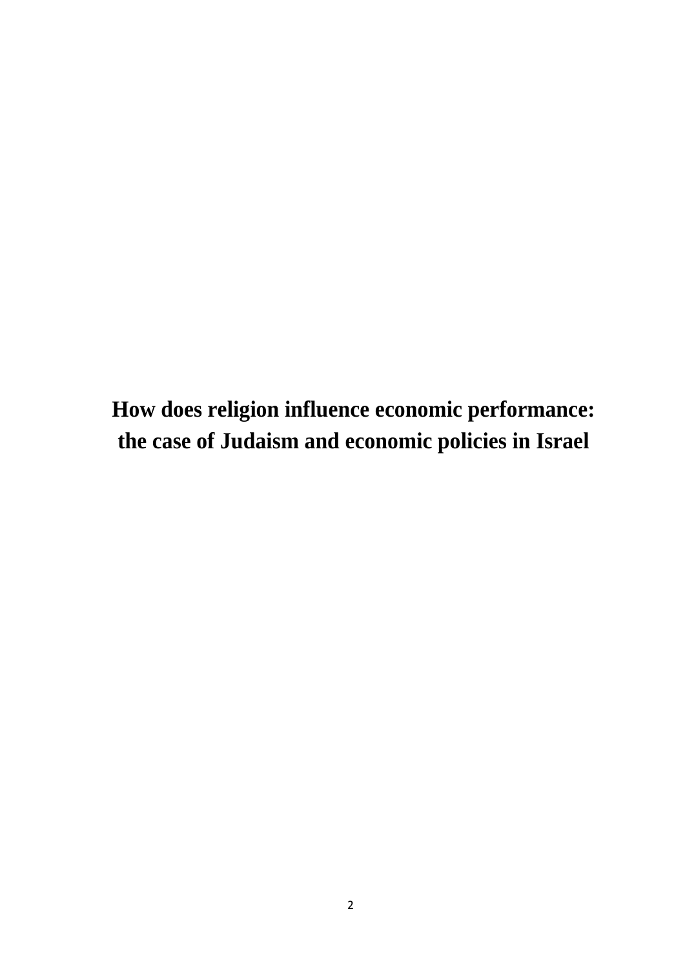**How does religion influence economic performance: the case of Judaism and economic policies in Israel**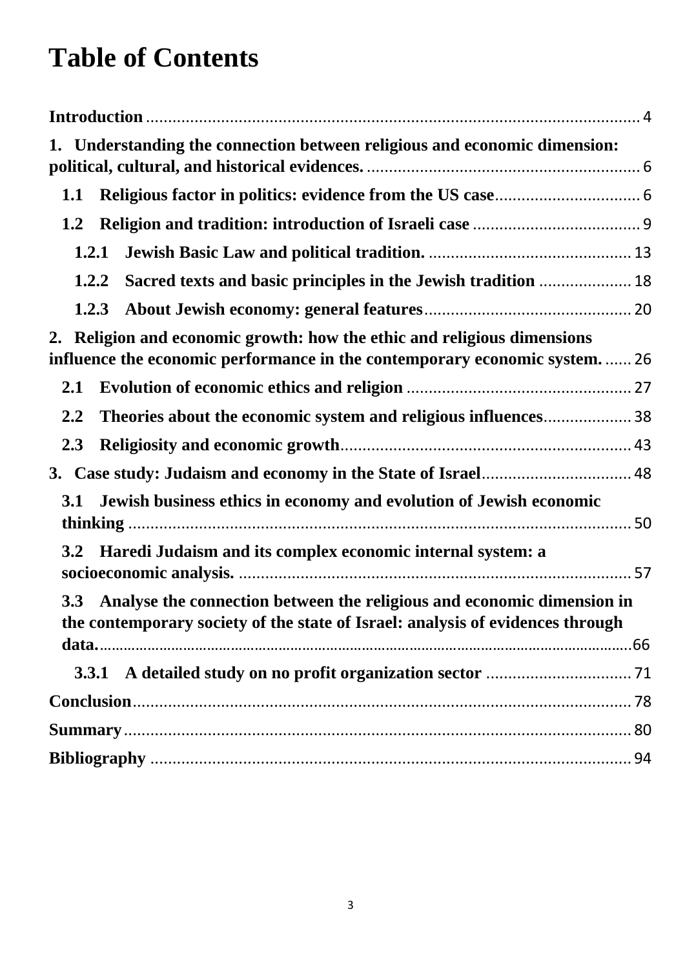# **Table of Contents**

| 1. Understanding the connection between religious and economic dimension:                                                                                    |  |
|--------------------------------------------------------------------------------------------------------------------------------------------------------------|--|
| 1.1                                                                                                                                                          |  |
| 1.2                                                                                                                                                          |  |
| 1.2.1                                                                                                                                                        |  |
| 1.2.2                                                                                                                                                        |  |
|                                                                                                                                                              |  |
| 2. Religion and economic growth: how the ethic and religious dimensions<br>influence the economic performance in the contemporary economic system 26         |  |
| 2.1                                                                                                                                                          |  |
| 2.2                                                                                                                                                          |  |
| 2.3                                                                                                                                                          |  |
|                                                                                                                                                              |  |
| Jewish business ethics in economy and evolution of Jewish economic<br>3.1                                                                                    |  |
| 3.2 Haredi Judaism and its complex economic internal system: a                                                                                               |  |
| 3.3 Analyse the connection between the religious and economic dimension in<br>the contemporary society of the state of Israel: analysis of evidences through |  |
|                                                                                                                                                              |  |
|                                                                                                                                                              |  |
|                                                                                                                                                              |  |
|                                                                                                                                                              |  |
|                                                                                                                                                              |  |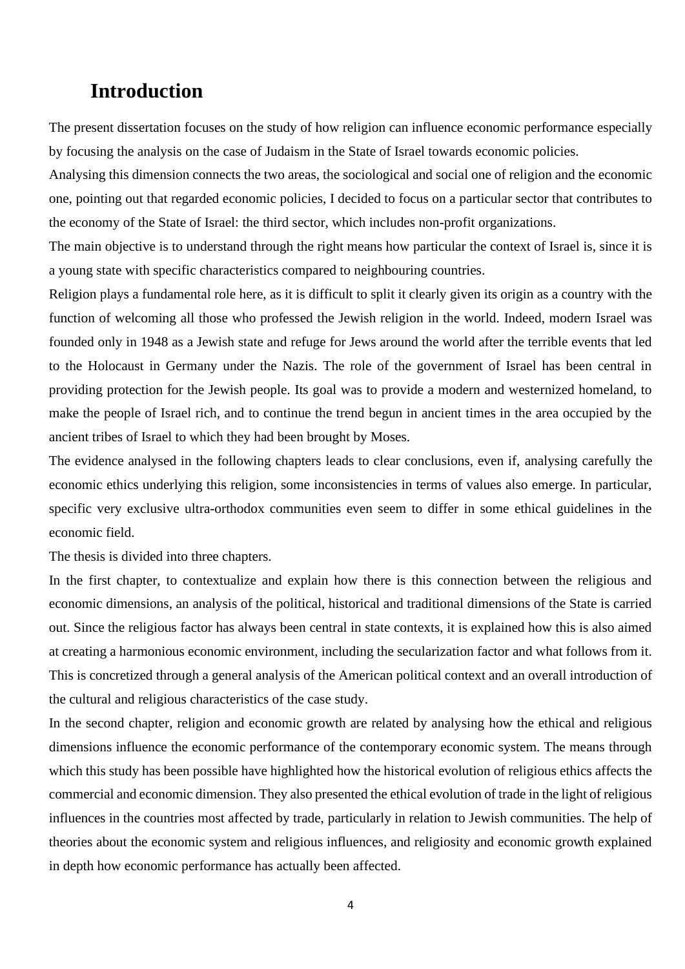### <span id="page-3-0"></span>**Introduction**

The present dissertation focuses on the study of how religion can influence economic performance especially by focusing the analysis on the case of Judaism in the State of Israel towards economic policies.

Analysing this dimension connects the two areas, the sociological and social one of religion and the economic one, pointing out that regarded economic policies, I decided to focus on a particular sector that contributes to the economy of the State of Israel: the third sector, which includes non-profit organizations.

The main objective is to understand through the right means how particular the context of Israel is, since it is a young state with specific characteristics compared to neighbouring countries.

Religion plays a fundamental role here, as it is difficult to split it clearly given its origin as a country with the function of welcoming all those who professed the Jewish religion in the world. Indeed, modern Israel was founded only in 1948 as a Jewish state and refuge for Jews around the world after the terrible events that led to the Holocaust in Germany under the Nazis. The role of the government of Israel has been central in providing protection for the Jewish people. Its goal was to provide a modern and westernized homeland, to make the people of Israel rich, and to continue the trend begun in ancient times in the area occupied by the ancient tribes of Israel to which they had been brought by Moses.

The evidence analysed in the following chapters leads to clear conclusions, even if, analysing carefully the economic ethics underlying this religion, some inconsistencies in terms of values also emerge. In particular, specific very exclusive ultra-orthodox communities even seem to differ in some ethical guidelines in the economic field.

The thesis is divided into three chapters.

In the first chapter, to contextualize and explain how there is this connection between the religious and economic dimensions, an analysis of the political, historical and traditional dimensions of the State is carried out. Since the religious factor has always been central in state contexts, it is explained how this is also aimed at creating a harmonious economic environment, including the secularization factor and what follows from it. This is concretized through a general analysis of the American political context and an overall introduction of the cultural and religious characteristics of the case study.

In the second chapter, religion and economic growth are related by analysing how the ethical and religious dimensions influence the economic performance of the contemporary economic system. The means through which this study has been possible have highlighted how the historical evolution of religious ethics affects the commercial and economic dimension. They also presented the ethical evolution of trade in the light of religious influences in the countries most affected by trade, particularly in relation to Jewish communities. The help of theories about the economic system and religious influences, and religiosity and economic growth explained in depth how economic performance has actually been affected.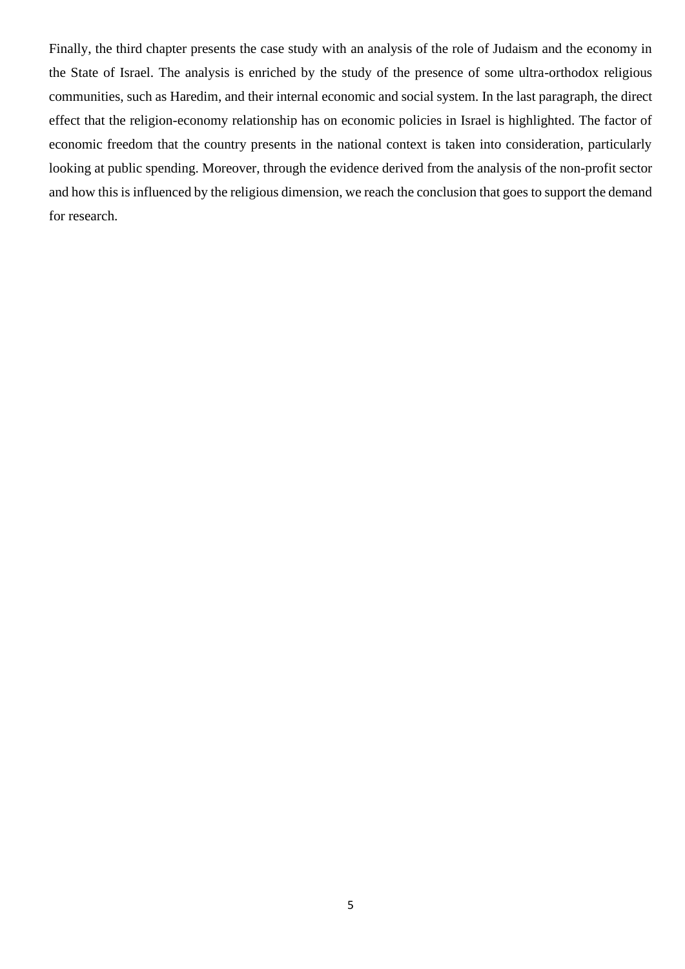Finally, the third chapter presents the case study with an analysis of the role of Judaism and the economy in the State of Israel. The analysis is enriched by the study of the presence of some ultra-orthodox religious communities, such as Haredim, and their internal economic and social system. In the last paragraph, the direct effect that the religion-economy relationship has on economic policies in Israel is highlighted. The factor of economic freedom that the country presents in the national context is taken into consideration, particularly looking at public spending. Moreover, through the evidence derived from the analysis of the non-profit sector and how this is influenced by the religious dimension, we reach the conclusion that goes to support the demand for research.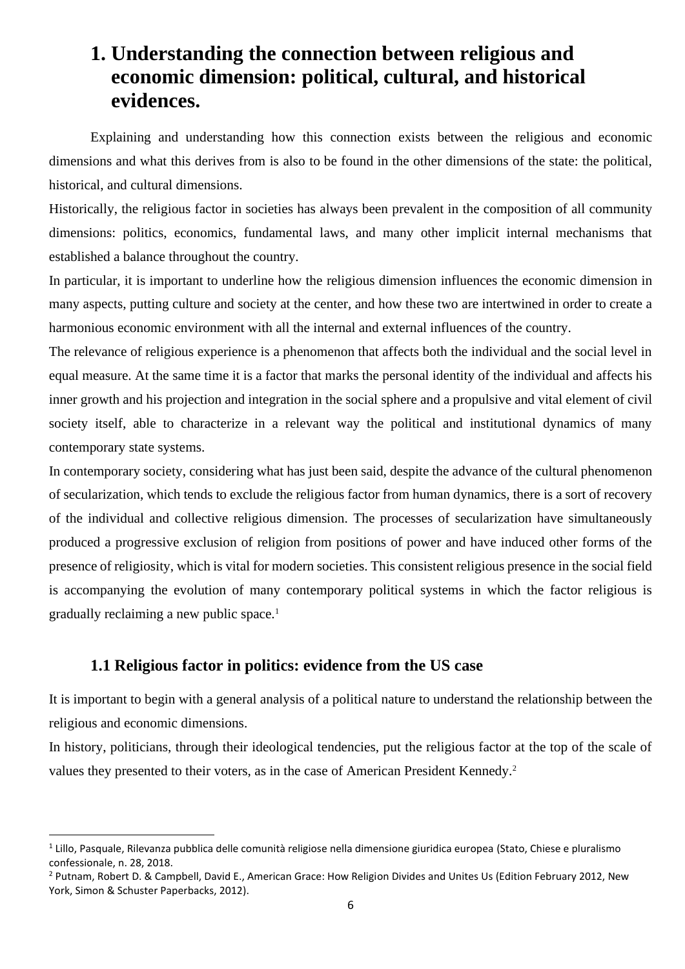## <span id="page-5-0"></span>**1. Understanding the connection between religious and economic dimension: political, cultural, and historical evidences.**

Explaining and understanding how this connection exists between the religious and economic dimensions and what this derives from is also to be found in the other dimensions of the state: the political, historical, and cultural dimensions.

Historically, the religious factor in societies has always been prevalent in the composition of all community dimensions: politics, economics, fundamental laws, and many other implicit internal mechanisms that established a balance throughout the country.

In particular, it is important to underline how the religious dimension influences the economic dimension in many aspects, putting culture and society at the center, and how these two are intertwined in order to create a harmonious economic environment with all the internal and external influences of the country.

The relevance of religious experience is a phenomenon that affects both the individual and the social level in equal measure. At the same time it is a factor that marks the personal identity of the individual and affects his inner growth and his projection and integration in the social sphere and a propulsive and vital element of civil society itself, able to characterize in a relevant way the political and institutional dynamics of many contemporary state systems.

In contemporary society, considering what has just been said, despite the advance of the cultural phenomenon of secularization, which tends to exclude the religious factor from human dynamics, there is a sort of recovery of the individual and collective religious dimension. The processes of secularization have simultaneously produced a progressive exclusion of religion from positions of power and have induced other forms of the presence of religiosity, which is vital for modern societies. This consistent religious presence in the social field is accompanying the evolution of many contemporary political systems in which the factor religious is gradually reclaiming a new public space.<sup>1</sup>

#### **1.1 Religious factor in politics: evidence from the US case**

<span id="page-5-1"></span>It is important to begin with a general analysis of a political nature to understand the relationship between the religious and economic dimensions.

In history, politicians, through their ideological tendencies, put the religious factor at the top of the scale of values they presented to their voters, as in the case of American President Kennedy.<sup>2</sup>

<sup>&</sup>lt;sup>1</sup> Lillo, Pasquale, Rilevanza pubblica delle comunità religiose nella dimensione giuridica europea (Stato, Chiese e pluralismo confessionale, n. 28, 2018.

<sup>2</sup> Putnam, Robert D. & Campbell, David E., American Grace: How Religion Divides and Unites Us (Edition February 2012, New York, Simon & Schuster Paperbacks, 2012).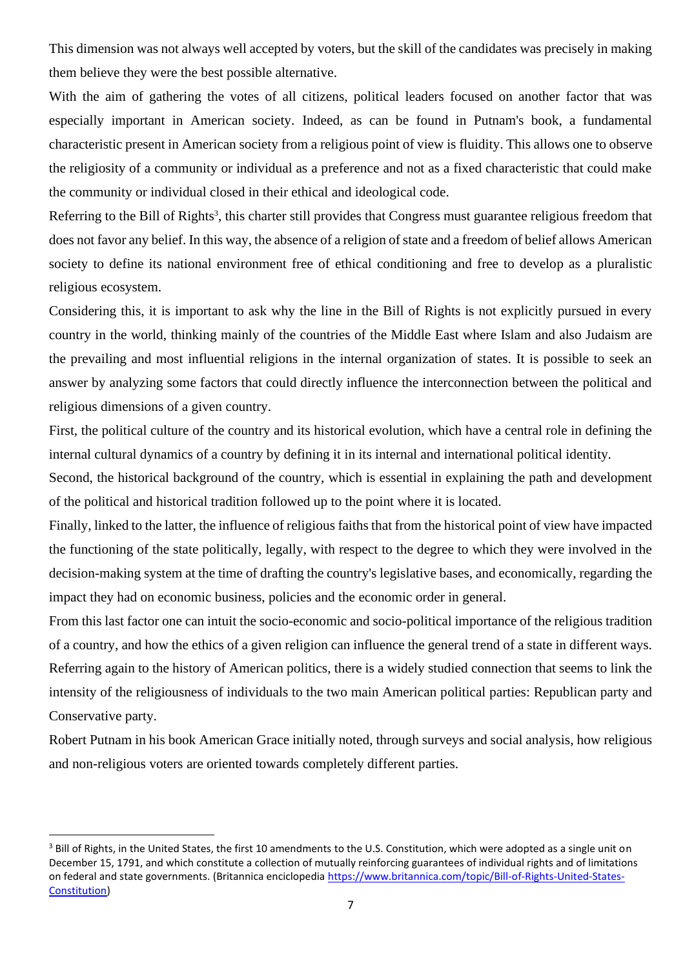This dimension was not always well accepted by voters, but the skill of the candidates was precisely in making them believe they were the best possible alternative.

With the aim of gathering the votes of all citizens, political leaders focused on another factor that was especially important in American society. Indeed, as can be found in Putnam's book, a fundamental characteristic present in American society from a religious point of view is fluidity. This allows one to observe the religiosity of a community or individual as a preference and not as a fixed characteristic that could make the community or individual closed in their ethical and ideological code.

Referring to the Bill of Rights<sup>3</sup>, this charter still provides that Congress must guarantee religious freedom that does not favor any belief. In this way, the absence of a religion of state and a freedom of belief allows American society to define its national environment free of ethical conditioning and free to develop as a pluralistic religious ecosystem.

Considering this, it is important to ask why the line in the Bill of Rights is not explicitly pursued in every country in the world, thinking mainly of the countries of the Middle East where Islam and also Judaism are the prevailing and most influential religions in the internal organization of states. It is possible to seek an answer by analyzing some factors that could directly influence the interconnection between the political and religious dimensions of a given country.

First, the political culture of the country and its historical evolution, which have a central role in defining the internal cultural dynamics of a country by defining it in its internal and international political identity.

Second, the historical background of the country, which is essential in explaining the path and development of the political and historical tradition followed up to the point where it is located.

Finally, linked to the latter, the influence of religious faiths that from the historical point of view have impacted the functioning of the state politically, legally, with respect to the degree to which they were involved in the decision-making system at the time of drafting the country's legislative bases, and economically, regarding the impact they had on economic business, policies and the economic order in general.

From this last factor one can intuit the socio-economic and socio-political importance of the religious tradition of a country, and how the ethics of a given religion can influence the general trend of a state in different ways. Referring again to the history of American politics, there is a widely studied connection that seems to link the intensity of the religiousness of individuals to the two main American political parties: Republican party and Conservative party.

Robert Putnam in his book American Grace initially noted, through surveys and social analysis, how religious and non-religious voters are oriented towards completely different parties.

<sup>&</sup>lt;sup>3</sup> Bill of Rights, in the United States, the first 10 amendments to the U.S. Constitution, which were adopted as a single unit on December 15, 1791, and which constitute a collection of mutually reinforcing guarantees of individual rights and of limitations on federal and state governments. (Britannica enciclopedia [https://www.britannica.com/topic/Bill-of-Rights-United-States-](https://www.britannica.com/topic/Bill-of-Rights-United-States-Constitution)[Constitution\)](https://www.britannica.com/topic/Bill-of-Rights-United-States-Constitution)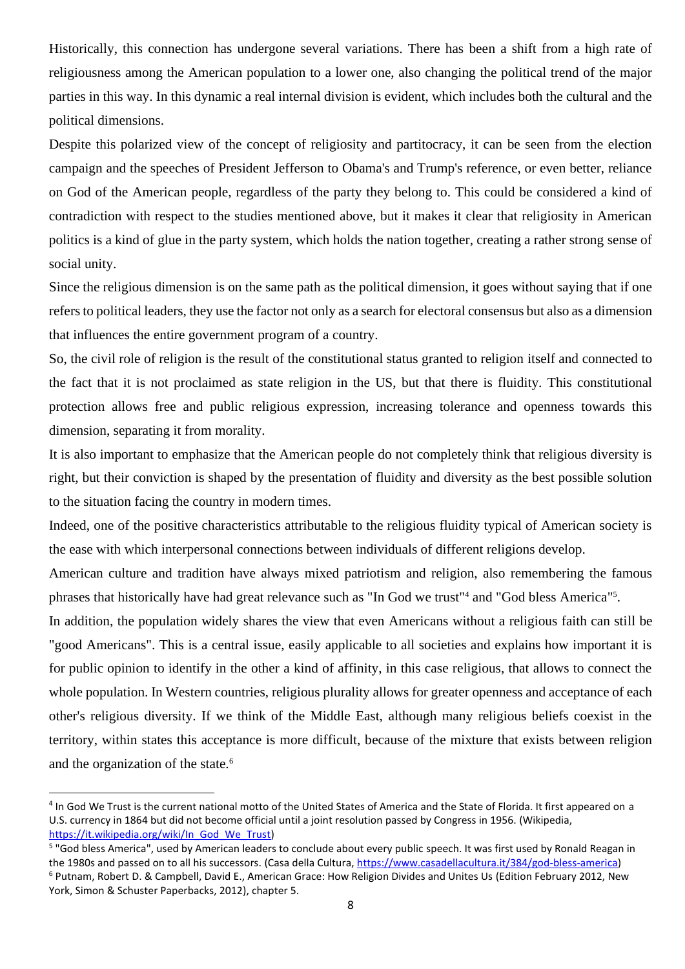Historically, this connection has undergone several variations. There has been a shift from a high rate of religiousness among the American population to a lower one, also changing the political trend of the major parties in this way. In this dynamic a real internal division is evident, which includes both the cultural and the political dimensions.

Despite this polarized view of the concept of religiosity and partitocracy, it can be seen from the election campaign and the speeches of President Jefferson to Obama's and Trump's reference, or even better, reliance on God of the American people, regardless of the party they belong to. This could be considered a kind of contradiction with respect to the studies mentioned above, but it makes it clear that religiosity in American politics is a kind of glue in the party system, which holds the nation together, creating a rather strong sense of social unity.

Since the religious dimension is on the same path as the political dimension, it goes without saying that if one refers to political leaders, they use the factor not only as a search for electoral consensus but also as a dimension that influences the entire government program of a country.

So, the civil role of religion is the result of the constitutional status granted to religion itself and connected to the fact that it is not proclaimed as state religion in the US, but that there is fluidity. This constitutional protection allows free and public religious expression, increasing tolerance and openness towards this dimension, separating it from morality.

It is also important to emphasize that the American people do not completely think that religious diversity is right, but their conviction is shaped by the presentation of fluidity and diversity as the best possible solution to the situation facing the country in modern times.

Indeed, one of the positive characteristics attributable to the religious fluidity typical of American society is the ease with which interpersonal connections between individuals of different religions develop.

American culture and tradition have always mixed patriotism and religion, also remembering the famous phrases that historically have had great relevance such as "In God we trust"<sup>4</sup> and "God bless America"<sup>5</sup>.

In addition, the population widely shares the view that even Americans without a religious faith can still be "good Americans". This is a central issue, easily applicable to all societies and explains how important it is for public opinion to identify in the other a kind of affinity, in this case religious, that allows to connect the whole population. In Western countries, religious plurality allows for greater openness and acceptance of each other's religious diversity. If we think of the Middle East, although many religious beliefs coexist in the territory, within states this acceptance is more difficult, because of the mixture that exists between religion and the organization of the state.<sup>6</sup>

<sup>&</sup>lt;sup>4</sup> In God We Trust is the current national motto of the United States of America and the State of Florida. It first appeared on a U.S. currency in 1864 but did not become official until a joint resolution passed by Congress in 1956. (Wikipedia, [https://it.wikipedia.org/wiki/In\\_God\\_We\\_Trust\)](https://it.wikipedia.org/wiki/In_God_We_Trust)

<sup>&</sup>lt;sup>5</sup> "God bless America", used by American leaders to conclude about every public speech. It was first used by Ronald Reagan in the 1980s and passed on to all his successors. (Casa della Cultura, [https://www.casadellacultura.it/384/god-bless-america\)](https://www.casadellacultura.it/384/god-bless-america) <sup>6</sup> Putnam, Robert D. & Campbell, David E., American Grace: How Religion Divides and Unites Us (Edition February 2012, New York, Simon & Schuster Paperbacks, 2012), chapter 5.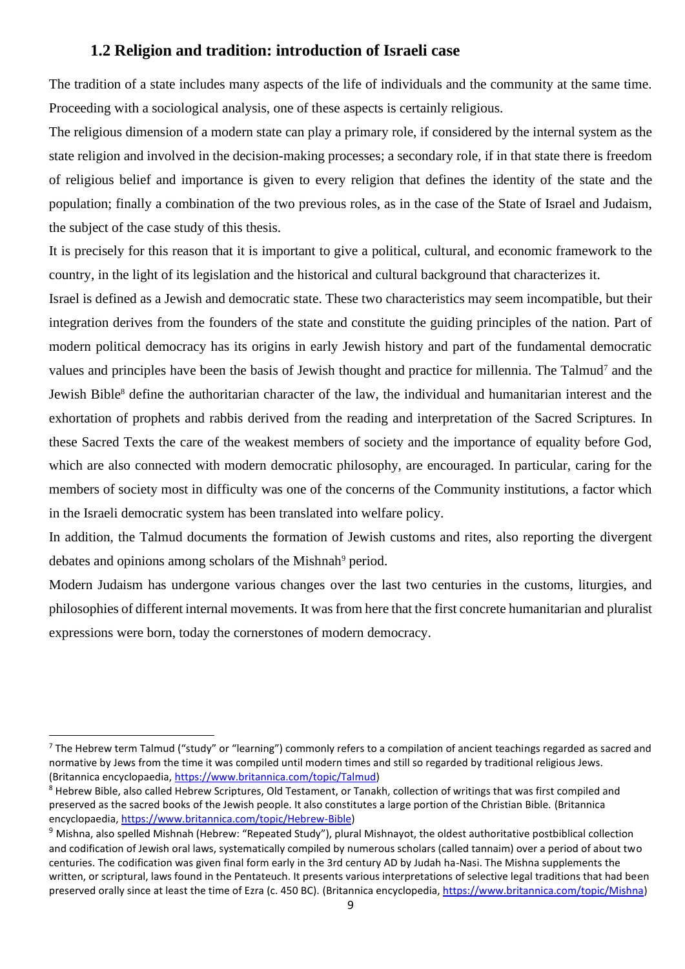#### **1.2 Religion and tradition: introduction of Israeli case**

<span id="page-8-0"></span>The tradition of a state includes many aspects of the life of individuals and the community at the same time. Proceeding with a sociological analysis, one of these aspects is certainly religious.

The religious dimension of a modern state can play a primary role, if considered by the internal system as the state religion and involved in the decision-making processes; a secondary role, if in that state there is freedom of religious belief and importance is given to every religion that defines the identity of the state and the population; finally a combination of the two previous roles, as in the case of the State of Israel and Judaism, the subject of the case study of this thesis.

It is precisely for this reason that it is important to give a political, cultural, and economic framework to the country, in the light of its legislation and the historical and cultural background that characterizes it.

Israel is defined as a Jewish and democratic state. These two characteristics may seem incompatible, but their integration derives from the founders of the state and constitute the guiding principles of the nation. Part of modern political democracy has its origins in early Jewish history and part of the fundamental democratic values and principles have been the basis of Jewish thought and practice for millennia. The Talmud<sup>7</sup> and the Jewish Bible<sup>8</sup> define the authoritarian character of the law, the individual and humanitarian interest and the exhortation of prophets and rabbis derived from the reading and interpretation of the Sacred Scriptures. In these Sacred Texts the care of the weakest members of society and the importance of equality before God, which are also connected with modern democratic philosophy, are encouraged. In particular, caring for the members of society most in difficulty was one of the concerns of the Community institutions, a factor which in the Israeli democratic system has been translated into welfare policy.

In addition, the Talmud documents the formation of Jewish customs and rites, also reporting the divergent debates and opinions among scholars of the Mishnah<sup>9</sup> period.

Modern Judaism has undergone various changes over the last two centuries in the customs, liturgies, and philosophies of different internal movements. It was from here that the first concrete humanitarian and pluralist expressions were born, today the cornerstones of modern democracy.

<sup>&</sup>lt;sup>7</sup> The Hebrew term Talmud ("study" or "learning") commonly refers to a compilation of ancient teachings regarded as sacred and normative by Jews from the time it was compiled until modern times and still so regarded by traditional religious Jews. (Britannica encyclopaedia, [https://www.britannica.com/topic/Talmud\)](https://www.britannica.com/topic/Talmud)

<sup>&</sup>lt;sup>8</sup> Hebrew Bible, also called Hebrew Scriptures, Old Testament, or Tanakh, collection of writings that was first compiled and preserved as the sacred books of the Jewish people. It also constitutes a large portion of the Christian Bible. (Britannica encyclopaedia[, https://www.britannica.com/topic/Hebrew-Bible\)](https://www.britannica.com/topic/Hebrew-Bible)

 $9$  Mishna, also spelled Mishnah (Hebrew: "Repeated Study"), plural Mishnayot, the oldest authoritative postbiblical collection and codification of Jewish oral laws, systematically compiled by numerous scholars (called tannaim) over a period of about two centuries. The codification was given final form early in the 3rd century AD by Judah ha-Nasi. The Mishna supplements the written, or scriptural, laws found in the Pentateuch. It presents various interpretations of selective legal traditions that had been preserved orally since at least the time of Ezra (c. 450 BC). (Britannica encyclopedia, [https://www.britannica.com/topic/Mishna\)](https://www.britannica.com/topic/Mishna)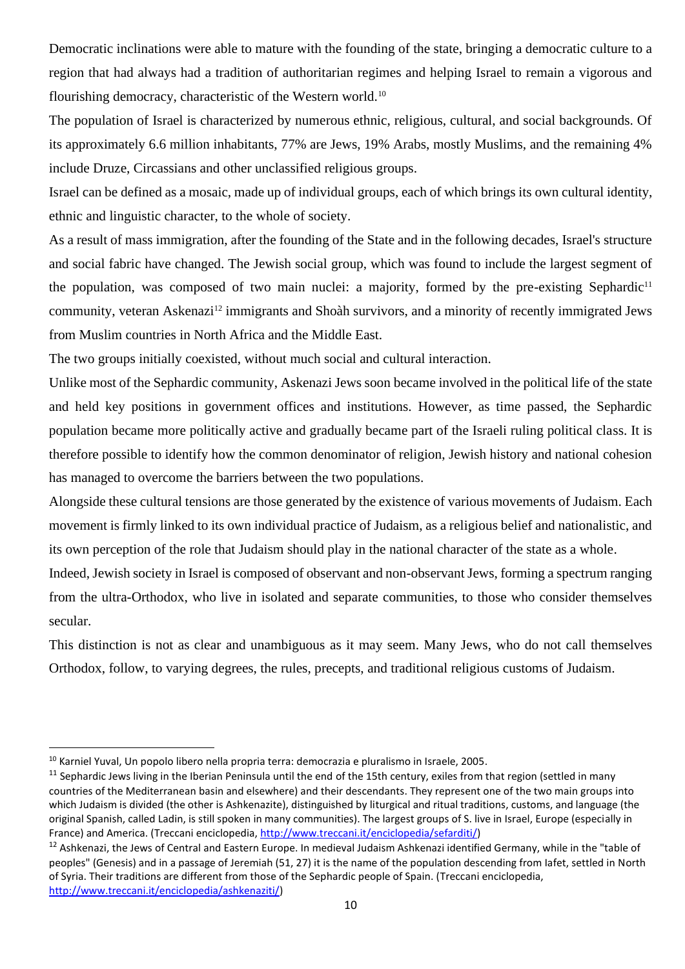Democratic inclinations were able to mature with the founding of the state, bringing a democratic culture to a region that had always had a tradition of authoritarian regimes and helping Israel to remain a vigorous and flourishing democracy, characteristic of the Western world.<sup>10</sup>

The population of Israel is characterized by numerous ethnic, religious, cultural, and social backgrounds. Of its approximately 6.6 million inhabitants, 77% are Jews, 19% Arabs, mostly Muslims, and the remaining 4% include Druze, Circassians and other unclassified religious groups.

Israel can be defined as a mosaic, made up of individual groups, each of which brings its own cultural identity, ethnic and linguistic character, to the whole of society.

As a result of mass immigration, after the founding of the State and in the following decades, Israel's structure and social fabric have changed. The Jewish social group, which was found to include the largest segment of the population, was composed of two main nuclei: a majority, formed by the pre-existing Sephardic<sup>11</sup> community, veteran Askenazi<sup>12</sup> immigrants and Shoàh survivors, and a minority of recently immigrated Jews from Muslim countries in North Africa and the Middle East.

The two groups initially coexisted, without much social and cultural interaction.

Unlike most of the Sephardic community, Askenazi Jews soon became involved in the political life of the state and held key positions in government offices and institutions. However, as time passed, the Sephardic population became more politically active and gradually became part of the Israeli ruling political class. It is therefore possible to identify how the common denominator of religion, Jewish history and national cohesion has managed to overcome the barriers between the two populations.

Alongside these cultural tensions are those generated by the existence of various movements of Judaism. Each movement is firmly linked to its own individual practice of Judaism, as a religious belief and nationalistic, and its own perception of the role that Judaism should play in the national character of the state as a whole.

Indeed, Jewish society in Israel is composed of observant and non-observant Jews, forming a spectrum ranging from the ultra-Orthodox, who live in isolated and separate communities, to those who consider themselves secular.

This distinction is not as clear and unambiguous as it may seem. Many Jews, who do not call themselves Orthodox, follow, to varying degrees, the rules, precepts, and traditional religious customs of Judaism.

<sup>10</sup> Karniel Yuval, Un popolo libero nella propria terra: democrazia e pluralismo in Israele, 2005.

 $11$  Sephardic Jews living in the Iberian Peninsula until the end of the 15th century, exiles from that region (settled in many countries of the Mediterranean basin and elsewhere) and their descendants. They represent one of the two main groups into which Judaism is divided (the other is Ashkenazite), distinguished by liturgical and ritual traditions, customs, and language (the original Spanish, called Ladin, is still spoken in many communities). The largest groups of S. live in Israel, Europe (especially in France) and America. (Treccani enciclopedia, [http://www.treccani.it/enciclopedia/sefarditi/\)](http://www.treccani.it/enciclopedia/sefarditi/)

<sup>&</sup>lt;sup>12</sup> Ashkenazi, the Jews of Central and Eastern Europe. In medieval Judaism Ashkenazi identified Germany, while in the "table of peoples" (Genesis) and in a passage of Jeremiah (51, 27) it is the name of the population descending from Iafet, settled in North of Syria. Their traditions are different from those of the Sephardic people of Spain. (Treccani enciclopedia,

[http://www.treccani.it/enciclopedia/ashkenaziti/\)](http://www.treccani.it/enciclopedia/ashkenaziti/)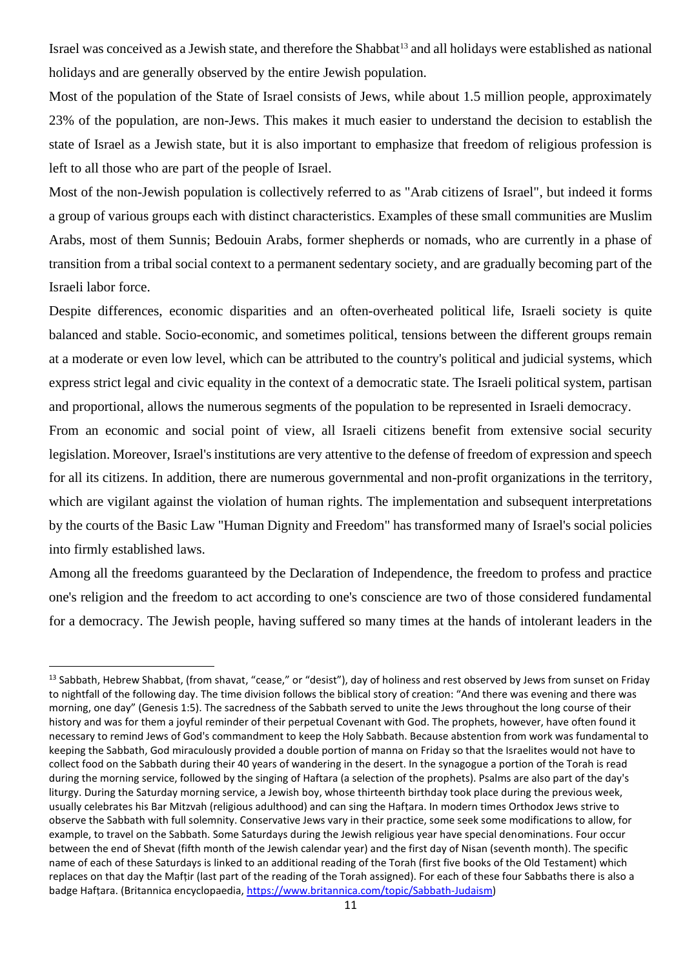Israel was conceived as a Jewish state, and therefore the Shabbat<sup>13</sup> and all holidays were established as national holidays and are generally observed by the entire Jewish population.

Most of the population of the State of Israel consists of Jews, while about 1.5 million people, approximately 23% of the population, are non-Jews. This makes it much easier to understand the decision to establish the state of Israel as a Jewish state, but it is also important to emphasize that freedom of religious profession is left to all those who are part of the people of Israel.

Most of the non-Jewish population is collectively referred to as "Arab citizens of Israel", but indeed it forms a group of various groups each with distinct characteristics. Examples of these small communities are Muslim Arabs, most of them Sunnis; Bedouin Arabs, former shepherds or nomads, who are currently in a phase of transition from a tribal social context to a permanent sedentary society, and are gradually becoming part of the Israeli labor force.

Despite differences, economic disparities and an often-overheated political life, Israeli society is quite balanced and stable. Socio-economic, and sometimes political, tensions between the different groups remain at a moderate or even low level, which can be attributed to the country's political and judicial systems, which express strict legal and civic equality in the context of a democratic state. The Israeli political system, partisan and proportional, allows the numerous segments of the population to be represented in Israeli democracy.

From an economic and social point of view, all Israeli citizens benefit from extensive social security legislation. Moreover, Israel's institutions are very attentive to the defense of freedom of expression and speech for all its citizens. In addition, there are numerous governmental and non-profit organizations in the territory, which are vigilant against the violation of human rights. The implementation and subsequent interpretations by the courts of the Basic Law "Human Dignity and Freedom" has transformed many of Israel's social policies into firmly established laws.

Among all the freedoms guaranteed by the Declaration of Independence, the freedom to profess and practice one's religion and the freedom to act according to one's conscience are two of those considered fundamental for a democracy. The Jewish people, having suffered so many times at the hands of intolerant leaders in the

<sup>&</sup>lt;sup>13</sup> Sabbath, Hebrew Shabbat, (from shavat, "cease," or "desist"), day of holiness and rest observed by Jews from sunset on Friday to nightfall of the following day. The time division follows the biblical story of creation: "And there was evening and there was morning, one day" (Genesis 1:5). The sacredness of the Sabbath served to unite the Jews throughout the long course of their history and was for them a joyful reminder of their perpetual Covenant with God. The prophets, however, have often found it necessary to remind Jews of God's commandment to keep the Holy Sabbath. Because abstention from work was fundamental to keeping the Sabbath, God miraculously provided a double portion of manna on Friday so that the Israelites would not have to collect food on the Sabbath during their 40 years of wandering in the desert. In the synagogue a portion of the Torah is read during the morning service, followed by the singing of Haftara (a selection of the prophets). Psalms are also part of the day's liturgy. During the Saturday morning service, a Jewish boy, whose thirteenth birthday took place during the previous week, usually celebrates his Bar Mitzvah (religious adulthood) and can sing the Hafṭara. In modern times Orthodox Jews strive to observe the Sabbath with full solemnity. Conservative Jews vary in their practice, some seek some modifications to allow, for example, to travel on the Sabbath. Some Saturdays during the Jewish religious year have special denominations. Four occur between the end of Shevat (fifth month of the Jewish calendar year) and the first day of Nisan (seventh month). The specific name of each of these Saturdays is linked to an additional reading of the Torah (first five books of the Old Testament) which replaces on that day the Mafṭir (last part of the reading of the Torah assigned). For each of these four Sabbaths there is also a badge Hafṭara. (Britannica encyclopaedia[, https://www.britannica.com/topic/Sabbath-Judaism\)](https://www.britannica.com/topic/Sabbath-Judaism)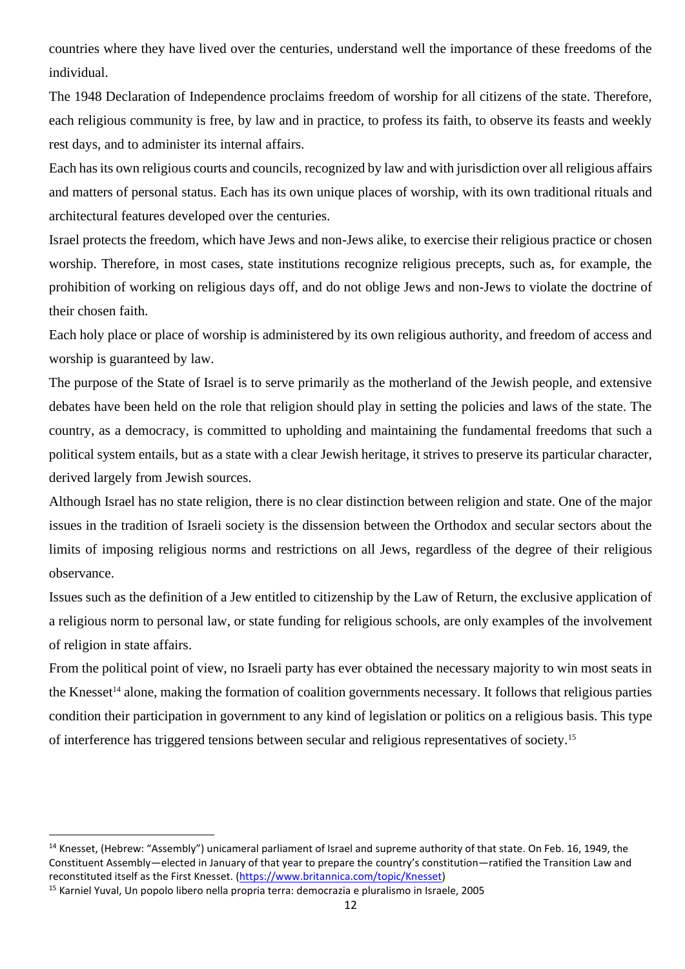countries where they have lived over the centuries, understand well the importance of these freedoms of the individual.

The 1948 Declaration of Independence proclaims freedom of worship for all citizens of the state. Therefore, each religious community is free, by law and in practice, to profess its faith, to observe its feasts and weekly rest days, and to administer its internal affairs.

Each has its own religious courts and councils, recognized by law and with jurisdiction over all religious affairs and matters of personal status. Each has its own unique places of worship, with its own traditional rituals and architectural features developed over the centuries.

Israel protects the freedom, which have Jews and non-Jews alike, to exercise their religious practice or chosen worship. Therefore, in most cases, state institutions recognize religious precepts, such as, for example, the prohibition of working on religious days off, and do not oblige Jews and non-Jews to violate the doctrine of their chosen faith.

Each holy place or place of worship is administered by its own religious authority, and freedom of access and worship is guaranteed by law.

The purpose of the State of Israel is to serve primarily as the motherland of the Jewish people, and extensive debates have been held on the role that religion should play in setting the policies and laws of the state. The country, as a democracy, is committed to upholding and maintaining the fundamental freedoms that such a political system entails, but as a state with a clear Jewish heritage, it strives to preserve its particular character, derived largely from Jewish sources.

Although Israel has no state religion, there is no clear distinction between religion and state. One of the major issues in the tradition of Israeli society is the dissension between the Orthodox and secular sectors about the limits of imposing religious norms and restrictions on all Jews, regardless of the degree of their religious observance.

Issues such as the definition of a Jew entitled to citizenship by the Law of Return, the exclusive application of a religious norm to personal law, or state funding for religious schools, are only examples of the involvement of religion in state affairs.

From the political point of view, no Israeli party has ever obtained the necessary majority to win most seats in the Knesset<sup>14</sup> alone, making the formation of coalition governments necessary. It follows that religious parties condition their participation in government to any kind of legislation or politics on a religious basis. This type of interference has triggered tensions between secular and religious representatives of society.<sup>15</sup>

<sup>&</sup>lt;sup>14</sup> Knesset, (Hebrew: "Assembly") unicameral parliament of Israel and supreme authority of that state. On Feb. 16, 1949, the Constituent Assembly—elected in January of that year to prepare the country's constitution—ratified the Transition Law and reconstituted itself as the First Knesset. [\(https://www.britannica.com/topic/Knesset\)](https://www.britannica.com/topic/Knesset)

<sup>15</sup> Karniel Yuval, Un popolo libero nella propria terra: democrazia e pluralismo in Israele, 2005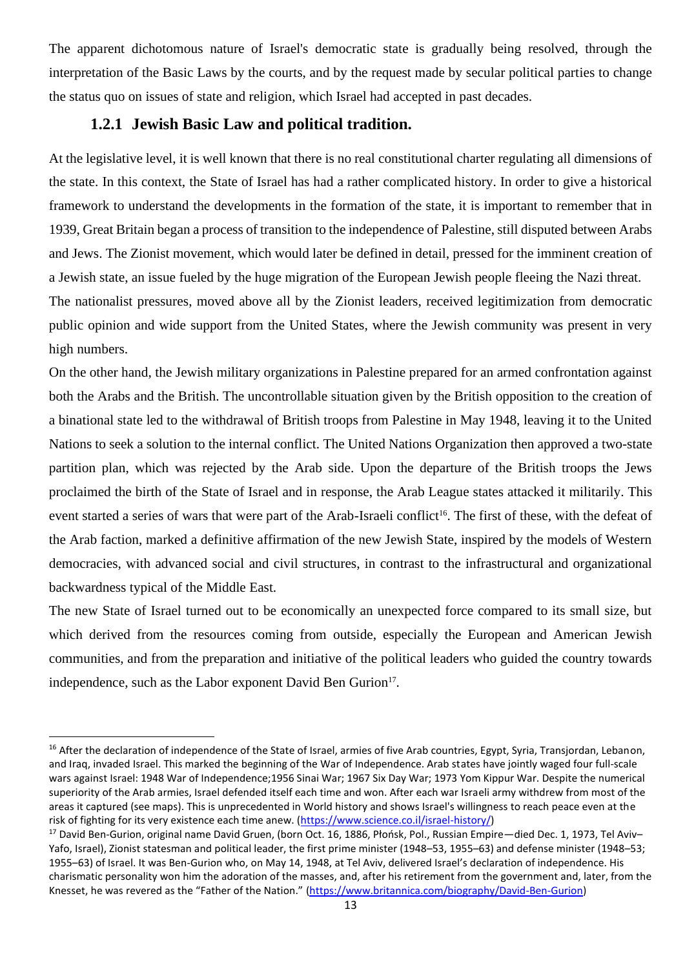The apparent dichotomous nature of Israel's democratic state is gradually being resolved, through the interpretation of the Basic Laws by the courts, and by the request made by secular political parties to change the status quo on issues of state and religion, which Israel had accepted in past decades.

#### **1.2.1 Jewish Basic Law and political tradition.**

<span id="page-12-0"></span>At the legislative level, it is well known that there is no real constitutional charter regulating all dimensions of the state. In this context, the State of Israel has had a rather complicated history. In order to give a historical framework to understand the developments in the formation of the state, it is important to remember that in 1939, Great Britain began a process of transition to the independence of Palestine, still disputed between Arabs and Jews. The Zionist movement, which would later be defined in detail, pressed for the imminent creation of a Jewish state, an issue fueled by the huge migration of the European Jewish people fleeing the Nazi threat. The nationalist pressures, moved above all by the Zionist leaders, received legitimization from democratic public opinion and wide support from the United States, where the Jewish community was present in very high numbers.

On the other hand, the Jewish military organizations in Palestine prepared for an armed confrontation against both the Arabs and the British. The uncontrollable situation given by the British opposition to the creation of a binational state led to the withdrawal of British troops from Palestine in May 1948, leaving it to the United Nations to seek a solution to the internal conflict. The United Nations Organization then approved a two-state partition plan, which was rejected by the Arab side. Upon the departure of the British troops the Jews proclaimed the birth of the State of Israel and in response, the Arab League states attacked it militarily. This event started a series of wars that were part of the Arab-Israeli conflict<sup>16</sup>. The first of these, with the defeat of the Arab faction, marked a definitive affirmation of the new Jewish State, inspired by the models of Western democracies, with advanced social and civil structures, in contrast to the infrastructural and organizational backwardness typical of the Middle East.

The new State of Israel turned out to be economically an unexpected force compared to its small size, but which derived from the resources coming from outside, especially the European and American Jewish communities, and from the preparation and initiative of the political leaders who guided the country towards independence, such as the Labor exponent David Ben Gurion<sup>17</sup>.

<sup>&</sup>lt;sup>16</sup> After the declaration of independence of the State of Israel, armies of five Arab countries, Egypt, Syria, Transjordan, Lebanon, and Iraq, invaded Israel. This marked the beginning of the War of Independence. Arab states have jointly waged four full-scale wars against Israel: 1948 War of Independence;1956 Sinai War; 1967 Six Day War; 1973 Yom Kippur War. Despite the numerical superiority of the Arab armies, Israel defended itself each time and won. After each war Israeli army withdrew from most of the areas it captured (see maps). This is unprecedented in World history and shows Israel's willingness to reach peace even at the risk of fighting for its very existence each time anew. [\(https://www.science.co.il/israel-history/\)](https://www.science.co.il/israel-history/)

<sup>&</sup>lt;sup>17</sup> David Ben-Gurion, original name David Gruen, (born Oct. 16, 1886, Płońsk, Pol., Russian Empire—died Dec. 1, 1973, Tel Aviv-Yafo, Israel), Zionist statesman and political leader, the first prime minister (1948–53, 1955–63) and defense minister (1948–53; 1955–63) of Israel. It was Ben-Gurion who, on May 14, 1948, at Tel Aviv, delivered Israel's declaration of independence. His charismatic personality won him the adoration of the masses, and, after his retirement from the government and, later, from the Knesset, he was revered as the "Father of the Nation." [\(https://www.britannica.com/biography/David-Ben-Gurion\)](https://www.britannica.com/biography/David-Ben-Gurion)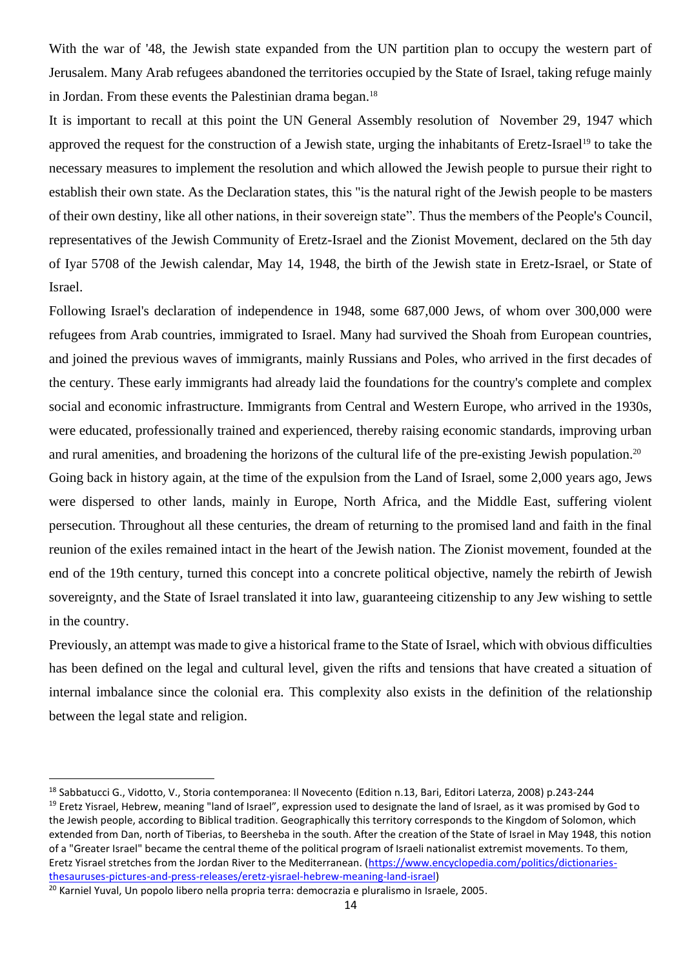With the war of '48, the Jewish state expanded from the UN partition plan to occupy the western part of Jerusalem. Many Arab refugees abandoned the territories occupied by the State of Israel, taking refuge mainly in Jordan. From these events the Palestinian drama began.<sup>18</sup>

It is important to recall at this point the UN General Assembly resolution of November 29, 1947 which approved the request for the construction of a Jewish state, urging the inhabitants of Eretz-Israel<sup>19</sup> to take the necessary measures to implement the resolution and which allowed the Jewish people to pursue their right to establish their own state. As the Declaration states, this "is the natural right of the Jewish people to be masters of their own destiny, like all other nations, in their sovereign state". Thus the members of the People's Council, representatives of the Jewish Community of Eretz-Israel and the Zionist Movement, declared on the 5th day of Iyar 5708 of the Jewish calendar, May 14, 1948, the birth of the Jewish state in Eretz-Israel, or State of Israel.

Following Israel's declaration of independence in 1948, some 687,000 Jews, of whom over 300,000 were refugees from Arab countries, immigrated to Israel. Many had survived the Shoah from European countries, and joined the previous waves of immigrants, mainly Russians and Poles, who arrived in the first decades of the century. These early immigrants had already laid the foundations for the country's complete and complex social and economic infrastructure. Immigrants from Central and Western Europe, who arrived in the 1930s, were educated, professionally trained and experienced, thereby raising economic standards, improving urban and rural amenities, and broadening the horizons of the cultural life of the pre-existing Jewish population.<sup>20</sup>

Going back in history again, at the time of the expulsion from the Land of Israel, some 2,000 years ago, Jews were dispersed to other lands, mainly in Europe, North Africa, and the Middle East, suffering violent persecution. Throughout all these centuries, the dream of returning to the promised land and faith in the final reunion of the exiles remained intact in the heart of the Jewish nation. The Zionist movement, founded at the end of the 19th century, turned this concept into a concrete political objective, namely the rebirth of Jewish sovereignty, and the State of Israel translated it into law, guaranteeing citizenship to any Jew wishing to settle in the country.

Previously, an attempt was made to give a historical frame to the State of Israel, which with obvious difficulties has been defined on the legal and cultural level, given the rifts and tensions that have created a situation of internal imbalance since the colonial era. This complexity also exists in the definition of the relationship between the legal state and religion.

<sup>18</sup> Sabbatucci G., Vidotto, V., Storia contemporanea: Il Novecento (Edition n.13, Bari, Editori Laterza, 2008) p.243-244 <sup>19</sup> Eretz Yisrael, Hebrew, meaning "land of Israel", expression used to designate the land of Israel, as it was promised by God to the Jewish people, according to Biblical tradition. Geographically this territory corresponds to the Kingdom of Solomon, which extended from Dan, north of Tiberias, to Beersheba in the south. After the creation of the State of Israel in May 1948, this notion of a "Greater Israel" became the central theme of the political program of Israeli nationalist extremist movements. To them, Eretz Yisrael stretches from the Jordan River to the Mediterranean. [\(https://www.encyclopedia.com/politics/dictionaries](https://www.encyclopedia.com/politics/dictionaries-thesauruses-pictures-and-press-releases/eretz-yisrael-hebrew-meaning-land-israel)[thesauruses-pictures-and-press-releases/eretz-yisrael-hebrew-meaning-land-israel\)](https://www.encyclopedia.com/politics/dictionaries-thesauruses-pictures-and-press-releases/eretz-yisrael-hebrew-meaning-land-israel)

<sup>&</sup>lt;sup>20</sup> Karniel Yuval, Un popolo libero nella propria terra: democrazia e pluralismo in Israele, 2005.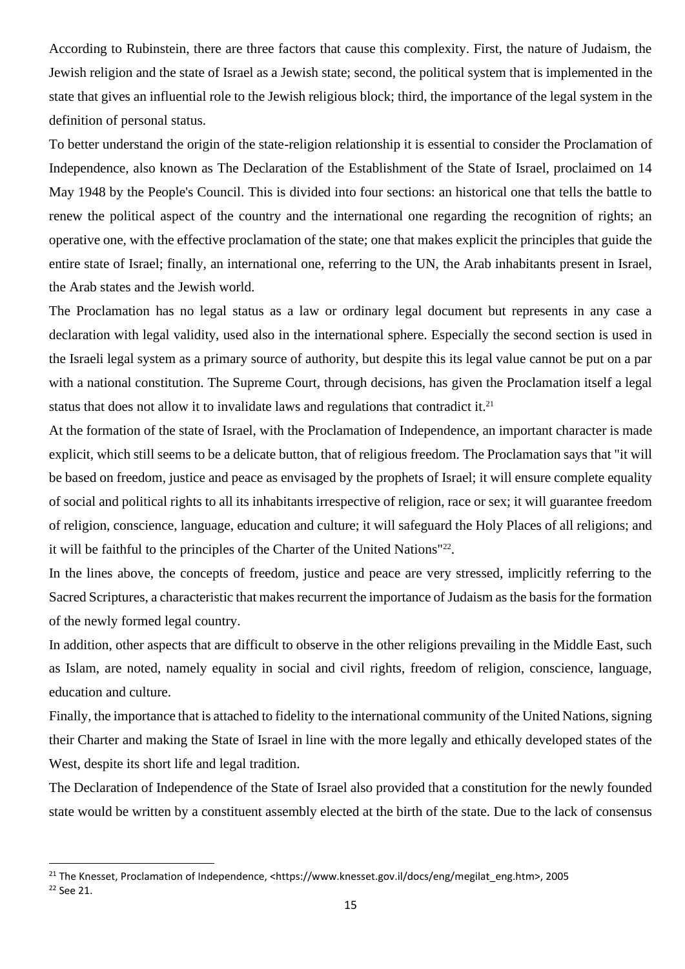According to Rubinstein, there are three factors that cause this complexity. First, the nature of Judaism, the Jewish religion and the state of Israel as a Jewish state; second, the political system that is implemented in the state that gives an influential role to the Jewish religious block; third, the importance of the legal system in the definition of personal status.

To better understand the origin of the state-religion relationship it is essential to consider the Proclamation of Independence, also known as The Declaration of the Establishment of the State of Israel, proclaimed on 14 May 1948 by the People's Council. This is divided into four sections: an historical one that tells the battle to renew the political aspect of the country and the international one regarding the recognition of rights; an operative one, with the effective proclamation of the state; one that makes explicit the principles that guide the entire state of Israel; finally, an international one, referring to the UN, the Arab inhabitants present in Israel, the Arab states and the Jewish world.

The Proclamation has no legal status as a law or ordinary legal document but represents in any case a declaration with legal validity, used also in the international sphere. Especially the second section is used in the Israeli legal system as a primary source of authority, but despite this its legal value cannot be put on a par with a national constitution. The Supreme Court, through decisions, has given the Proclamation itself a legal status that does not allow it to invalidate laws and regulations that contradict it. $21$ 

At the formation of the state of Israel, with the Proclamation of Independence, an important character is made explicit, which still seems to be a delicate button, that of religious freedom. The Proclamation says that "it will be based on freedom, justice and peace as envisaged by the prophets of Israel; it will ensure complete equality of social and political rights to all its inhabitants irrespective of religion, race or sex; it will guarantee freedom of religion, conscience, language, education and culture; it will safeguard the Holy Places of all religions; and it will be faithful to the principles of the Charter of the United Nations"<sup>22</sup>.

In the lines above, the concepts of freedom, justice and peace are very stressed, implicitly referring to the Sacred Scriptures, a characteristic that makes recurrent the importance of Judaism as the basis for the formation of the newly formed legal country.

In addition, other aspects that are difficult to observe in the other religions prevailing in the Middle East, such as Islam, are noted, namely equality in social and civil rights, freedom of religion, conscience, language, education and culture.

Finally, the importance that is attached to fidelity to the international community of the United Nations, signing their Charter and making the State of Israel in line with the more legally and ethically developed states of the West, despite its short life and legal tradition.

The Declaration of Independence of the State of Israel also provided that a constitution for the newly founded state would be written by a constituent assembly elected at the birth of the state. Due to the lack of consensus

<sup>&</sup>lt;sup>21</sup> The Knesset, Proclamation of Independence, <https://www.knesset.gov.il/docs/eng/megilat\_eng.htm>, 2005 <sup>22</sup> See 21.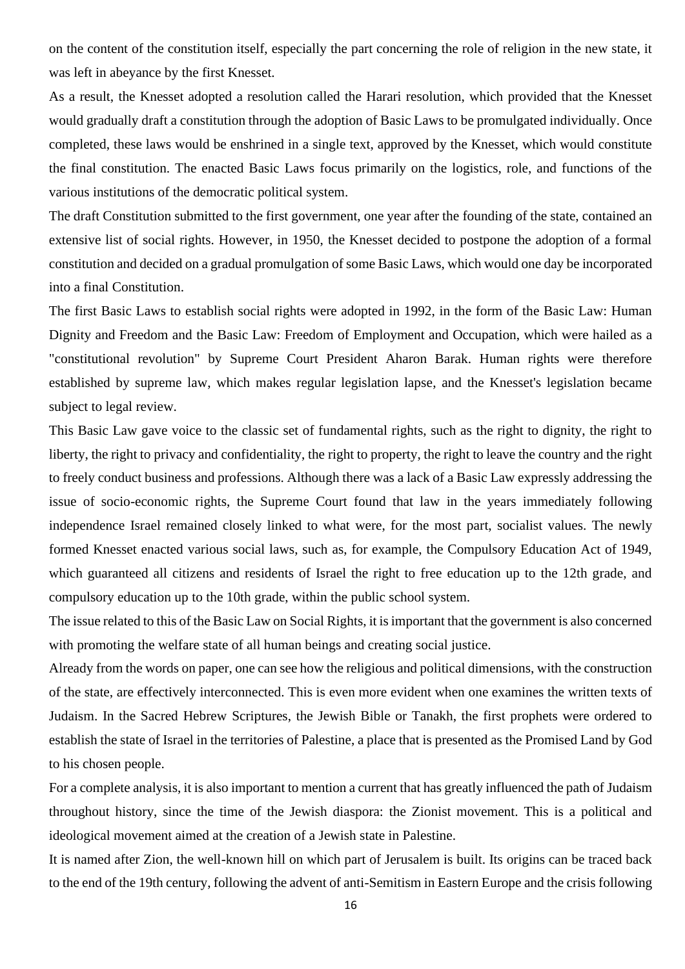on the content of the constitution itself, especially the part concerning the role of religion in the new state, it was left in abeyance by the first Knesset.

As a result, the Knesset adopted a resolution called the Harari resolution, which provided that the Knesset would gradually draft a constitution through the adoption of Basic Laws to be promulgated individually. Once completed, these laws would be enshrined in a single text, approved by the Knesset, which would constitute the final constitution. The enacted Basic Laws focus primarily on the logistics, role, and functions of the various institutions of the democratic political system.

The draft Constitution submitted to the first government, one year after the founding of the state, contained an extensive list of social rights. However, in 1950, the Knesset decided to postpone the adoption of a formal constitution and decided on a gradual promulgation of some Basic Laws, which would one day be incorporated into a final Constitution.

The first Basic Laws to establish social rights were adopted in 1992, in the form of the Basic Law: Human Dignity and Freedom and the Basic Law: Freedom of Employment and Occupation, which were hailed as a "constitutional revolution" by Supreme Court President Aharon Barak. Human rights were therefore established by supreme law, which makes regular legislation lapse, and the Knesset's legislation became subject to legal review.

This Basic Law gave voice to the classic set of fundamental rights, such as the right to dignity, the right to liberty, the right to privacy and confidentiality, the right to property, the right to leave the country and the right to freely conduct business and professions. Although there was a lack of a Basic Law expressly addressing the issue of socio-economic rights, the Supreme Court found that law in the years immediately following independence Israel remained closely linked to what were, for the most part, socialist values. The newly formed Knesset enacted various social laws, such as, for example, the Compulsory Education Act of 1949, which guaranteed all citizens and residents of Israel the right to free education up to the 12th grade, and compulsory education up to the 10th grade, within the public school system.

The issue related to this of the Basic Law on Social Rights, it is important that the government is also concerned with promoting the welfare state of all human beings and creating social justice.

Already from the words on paper, one can see how the religious and political dimensions, with the construction of the state, are effectively interconnected. This is even more evident when one examines the written texts of Judaism. In the Sacred Hebrew Scriptures, the Jewish Bible or Tanakh, the first prophets were ordered to establish the state of Israel in the territories of Palestine, a place that is presented as the Promised Land by God to his chosen people.

For a complete analysis, it is also important to mention a current that has greatly influenced the path of Judaism throughout history, since the time of the Jewish diaspora: the Zionist movement. This is a political and ideological movement aimed at the creation of a Jewish state in Palestine.

It is named after Zion, the well-known hill on which part of Jerusalem is built. Its origins can be traced back to the end of the 19th century, following the advent of anti-Semitism in Eastern Europe and the crisis following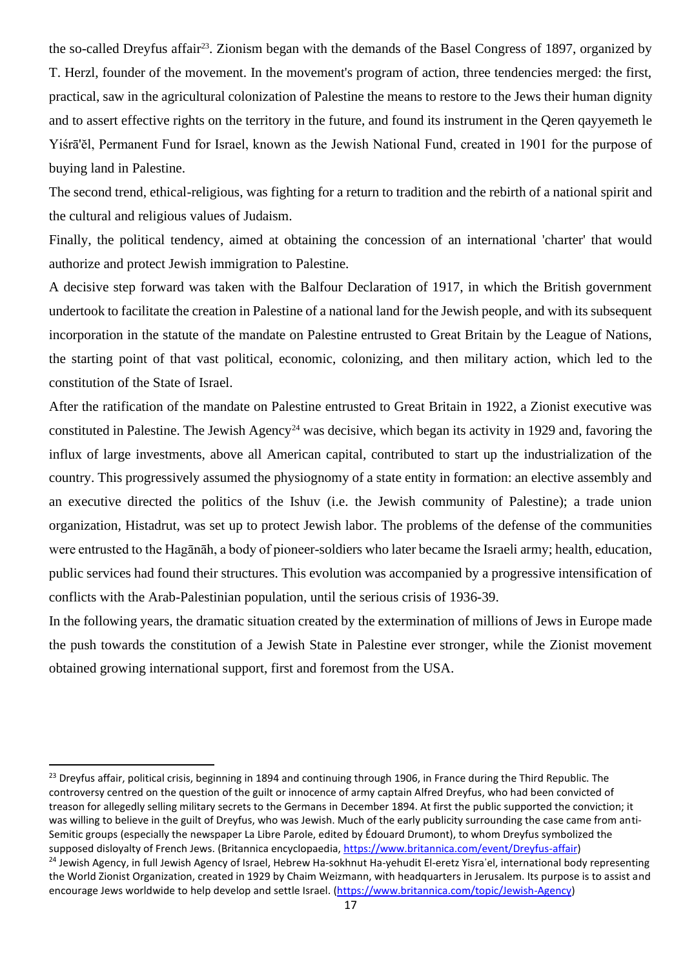the so-called Dreyfus affair<sup>23</sup>. Zionism began with the demands of the Basel Congress of 1897, organized by T. Herzl, founder of the movement. In the movement's program of action, three tendencies merged: the first, practical, saw in the agricultural colonization of Palestine the means to restore to the Jews their human dignity and to assert effective rights on the territory in the future, and found its instrument in the Qeren qayyemeth le Yiśrā'ĕl, Permanent Fund for Israel, known as the Jewish National Fund, created in 1901 for the purpose of buying land in Palestine.

The second trend, ethical-religious, was fighting for a return to tradition and the rebirth of a national spirit and the cultural and religious values of Judaism.

Finally, the political tendency, aimed at obtaining the concession of an international 'charter' that would authorize and protect Jewish immigration to Palestine.

A decisive step forward was taken with the Balfour Declaration of 1917, in which the British government undertook to facilitate the creation in Palestine of a national land for the Jewish people, and with its subsequent incorporation in the statute of the mandate on Palestine entrusted to Great Britain by the League of Nations, the starting point of that vast political, economic, colonizing, and then military action, which led to the constitution of the State of Israel.

After the ratification of the mandate on Palestine entrusted to Great Britain in 1922, a Zionist executive was constituted in Palestine. The Jewish Agency<sup>24</sup> was decisive, which began its activity in 1929 and, favoring the influx of large investments, above all American capital, contributed to start up the industrialization of the country. This progressively assumed the physiognomy of a state entity in formation: an elective assembly and an executive directed the politics of the Ishuv (i.e. the Jewish community of Palestine); a trade union organization, Histadrut, was set up to protect Jewish labor. The problems of the defense of the communities were entrusted to the Hagānāh, a body of pioneer-soldiers who later became the Israeli army; health, education, public services had found their structures. This evolution was accompanied by a progressive intensification of conflicts with the Arab-Palestinian population, until the serious crisis of 1936-39.

In the following years, the dramatic situation created by the extermination of millions of Jews in Europe made the push towards the constitution of a Jewish State in Palestine ever stronger, while the Zionist movement obtained growing international support, first and foremost from the USA.

<sup>&</sup>lt;sup>23</sup> Dreyfus affair, political crisis, beginning in 1894 and continuing through 1906, in France during the Third Republic. The controversy centred on the question of the guilt or innocence of army captain Alfred Dreyfus, who had been convicted of treason for allegedly selling military secrets to the Germans in December 1894. At first the public supported the conviction; it was willing to believe in the guilt of Dreyfus, who was Jewish. Much of the early publicity surrounding the case came from anti-Semitic groups (especially the newspaper La Libre Parole, edited by Édouard Drumont), to whom Dreyfus symbolized the supposed disloyalty of French Jews. (Britannica encyclopaedia[, https://www.britannica.com/event/Dreyfus-affair\)](https://www.britannica.com/event/Dreyfus-affair) <sup>24</sup> Jewish Agency, in full Jewish Agency of Israel, Hebrew Ha-sokhnut Ha-yehudit El-eretz Yisra'el, international body representing the World Zionist Organization, created in 1929 by Chaim Weizmann, with headquarters in Jerusalem. Its purpose is to assist and encourage Jews worldwide to help develop and settle Israel. [\(https://www.britannica.com/topic/Jewish-Agency\)](https://www.britannica.com/topic/Jewish-Agency)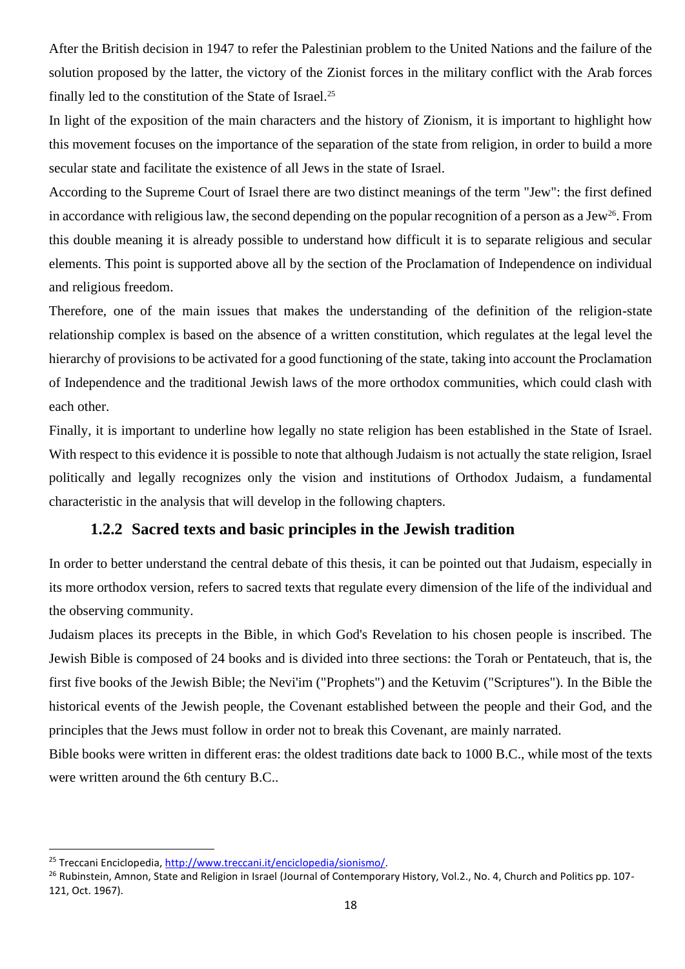After the British decision in 1947 to refer the Palestinian problem to the United Nations and the failure of the solution proposed by the latter, the victory of the Zionist forces in the military conflict with the Arab forces finally led to the constitution of the State of Israel.<sup>25</sup>

In light of the exposition of the main characters and the history of Zionism, it is important to highlight how this movement focuses on the importance of the separation of the state from religion, in order to build a more secular state and facilitate the existence of all Jews in the state of Israel.

According to the Supreme Court of Israel there are two distinct meanings of the term "Jew": the first defined in accordance with religious law, the second depending on the popular recognition of a person as a Jew<sup>26</sup>. From this double meaning it is already possible to understand how difficult it is to separate religious and secular elements. This point is supported above all by the section of the Proclamation of Independence on individual and religious freedom.

Therefore, one of the main issues that makes the understanding of the definition of the religion-state relationship complex is based on the absence of a written constitution, which regulates at the legal level the hierarchy of provisions to be activated for a good functioning of the state, taking into account the Proclamation of Independence and the traditional Jewish laws of the more orthodox communities, which could clash with each other.

Finally, it is important to underline how legally no state religion has been established in the State of Israel. With respect to this evidence it is possible to note that although Judaism is not actually the state religion, Israel politically and legally recognizes only the vision and institutions of Orthodox Judaism, a fundamental characteristic in the analysis that will develop in the following chapters.

#### **1.2.2 Sacred texts and basic principles in the Jewish tradition**

<span id="page-17-0"></span>In order to better understand the central debate of this thesis, it can be pointed out that Judaism, especially in its more orthodox version, refers to sacred texts that regulate every dimension of the life of the individual and the observing community.

Judaism places its precepts in the Bible, in which God's Revelation to his chosen people is inscribed. The Jewish Bible is composed of 24 books and is divided into three sections: the Torah or Pentateuch, that is, the first five books of the Jewish Bible; the Nevi'im ("Prophets") and the Ketuvim ("Scriptures"). In the Bible the historical events of the Jewish people, the Covenant established between the people and their God, and the principles that the Jews must follow in order not to break this Covenant, are mainly narrated.

Bible books were written in different eras: the oldest traditions date back to 1000 B.C., while most of the texts were written around the 6th century B.C..

<sup>25</sup> Treccani Enciclopedia[, http://www.treccani.it/enciclopedia/sionismo/.](http://www.treccani.it/enciclopedia/sionismo/)

<sup>&</sup>lt;sup>26</sup> Rubinstein, Amnon, State and Religion in Israel (Journal of Contemporary History, Vol.2., No. 4, Church and Politics pp. 107-121, Oct. 1967).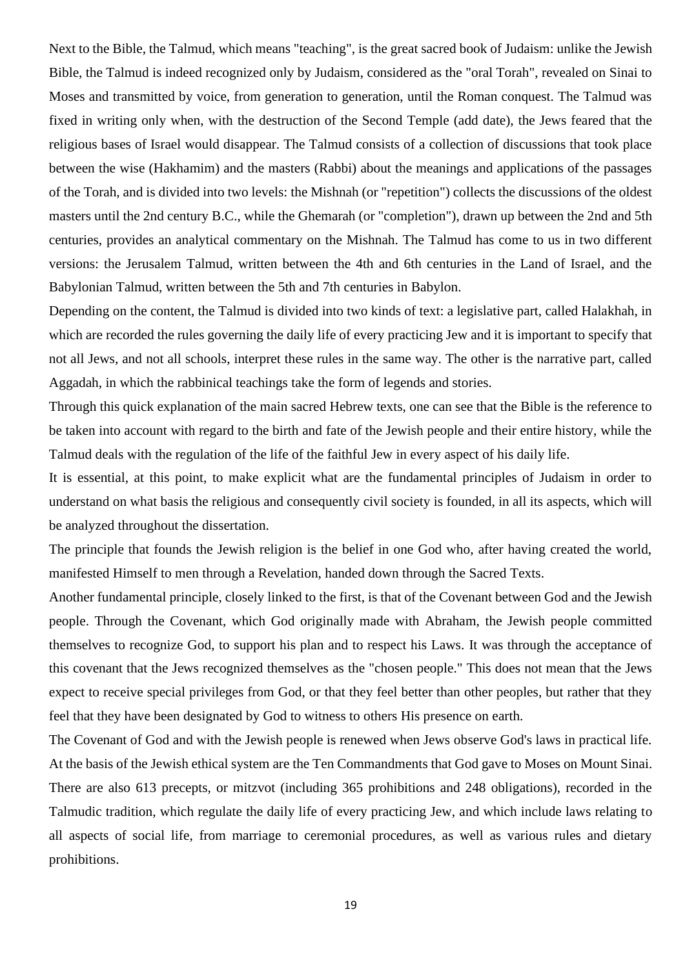Next to the Bible, the Talmud, which means "teaching", is the great sacred book of Judaism: unlike the Jewish Bible, the Talmud is indeed recognized only by Judaism, considered as the "oral Torah", revealed on Sinai to Moses and transmitted by voice, from generation to generation, until the Roman conquest. The Talmud was fixed in writing only when, with the destruction of the Second Temple (add date), the Jews feared that the religious bases of Israel would disappear. The Talmud consists of a collection of discussions that took place between the wise (Hakhamim) and the masters (Rabbi) about the meanings and applications of the passages of the Torah, and is divided into two levels: the Mishnah (or "repetition") collects the discussions of the oldest masters until the 2nd century B.C., while the Ghemarah (or "completion"), drawn up between the 2nd and 5th centuries, provides an analytical commentary on the Mishnah. The Talmud has come to us in two different versions: the Jerusalem Talmud, written between the 4th and 6th centuries in the Land of Israel, and the Babylonian Talmud, written between the 5th and 7th centuries in Babylon.

Depending on the content, the Talmud is divided into two kinds of text: a legislative part, called Halakhah, in which are recorded the rules governing the daily life of every practicing Jew and it is important to specify that not all Jews, and not all schools, interpret these rules in the same way. The other is the narrative part, called Aggadah, in which the rabbinical teachings take the form of legends and stories.

Through this quick explanation of the main sacred Hebrew texts, one can see that the Bible is the reference to be taken into account with regard to the birth and fate of the Jewish people and their entire history, while the Talmud deals with the regulation of the life of the faithful Jew in every aspect of his daily life.

It is essential, at this point, to make explicit what are the fundamental principles of Judaism in order to understand on what basis the religious and consequently civil society is founded, in all its aspects, which will be analyzed throughout the dissertation.

The principle that founds the Jewish religion is the belief in one God who, after having created the world, manifested Himself to men through a Revelation, handed down through the Sacred Texts.

Another fundamental principle, closely linked to the first, is that of the Covenant between God and the Jewish people. Through the Covenant, which God originally made with Abraham, the Jewish people committed themselves to recognize God, to support his plan and to respect his Laws. It was through the acceptance of this covenant that the Jews recognized themselves as the "chosen people." This does not mean that the Jews expect to receive special privileges from God, or that they feel better than other peoples, but rather that they feel that they have been designated by God to witness to others His presence on earth.

The Covenant of God and with the Jewish people is renewed when Jews observe God's laws in practical life. At the basis of the Jewish ethical system are the Ten Commandments that God gave to Moses on Mount Sinai. There are also 613 precepts, or mitzvot (including 365 prohibitions and 248 obligations), recorded in the Talmudic tradition, which regulate the daily life of every practicing Jew, and which include laws relating to all aspects of social life, from marriage to ceremonial procedures, as well as various rules and dietary prohibitions.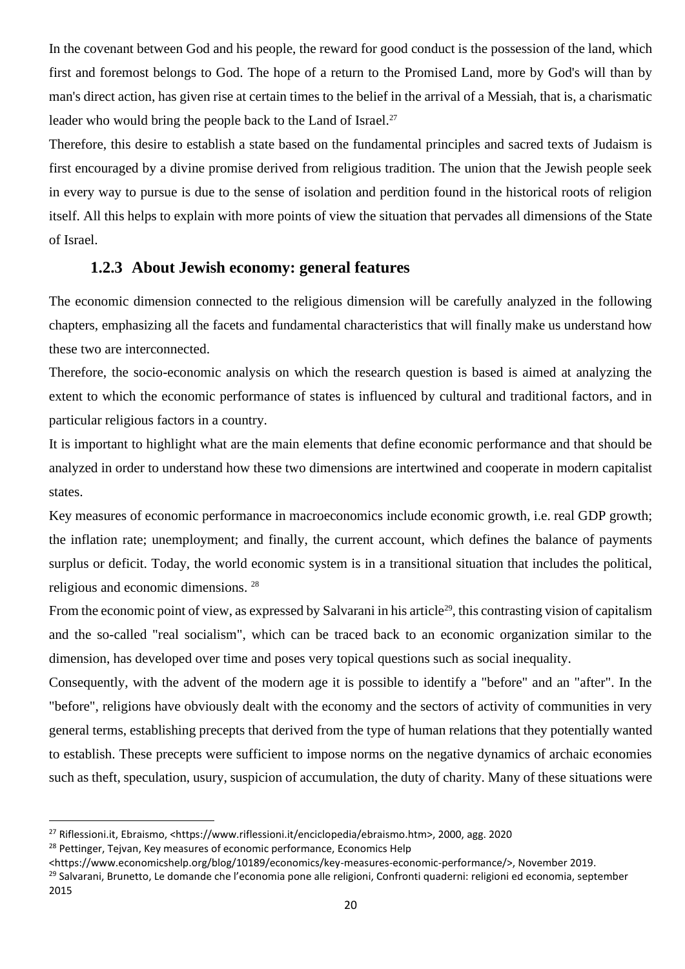In the covenant between God and his people, the reward for good conduct is the possession of the land, which first and foremost belongs to God. The hope of a return to the Promised Land, more by God's will than by man's direct action, has given rise at certain times to the belief in the arrival of a Messiah, that is, a charismatic leader who would bring the people back to the Land of Israel.<sup>27</sup>

Therefore, this desire to establish a state based on the fundamental principles and sacred texts of Judaism is first encouraged by a divine promise derived from religious tradition. The union that the Jewish people seek in every way to pursue is due to the sense of isolation and perdition found in the historical roots of religion itself. All this helps to explain with more points of view the situation that pervades all dimensions of the State of Israel.

#### **1.2.3 About Jewish economy: general features**

<span id="page-19-0"></span>The economic dimension connected to the religious dimension will be carefully analyzed in the following chapters, emphasizing all the facets and fundamental characteristics that will finally make us understand how these two are interconnected.

Therefore, the socio-economic analysis on which the research question is based is aimed at analyzing the extent to which the economic performance of states is influenced by cultural and traditional factors, and in particular religious factors in a country.

It is important to highlight what are the main elements that define economic performance and that should be analyzed in order to understand how these two dimensions are intertwined and cooperate in modern capitalist states.

Key measures of economic performance in macroeconomics include economic growth, i.e. real GDP growth; the inflation rate; unemployment; and finally, the current account, which defines the balance of payments surplus or deficit. Today, the world economic system is in a transitional situation that includes the political, religious and economic dimensions. <sup>28</sup>

From the economic point of view, as expressed by Salvarani in his article<sup>29</sup>, this contrasting vision of capitalism and the so-called "real socialism", which can be traced back to an economic organization similar to the dimension, has developed over time and poses very topical questions such as social inequality.

Consequently, with the advent of the modern age it is possible to identify a "before" and an "after". In the "before", religions have obviously dealt with the economy and the sectors of activity of communities in very general terms, establishing precepts that derived from the type of human relations that they potentially wanted to establish. These precepts were sufficient to impose norms on the negative dynamics of archaic economies such as theft, speculation, usury, suspicion of accumulation, the duty of charity. Many of these situations were

20

<sup>27</sup> Riflessioni.it, Ebraismo, <https://www.riflessioni.it/enciclopedia/ebraismo.htm>, 2000, agg. 2020 <sup>28</sup> Pettinger, Tejvan, Key measures of economic performance, Economics Help

<sup>&</sup>lt;https://www.economicshelp.org/blog/10189/economics/key-measures-economic-performance/>, November 2019.

<sup>&</sup>lt;sup>29</sup> Salvarani, Brunetto, Le domande che l'economia pone alle religioni, Confronti quaderni: religioni ed economia, september 2015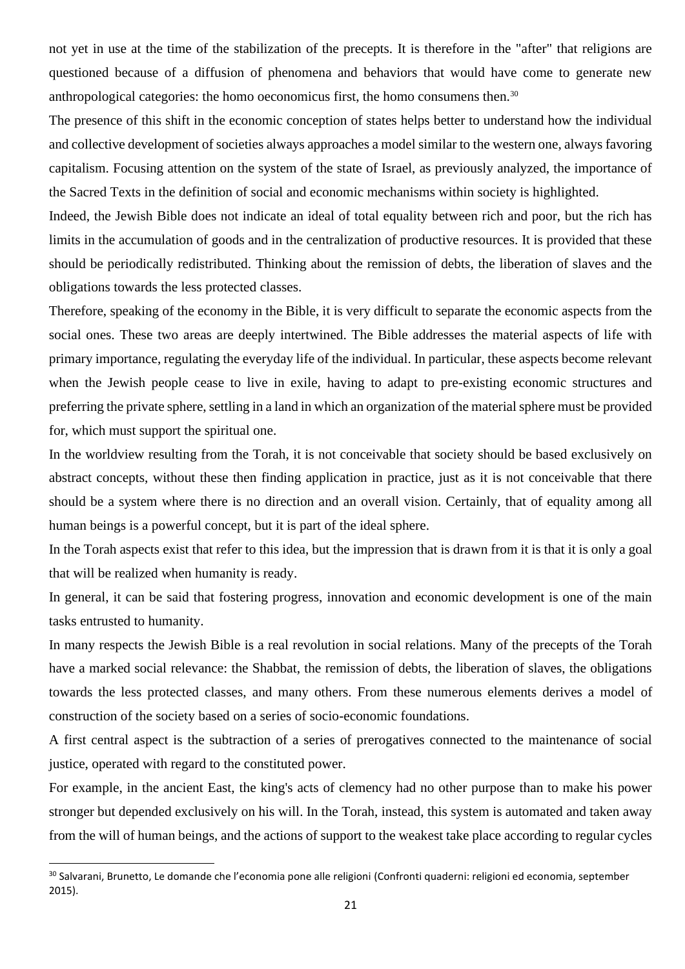not yet in use at the time of the stabilization of the precepts. It is therefore in the "after" that religions are questioned because of a diffusion of phenomena and behaviors that would have come to generate new anthropological categories: the homo oeconomicus first, the homo consumens then.<sup>30</sup>

The presence of this shift in the economic conception of states helps better to understand how the individual and collective development of societies always approaches a model similar to the western one, always favoring capitalism. Focusing attention on the system of the state of Israel, as previously analyzed, the importance of the Sacred Texts in the definition of social and economic mechanisms within society is highlighted.

Indeed, the Jewish Bible does not indicate an ideal of total equality between rich and poor, but the rich has limits in the accumulation of goods and in the centralization of productive resources. It is provided that these should be periodically redistributed. Thinking about the remission of debts, the liberation of slaves and the obligations towards the less protected classes.

Therefore, speaking of the economy in the Bible, it is very difficult to separate the economic aspects from the social ones. These two areas are deeply intertwined. The Bible addresses the material aspects of life with primary importance, regulating the everyday life of the individual. In particular, these aspects become relevant when the Jewish people cease to live in exile, having to adapt to pre-existing economic structures and preferring the private sphere, settling in a land in which an organization of the material sphere must be provided for, which must support the spiritual one.

In the worldview resulting from the Torah, it is not conceivable that society should be based exclusively on abstract concepts, without these then finding application in practice, just as it is not conceivable that there should be a system where there is no direction and an overall vision. Certainly, that of equality among all human beings is a powerful concept, but it is part of the ideal sphere.

In the Torah aspects exist that refer to this idea, but the impression that is drawn from it is that it is only a goal that will be realized when humanity is ready.

In general, it can be said that fostering progress, innovation and economic development is one of the main tasks entrusted to humanity.

In many respects the Jewish Bible is a real revolution in social relations. Many of the precepts of the Torah have a marked social relevance: the Shabbat, the remission of debts, the liberation of slaves, the obligations towards the less protected classes, and many others. From these numerous elements derives a model of construction of the society based on a series of socio-economic foundations.

A first central aspect is the subtraction of a series of prerogatives connected to the maintenance of social justice, operated with regard to the constituted power.

For example, in the ancient East, the king's acts of clemency had no other purpose than to make his power stronger but depended exclusively on his will. In the Torah, instead, this system is automated and taken away from the will of human beings, and the actions of support to the weakest take place according to regular cycles

<sup>&</sup>lt;sup>30</sup> Salvarani, Brunetto, Le domande che l'economia pone alle religioni (Confronti quaderni: religioni ed economia, september 2015).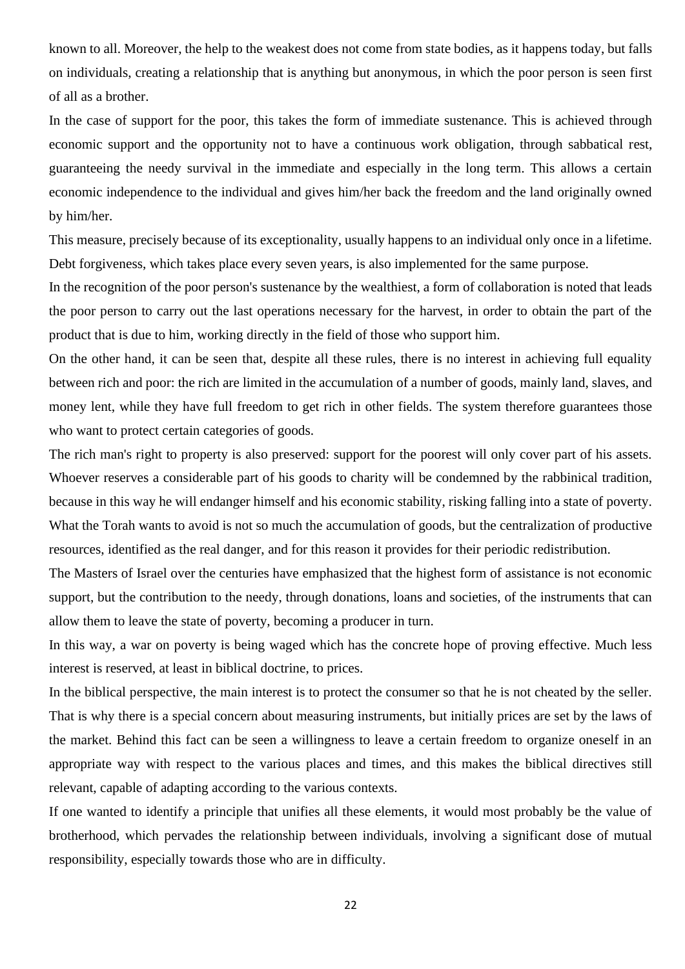known to all. Moreover, the help to the weakest does not come from state bodies, as it happens today, but falls on individuals, creating a relationship that is anything but anonymous, in which the poor person is seen first of all as a brother.

In the case of support for the poor, this takes the form of immediate sustenance. This is achieved through economic support and the opportunity not to have a continuous work obligation, through sabbatical rest, guaranteeing the needy survival in the immediate and especially in the long term. This allows a certain economic independence to the individual and gives him/her back the freedom and the land originally owned by him/her.

This measure, precisely because of its exceptionality, usually happens to an individual only once in a lifetime. Debt forgiveness, which takes place every seven years, is also implemented for the same purpose.

In the recognition of the poor person's sustenance by the wealthiest, a form of collaboration is noted that leads the poor person to carry out the last operations necessary for the harvest, in order to obtain the part of the product that is due to him, working directly in the field of those who support him.

On the other hand, it can be seen that, despite all these rules, there is no interest in achieving full equality between rich and poor: the rich are limited in the accumulation of a number of goods, mainly land, slaves, and money lent, while they have full freedom to get rich in other fields. The system therefore guarantees those who want to protect certain categories of goods.

The rich man's right to property is also preserved: support for the poorest will only cover part of his assets. Whoever reserves a considerable part of his goods to charity will be condemned by the rabbinical tradition, because in this way he will endanger himself and his economic stability, risking falling into a state of poverty. What the Torah wants to avoid is not so much the accumulation of goods, but the centralization of productive resources, identified as the real danger, and for this reason it provides for their periodic redistribution.

The Masters of Israel over the centuries have emphasized that the highest form of assistance is not economic support, but the contribution to the needy, through donations, loans and societies, of the instruments that can allow them to leave the state of poverty, becoming a producer in turn.

In this way, a war on poverty is being waged which has the concrete hope of proving effective. Much less interest is reserved, at least in biblical doctrine, to prices.

In the biblical perspective, the main interest is to protect the consumer so that he is not cheated by the seller. That is why there is a special concern about measuring instruments, but initially prices are set by the laws of the market. Behind this fact can be seen a willingness to leave a certain freedom to organize oneself in an appropriate way with respect to the various places and times, and this makes the biblical directives still relevant, capable of adapting according to the various contexts.

If one wanted to identify a principle that unifies all these elements, it would most probably be the value of brotherhood, which pervades the relationship between individuals, involving a significant dose of mutual responsibility, especially towards those who are in difficulty.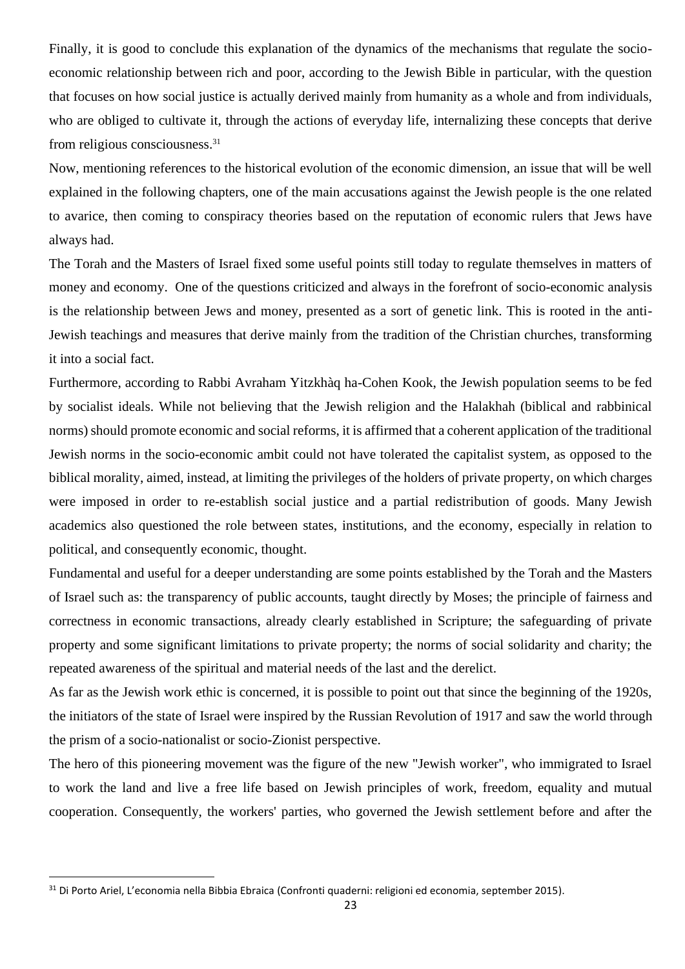Finally, it is good to conclude this explanation of the dynamics of the mechanisms that regulate the socioeconomic relationship between rich and poor, according to the Jewish Bible in particular, with the question that focuses on how social justice is actually derived mainly from humanity as a whole and from individuals, who are obliged to cultivate it, through the actions of everyday life, internalizing these concepts that derive from religious consciousness.<sup>31</sup>

Now, mentioning references to the historical evolution of the economic dimension, an issue that will be well explained in the following chapters, one of the main accusations against the Jewish people is the one related to avarice, then coming to conspiracy theories based on the reputation of economic rulers that Jews have always had.

The Torah and the Masters of Israel fixed some useful points still today to regulate themselves in matters of money and economy. One of the questions criticized and always in the forefront of socio-economic analysis is the relationship between Jews and money, presented as a sort of genetic link. This is rooted in the anti-Jewish teachings and measures that derive mainly from the tradition of the Christian churches, transforming it into a social fact.

Furthermore, according to Rabbi Avraham Yitzkhàq ha-Cohen Kook, the Jewish population seems to be fed by socialist ideals. While not believing that the Jewish religion and the Halakhah (biblical and rabbinical norms) should promote economic and social reforms, it is affirmed that a coherent application of the traditional Jewish norms in the socio-economic ambit could not have tolerated the capitalist system, as opposed to the biblical morality, aimed, instead, at limiting the privileges of the holders of private property, on which charges were imposed in order to re-establish social justice and a partial redistribution of goods. Many Jewish academics also questioned the role between states, institutions, and the economy, especially in relation to political, and consequently economic, thought.

Fundamental and useful for a deeper understanding are some points established by the Torah and the Masters of Israel such as: the transparency of public accounts, taught directly by Moses; the principle of fairness and correctness in economic transactions, already clearly established in Scripture; the safeguarding of private property and some significant limitations to private property; the norms of social solidarity and charity; the repeated awareness of the spiritual and material needs of the last and the derelict.

As far as the Jewish work ethic is concerned, it is possible to point out that since the beginning of the 1920s, the initiators of the state of Israel were inspired by the Russian Revolution of 1917 and saw the world through the prism of a socio-nationalist or socio-Zionist perspective.

The hero of this pioneering movement was the figure of the new "Jewish worker", who immigrated to Israel to work the land and live a free life based on Jewish principles of work, freedom, equality and mutual cooperation. Consequently, the workers' parties, who governed the Jewish settlement before and after the

<sup>31</sup> Di Porto Ariel, L'economia nella Bibbia Ebraica (Confronti quaderni: religioni ed economia, september 2015).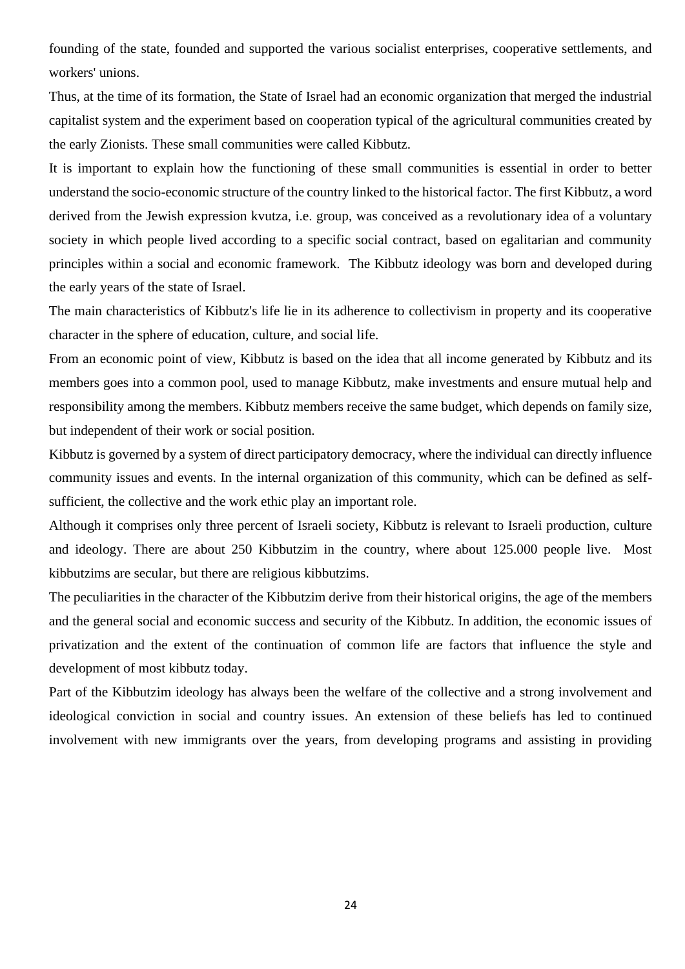founding of the state, founded and supported the various socialist enterprises, cooperative settlements, and workers' unions.

Thus, at the time of its formation, the State of Israel had an economic organization that merged the industrial capitalist system and the experiment based on cooperation typical of the agricultural communities created by the early Zionists. These small communities were called Kibbutz.

It is important to explain how the functioning of these small communities is essential in order to better understand the socio-economic structure of the country linked to the historical factor. The first Kibbutz, a word derived from the Jewish expression kvutza, i.e. group, was conceived as a revolutionary idea of a voluntary society in which people lived according to a specific social contract, based on egalitarian and community principles within a social and economic framework. The Kibbutz ideology was born and developed during the early years of the state of Israel.

The main characteristics of Kibbutz's life lie in its adherence to collectivism in property and its cooperative character in the sphere of education, culture, and social life.

From an economic point of view, Kibbutz is based on the idea that all income generated by Kibbutz and its members goes into a common pool, used to manage Kibbutz, make investments and ensure mutual help and responsibility among the members. Kibbutz members receive the same budget, which depends on family size, but independent of their work or social position.

Kibbutz is governed by a system of direct participatory democracy, where the individual can directly influence community issues and events. In the internal organization of this community, which can be defined as selfsufficient, the collective and the work ethic play an important role.

Although it comprises only three percent of Israeli society, Kibbutz is relevant to Israeli production, culture and ideology. There are about 250 Kibbutzim in the country, where about 125.000 people live. Most kibbutzims are secular, but there are religious kibbutzims.

The peculiarities in the character of the Kibbutzim derive from their historical origins, the age of the members and the general social and economic success and security of the Kibbutz. In addition, the economic issues of privatization and the extent of the continuation of common life are factors that influence the style and development of most kibbutz today.

Part of the Kibbutzim ideology has always been the welfare of the collective and a strong involvement and ideological conviction in social and country issues. An extension of these beliefs has led to continued involvement with new immigrants over the years, from developing programs and assisting in providing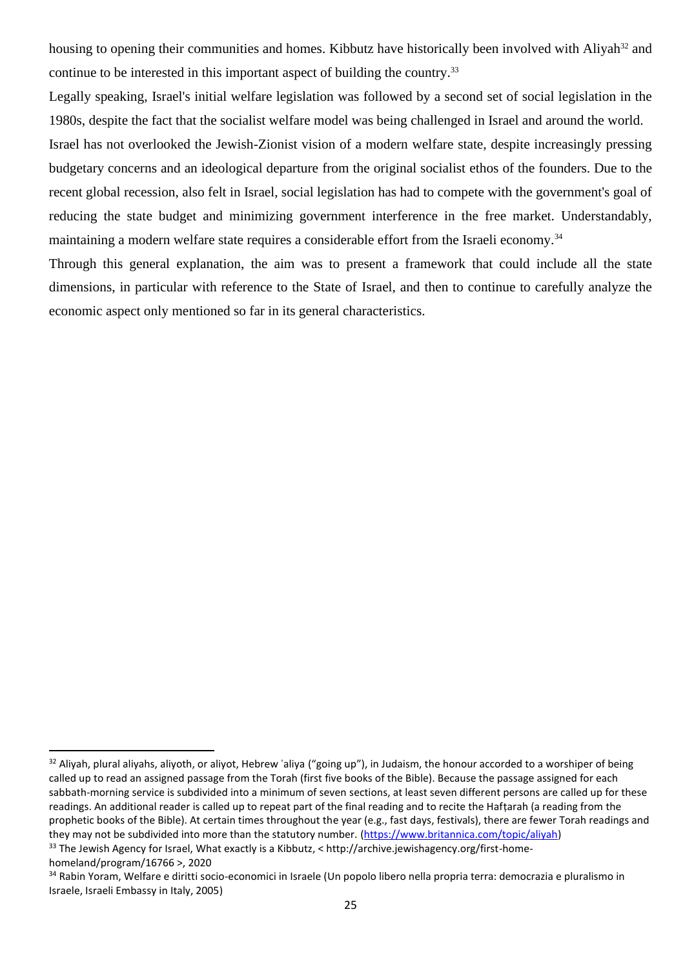housing to opening their communities and homes. Kibbutz have historically been involved with Aliyah<sup>32</sup> and continue to be interested in this important aspect of building the country.<sup>33</sup>

Legally speaking, Israel's initial welfare legislation was followed by a second set of social legislation in the 1980s, despite the fact that the socialist welfare model was being challenged in Israel and around the world.

Israel has not overlooked the Jewish-Zionist vision of a modern welfare state, despite increasingly pressing budgetary concerns and an ideological departure from the original socialist ethos of the founders. Due to the recent global recession, also felt in Israel, social legislation has had to compete with the government's goal of reducing the state budget and minimizing government interference in the free market. Understandably, maintaining a modern welfare state requires a considerable effort from the Israeli economy.<sup>34</sup>

Through this general explanation, the aim was to present a framework that could include all the state dimensions, in particular with reference to the State of Israel, and then to continue to carefully analyze the economic aspect only mentioned so far in its general characteristics.

33 The Jewish Agency for Israel, What exactly is a Kibbutz, < http://archive.jewishagency.org/first-homehomeland/program/16766 >, 2020

 $32$  Aliyah, plural aliyahs, aliyoth, or aliyot, Hebrew 'aliya ("going up"), in Judaism, the honour accorded to a worshiper of being called up to read an assigned passage from the Torah (first five books of the Bible). Because the passage assigned for each sabbath-morning service is subdivided into a minimum of seven sections, at least seven different persons are called up for these readings. An additional reader is called up to repeat part of the final reading and to recite the Hafṭarah (a reading from the prophetic books of the Bible). At certain times throughout the year (e.g., fast days, festivals), there are fewer Torah readings and they may not be subdivided into more than the statutory number. [\(https://www.britannica.com/topic/aliyah\)](https://www.britannica.com/topic/aliyah)

<sup>34</sup> Rabin Yoram, Welfare e diritti socio-economici in Israele (Un popolo libero nella propria terra: democrazia e pluralismo in Israele, Israeli Embassy in Italy, 2005)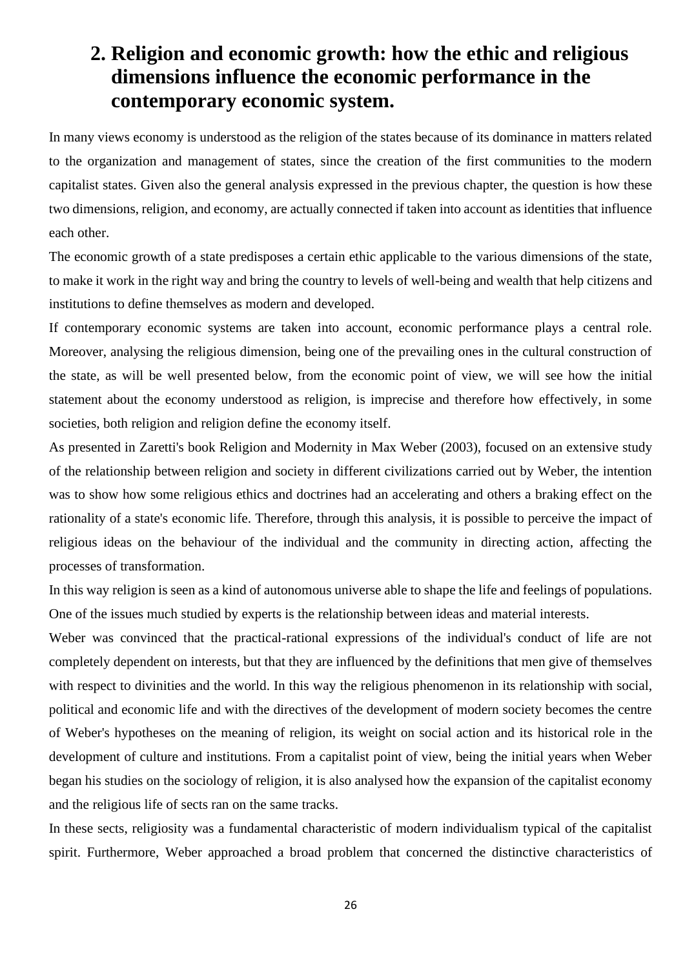## <span id="page-25-0"></span>**2. Religion and economic growth: how the ethic and religious dimensions influence the economic performance in the contemporary economic system.**

In many views economy is understood as the religion of the states because of its dominance in matters related to the organization and management of states, since the creation of the first communities to the modern capitalist states. Given also the general analysis expressed in the previous chapter, the question is how these two dimensions, religion, and economy, are actually connected if taken into account as identities that influence each other.

The economic growth of a state predisposes a certain ethic applicable to the various dimensions of the state, to make it work in the right way and bring the country to levels of well-being and wealth that help citizens and institutions to define themselves as modern and developed.

If contemporary economic systems are taken into account, economic performance plays a central role. Moreover, analysing the religious dimension, being one of the prevailing ones in the cultural construction of the state, as will be well presented below, from the economic point of view, we will see how the initial statement about the economy understood as religion, is imprecise and therefore how effectively, in some societies, both religion and religion define the economy itself.

As presented in Zaretti's book Religion and Modernity in Max Weber (2003), focused on an extensive study of the relationship between religion and society in different civilizations carried out by Weber, the intention was to show how some religious ethics and doctrines had an accelerating and others a braking effect on the rationality of a state's economic life. Therefore, through this analysis, it is possible to perceive the impact of religious ideas on the behaviour of the individual and the community in directing action, affecting the processes of transformation.

In this way religion is seen as a kind of autonomous universe able to shape the life and feelings of populations. One of the issues much studied by experts is the relationship between ideas and material interests.

Weber was convinced that the practical-rational expressions of the individual's conduct of life are not completely dependent on interests, but that they are influenced by the definitions that men give of themselves with respect to divinities and the world. In this way the religious phenomenon in its relationship with social, political and economic life and with the directives of the development of modern society becomes the centre of Weber's hypotheses on the meaning of religion, its weight on social action and its historical role in the development of culture and institutions. From a capitalist point of view, being the initial years when Weber began his studies on the sociology of religion, it is also analysed how the expansion of the capitalist economy and the religious life of sects ran on the same tracks.

In these sects, religiosity was a fundamental characteristic of modern individualism typical of the capitalist spirit. Furthermore, Weber approached a broad problem that concerned the distinctive characteristics of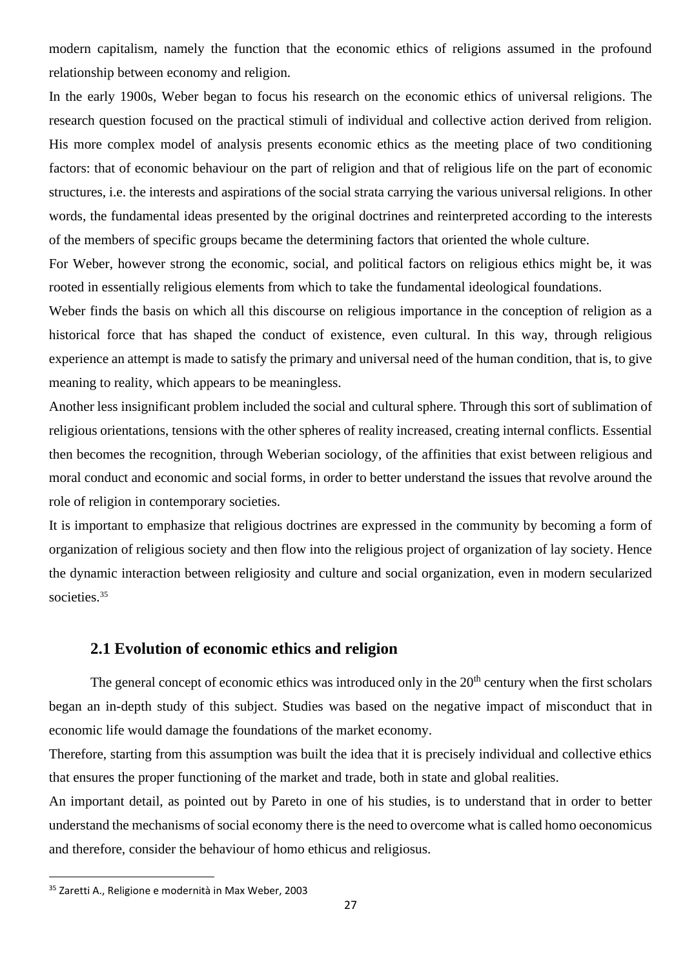modern capitalism, namely the function that the economic ethics of religions assumed in the profound relationship between economy and religion.

In the early 1900s, Weber began to focus his research on the economic ethics of universal religions. The research question focused on the practical stimuli of individual and collective action derived from religion. His more complex model of analysis presents economic ethics as the meeting place of two conditioning factors: that of economic behaviour on the part of religion and that of religious life on the part of economic structures, i.e. the interests and aspirations of the social strata carrying the various universal religions. In other words, the fundamental ideas presented by the original doctrines and reinterpreted according to the interests of the members of specific groups became the determining factors that oriented the whole culture.

For Weber, however strong the economic, social, and political factors on religious ethics might be, it was rooted in essentially religious elements from which to take the fundamental ideological foundations.

Weber finds the basis on which all this discourse on religious importance in the conception of religion as a historical force that has shaped the conduct of existence, even cultural. In this way, through religious experience an attempt is made to satisfy the primary and universal need of the human condition, that is, to give meaning to reality, which appears to be meaningless.

Another less insignificant problem included the social and cultural sphere. Through this sort of sublimation of religious orientations, tensions with the other spheres of reality increased, creating internal conflicts. Essential then becomes the recognition, through Weberian sociology, of the affinities that exist between religious and moral conduct and economic and social forms, in order to better understand the issues that revolve around the role of religion in contemporary societies.

It is important to emphasize that religious doctrines are expressed in the community by becoming a form of organization of religious society and then flow into the religious project of organization of lay society. Hence the dynamic interaction between religiosity and culture and social organization, even in modern secularized societies.<sup>35</sup>

#### **2.1 Evolution of economic ethics and religion**

<span id="page-26-0"></span>The general concept of economic ethics was introduced only in the  $20<sup>th</sup>$  century when the first scholars began an in-depth study of this subject. Studies was based on the negative impact of misconduct that in economic life would damage the foundations of the market economy.

Therefore, starting from this assumption was built the idea that it is precisely individual and collective ethics that ensures the proper functioning of the market and trade, both in state and global realities.

An important detail, as pointed out by Pareto in one of his studies, is to understand that in order to better understand the mechanisms of social economy there is the need to overcome what is called homo oeconomicus and therefore, consider the behaviour of homo ethicus and religiosus.

<sup>35</sup> Zaretti A., Religione e modernità in Max Weber, 2003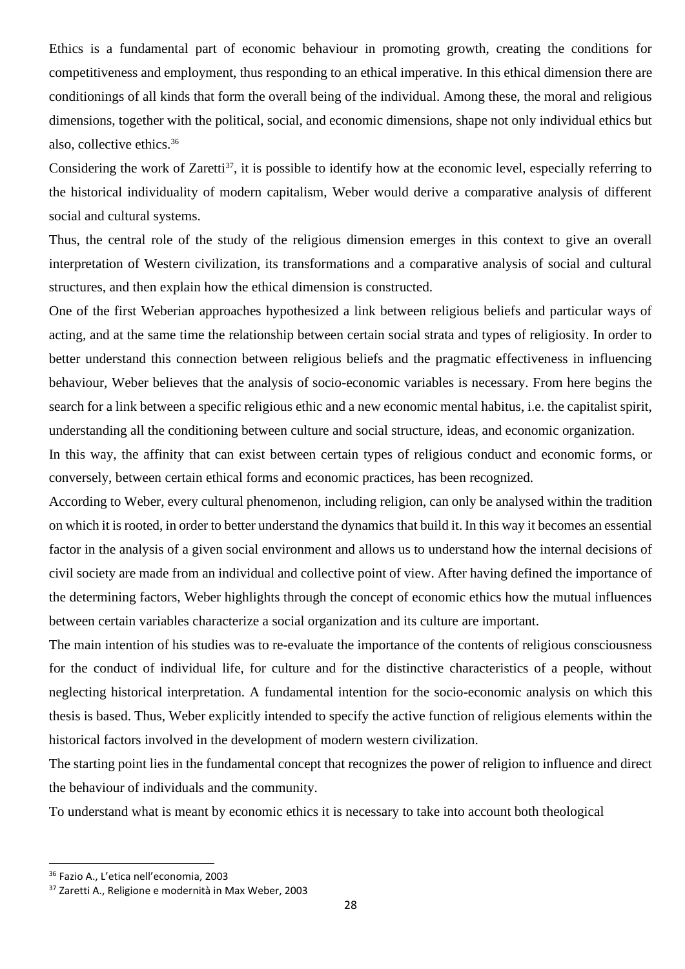Ethics is a fundamental part of economic behaviour in promoting growth, creating the conditions for competitiveness and employment, thus responding to an ethical imperative. In this ethical dimension there are conditionings of all kinds that form the overall being of the individual. Among these, the moral and religious dimensions, together with the political, social, and economic dimensions, shape not only individual ethics but also, collective ethics.<sup>36</sup>

Considering the work of Zaretti<sup>37</sup>, it is possible to identify how at the economic level, especially referring to the historical individuality of modern capitalism, Weber would derive a comparative analysis of different social and cultural systems.

Thus, the central role of the study of the religious dimension emerges in this context to give an overall interpretation of Western civilization, its transformations and a comparative analysis of social and cultural structures, and then explain how the ethical dimension is constructed.

One of the first Weberian approaches hypothesized a link between religious beliefs and particular ways of acting, and at the same time the relationship between certain social strata and types of religiosity. In order to better understand this connection between religious beliefs and the pragmatic effectiveness in influencing behaviour, Weber believes that the analysis of socio-economic variables is necessary. From here begins the search for a link between a specific religious ethic and a new economic mental habitus, i.e. the capitalist spirit, understanding all the conditioning between culture and social structure, ideas, and economic organization.

In this way, the affinity that can exist between certain types of religious conduct and economic forms, or conversely, between certain ethical forms and economic practices, has been recognized.

According to Weber, every cultural phenomenon, including religion, can only be analysed within the tradition on which it is rooted, in order to better understand the dynamics that build it. In this way it becomes an essential factor in the analysis of a given social environment and allows us to understand how the internal decisions of civil society are made from an individual and collective point of view. After having defined the importance of the determining factors, Weber highlights through the concept of economic ethics how the mutual influences between certain variables characterize a social organization and its culture are important.

The main intention of his studies was to re-evaluate the importance of the contents of religious consciousness for the conduct of individual life, for culture and for the distinctive characteristics of a people, without neglecting historical interpretation. A fundamental intention for the socio-economic analysis on which this thesis is based. Thus, Weber explicitly intended to specify the active function of religious elements within the historical factors involved in the development of modern western civilization.

The starting point lies in the fundamental concept that recognizes the power of religion to influence and direct the behaviour of individuals and the community.

To understand what is meant by economic ethics it is necessary to take into account both theological

<sup>36</sup> Fazio A., L'etica nell'economia, 2003

<sup>37</sup> Zaretti A., Religione e modernità in Max Weber, 2003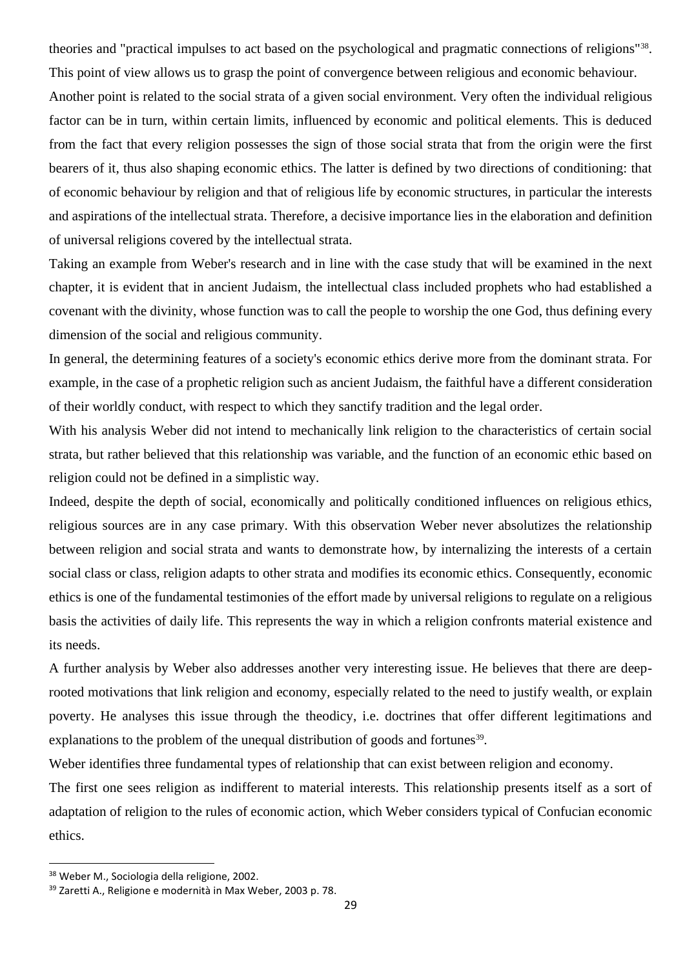theories and "practical impulses to act based on the psychological and pragmatic connections of religions"<sup>38</sup> . This point of view allows us to grasp the point of convergence between religious and economic behaviour. Another point is related to the social strata of a given social environment. Very often the individual religious factor can be in turn, within certain limits, influenced by economic and political elements. This is deduced from the fact that every religion possesses the sign of those social strata that from the origin were the first bearers of it, thus also shaping economic ethics. The latter is defined by two directions of conditioning: that of economic behaviour by religion and that of religious life by economic structures, in particular the interests and aspirations of the intellectual strata. Therefore, a decisive importance lies in the elaboration and definition of universal religions covered by the intellectual strata.

Taking an example from Weber's research and in line with the case study that will be examined in the next chapter, it is evident that in ancient Judaism, the intellectual class included prophets who had established a covenant with the divinity, whose function was to call the people to worship the one God, thus defining every dimension of the social and religious community.

In general, the determining features of a society's economic ethics derive more from the dominant strata. For example, in the case of a prophetic religion such as ancient Judaism, the faithful have a different consideration of their worldly conduct, with respect to which they sanctify tradition and the legal order.

With his analysis Weber did not intend to mechanically link religion to the characteristics of certain social strata, but rather believed that this relationship was variable, and the function of an economic ethic based on religion could not be defined in a simplistic way.

Indeed, despite the depth of social, economically and politically conditioned influences on religious ethics, religious sources are in any case primary. With this observation Weber never absolutizes the relationship between religion and social strata and wants to demonstrate how, by internalizing the interests of a certain social class or class, religion adapts to other strata and modifies its economic ethics. Consequently, economic ethics is one of the fundamental testimonies of the effort made by universal religions to regulate on a religious basis the activities of daily life. This represents the way in which a religion confronts material existence and its needs.

A further analysis by Weber also addresses another very interesting issue. He believes that there are deeprooted motivations that link religion and economy, especially related to the need to justify wealth, or explain poverty. He analyses this issue through the theodicy, i.e. doctrines that offer different legitimations and explanations to the problem of the unequal distribution of goods and fortunes<sup>39</sup>.

Weber identifies three fundamental types of relationship that can exist between religion and economy.

The first one sees religion as indifferent to material interests. This relationship presents itself as a sort of adaptation of religion to the rules of economic action, which Weber considers typical of Confucian economic ethics.

<sup>38</sup> Weber M., Sociologia della religione, 2002.

<sup>39</sup> Zaretti A., Religione e modernità in Max Weber, 2003 p. 78.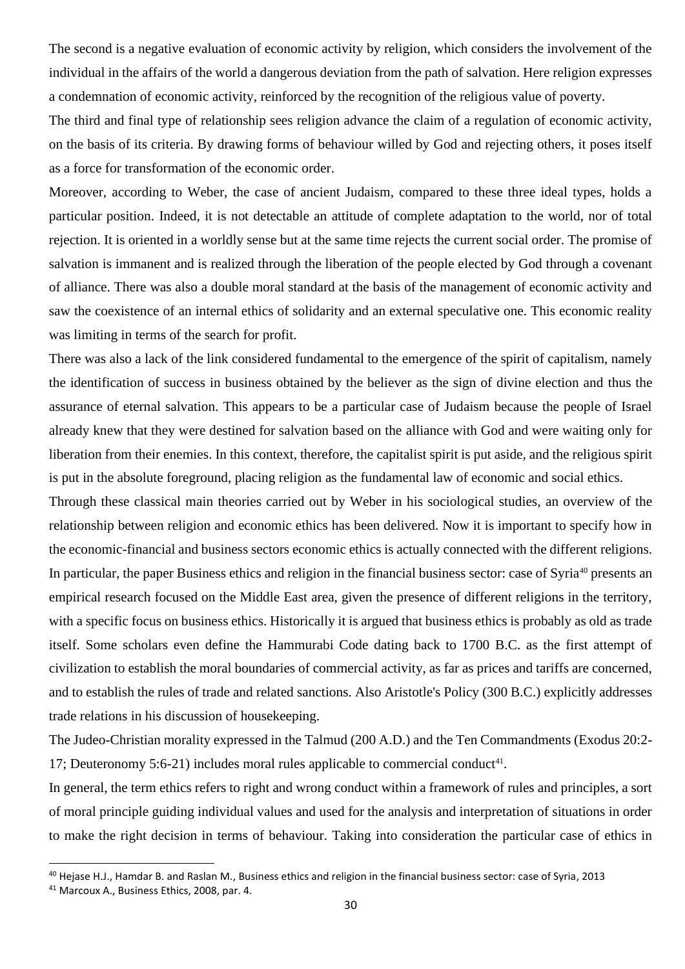The second is a negative evaluation of economic activity by religion, which considers the involvement of the individual in the affairs of the world a dangerous deviation from the path of salvation. Here religion expresses a condemnation of economic activity, reinforced by the recognition of the religious value of poverty.

The third and final type of relationship sees religion advance the claim of a regulation of economic activity, on the basis of its criteria. By drawing forms of behaviour willed by God and rejecting others, it poses itself as a force for transformation of the economic order.

Moreover, according to Weber, the case of ancient Judaism, compared to these three ideal types, holds a particular position. Indeed, it is not detectable an attitude of complete adaptation to the world, nor of total rejection. It is oriented in a worldly sense but at the same time rejects the current social order. The promise of salvation is immanent and is realized through the liberation of the people elected by God through a covenant of alliance. There was also a double moral standard at the basis of the management of economic activity and saw the coexistence of an internal ethics of solidarity and an external speculative one. This economic reality was limiting in terms of the search for profit.

There was also a lack of the link considered fundamental to the emergence of the spirit of capitalism, namely the identification of success in business obtained by the believer as the sign of divine election and thus the assurance of eternal salvation. This appears to be a particular case of Judaism because the people of Israel already knew that they were destined for salvation based on the alliance with God and were waiting only for liberation from their enemies. In this context, therefore, the capitalist spirit is put aside, and the religious spirit is put in the absolute foreground, placing religion as the fundamental law of economic and social ethics.

Through these classical main theories carried out by Weber in his sociological studies, an overview of the relationship between religion and economic ethics has been delivered. Now it is important to specify how in the economic-financial and business sectors economic ethics is actually connected with the different religions. In particular, the paper Business ethics and religion in the financial business sector: case of Syria<sup>40</sup> presents an empirical research focused on the Middle East area, given the presence of different religions in the territory, with a specific focus on business ethics. Historically it is argued that business ethics is probably as old as trade itself. Some scholars even define the Hammurabi Code dating back to 1700 B.C. as the first attempt of civilization to establish the moral boundaries of commercial activity, as far as prices and tariffs are concerned, and to establish the rules of trade and related sanctions. Also Aristotle's Policy (300 B.C.) explicitly addresses trade relations in his discussion of housekeeping.

The Judeo-Christian morality expressed in the Talmud (200 A.D.) and the Ten Commandments (Exodus 20:2- 17; Deuteronomy 5:6-21) includes moral rules applicable to commercial conduct<sup>41</sup>.

In general, the term ethics refers to right and wrong conduct within a framework of rules and principles, a sort of moral principle guiding individual values and used for the analysis and interpretation of situations in order to make the right decision in terms of behaviour. Taking into consideration the particular case of ethics in

<sup>40</sup> Hejase H.J., Hamdar B. and Raslan M., Business ethics and religion in the financial business sector: case of Syria, 2013

<sup>41</sup> Marcoux A., Business Ethics, 2008, par. 4.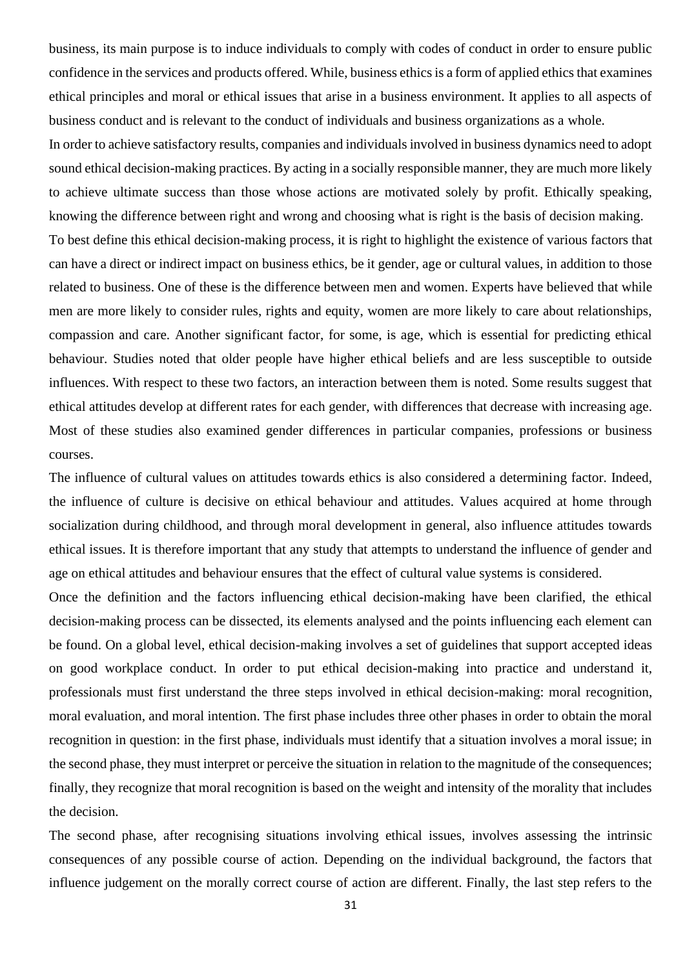business, its main purpose is to induce individuals to comply with codes of conduct in order to ensure public confidence in the services and products offered. While, business ethics is a form of applied ethics that examines ethical principles and moral or ethical issues that arise in a business environment. It applies to all aspects of business conduct and is relevant to the conduct of individuals and business organizations as a whole.

In order to achieve satisfactory results, companies and individuals involved in business dynamics need to adopt sound ethical decision-making practices. By acting in a socially responsible manner, they are much more likely to achieve ultimate success than those whose actions are motivated solely by profit. Ethically speaking, knowing the difference between right and wrong and choosing what is right is the basis of decision making. To best define this ethical decision-making process, it is right to highlight the existence of various factors that can have a direct or indirect impact on business ethics, be it gender, age or cultural values, in addition to those related to business. One of these is the difference between men and women. Experts have believed that while men are more likely to consider rules, rights and equity, women are more likely to care about relationships, compassion and care. Another significant factor, for some, is age, which is essential for predicting ethical behaviour. Studies noted that older people have higher ethical beliefs and are less susceptible to outside influences. With respect to these two factors, an interaction between them is noted. Some results suggest that ethical attitudes develop at different rates for each gender, with differences that decrease with increasing age. Most of these studies also examined gender differences in particular companies, professions or business courses.

The influence of cultural values on attitudes towards ethics is also considered a determining factor. Indeed, the influence of culture is decisive on ethical behaviour and attitudes. Values acquired at home through socialization during childhood, and through moral development in general, also influence attitudes towards ethical issues. It is therefore important that any study that attempts to understand the influence of gender and age on ethical attitudes and behaviour ensures that the effect of cultural value systems is considered.

Once the definition and the factors influencing ethical decision-making have been clarified, the ethical decision-making process can be dissected, its elements analysed and the points influencing each element can be found. On a global level, ethical decision-making involves a set of guidelines that support accepted ideas on good workplace conduct. In order to put ethical decision-making into practice and understand it, professionals must first understand the three steps involved in ethical decision-making: moral recognition, moral evaluation, and moral intention. The first phase includes three other phases in order to obtain the moral recognition in question: in the first phase, individuals must identify that a situation involves a moral issue; in the second phase, they must interpret or perceive the situation in relation to the magnitude of the consequences; finally, they recognize that moral recognition is based on the weight and intensity of the morality that includes the decision.

The second phase, after recognising situations involving ethical issues, involves assessing the intrinsic consequences of any possible course of action. Depending on the individual background, the factors that influence judgement on the morally correct course of action are different. Finally, the last step refers to the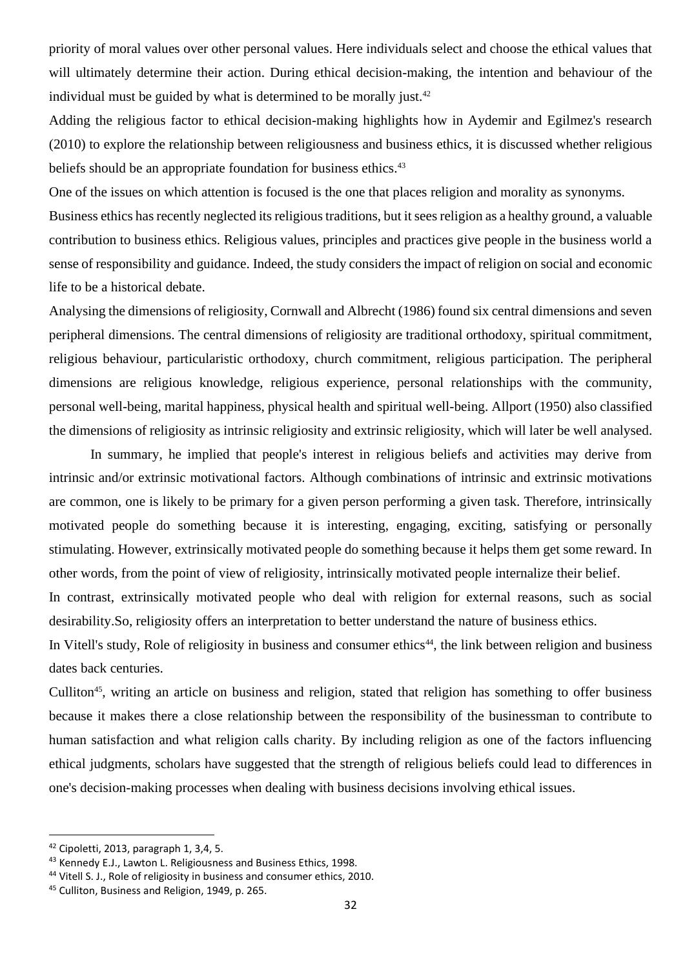priority of moral values over other personal values. Here individuals select and choose the ethical values that will ultimately determine their action. During ethical decision-making, the intention and behaviour of the individual must be guided by what is determined to be morally just. $42$ 

Adding the religious factor to ethical decision-making highlights how in Aydemir and Egilmez's research (2010) to explore the relationship between religiousness and business ethics, it is discussed whether religious beliefs should be an appropriate foundation for business ethics.<sup>43</sup>

One of the issues on which attention is focused is the one that places religion and morality as synonyms.

Business ethics has recently neglected its religious traditions, but it sees religion as a healthy ground, a valuable contribution to business ethics. Religious values, principles and practices give people in the business world a sense of responsibility and guidance. Indeed, the study considers the impact of religion on social and economic life to be a historical debate.

Analysing the dimensions of religiosity, Cornwall and Albrecht (1986) found six central dimensions and seven peripheral dimensions. The central dimensions of religiosity are traditional orthodoxy, spiritual commitment, religious behaviour, particularistic orthodoxy, church commitment, religious participation. The peripheral dimensions are religious knowledge, religious experience, personal relationships with the community, personal well-being, marital happiness, physical health and spiritual well-being. Allport (1950) also classified the dimensions of religiosity as intrinsic religiosity and extrinsic religiosity, which will later be well analysed.

In summary, he implied that people's interest in religious beliefs and activities may derive from intrinsic and/or extrinsic motivational factors. Although combinations of intrinsic and extrinsic motivations are common, one is likely to be primary for a given person performing a given task. Therefore, intrinsically motivated people do something because it is interesting, engaging, exciting, satisfying or personally stimulating. However, extrinsically motivated people do something because it helps them get some reward. In other words, from the point of view of religiosity, intrinsically motivated people internalize their belief. In contrast, extrinsically motivated people who deal with religion for external reasons, such as social desirability.So, religiosity offers an interpretation to better understand the nature of business ethics.

In Vitell's study, Role of religiosity in business and consumer ethics<sup>44</sup>, the link between religion and business dates back centuries.

Culliton<sup>45</sup>, writing an article on business and religion, stated that religion has something to offer business because it makes there a close relationship between the responsibility of the businessman to contribute to human satisfaction and what religion calls charity. By including religion as one of the factors influencing ethical judgments, scholars have suggested that the strength of religious beliefs could lead to differences in one's decision-making processes when dealing with business decisions involving ethical issues.

<sup>42</sup> Cipoletti, 2013, paragraph 1, 3,4, 5.

<sup>43</sup> Kennedy E.J., Lawton L. Religiousness and Business Ethics, 1998.

<sup>44</sup> Vitell S. J., Role of religiosity in business and consumer ethics, 2010.

<sup>45</sup> Culliton, Business and Religion, 1949, p. 265.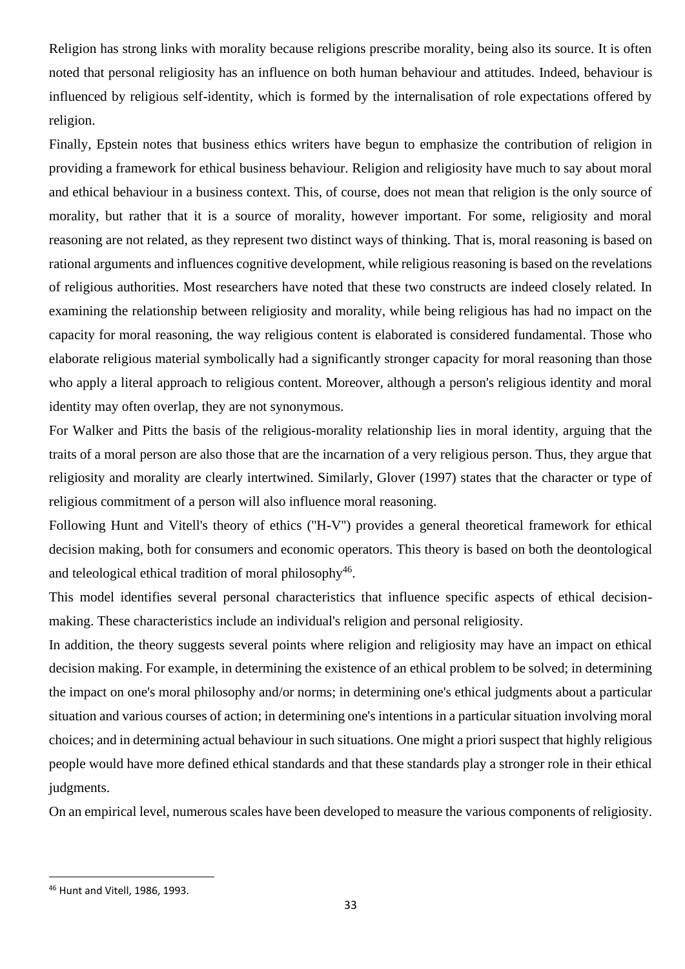Religion has strong links with morality because religions prescribe morality, being also its source. It is often noted that personal religiosity has an influence on both human behaviour and attitudes. Indeed, behaviour is influenced by religious self-identity, which is formed by the internalisation of role expectations offered by religion.

Finally, Epstein notes that business ethics writers have begun to emphasize the contribution of religion in providing a framework for ethical business behaviour. Religion and religiosity have much to say about moral and ethical behaviour in a business context. This, of course, does not mean that religion is the only source of morality, but rather that it is a source of morality, however important. For some, religiosity and moral reasoning are not related, as they represent two distinct ways of thinking. That is, moral reasoning is based on rational arguments and influences cognitive development, while religious reasoning is based on the revelations of religious authorities. Most researchers have noted that these two constructs are indeed closely related. In examining the relationship between religiosity and morality, while being religious has had no impact on the capacity for moral reasoning, the way religious content is elaborated is considered fundamental. Those who elaborate religious material symbolically had a significantly stronger capacity for moral reasoning than those who apply a literal approach to religious content. Moreover, although a person's religious identity and moral identity may often overlap, they are not synonymous.

For Walker and Pitts the basis of the religious-morality relationship lies in moral identity, arguing that the traits of a moral person are also those that are the incarnation of a very religious person. Thus, they argue that religiosity and morality are clearly intertwined. Similarly, Glover (1997) states that the character or type of religious commitment of a person will also influence moral reasoning.

Following Hunt and Vitell's theory of ethics (''H-V'') provides a general theoretical framework for ethical decision making, both for consumers and economic operators. This theory is based on both the deontological and teleological ethical tradition of moral philosophy<sup>46</sup>.

This model identifies several personal characteristics that influence specific aspects of ethical decisionmaking. These characteristics include an individual's religion and personal religiosity.

In addition, the theory suggests several points where religion and religiosity may have an impact on ethical decision making. For example, in determining the existence of an ethical problem to be solved; in determining the impact on one's moral philosophy and/or norms; in determining one's ethical judgments about a particular situation and various courses of action; in determining one's intentions in a particular situation involving moral choices; and in determining actual behaviour in such situations. One might a priori suspect that highly religious people would have more defined ethical standards and that these standards play a stronger role in their ethical judgments.

On an empirical level, numerous scales have been developed to measure the various components of religiosity.

<sup>46</sup> Hunt and Vitell, 1986, 1993.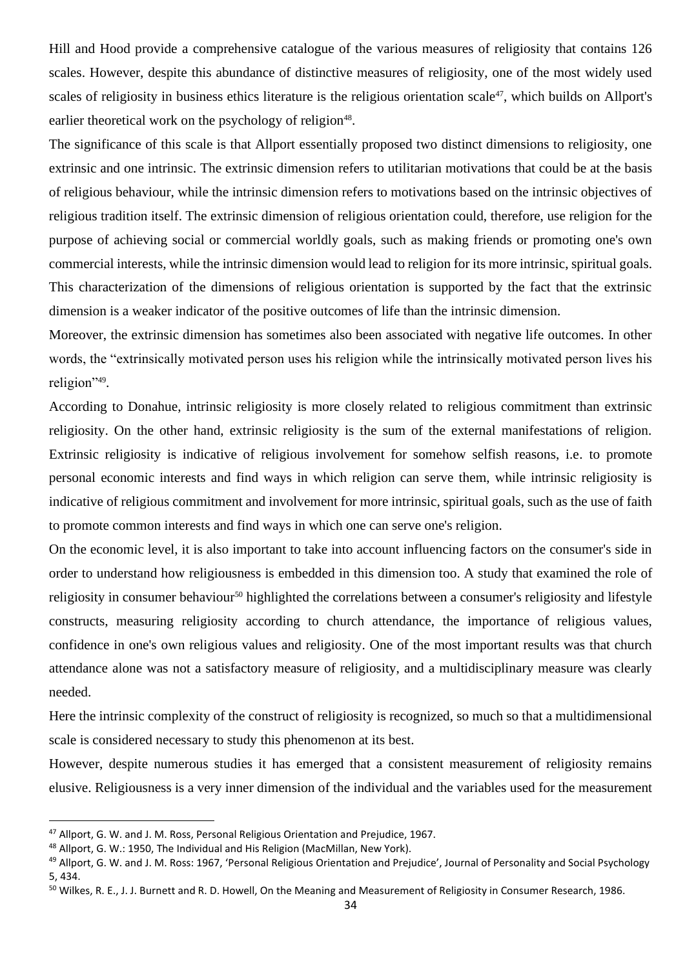Hill and Hood provide a comprehensive catalogue of the various measures of religiosity that contains 126 scales. However, despite this abundance of distinctive measures of religiosity, one of the most widely used scales of religiosity in business ethics literature is the religious orientation scale<sup>47</sup>, which builds on Allport's earlier theoretical work on the psychology of religion<sup>48</sup>.

The significance of this scale is that Allport essentially proposed two distinct dimensions to religiosity, one extrinsic and one intrinsic. The extrinsic dimension refers to utilitarian motivations that could be at the basis of religious behaviour, while the intrinsic dimension refers to motivations based on the intrinsic objectives of religious tradition itself. The extrinsic dimension of religious orientation could, therefore, use religion for the purpose of achieving social or commercial worldly goals, such as making friends or promoting one's own commercial interests, while the intrinsic dimension would lead to religion for its more intrinsic, spiritual goals. This characterization of the dimensions of religious orientation is supported by the fact that the extrinsic dimension is a weaker indicator of the positive outcomes of life than the intrinsic dimension.

Moreover, the extrinsic dimension has sometimes also been associated with negative life outcomes. In other words, the "extrinsically motivated person uses his religion while the intrinsically motivated person lives his religion"<sup>49</sup> .

According to Donahue, intrinsic religiosity is more closely related to religious commitment than extrinsic religiosity. On the other hand, extrinsic religiosity is the sum of the external manifestations of religion. Extrinsic religiosity is indicative of religious involvement for somehow selfish reasons, i.e. to promote personal economic interests and find ways in which religion can serve them, while intrinsic religiosity is indicative of religious commitment and involvement for more intrinsic, spiritual goals, such as the use of faith to promote common interests and find ways in which one can serve one's religion.

On the economic level, it is also important to take into account influencing factors on the consumer's side in order to understand how religiousness is embedded in this dimension too. A study that examined the role of religiosity in consumer behaviour<sup>50</sup> highlighted the correlations between a consumer's religiosity and lifestyle constructs, measuring religiosity according to church attendance, the importance of religious values, confidence in one's own religious values and religiosity. One of the most important results was that church attendance alone was not a satisfactory measure of religiosity, and a multidisciplinary measure was clearly needed.

Here the intrinsic complexity of the construct of religiosity is recognized, so much so that a multidimensional scale is considered necessary to study this phenomenon at its best.

However, despite numerous studies it has emerged that a consistent measurement of religiosity remains elusive. Religiousness is a very inner dimension of the individual and the variables used for the measurement

<sup>47</sup> Allport, G. W. and J. M. Ross, Personal Religious Orientation and Prejudice, 1967.

<sup>48</sup> Allport, G. W.: 1950, The Individual and His Religion (MacMillan, New York).

<sup>49</sup> Allport, G. W. and J. M. Ross: 1967, 'Personal Religious Orientation and Prejudice', Journal of Personality and Social Psychology 5, 434.

<sup>50</sup> Wilkes, R. E., J. J. Burnett and R. D. Howell, On the Meaning and Measurement of Religiosity in Consumer Research, 1986.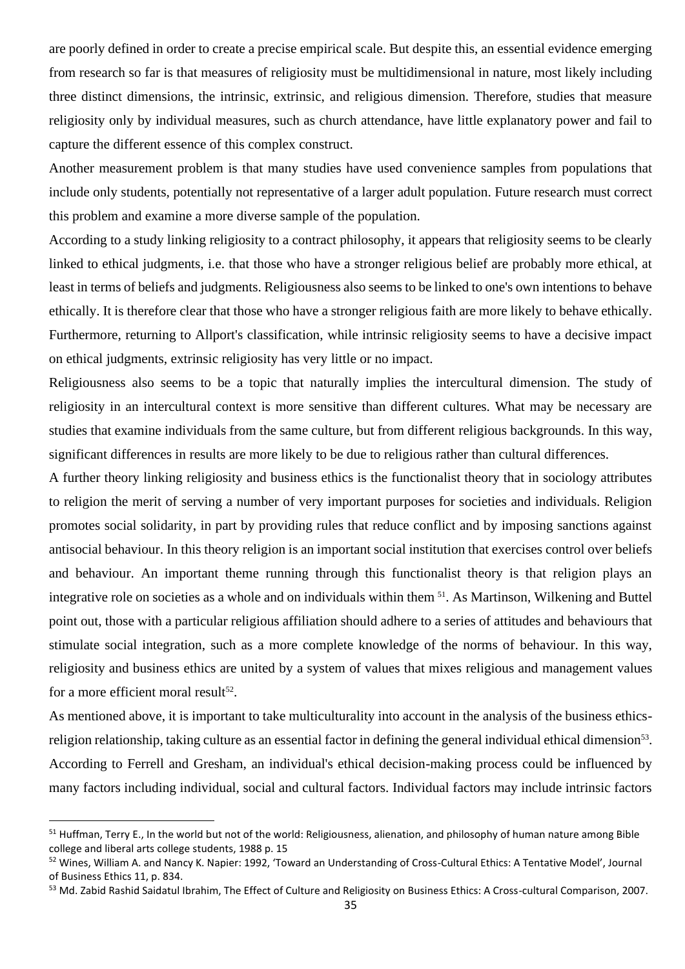are poorly defined in order to create a precise empirical scale. But despite this, an essential evidence emerging from research so far is that measures of religiosity must be multidimensional in nature, most likely including three distinct dimensions, the intrinsic, extrinsic, and religious dimension. Therefore, studies that measure religiosity only by individual measures, such as church attendance, have little explanatory power and fail to capture the different essence of this complex construct.

Another measurement problem is that many studies have used convenience samples from populations that include only students, potentially not representative of a larger adult population. Future research must correct this problem and examine a more diverse sample of the population.

According to a study linking religiosity to a contract philosophy, it appears that religiosity seems to be clearly linked to ethical judgments, i.e. that those who have a stronger religious belief are probably more ethical, at least in terms of beliefs and judgments. Religiousness also seems to be linked to one's own intentions to behave ethically. It is therefore clear that those who have a stronger religious faith are more likely to behave ethically. Furthermore, returning to Allport's classification, while intrinsic religiosity seems to have a decisive impact on ethical judgments, extrinsic religiosity has very little or no impact.

Religiousness also seems to be a topic that naturally implies the intercultural dimension. The study of religiosity in an intercultural context is more sensitive than different cultures. What may be necessary are studies that examine individuals from the same culture, but from different religious backgrounds. In this way, significant differences in results are more likely to be due to religious rather than cultural differences.

A further theory linking religiosity and business ethics is the functionalist theory that in sociology attributes to religion the merit of serving a number of very important purposes for societies and individuals. Religion promotes social solidarity, in part by providing rules that reduce conflict and by imposing sanctions against antisocial behaviour. In this theory religion is an important social institution that exercises control over beliefs and behaviour. An important theme running through this functionalist theory is that religion plays an integrative role on societies as a whole and on individuals within them <sup>51</sup>. As Martinson, Wilkening and Buttel point out, those with a particular religious affiliation should adhere to a series of attitudes and behaviours that stimulate social integration, such as a more complete knowledge of the norms of behaviour. In this way, religiosity and business ethics are united by a system of values that mixes religious and management values for a more efficient moral result $52$ .

As mentioned above, it is important to take multiculturality into account in the analysis of the business ethicsreligion relationship, taking culture as an essential factor in defining the general individual ethical dimension<sup>53</sup>. According to Ferrell and Gresham, an individual's ethical decision-making process could be influenced by many factors including individual, social and cultural factors. Individual factors may include intrinsic factors

<sup>&</sup>lt;sup>51</sup> Huffman, Terry E., In the world but not of the world: Religiousness, alienation, and philosophy of human nature among Bible college and liberal arts college students, 1988 p. 15

<sup>52</sup> Wines, William A. and Nancy K. Napier: 1992, 'Toward an Understanding of Cross-Cultural Ethics: A Tentative Model', Journal of Business Ethics 11, p. 834.

<sup>53</sup> Md. Zabid Rashid Saidatul Ibrahim, The Effect of Culture and Religiosity on Business Ethics: A Cross-cultural Comparison, 2007.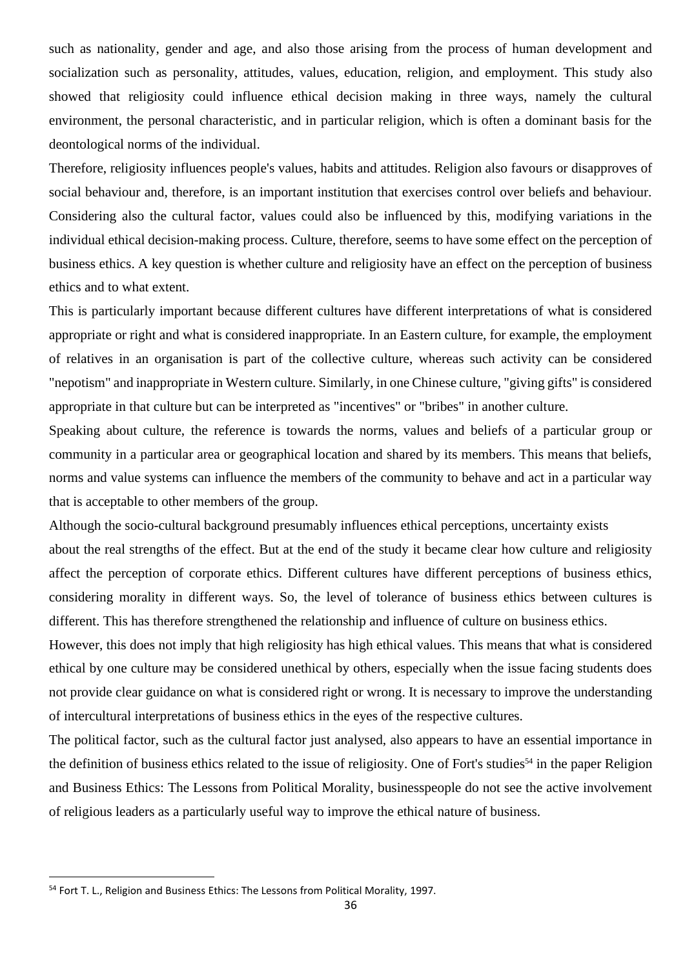such as nationality, gender and age, and also those arising from the process of human development and socialization such as personality, attitudes, values, education, religion, and employment. This study also showed that religiosity could influence ethical decision making in three ways, namely the cultural environment, the personal characteristic, and in particular religion, which is often a dominant basis for the deontological norms of the individual.

Therefore, religiosity influences people's values, habits and attitudes. Religion also favours or disapproves of social behaviour and, therefore, is an important institution that exercises control over beliefs and behaviour. Considering also the cultural factor, values could also be influenced by this, modifying variations in the individual ethical decision-making process. Culture, therefore, seems to have some effect on the perception of business ethics. A key question is whether culture and religiosity have an effect on the perception of business ethics and to what extent.

This is particularly important because different cultures have different interpretations of what is considered appropriate or right and what is considered inappropriate. In an Eastern culture, for example, the employment of relatives in an organisation is part of the collective culture, whereas such activity can be considered "nepotism" and inappropriate in Western culture. Similarly, in one Chinese culture, "giving gifts" is considered appropriate in that culture but can be interpreted as "incentives" or "bribes" in another culture.

Speaking about culture, the reference is towards the norms, values and beliefs of a particular group or community in a particular area or geographical location and shared by its members. This means that beliefs, norms and value systems can influence the members of the community to behave and act in a particular way that is acceptable to other members of the group.

Although the socio-cultural background presumably influences ethical perceptions, uncertainty exists about the real strengths of the effect. But at the end of the study it became clear how culture and religiosity affect the perception of corporate ethics. Different cultures have different perceptions of business ethics, considering morality in different ways. So, the level of tolerance of business ethics between cultures is different. This has therefore strengthened the relationship and influence of culture on business ethics.

However, this does not imply that high religiosity has high ethical values. This means that what is considered ethical by one culture may be considered unethical by others, especially when the issue facing students does not provide clear guidance on what is considered right or wrong. It is necessary to improve the understanding of intercultural interpretations of business ethics in the eyes of the respective cultures.

The political factor, such as the cultural factor just analysed, also appears to have an essential importance in the definition of business ethics related to the issue of religiosity. One of Fort's studies<sup>54</sup> in the paper Religion and Business Ethics: The Lessons from Political Morality, businesspeople do not see the active involvement of religious leaders as a particularly useful way to improve the ethical nature of business.

<sup>&</sup>lt;sup>54</sup> Fort T. L., Religion and Business Ethics: The Lessons from Political Morality, 1997.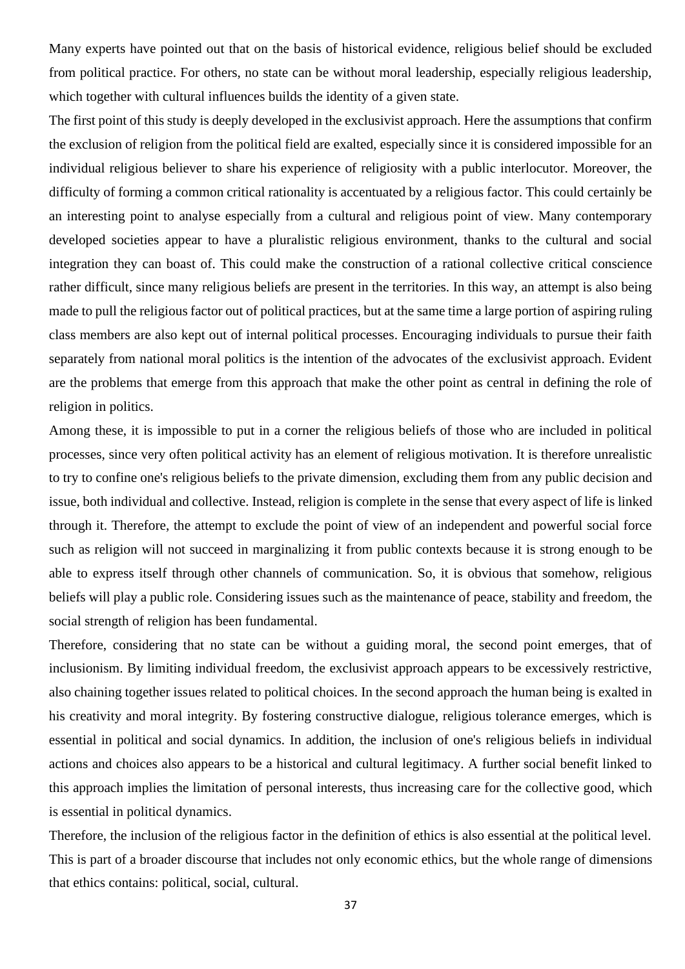Many experts have pointed out that on the basis of historical evidence, religious belief should be excluded from political practice. For others, no state can be without moral leadership, especially religious leadership, which together with cultural influences builds the identity of a given state.

The first point of this study is deeply developed in the exclusivist approach. Here the assumptions that confirm the exclusion of religion from the political field are exalted, especially since it is considered impossible for an individual religious believer to share his experience of religiosity with a public interlocutor. Moreover, the difficulty of forming a common critical rationality is accentuated by a religious factor. This could certainly be an interesting point to analyse especially from a cultural and religious point of view. Many contemporary developed societies appear to have a pluralistic religious environment, thanks to the cultural and social integration they can boast of. This could make the construction of a rational collective critical conscience rather difficult, since many religious beliefs are present in the territories. In this way, an attempt is also being made to pull the religious factor out of political practices, but at the same time a large portion of aspiring ruling class members are also kept out of internal political processes. Encouraging individuals to pursue their faith separately from national moral politics is the intention of the advocates of the exclusivist approach. Evident are the problems that emerge from this approach that make the other point as central in defining the role of religion in politics.

Among these, it is impossible to put in a corner the religious beliefs of those who are included in political processes, since very often political activity has an element of religious motivation. It is therefore unrealistic to try to confine one's religious beliefs to the private dimension, excluding them from any public decision and issue, both individual and collective. Instead, religion is complete in the sense that every aspect of life is linked through it. Therefore, the attempt to exclude the point of view of an independent and powerful social force such as religion will not succeed in marginalizing it from public contexts because it is strong enough to be able to express itself through other channels of communication. So, it is obvious that somehow, religious beliefs will play a public role. Considering issues such as the maintenance of peace, stability and freedom, the social strength of religion has been fundamental.

Therefore, considering that no state can be without a guiding moral, the second point emerges, that of inclusionism. By limiting individual freedom, the exclusivist approach appears to be excessively restrictive, also chaining together issues related to political choices. In the second approach the human being is exalted in his creativity and moral integrity. By fostering constructive dialogue, religious tolerance emerges, which is essential in political and social dynamics. In addition, the inclusion of one's religious beliefs in individual actions and choices also appears to be a historical and cultural legitimacy. A further social benefit linked to this approach implies the limitation of personal interests, thus increasing care for the collective good, which is essential in political dynamics.

Therefore, the inclusion of the religious factor in the definition of ethics is also essential at the political level. This is part of a broader discourse that includes not only economic ethics, but the whole range of dimensions that ethics contains: political, social, cultural.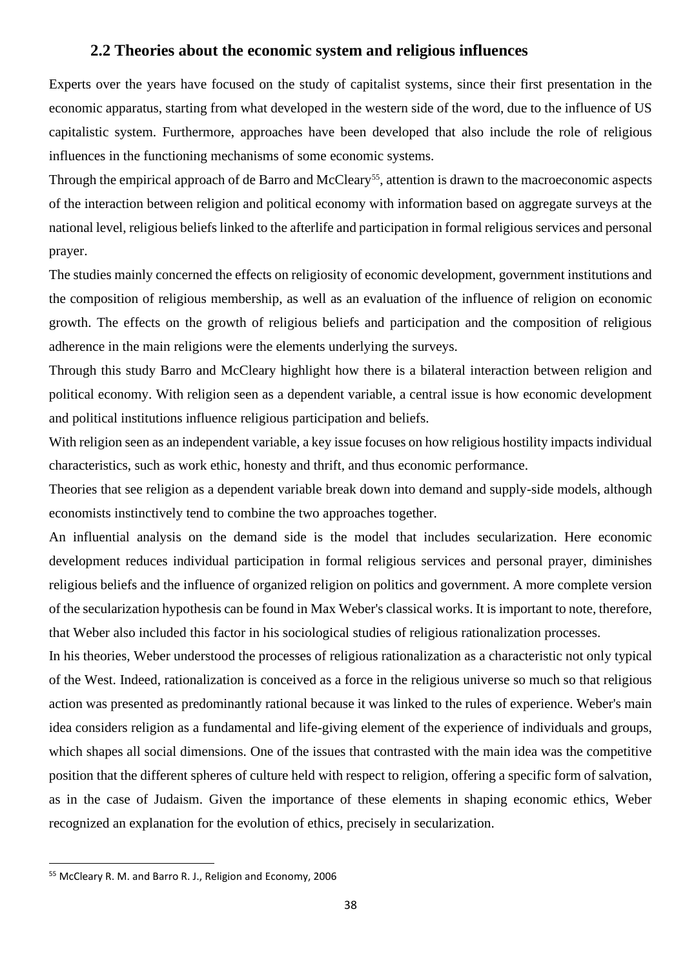### **2.2 Theories about the economic system and religious influences**

Experts over the years have focused on the study of capitalist systems, since their first presentation in the economic apparatus, starting from what developed in the western side of the word, due to the influence of US capitalistic system. Furthermore, approaches have been developed that also include the role of religious influences in the functioning mechanisms of some economic systems.

Through the empirical approach of de Barro and McCleary<sup>55</sup>, attention is drawn to the macroeconomic aspects of the interaction between religion and political economy with information based on aggregate surveys at the national level, religious beliefs linked to the afterlife and participation in formal religious services and personal prayer.

The studies mainly concerned the effects on religiosity of economic development, government institutions and the composition of religious membership, as well as an evaluation of the influence of religion on economic growth. The effects on the growth of religious beliefs and participation and the composition of religious adherence in the main religions were the elements underlying the surveys.

Through this study Barro and McCleary highlight how there is a bilateral interaction between religion and political economy. With religion seen as a dependent variable, a central issue is how economic development and political institutions influence religious participation and beliefs.

With religion seen as an independent variable, a key issue focuses on how religious hostility impacts individual characteristics, such as work ethic, honesty and thrift, and thus economic performance.

Theories that see religion as a dependent variable break down into demand and supply-side models, although economists instinctively tend to combine the two approaches together.

An influential analysis on the demand side is the model that includes secularization. Here economic development reduces individual participation in formal religious services and personal prayer, diminishes religious beliefs and the influence of organized religion on politics and government. A more complete version of the secularization hypothesis can be found in Max Weber's classical works. It is important to note, therefore, that Weber also included this factor in his sociological studies of religious rationalization processes.

In his theories, Weber understood the processes of religious rationalization as a characteristic not only typical of the West. Indeed, rationalization is conceived as a force in the religious universe so much so that religious action was presented as predominantly rational because it was linked to the rules of experience. Weber's main idea considers religion as a fundamental and life-giving element of the experience of individuals and groups, which shapes all social dimensions. One of the issues that contrasted with the main idea was the competitive position that the different spheres of culture held with respect to religion, offering a specific form of salvation, as in the case of Judaism. Given the importance of these elements in shaping economic ethics, Weber recognized an explanation for the evolution of ethics, precisely in secularization.

<sup>55</sup> McCleary R. M. and Barro R. J., Religion and Economy, 2006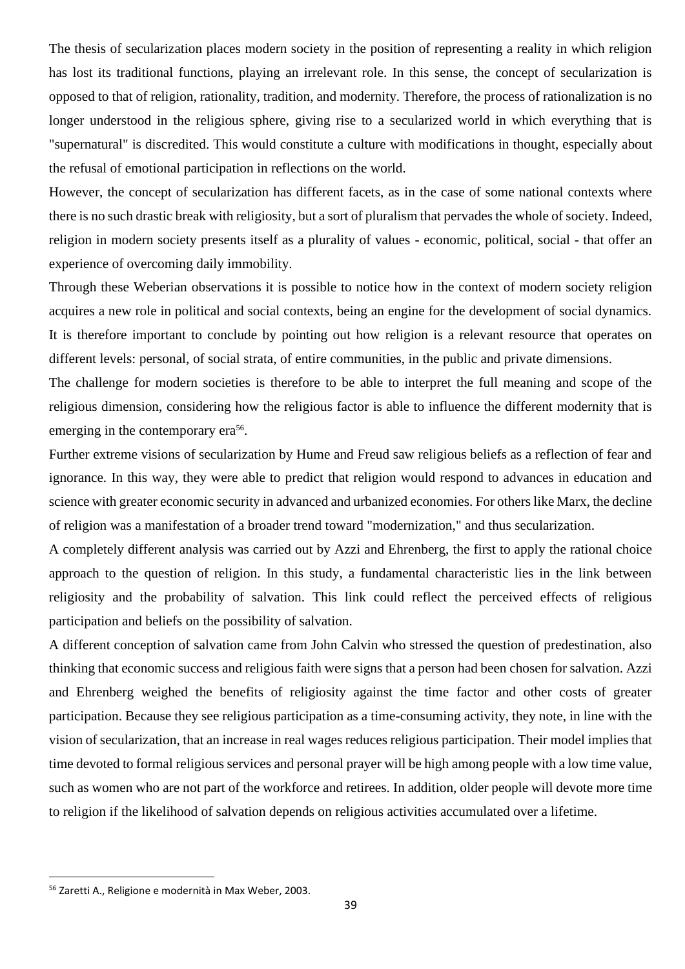The thesis of secularization places modern society in the position of representing a reality in which religion has lost its traditional functions, playing an irrelevant role. In this sense, the concept of secularization is opposed to that of religion, rationality, tradition, and modernity. Therefore, the process of rationalization is no longer understood in the religious sphere, giving rise to a secularized world in which everything that is "supernatural" is discredited. This would constitute a culture with modifications in thought, especially about the refusal of emotional participation in reflections on the world.

However, the concept of secularization has different facets, as in the case of some national contexts where there is no such drastic break with religiosity, but a sort of pluralism that pervades the whole of society. Indeed, religion in modern society presents itself as a plurality of values - economic, political, social - that offer an experience of overcoming daily immobility.

Through these Weberian observations it is possible to notice how in the context of modern society religion acquires a new role in political and social contexts, being an engine for the development of social dynamics. It is therefore important to conclude by pointing out how religion is a relevant resource that operates on different levels: personal, of social strata, of entire communities, in the public and private dimensions.

The challenge for modern societies is therefore to be able to interpret the full meaning and scope of the religious dimension, considering how the religious factor is able to influence the different modernity that is emerging in the contemporary era<sup>56</sup>.

Further extreme visions of secularization by Hume and Freud saw religious beliefs as a reflection of fear and ignorance. In this way, they were able to predict that religion would respond to advances in education and science with greater economic security in advanced and urbanized economies. For others like Marx, the decline of religion was a manifestation of a broader trend toward "modernization," and thus secularization.

A completely different analysis was carried out by Azzi and Ehrenberg, the first to apply the rational choice approach to the question of religion. In this study, a fundamental characteristic lies in the link between religiosity and the probability of salvation. This link could reflect the perceived effects of religious participation and beliefs on the possibility of salvation.

A different conception of salvation came from John Calvin who stressed the question of predestination, also thinking that economic success and religious faith were signs that a person had been chosen for salvation. Azzi and Ehrenberg weighed the benefits of religiosity against the time factor and other costs of greater participation. Because they see religious participation as a time-consuming activity, they note, in line with the vision of secularization, that an increase in real wages reduces religious participation. Their model implies that time devoted to formal religious services and personal prayer will be high among people with a low time value, such as women who are not part of the workforce and retirees. In addition, older people will devote more time to religion if the likelihood of salvation depends on religious activities accumulated over a lifetime.

<sup>56</sup> Zaretti A., Religione e modernità in Max Weber, 2003.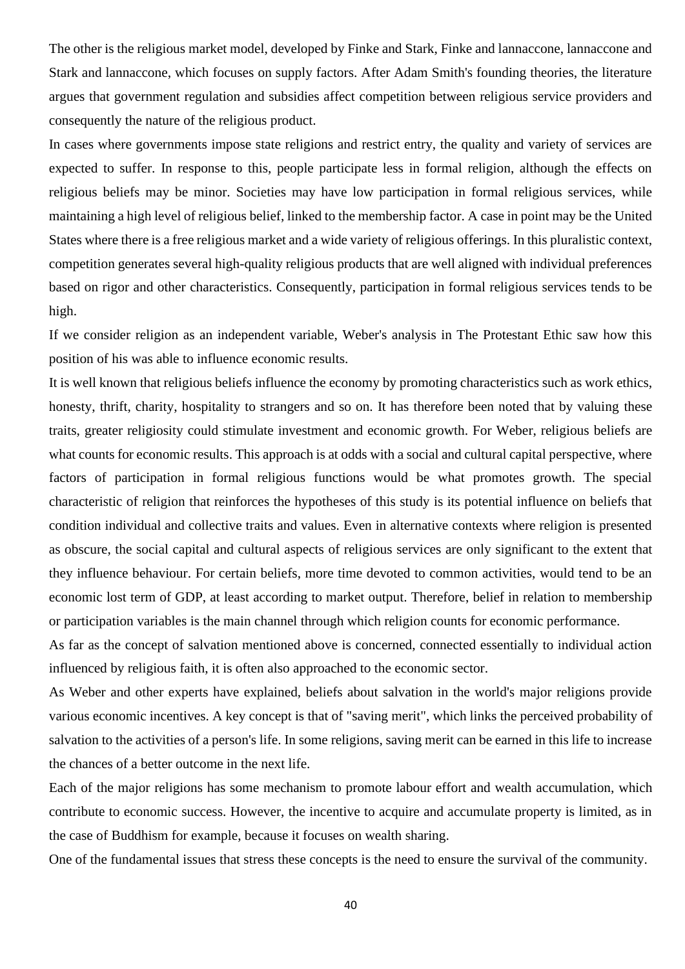The other is the religious market model, developed by Finke and Stark, Finke and lannaccone, lannaccone and Stark and lannaccone, which focuses on supply factors. After Adam Smith's founding theories, the literature argues that government regulation and subsidies affect competition between religious service providers and consequently the nature of the religious product.

In cases where governments impose state religions and restrict entry, the quality and variety of services are expected to suffer. In response to this, people participate less in formal religion, although the effects on religious beliefs may be minor. Societies may have low participation in formal religious services, while maintaining a high level of religious belief, linked to the membership factor. A case in point may be the United States where there is a free religious market and a wide variety of religious offerings. In this pluralistic context, competition generates several high-quality religious products that are well aligned with individual preferences based on rigor and other characteristics. Consequently, participation in formal religious services tends to be high.

If we consider religion as an independent variable, Weber's analysis in The Protestant Ethic saw how this position of his was able to influence economic results.

It is well known that religious beliefs influence the economy by promoting characteristics such as work ethics, honesty, thrift, charity, hospitality to strangers and so on. It has therefore been noted that by valuing these traits, greater religiosity could stimulate investment and economic growth. For Weber, religious beliefs are what counts for economic results. This approach is at odds with a social and cultural capital perspective, where factors of participation in formal religious functions would be what promotes growth. The special characteristic of religion that reinforces the hypotheses of this study is its potential influence on beliefs that condition individual and collective traits and values. Even in alternative contexts where religion is presented as obscure, the social capital and cultural aspects of religious services are only significant to the extent that they influence behaviour. For certain beliefs, more time devoted to common activities, would tend to be an economic lost term of GDP, at least according to market output. Therefore, belief in relation to membership or participation variables is the main channel through which religion counts for economic performance.

As far as the concept of salvation mentioned above is concerned, connected essentially to individual action influenced by religious faith, it is often also approached to the economic sector.

As Weber and other experts have explained, beliefs about salvation in the world's major religions provide various economic incentives. A key concept is that of "saving merit", which links the perceived probability of salvation to the activities of a person's life. In some religions, saving merit can be earned in this life to increase the chances of a better outcome in the next life.

Each of the major religions has some mechanism to promote labour effort and wealth accumulation, which contribute to economic success. However, the incentive to acquire and accumulate property is limited, as in the case of Buddhism for example, because it focuses on wealth sharing.

One of the fundamental issues that stress these concepts is the need to ensure the survival of the community.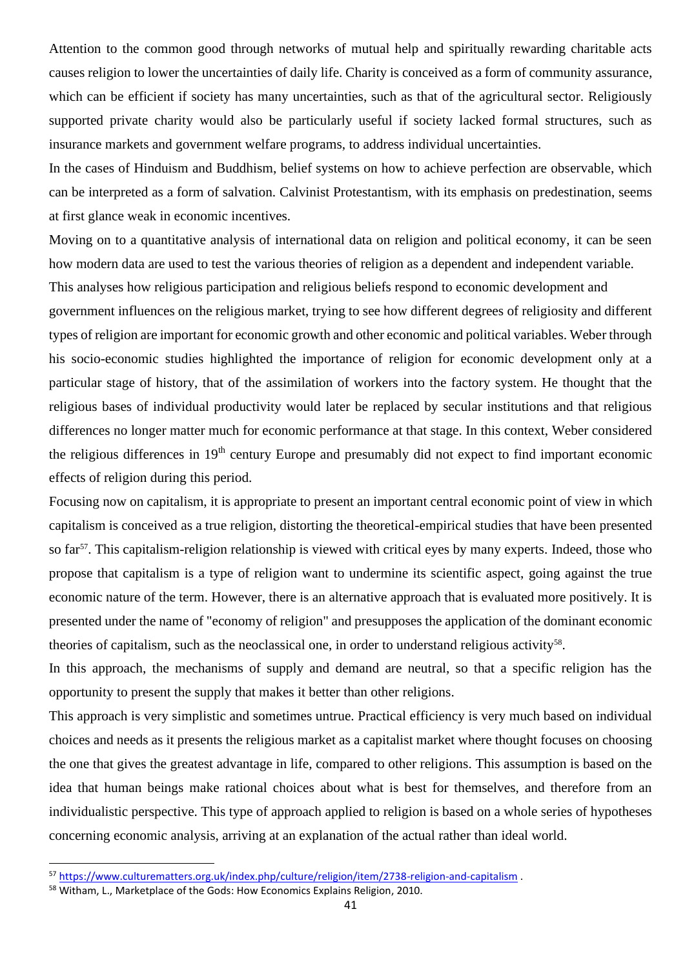Attention to the common good through networks of mutual help and spiritually rewarding charitable acts causes religion to lower the uncertainties of daily life. Charity is conceived as a form of community assurance, which can be efficient if society has many uncertainties, such as that of the agricultural sector. Religiously supported private charity would also be particularly useful if society lacked formal structures, such as insurance markets and government welfare programs, to address individual uncertainties.

In the cases of Hinduism and Buddhism, belief systems on how to achieve perfection are observable, which can be interpreted as a form of salvation. Calvinist Protestantism, with its emphasis on predestination, seems at first glance weak in economic incentives.

Moving on to a quantitative analysis of international data on religion and political economy, it can be seen how modern data are used to test the various theories of religion as a dependent and independent variable. This analyses how religious participation and religious beliefs respond to economic development and government influences on the religious market, trying to see how different degrees of religiosity and different types of religion are important for economic growth and other economic and political variables. Weber through his socio-economic studies highlighted the importance of religion for economic development only at a particular stage of history, that of the assimilation of workers into the factory system. He thought that the religious bases of individual productivity would later be replaced by secular institutions and that religious differences no longer matter much for economic performance at that stage. In this context, Weber considered the religious differences in 19<sup>th</sup> century Europe and presumably did not expect to find important economic effects of religion during this period.

Focusing now on capitalism, it is appropriate to present an important central economic point of view in which capitalism is conceived as a true religion, distorting the theoretical-empirical studies that have been presented so far<sup>57</sup>. This capitalism-religion relationship is viewed with critical eyes by many experts. Indeed, those who propose that capitalism is a type of religion want to undermine its scientific aspect, going against the true economic nature of the term. However, there is an alternative approach that is evaluated more positively. It is presented under the name of "economy of religion" and presupposes the application of the dominant economic theories of capitalism, such as the neoclassical one, in order to understand religious activity<sup>58</sup>.

In this approach, the mechanisms of supply and demand are neutral, so that a specific religion has the opportunity to present the supply that makes it better than other religions.

This approach is very simplistic and sometimes untrue. Practical efficiency is very much based on individual choices and needs as it presents the religious market as a capitalist market where thought focuses on choosing the one that gives the greatest advantage in life, compared to other religions. This assumption is based on the idea that human beings make rational choices about what is best for themselves, and therefore from an individualistic perspective. This type of approach applied to religion is based on a whole series of hypotheses concerning economic analysis, arriving at an explanation of the actual rather than ideal world.

<sup>57</sup> <https://www.culturematters.org.uk/index.php/culture/religion/item/2738-religion-and-capitalism> .

<sup>58</sup> Witham, L., Marketplace of the Gods: How Economics Explains Religion, 2010.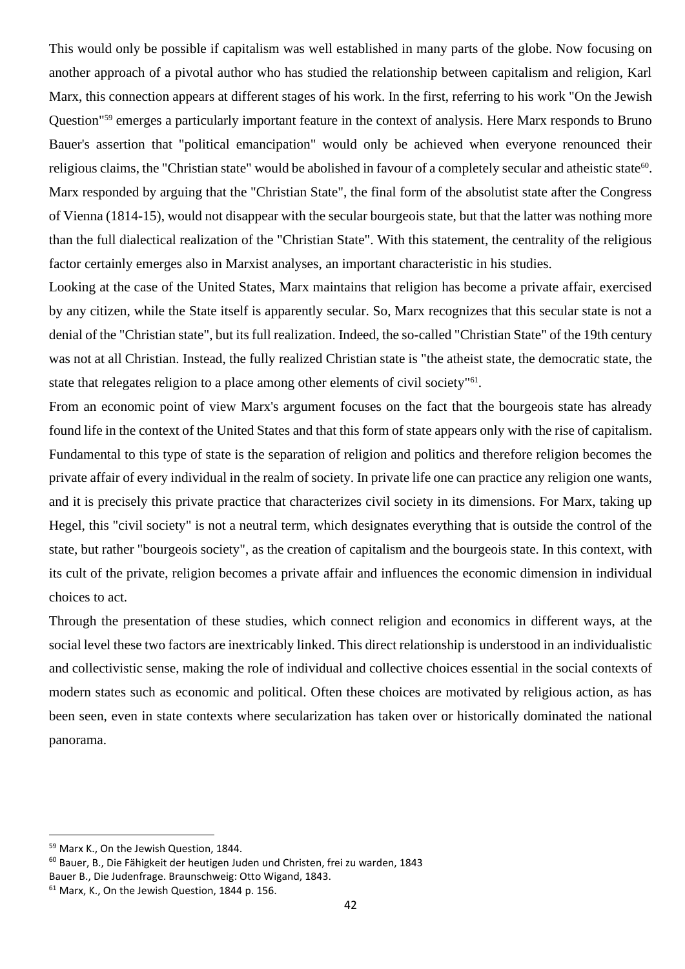This would only be possible if capitalism was well established in many parts of the globe. Now focusing on another approach of a pivotal author who has studied the relationship between capitalism and religion, Karl Marx, this connection appears at different stages of his work. In the first, referring to his work "On the Jewish Question"<sup>59</sup> emerges a particularly important feature in the context of analysis. Here Marx responds to Bruno Bauer's assertion that "political emancipation" would only be achieved when everyone renounced their religious claims, the "Christian state" would be abolished in favour of a completely secular and atheistic state<sup>60</sup>. Marx responded by arguing that the "Christian State", the final form of the absolutist state after the Congress of Vienna (1814-15), would not disappear with the secular bourgeois state, but that the latter was nothing more than the full dialectical realization of the "Christian State". With this statement, the centrality of the religious factor certainly emerges also in Marxist analyses, an important characteristic in his studies.

Looking at the case of the United States, Marx maintains that religion has become a private affair, exercised by any citizen, while the State itself is apparently secular. So, Marx recognizes that this secular state is not a denial of the "Christian state", but its full realization. Indeed, the so-called "Christian State" of the 19th century was not at all Christian. Instead, the fully realized Christian state is "the atheist state, the democratic state, the state that relegates religion to a place among other elements of civil society"<sup>61</sup>.

From an economic point of view Marx's argument focuses on the fact that the bourgeois state has already found life in the context of the United States and that this form of state appears only with the rise of capitalism. Fundamental to this type of state is the separation of religion and politics and therefore religion becomes the private affair of every individual in the realm of society. In private life one can practice any religion one wants, and it is precisely this private practice that characterizes civil society in its dimensions. For Marx, taking up Hegel, this "civil society" is not a neutral term, which designates everything that is outside the control of the state, but rather "bourgeois society", as the creation of capitalism and the bourgeois state. In this context, with its cult of the private, religion becomes a private affair and influences the economic dimension in individual choices to act.

Through the presentation of these studies, which connect religion and economics in different ways, at the social level these two factors are inextricably linked. This direct relationship is understood in an individualistic and collectivistic sense, making the role of individual and collective choices essential in the social contexts of modern states such as economic and political. Often these choices are motivated by religious action, as has been seen, even in state contexts where secularization has taken over or historically dominated the national panorama.

<sup>60</sup> Bauer, B., Die Fähigkeit der heutigen Juden und Christen, frei zu warden, 1843 Bauer B., Die Judenfrage. Braunschweig: Otto Wigand, 1843.

<sup>59</sup> Marx K., On the Jewish Question, 1844.

<sup>61</sup> Marx, K., On the Jewish Question, 1844 p. 156.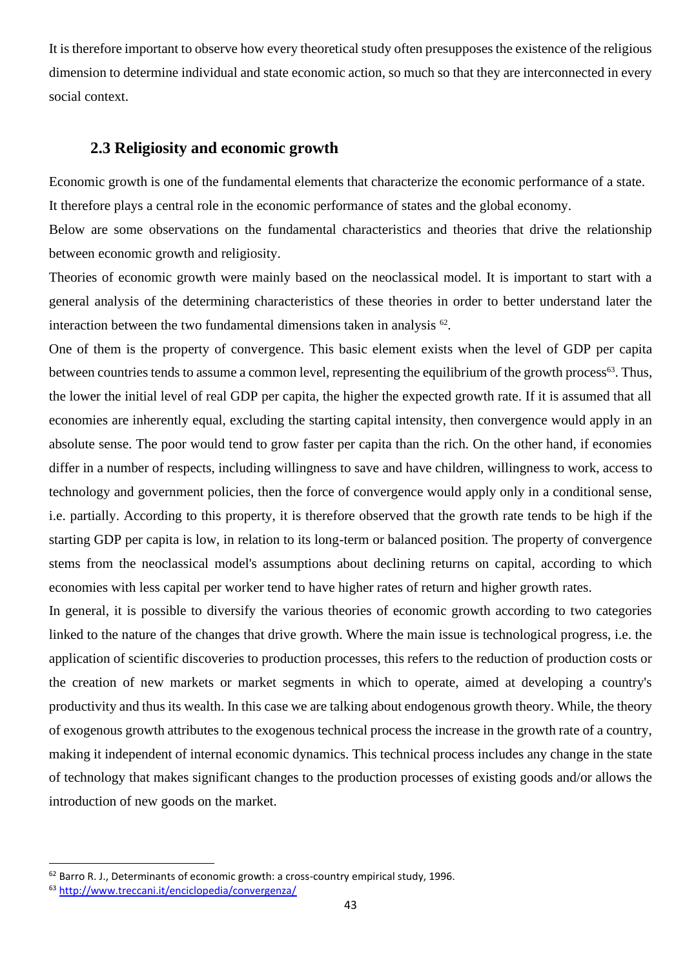It is therefore important to observe how every theoretical study often presupposes the existence of the religious dimension to determine individual and state economic action, so much so that they are interconnected in every social context.

### **2.3 Religiosity and economic growth**

Economic growth is one of the fundamental elements that characterize the economic performance of a state. It therefore plays a central role in the economic performance of states and the global economy.

Below are some observations on the fundamental characteristics and theories that drive the relationship between economic growth and religiosity.

Theories of economic growth were mainly based on the neoclassical model. It is important to start with a general analysis of the determining characteristics of these theories in order to better understand later the interaction between the two fundamental dimensions taken in analysis  $62$ .

One of them is the property of convergence. This basic element exists when the level of GDP per capita between countries tends to assume a common level, representing the equilibrium of the growth process<sup>63</sup>. Thus, the lower the initial level of real GDP per capita, the higher the expected growth rate. If it is assumed that all economies are inherently equal, excluding the starting capital intensity, then convergence would apply in an absolute sense. The poor would tend to grow faster per capita than the rich. On the other hand, if economies differ in a number of respects, including willingness to save and have children, willingness to work, access to technology and government policies, then the force of convergence would apply only in a conditional sense, i.e. partially. According to this property, it is therefore observed that the growth rate tends to be high if the starting GDP per capita is low, in relation to its long-term or balanced position. The property of convergence stems from the neoclassical model's assumptions about declining returns on capital, according to which economies with less capital per worker tend to have higher rates of return and higher growth rates.

In general, it is possible to diversify the various theories of economic growth according to two categories linked to the nature of the changes that drive growth. Where the main issue is technological progress, i.e. the application of scientific discoveries to production processes, this refers to the reduction of production costs or the creation of new markets or market segments in which to operate, aimed at developing a country's productivity and thus its wealth. In this case we are talking about endogenous growth theory. While, the theory of exogenous growth attributes to the exogenous technical process the increase in the growth rate of a country, making it independent of internal economic dynamics. This technical process includes any change in the state of technology that makes significant changes to the production processes of existing goods and/or allows the introduction of new goods on the market.

 $62$  Barro R. J., Determinants of economic growth: a cross-country empirical study, 1996.

<sup>63</sup> <http://www.treccani.it/enciclopedia/convergenza/>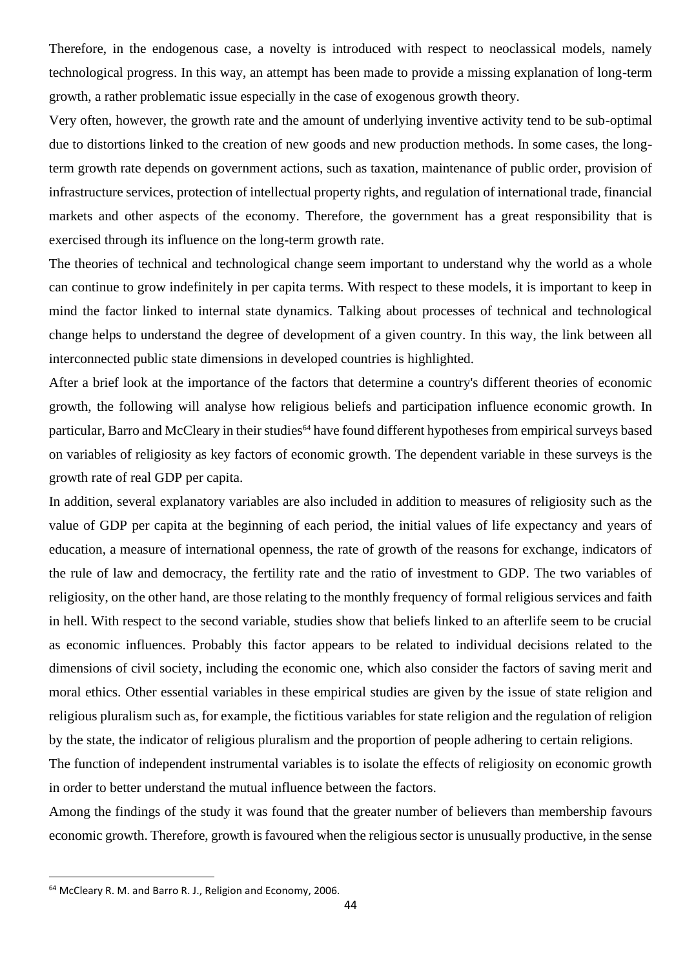Therefore, in the endogenous case, a novelty is introduced with respect to neoclassical models, namely technological progress. In this way, an attempt has been made to provide a missing explanation of long-term growth, a rather problematic issue especially in the case of exogenous growth theory.

Very often, however, the growth rate and the amount of underlying inventive activity tend to be sub-optimal due to distortions linked to the creation of new goods and new production methods. In some cases, the longterm growth rate depends on government actions, such as taxation, maintenance of public order, provision of infrastructure services, protection of intellectual property rights, and regulation of international trade, financial markets and other aspects of the economy. Therefore, the government has a great responsibility that is exercised through its influence on the long-term growth rate.

The theories of technical and technological change seem important to understand why the world as a whole can continue to grow indefinitely in per capita terms. With respect to these models, it is important to keep in mind the factor linked to internal state dynamics. Talking about processes of technical and technological change helps to understand the degree of development of a given country. In this way, the link between all interconnected public state dimensions in developed countries is highlighted.

After a brief look at the importance of the factors that determine a country's different theories of economic growth, the following will analyse how religious beliefs and participation influence economic growth. In particular, Barro and McCleary in their studies<sup>64</sup> have found different hypotheses from empirical surveys based on variables of religiosity as key factors of economic growth. The dependent variable in these surveys is the growth rate of real GDP per capita.

In addition, several explanatory variables are also included in addition to measures of religiosity such as the value of GDP per capita at the beginning of each period, the initial values of life expectancy and years of education, a measure of international openness, the rate of growth of the reasons for exchange, indicators of the rule of law and democracy, the fertility rate and the ratio of investment to GDP. The two variables of religiosity, on the other hand, are those relating to the monthly frequency of formal religious services and faith in hell. With respect to the second variable, studies show that beliefs linked to an afterlife seem to be crucial as economic influences. Probably this factor appears to be related to individual decisions related to the dimensions of civil society, including the economic one, which also consider the factors of saving merit and moral ethics. Other essential variables in these empirical studies are given by the issue of state religion and religious pluralism such as, for example, the fictitious variables for state religion and the regulation of religion by the state, the indicator of religious pluralism and the proportion of people adhering to certain religions.

The function of independent instrumental variables is to isolate the effects of religiosity on economic growth in order to better understand the mutual influence between the factors.

Among the findings of the study it was found that the greater number of believers than membership favours economic growth. Therefore, growth is favoured when the religious sector is unusually productive, in the sense

<sup>64</sup> McCleary R. M. and Barro R. J., Religion and Economy, 2006.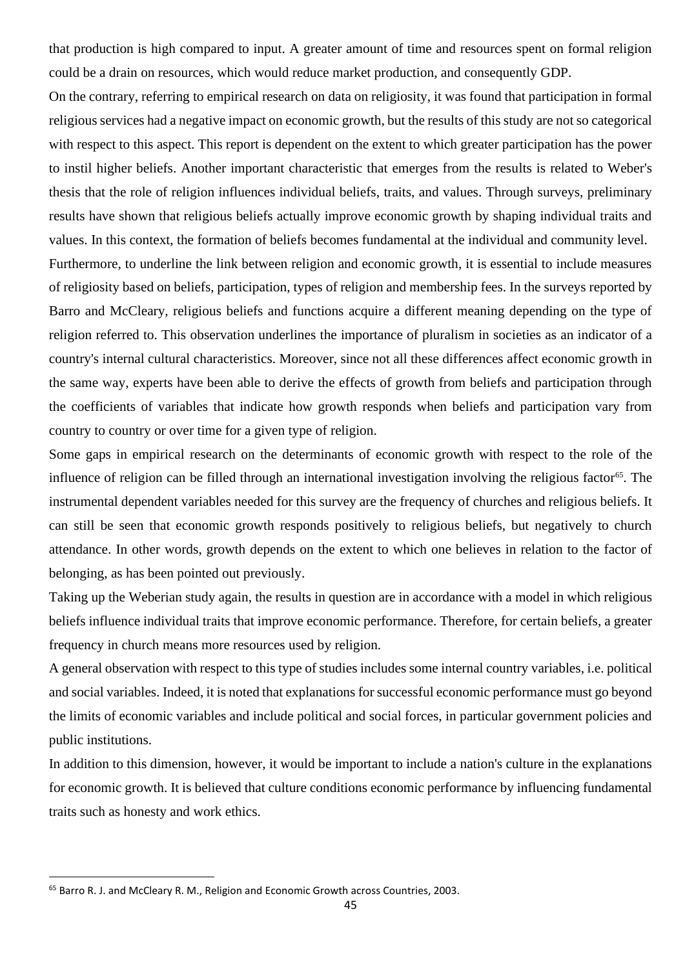that production is high compared to input. A greater amount of time and resources spent on formal religion could be a drain on resources, which would reduce market production, and consequently GDP.

On the contrary, referring to empirical research on data on religiosity, it was found that participation in formal religious services had a negative impact on economic growth, but the results of this study are not so categorical with respect to this aspect. This report is dependent on the extent to which greater participation has the power to instil higher beliefs. Another important characteristic that emerges from the results is related to Weber's thesis that the role of religion influences individual beliefs, traits, and values. Through surveys, preliminary results have shown that religious beliefs actually improve economic growth by shaping individual traits and values. In this context, the formation of beliefs becomes fundamental at the individual and community level.

Furthermore, to underline the link between religion and economic growth, it is essential to include measures of religiosity based on beliefs, participation, types of religion and membership fees. In the surveys reported by Barro and McCleary, religious beliefs and functions acquire a different meaning depending on the type of religion referred to. This observation underlines the importance of pluralism in societies as an indicator of a country's internal cultural characteristics. Moreover, since not all these differences affect economic growth in the same way, experts have been able to derive the effects of growth from beliefs and participation through the coefficients of variables that indicate how growth responds when beliefs and participation vary from country to country or over time for a given type of religion.

Some gaps in empirical research on the determinants of economic growth with respect to the role of the influence of religion can be filled through an international investigation involving the religious factor<sup>65</sup>. The instrumental dependent variables needed for this survey are the frequency of churches and religious beliefs. It can still be seen that economic growth responds positively to religious beliefs, but negatively to church attendance. In other words, growth depends on the extent to which one believes in relation to the factor of belonging, as has been pointed out previously.

Taking up the Weberian study again, the results in question are in accordance with a model in which religious beliefs influence individual traits that improve economic performance. Therefore, for certain beliefs, a greater frequency in church means more resources used by religion.

A general observation with respect to this type of studies includes some internal country variables, i.e. political and social variables. Indeed, it is noted that explanations for successful economic performance must go beyond the limits of economic variables and include political and social forces, in particular government policies and public institutions.

In addition to this dimension, however, it would be important to include a nation's culture in the explanations for economic growth. It is believed that culture conditions economic performance by influencing fundamental traits such as honesty and work ethics.

<sup>65</sup> Barro R. J. and McCleary R. M., Religion and Economic Growth across Countries, 2003.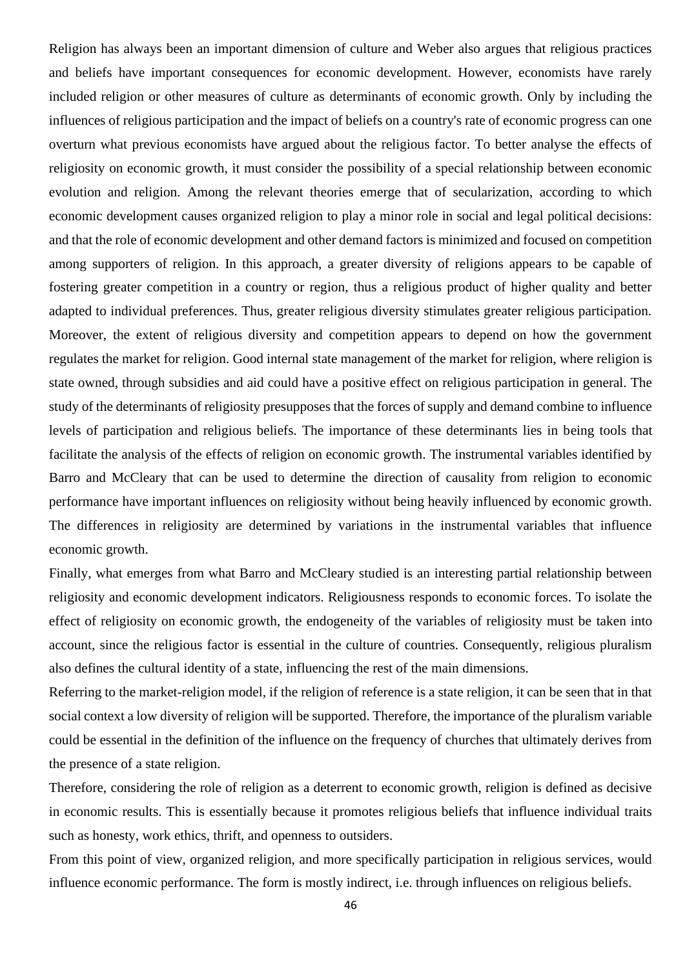Religion has always been an important dimension of culture and Weber also argues that religious practices and beliefs have important consequences for economic development. However, economists have rarely included religion or other measures of culture as determinants of economic growth. Only by including the influences of religious participation and the impact of beliefs on a country's rate of economic progress can one overturn what previous economists have argued about the religious factor. To better analyse the effects of religiosity on economic growth, it must consider the possibility of a special relationship between economic evolution and religion. Among the relevant theories emerge that of secularization, according to which economic development causes organized religion to play a minor role in social and legal political decisions: and that the role of economic development and other demand factors is minimized and focused on competition among supporters of religion. In this approach, a greater diversity of religions appears to be capable of fostering greater competition in a country or region, thus a religious product of higher quality and better adapted to individual preferences. Thus, greater religious diversity stimulates greater religious participation. Moreover, the extent of religious diversity and competition appears to depend on how the government regulates the market for religion. Good internal state management of the market for religion, where religion is state owned, through subsidies and aid could have a positive effect on religious participation in general. The study of the determinants of religiosity presupposes that the forces of supply and demand combine to influence levels of participation and religious beliefs. The importance of these determinants lies in being tools that facilitate the analysis of the effects of religion on economic growth. The instrumental variables identified by Barro and McCleary that can be used to determine the direction of causality from religion to economic performance have important influences on religiosity without being heavily influenced by economic growth. The differences in religiosity are determined by variations in the instrumental variables that influence economic growth.

Finally, what emerges from what Barro and McCleary studied is an interesting partial relationship between religiosity and economic development indicators. Religiousness responds to economic forces. To isolate the effect of religiosity on economic growth, the endogeneity of the variables of religiosity must be taken into account, since the religious factor is essential in the culture of countries. Consequently, religious pluralism also defines the cultural identity of a state, influencing the rest of the main dimensions.

Referring to the market-religion model, if the religion of reference is a state religion, it can be seen that in that social context a low diversity of religion will be supported. Therefore, the importance of the pluralism variable could be essential in the definition of the influence on the frequency of churches that ultimately derives from the presence of a state religion.

Therefore, considering the role of religion as a deterrent to economic growth, religion is defined as decisive in economic results. This is essentially because it promotes religious beliefs that influence individual traits such as honesty, work ethics, thrift, and openness to outsiders.

From this point of view, organized religion, and more specifically participation in religious services, would influence economic performance. The form is mostly indirect, i.e. through influences on religious beliefs.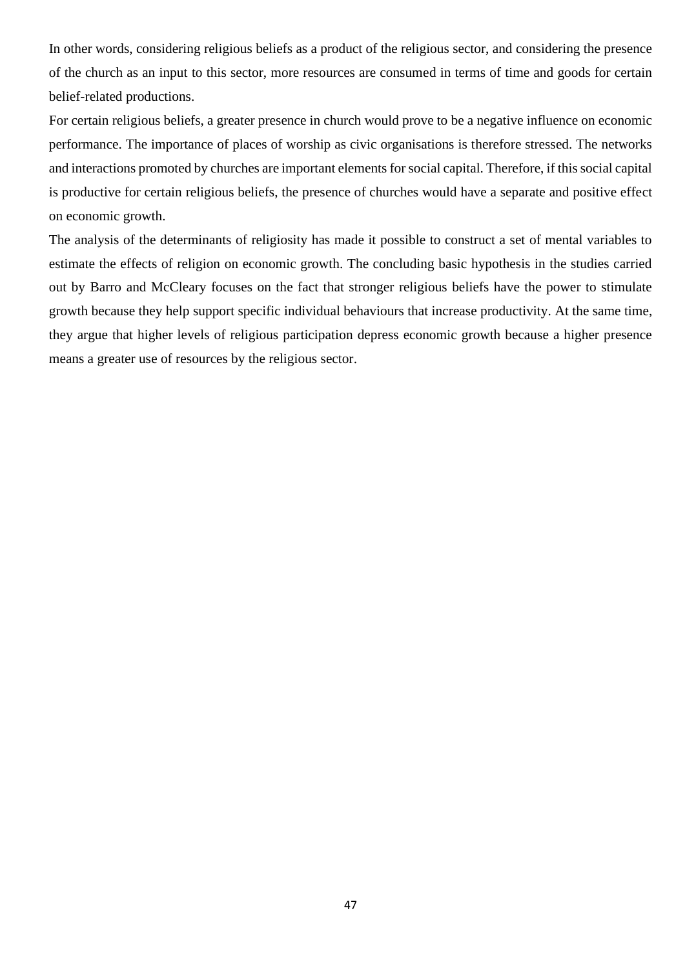In other words, considering religious beliefs as a product of the religious sector, and considering the presence of the church as an input to this sector, more resources are consumed in terms of time and goods for certain belief-related productions.

For certain religious beliefs, a greater presence in church would prove to be a negative influence on economic performance. The importance of places of worship as civic organisations is therefore stressed. The networks and interactions promoted by churches are important elements for social capital. Therefore, if this social capital is productive for certain religious beliefs, the presence of churches would have a separate and positive effect on economic growth.

The analysis of the determinants of religiosity has made it possible to construct a set of mental variables to estimate the effects of religion on economic growth. The concluding basic hypothesis in the studies carried out by Barro and McCleary focuses on the fact that stronger religious beliefs have the power to stimulate growth because they help support specific individual behaviours that increase productivity. At the same time, they argue that higher levels of religious participation depress economic growth because a higher presence means a greater use of resources by the religious sector.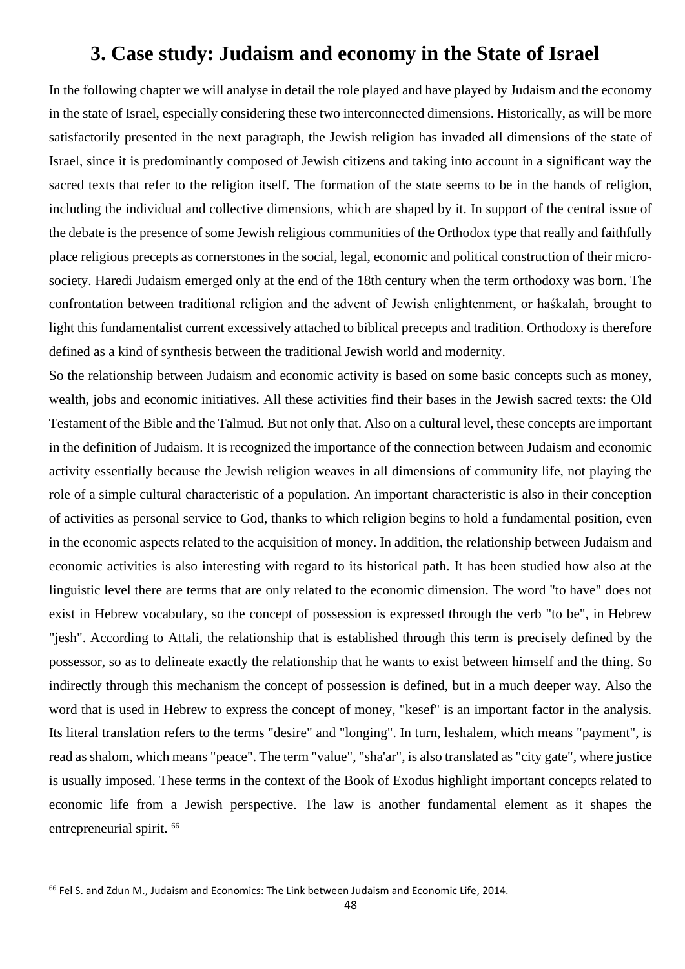## **3. Case study: Judaism and economy in the State of Israel**

In the following chapter we will analyse in detail the role played and have played by Judaism and the economy in the state of Israel, especially considering these two interconnected dimensions. Historically, as will be more satisfactorily presented in the next paragraph, the Jewish religion has invaded all dimensions of the state of Israel, since it is predominantly composed of Jewish citizens and taking into account in a significant way the sacred texts that refer to the religion itself. The formation of the state seems to be in the hands of religion, including the individual and collective dimensions, which are shaped by it. In support of the central issue of the debate is the presence of some Jewish religious communities of the Orthodox type that really and faithfully place religious precepts as cornerstones in the social, legal, economic and political construction of their microsociety. Haredi Judaism emerged only at the end of the 18th century when the term orthodoxy was born. The confrontation between traditional religion and the advent of Jewish enlightenment, or haśkalah, brought to light this fundamentalist current excessively attached to biblical precepts and tradition. Orthodoxy is therefore defined as a kind of synthesis between the traditional Jewish world and modernity.

So the relationship between Judaism and economic activity is based on some basic concepts such as money, wealth, jobs and economic initiatives. All these activities find their bases in the Jewish sacred texts: the Old Testament of the Bible and the Talmud. But not only that. Also on a cultural level, these concepts are important in the definition of Judaism. It is recognized the importance of the connection between Judaism and economic activity essentially because the Jewish religion weaves in all dimensions of community life, not playing the role of a simple cultural characteristic of a population. An important characteristic is also in their conception of activities as personal service to God, thanks to which religion begins to hold a fundamental position, even in the economic aspects related to the acquisition of money. In addition, the relationship between Judaism and economic activities is also interesting with regard to its historical path. It has been studied how also at the linguistic level there are terms that are only related to the economic dimension. The word "to have" does not exist in Hebrew vocabulary, so the concept of possession is expressed through the verb "to be", in Hebrew "jesh". According to Attali, the relationship that is established through this term is precisely defined by the possessor, so as to delineate exactly the relationship that he wants to exist between himself and the thing. So indirectly through this mechanism the concept of possession is defined, but in a much deeper way. Also the word that is used in Hebrew to express the concept of money, "kesef" is an important factor in the analysis. Its literal translation refers to the terms "desire" and "longing". In turn, leshalem, which means "payment", is read as shalom, which means "peace". The term "value", "sha'ar", is also translated as "city gate", where justice is usually imposed. These terms in the context of the Book of Exodus highlight important concepts related to economic life from a Jewish perspective. The law is another fundamental element as it shapes the entrepreneurial spirit. <sup>66</sup>

<sup>&</sup>lt;sup>66</sup> Fel S. and Zdun M., Judaism and Economics: The Link between Judaism and Economic Life, 2014.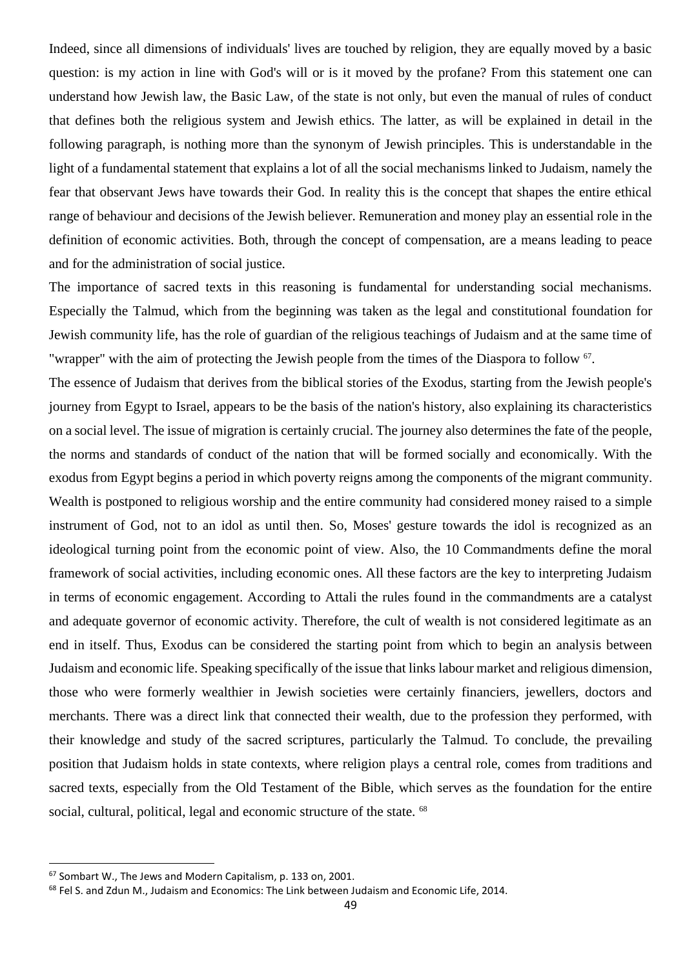Indeed, since all dimensions of individuals' lives are touched by religion, they are equally moved by a basic question: is my action in line with God's will or is it moved by the profane? From this statement one can understand how Jewish law, the Basic Law, of the state is not only, but even the manual of rules of conduct that defines both the religious system and Jewish ethics. The latter, as will be explained in detail in the following paragraph, is nothing more than the synonym of Jewish principles. This is understandable in the light of a fundamental statement that explains a lot of all the social mechanisms linked to Judaism, namely the fear that observant Jews have towards their God. In reality this is the concept that shapes the entire ethical range of behaviour and decisions of the Jewish believer. Remuneration and money play an essential role in the definition of economic activities. Both, through the concept of compensation, are a means leading to peace and for the administration of social justice.

The importance of sacred texts in this reasoning is fundamental for understanding social mechanisms. Especially the Talmud, which from the beginning was taken as the legal and constitutional foundation for Jewish community life, has the role of guardian of the religious teachings of Judaism and at the same time of "wrapper" with the aim of protecting the Jewish people from the times of the Diaspora to follow <sup>67</sup>.

The essence of Judaism that derives from the biblical stories of the Exodus, starting from the Jewish people's journey from Egypt to Israel, appears to be the basis of the nation's history, also explaining its characteristics on a social level. The issue of migration is certainly crucial. The journey also determines the fate of the people, the norms and standards of conduct of the nation that will be formed socially and economically. With the exodus from Egypt begins a period in which poverty reigns among the components of the migrant community. Wealth is postponed to religious worship and the entire community had considered money raised to a simple instrument of God, not to an idol as until then. So, Moses' gesture towards the idol is recognized as an ideological turning point from the economic point of view. Also, the 10 Commandments define the moral framework of social activities, including economic ones. All these factors are the key to interpreting Judaism in terms of economic engagement. According to Attali the rules found in the commandments are a catalyst and adequate governor of economic activity. Therefore, the cult of wealth is not considered legitimate as an end in itself. Thus, Exodus can be considered the starting point from which to begin an analysis between Judaism and economic life. Speaking specifically of the issue that links labour market and religious dimension, those who were formerly wealthier in Jewish societies were certainly financiers, jewellers, doctors and merchants. There was a direct link that connected their wealth, due to the profession they performed, with their knowledge and study of the sacred scriptures, particularly the Talmud. To conclude, the prevailing position that Judaism holds in state contexts, where religion plays a central role, comes from traditions and sacred texts, especially from the Old Testament of the Bible, which serves as the foundation for the entire social, cultural, political, legal and economic structure of the state. <sup>68</sup>

<sup>67</sup> Sombart W., The Jews and Modern Capitalism, p. 133 on, 2001.

<sup>&</sup>lt;sup>68</sup> Fel S. and Zdun M., Judaism and Economics: The Link between Judaism and Economic Life, 2014.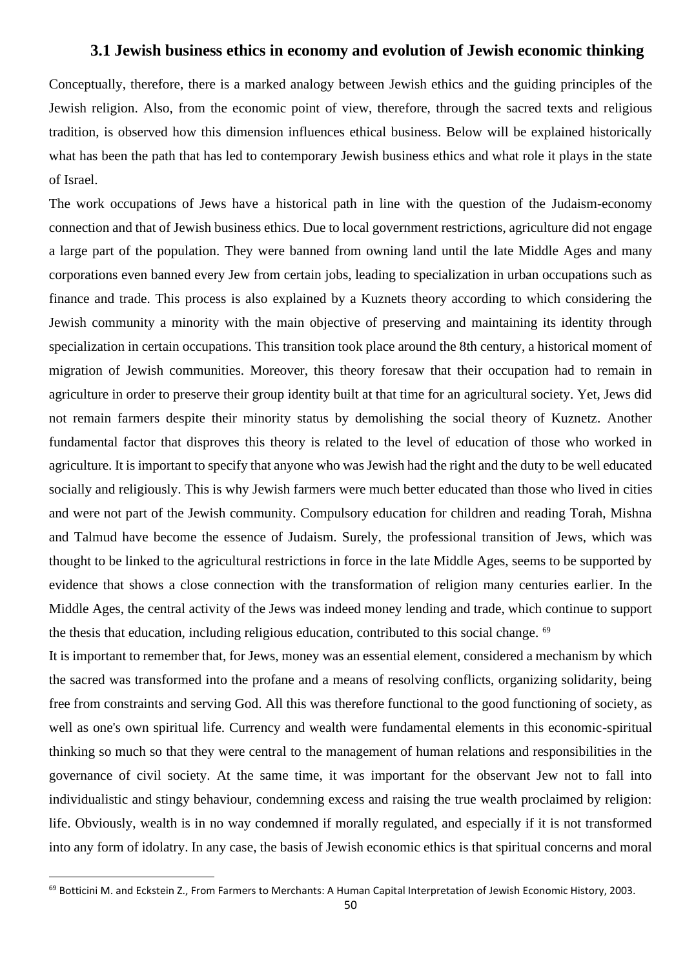### **3.1 Jewish business ethics in economy and evolution of Jewish economic thinking**

Conceptually, therefore, there is a marked analogy between Jewish ethics and the guiding principles of the Jewish religion. Also, from the economic point of view, therefore, through the sacred texts and religious tradition, is observed how this dimension influences ethical business. Below will be explained historically what has been the path that has led to contemporary Jewish business ethics and what role it plays in the state of Israel.

The work occupations of Jews have a historical path in line with the question of the Judaism-economy connection and that of Jewish business ethics. Due to local government restrictions, agriculture did not engage a large part of the population. They were banned from owning land until the late Middle Ages and many corporations even banned every Jew from certain jobs, leading to specialization in urban occupations such as finance and trade. This process is also explained by a Kuznets theory according to which considering the Jewish community a minority with the main objective of preserving and maintaining its identity through specialization in certain occupations. This transition took place around the 8th century, a historical moment of migration of Jewish communities. Moreover, this theory foresaw that their occupation had to remain in agriculture in order to preserve their group identity built at that time for an agricultural society. Yet, Jews did not remain farmers despite their minority status by demolishing the social theory of Kuznetz. Another fundamental factor that disproves this theory is related to the level of education of those who worked in agriculture. It is important to specify that anyone who was Jewish had the right and the duty to be well educated socially and religiously. This is why Jewish farmers were much better educated than those who lived in cities and were not part of the Jewish community. Compulsory education for children and reading Torah, Mishna and Talmud have become the essence of Judaism. Surely, the professional transition of Jews, which was thought to be linked to the agricultural restrictions in force in the late Middle Ages, seems to be supported by evidence that shows a close connection with the transformation of religion many centuries earlier. In the Middle Ages, the central activity of the Jews was indeed money lending and trade, which continue to support the thesis that education, including religious education, contributed to this social change. <sup>69</sup>

It is important to remember that, for Jews, money was an essential element, considered a mechanism by which the sacred was transformed into the profane and a means of resolving conflicts, organizing solidarity, being free from constraints and serving God. All this was therefore functional to the good functioning of society, as well as one's own spiritual life. Currency and wealth were fundamental elements in this economic-spiritual thinking so much so that they were central to the management of human relations and responsibilities in the governance of civil society. At the same time, it was important for the observant Jew not to fall into individualistic and stingy behaviour, condemning excess and raising the true wealth proclaimed by religion: life. Obviously, wealth is in no way condemned if morally regulated, and especially if it is not transformed into any form of idolatry. In any case, the basis of Jewish economic ethics is that spiritual concerns and moral

<sup>&</sup>lt;sup>69</sup> Botticini M. and Eckstein Z., From Farmers to Merchants: A Human Capital Interpretation of Jewish Economic History, 2003.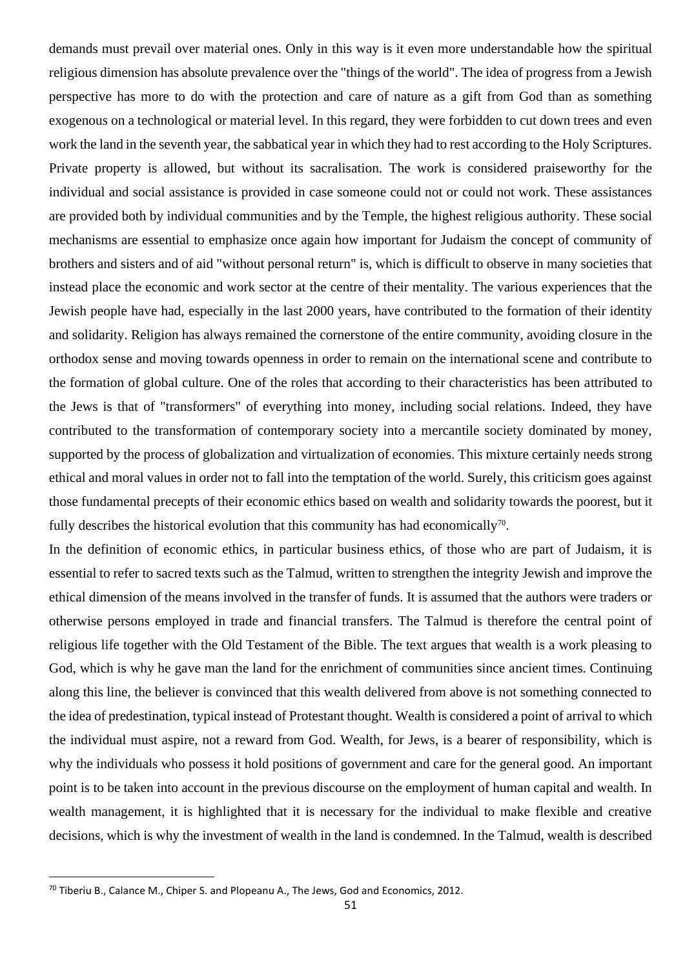demands must prevail over material ones. Only in this way is it even more understandable how the spiritual religious dimension has absolute prevalence over the "things of the world". The idea of progress from a Jewish perspective has more to do with the protection and care of nature as a gift from God than as something exogenous on a technological or material level. In this regard, they were forbidden to cut down trees and even work the land in the seventh year, the sabbatical year in which they had to rest according to the Holy Scriptures. Private property is allowed, but without its sacralisation. The work is considered praiseworthy for the individual and social assistance is provided in case someone could not or could not work. These assistances are provided both by individual communities and by the Temple, the highest religious authority. These social mechanisms are essential to emphasize once again how important for Judaism the concept of community of brothers and sisters and of aid "without personal return" is, which is difficult to observe in many societies that instead place the economic and work sector at the centre of their mentality. The various experiences that the Jewish people have had, especially in the last 2000 years, have contributed to the formation of their identity and solidarity. Religion has always remained the cornerstone of the entire community, avoiding closure in the orthodox sense and moving towards openness in order to remain on the international scene and contribute to the formation of global culture. One of the roles that according to their characteristics has been attributed to the Jews is that of "transformers" of everything into money, including social relations. Indeed, they have contributed to the transformation of contemporary society into a mercantile society dominated by money, supported by the process of globalization and virtualization of economies. This mixture certainly needs strong ethical and moral values in order not to fall into the temptation of the world. Surely, this criticism goes against those fundamental precepts of their economic ethics based on wealth and solidarity towards the poorest, but it fully describes the historical evolution that this community has had economically<sup>70</sup>.

In the definition of economic ethics, in particular business ethics, of those who are part of Judaism, it is essential to refer to sacred texts such as the Talmud, written to strengthen the integrity Jewish and improve the ethical dimension of the means involved in the transfer of funds. It is assumed that the authors were traders or otherwise persons employed in trade and financial transfers. The Talmud is therefore the central point of religious life together with the Old Testament of the Bible. The text argues that wealth is a work pleasing to God, which is why he gave man the land for the enrichment of communities since ancient times. Continuing along this line, the believer is convinced that this wealth delivered from above is not something connected to the idea of predestination, typical instead of Protestant thought. Wealth is considered a point of arrival to which the individual must aspire, not a reward from God. Wealth, for Jews, is a bearer of responsibility, which is why the individuals who possess it hold positions of government and care for the general good. An important point is to be taken into account in the previous discourse on the employment of human capital and wealth. In wealth management, it is highlighted that it is necessary for the individual to make flexible and creative decisions, which is why the investment of wealth in the land is condemned. In the Talmud, wealth is described

<sup>&</sup>lt;sup>70</sup> Tiberiu B., Calance M., Chiper S. and Plopeanu A., The Jews, God and Economics, 2012.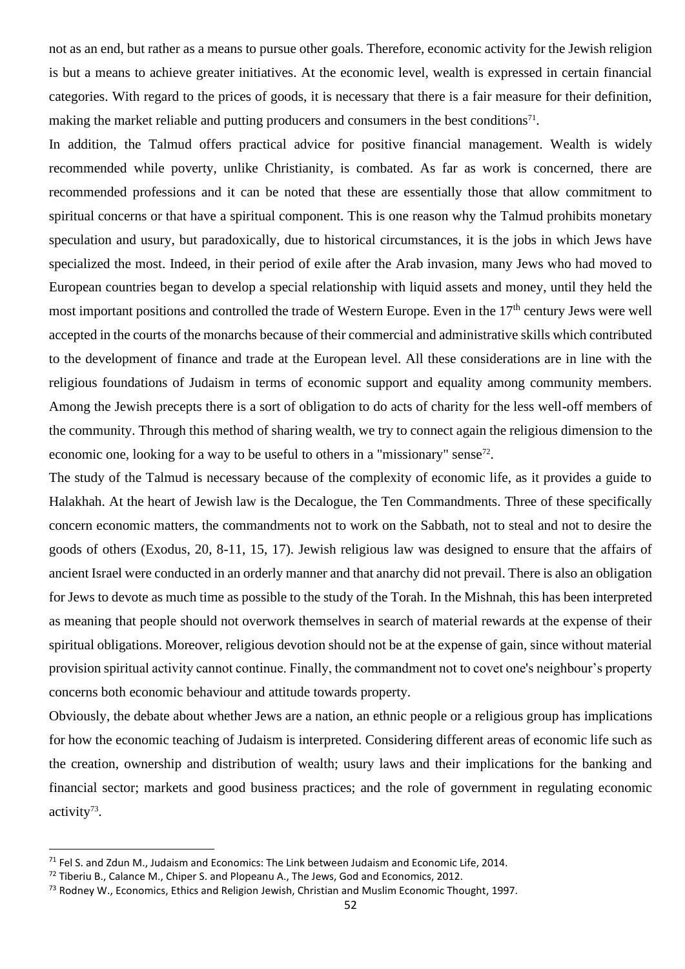not as an end, but rather as a means to pursue other goals. Therefore, economic activity for the Jewish religion is but a means to achieve greater initiatives. At the economic level, wealth is expressed in certain financial categories. With regard to the prices of goods, it is necessary that there is a fair measure for their definition, making the market reliable and putting producers and consumers in the best conditions<sup>71</sup>.

In addition, the Talmud offers practical advice for positive financial management. Wealth is widely recommended while poverty, unlike Christianity, is combated. As far as work is concerned, there are recommended professions and it can be noted that these are essentially those that allow commitment to spiritual concerns or that have a spiritual component. This is one reason why the Talmud prohibits monetary speculation and usury, but paradoxically, due to historical circumstances, it is the jobs in which Jews have specialized the most. Indeed, in their period of exile after the Arab invasion, many Jews who had moved to European countries began to develop a special relationship with liquid assets and money, until they held the most important positions and controlled the trade of Western Europe. Even in the 17<sup>th</sup> century Jews were well accepted in the courts of the monarchs because of their commercial and administrative skills which contributed to the development of finance and trade at the European level. All these considerations are in line with the religious foundations of Judaism in terms of economic support and equality among community members. Among the Jewish precepts there is a sort of obligation to do acts of charity for the less well-off members of the community. Through this method of sharing wealth, we try to connect again the religious dimension to the economic one, looking for a way to be useful to others in a "missionary" sense<sup>72</sup>.

The study of the Talmud is necessary because of the complexity of economic life, as it provides a guide to Halakhah. At the heart of Jewish law is the Decalogue, the Ten Commandments. Three of these specifically concern economic matters, the commandments not to work on the Sabbath, not to steal and not to desire the goods of others (Exodus, 20, 8-11, 15, 17). Jewish religious law was designed to ensure that the affairs of ancient Israel were conducted in an orderly manner and that anarchy did not prevail. There is also an obligation for Jews to devote as much time as possible to the study of the Torah. In the Mishnah, this has been interpreted as meaning that people should not overwork themselves in search of material rewards at the expense of their spiritual obligations. Moreover, religious devotion should not be at the expense of gain, since without material provision spiritual activity cannot continue. Finally, the commandment not to covet one's neighbour's property concerns both economic behaviour and attitude towards property.

Obviously, the debate about whether Jews are a nation, an ethnic people or a religious group has implications for how the economic teaching of Judaism is interpreted. Considering different areas of economic life such as the creation, ownership and distribution of wealth; usury laws and their implications for the banking and financial sector; markets and good business practices; and the role of government in regulating economic activity<sup>73</sup>.

 $71$  Fel S. and Zdun M., Judaism and Economics: The Link between Judaism and Economic Life, 2014.

<sup>&</sup>lt;sup>72</sup> Tiberiu B., Calance M., Chiper S. and Plopeanu A., The Jews, God and Economics, 2012.

<sup>&</sup>lt;sup>73</sup> Rodney W., Economics, Ethics and Religion Jewish, Christian and Muslim Economic Thought, 1997.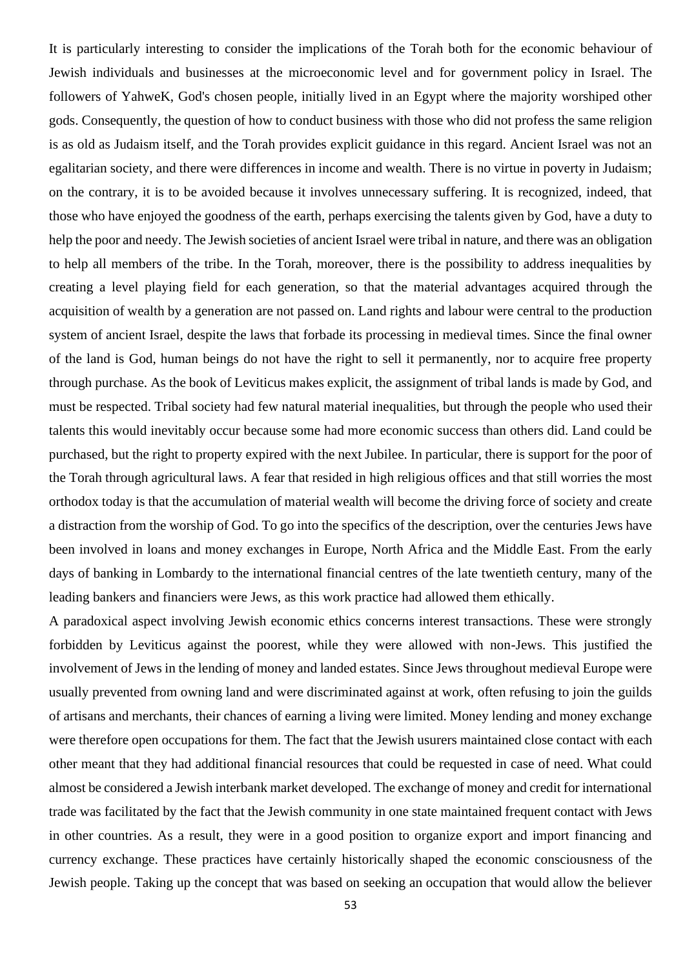It is particularly interesting to consider the implications of the Torah both for the economic behaviour of Jewish individuals and businesses at the microeconomic level and for government policy in Israel. The followers of YahweK, God's chosen people, initially lived in an Egypt where the majority worshiped other gods. Consequently, the question of how to conduct business with those who did not profess the same religion is as old as Judaism itself, and the Torah provides explicit guidance in this regard. Ancient Israel was not an egalitarian society, and there were differences in income and wealth. There is no virtue in poverty in Judaism; on the contrary, it is to be avoided because it involves unnecessary suffering. It is recognized, indeed, that those who have enjoyed the goodness of the earth, perhaps exercising the talents given by God, have a duty to help the poor and needy. The Jewish societies of ancient Israel were tribal in nature, and there was an obligation to help all members of the tribe. In the Torah, moreover, there is the possibility to address inequalities by creating a level playing field for each generation, so that the material advantages acquired through the acquisition of wealth by a generation are not passed on. Land rights and labour were central to the production system of ancient Israel, despite the laws that forbade its processing in medieval times. Since the final owner of the land is God, human beings do not have the right to sell it permanently, nor to acquire free property through purchase. As the book of Leviticus makes explicit, the assignment of tribal lands is made by God, and must be respected. Tribal society had few natural material inequalities, but through the people who used their talents this would inevitably occur because some had more economic success than others did. Land could be purchased, but the right to property expired with the next Jubilee. In particular, there is support for the poor of the Torah through agricultural laws. A fear that resided in high religious offices and that still worries the most orthodox today is that the accumulation of material wealth will become the driving force of society and create a distraction from the worship of God. To go into the specifics of the description, over the centuries Jews have been involved in loans and money exchanges in Europe, North Africa and the Middle East. From the early days of banking in Lombardy to the international financial centres of the late twentieth century, many of the leading bankers and financiers were Jews, as this work practice had allowed them ethically.

A paradoxical aspect involving Jewish economic ethics concerns interest transactions. These were strongly forbidden by Leviticus against the poorest, while they were allowed with non-Jews. This justified the involvement of Jews in the lending of money and landed estates. Since Jews throughout medieval Europe were usually prevented from owning land and were discriminated against at work, often refusing to join the guilds of artisans and merchants, their chances of earning a living were limited. Money lending and money exchange were therefore open occupations for them. The fact that the Jewish usurers maintained close contact with each other meant that they had additional financial resources that could be requested in case of need. What could almost be considered a Jewish interbank market developed. The exchange of money and credit for international trade was facilitated by the fact that the Jewish community in one state maintained frequent contact with Jews in other countries. As a result, they were in a good position to organize export and import financing and currency exchange. These practices have certainly historically shaped the economic consciousness of the Jewish people. Taking up the concept that was based on seeking an occupation that would allow the believer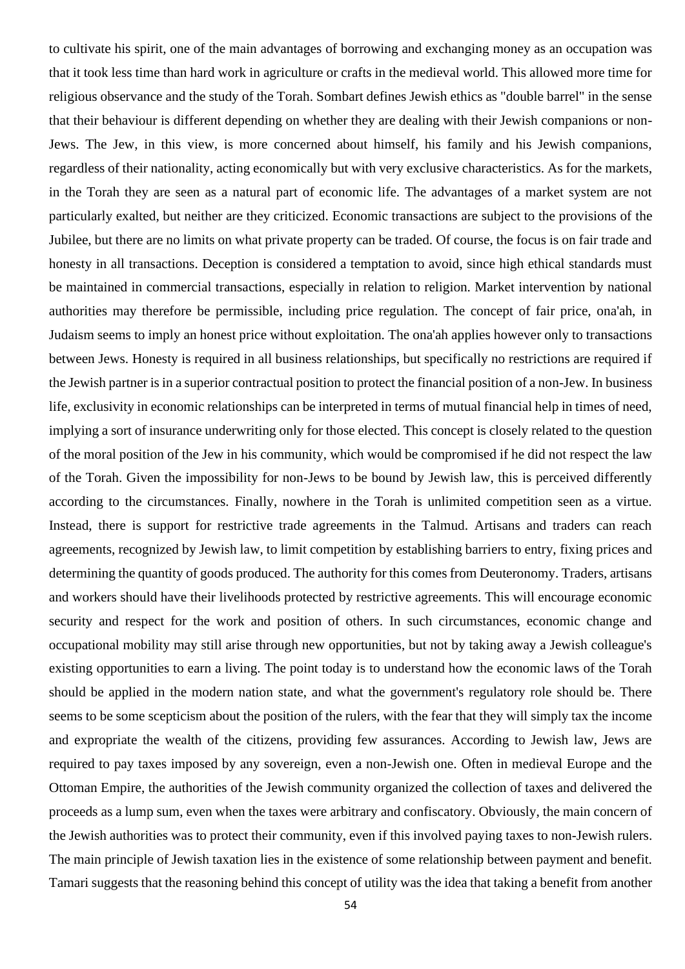to cultivate his spirit, one of the main advantages of borrowing and exchanging money as an occupation was that it took less time than hard work in agriculture or crafts in the medieval world. This allowed more time for religious observance and the study of the Torah. Sombart defines Jewish ethics as "double barrel" in the sense that their behaviour is different depending on whether they are dealing with their Jewish companions or non-Jews. The Jew, in this view, is more concerned about himself, his family and his Jewish companions, regardless of their nationality, acting economically but with very exclusive characteristics. As for the markets, in the Torah they are seen as a natural part of economic life. The advantages of a market system are not particularly exalted, but neither are they criticized. Economic transactions are subject to the provisions of the Jubilee, but there are no limits on what private property can be traded. Of course, the focus is on fair trade and honesty in all transactions. Deception is considered a temptation to avoid, since high ethical standards must be maintained in commercial transactions, especially in relation to religion. Market intervention by national authorities may therefore be permissible, including price regulation. The concept of fair price, ona'ah, in Judaism seems to imply an honest price without exploitation. The ona'ah applies however only to transactions between Jews. Honesty is required in all business relationships, but specifically no restrictions are required if the Jewish partner is in a superior contractual position to protect the financial position of a non-Jew. In business life, exclusivity in economic relationships can be interpreted in terms of mutual financial help in times of need, implying a sort of insurance underwriting only for those elected. This concept is closely related to the question of the moral position of the Jew in his community, which would be compromised if he did not respect the law of the Torah. Given the impossibility for non-Jews to be bound by Jewish law, this is perceived differently according to the circumstances. Finally, nowhere in the Torah is unlimited competition seen as a virtue. Instead, there is support for restrictive trade agreements in the Talmud. Artisans and traders can reach agreements, recognized by Jewish law, to limit competition by establishing barriers to entry, fixing prices and determining the quantity of goods produced. The authority for this comes from Deuteronomy. Traders, artisans and workers should have their livelihoods protected by restrictive agreements. This will encourage economic security and respect for the work and position of others. In such circumstances, economic change and occupational mobility may still arise through new opportunities, but not by taking away a Jewish colleague's existing opportunities to earn a living. The point today is to understand how the economic laws of the Torah should be applied in the modern nation state, and what the government's regulatory role should be. There seems to be some scepticism about the position of the rulers, with the fear that they will simply tax the income and expropriate the wealth of the citizens, providing few assurances. According to Jewish law, Jews are required to pay taxes imposed by any sovereign, even a non-Jewish one. Often in medieval Europe and the Ottoman Empire, the authorities of the Jewish community organized the collection of taxes and delivered the proceeds as a lump sum, even when the taxes were arbitrary and confiscatory. Obviously, the main concern of the Jewish authorities was to protect their community, even if this involved paying taxes to non-Jewish rulers. The main principle of Jewish taxation lies in the existence of some relationship between payment and benefit. Tamari suggests that the reasoning behind this concept of utility was the idea that taking a benefit from another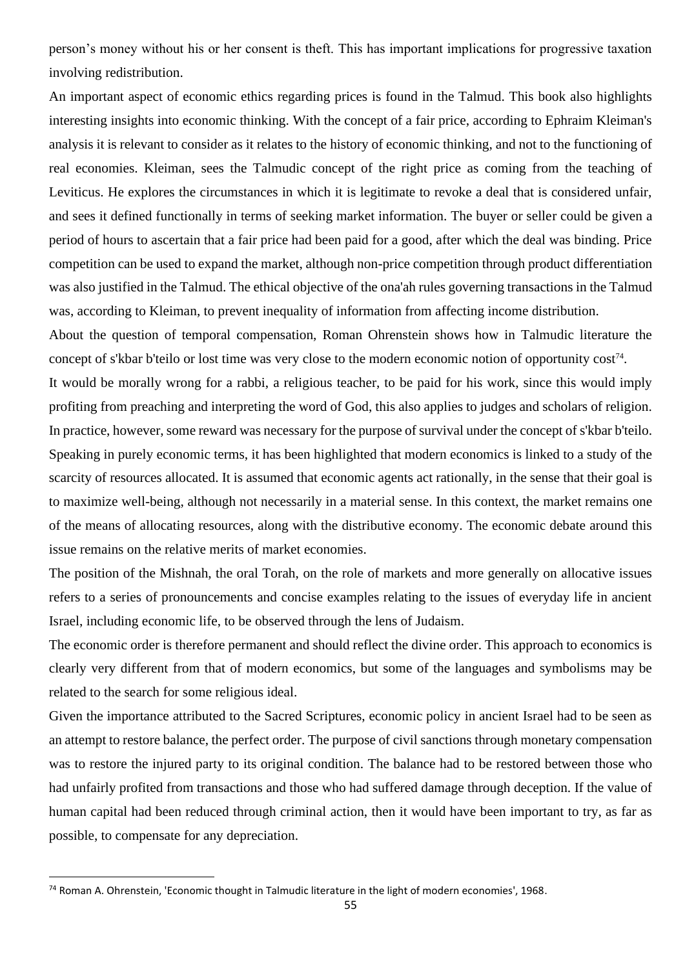person's money without his or her consent is theft. This has important implications for progressive taxation involving redistribution.

An important aspect of economic ethics regarding prices is found in the Talmud. This book also highlights interesting insights into economic thinking. With the concept of a fair price, according to Ephraim Kleiman's analysis it is relevant to consider as it relates to the history of economic thinking, and not to the functioning of real economies. Kleiman, sees the Talmudic concept of the right price as coming from the teaching of Leviticus. He explores the circumstances in which it is legitimate to revoke a deal that is considered unfair, and sees it defined functionally in terms of seeking market information. The buyer or seller could be given a period of hours to ascertain that a fair price had been paid for a good, after which the deal was binding. Price competition can be used to expand the market, although non-price competition through product differentiation was also justified in the Talmud. The ethical objective of the ona'ah rules governing transactions in the Talmud was, according to Kleiman, to prevent inequality of information from affecting income distribution.

About the question of temporal compensation, Roman Ohrenstein shows how in Talmudic literature the concept of s'kbar b'teilo or lost time was very close to the modern economic notion of opportunity cost<sup>74</sup>.

It would be morally wrong for a rabbi, a religious teacher, to be paid for his work, since this would imply profiting from preaching and interpreting the word of God, this also applies to judges and scholars of religion. In practice, however, some reward was necessary for the purpose of survival under the concept of s'kbar b'teilo. Speaking in purely economic terms, it has been highlighted that modern economics is linked to a study of the scarcity of resources allocated. It is assumed that economic agents act rationally, in the sense that their goal is to maximize well-being, although not necessarily in a material sense. In this context, the market remains one of the means of allocating resources, along with the distributive economy. The economic debate around this issue remains on the relative merits of market economies.

The position of the Mishnah, the oral Torah, on the role of markets and more generally on allocative issues refers to a series of pronouncements and concise examples relating to the issues of everyday life in ancient Israel, including economic life, to be observed through the lens of Judaism.

The economic order is therefore permanent and should reflect the divine order. This approach to economics is clearly very different from that of modern economics, but some of the languages and symbolisms may be related to the search for some religious ideal.

Given the importance attributed to the Sacred Scriptures, economic policy in ancient Israel had to be seen as an attempt to restore balance, the perfect order. The purpose of civil sanctions through monetary compensation was to restore the injured party to its original condition. The balance had to be restored between those who had unfairly profited from transactions and those who had suffered damage through deception. If the value of human capital had been reduced through criminal action, then it would have been important to try, as far as possible, to compensate for any depreciation.

<sup>74</sup> Roman A. Ohrenstein, 'Economic thought in Talmudic literature in the light of modern economies', 1968.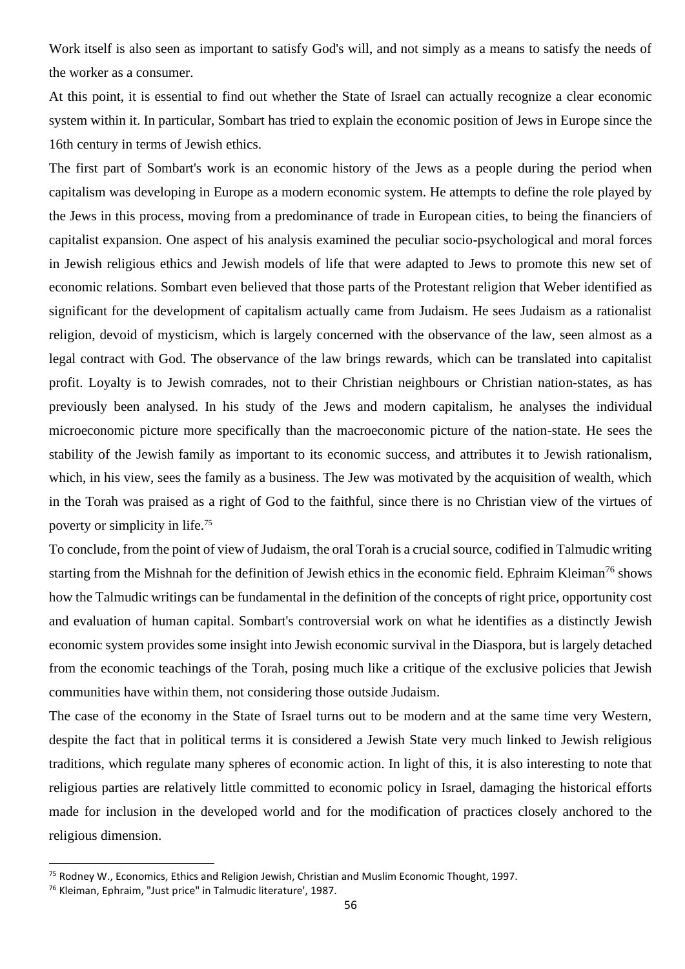Work itself is also seen as important to satisfy God's will, and not simply as a means to satisfy the needs of the worker as a consumer.

At this point, it is essential to find out whether the State of Israel can actually recognize a clear economic system within it. In particular, Sombart has tried to explain the economic position of Jews in Europe since the 16th century in terms of Jewish ethics.

The first part of Sombart's work is an economic history of the Jews as a people during the period when capitalism was developing in Europe as a modern economic system. He attempts to define the role played by the Jews in this process, moving from a predominance of trade in European cities, to being the financiers of capitalist expansion. One aspect of his analysis examined the peculiar socio-psychological and moral forces in Jewish religious ethics and Jewish models of life that were adapted to Jews to promote this new set of economic relations. Sombart even believed that those parts of the Protestant religion that Weber identified as significant for the development of capitalism actually came from Judaism. He sees Judaism as a rationalist religion, devoid of mysticism, which is largely concerned with the observance of the law, seen almost as a legal contract with God. The observance of the law brings rewards, which can be translated into capitalist profit. Loyalty is to Jewish comrades, not to their Christian neighbours or Christian nation-states, as has previously been analysed. In his study of the Jews and modern capitalism, he analyses the individual microeconomic picture more specifically than the macroeconomic picture of the nation-state. He sees the stability of the Jewish family as important to its economic success, and attributes it to Jewish rationalism, which, in his view, sees the family as a business. The Jew was motivated by the acquisition of wealth, which in the Torah was praised as a right of God to the faithful, since there is no Christian view of the virtues of poverty or simplicity in life.<sup>75</sup>

To conclude, from the point of view of Judaism, the oral Torah is a crucial source, codified in Talmudic writing starting from the Mishnah for the definition of Jewish ethics in the economic field. Ephraim Kleiman<sup>76</sup> shows how the Talmudic writings can be fundamental in the definition of the concepts of right price, opportunity cost and evaluation of human capital. Sombart's controversial work on what he identifies as a distinctly Jewish economic system provides some insight into Jewish economic survival in the Diaspora, but is largely detached from the economic teachings of the Torah, posing much like a critique of the exclusive policies that Jewish communities have within them, not considering those outside Judaism.

The case of the economy in the State of Israel turns out to be modern and at the same time very Western, despite the fact that in political terms it is considered a Jewish State very much linked to Jewish religious traditions, which regulate many spheres of economic action. In light of this, it is also interesting to note that religious parties are relatively little committed to economic policy in Israel, damaging the historical efforts made for inclusion in the developed world and for the modification of practices closely anchored to the religious dimension.

<sup>75</sup> Rodney W., Economics, Ethics and Religion Jewish, Christian and Muslim Economic Thought, 1997.

<sup>76</sup> Kleiman, Ephraim, "Just price" in Talmudic literature', 1987.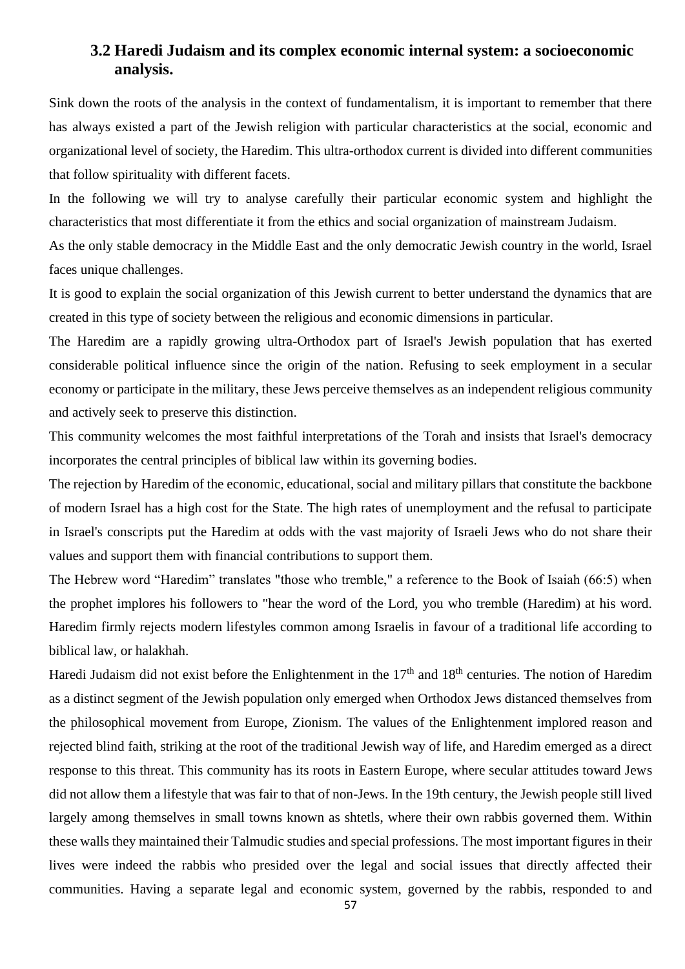### **3.2 Haredi Judaism and its complex economic internal system: a socioeconomic analysis.**

Sink down the roots of the analysis in the context of fundamentalism, it is important to remember that there has always existed a part of the Jewish religion with particular characteristics at the social, economic and organizational level of society, the Haredim. This ultra-orthodox current is divided into different communities that follow spirituality with different facets.

In the following we will try to analyse carefully their particular economic system and highlight the characteristics that most differentiate it from the ethics and social organization of mainstream Judaism.

As the only stable democracy in the Middle East and the only democratic Jewish country in the world, Israel faces unique challenges.

It is good to explain the social organization of this Jewish current to better understand the dynamics that are created in this type of society between the religious and economic dimensions in particular.

The Haredim are a rapidly growing ultra-Orthodox part of Israel's Jewish population that has exerted considerable political influence since the origin of the nation. Refusing to seek employment in a secular economy or participate in the military, these Jews perceive themselves as an independent religious community and actively seek to preserve this distinction.

This community welcomes the most faithful interpretations of the Torah and insists that Israel's democracy incorporates the central principles of biblical law within its governing bodies.

The rejection by Haredim of the economic, educational, social and military pillars that constitute the backbone of modern Israel has a high cost for the State. The high rates of unemployment and the refusal to participate in Israel's conscripts put the Haredim at odds with the vast majority of Israeli Jews who do not share their values and support them with financial contributions to support them.

The Hebrew word "Haredim" translates "those who tremble," a reference to the Book of Isaiah (66:5) when the prophet implores his followers to "hear the word of the Lord, you who tremble (Haredim) at his word. Haredim firmly rejects modern lifestyles common among Israelis in favour of a traditional life according to biblical law, or halakhah.

Haredi Judaism did not exist before the Enlightenment in the  $17<sup>th</sup>$  and  $18<sup>th</sup>$  centuries. The notion of Haredim as a distinct segment of the Jewish population only emerged when Orthodox Jews distanced themselves from the philosophical movement from Europe, Zionism. The values of the Enlightenment implored reason and rejected blind faith, striking at the root of the traditional Jewish way of life, and Haredim emerged as a direct response to this threat. This community has its roots in Eastern Europe, where secular attitudes toward Jews did not allow them a lifestyle that was fair to that of non-Jews. In the 19th century, the Jewish people still lived largely among themselves in small towns known as shtetls, where their own rabbis governed them. Within these walls they maintained their Talmudic studies and special professions. The most important figures in their lives were indeed the rabbis who presided over the legal and social issues that directly affected their communities. Having a separate legal and economic system, governed by the rabbis, responded to and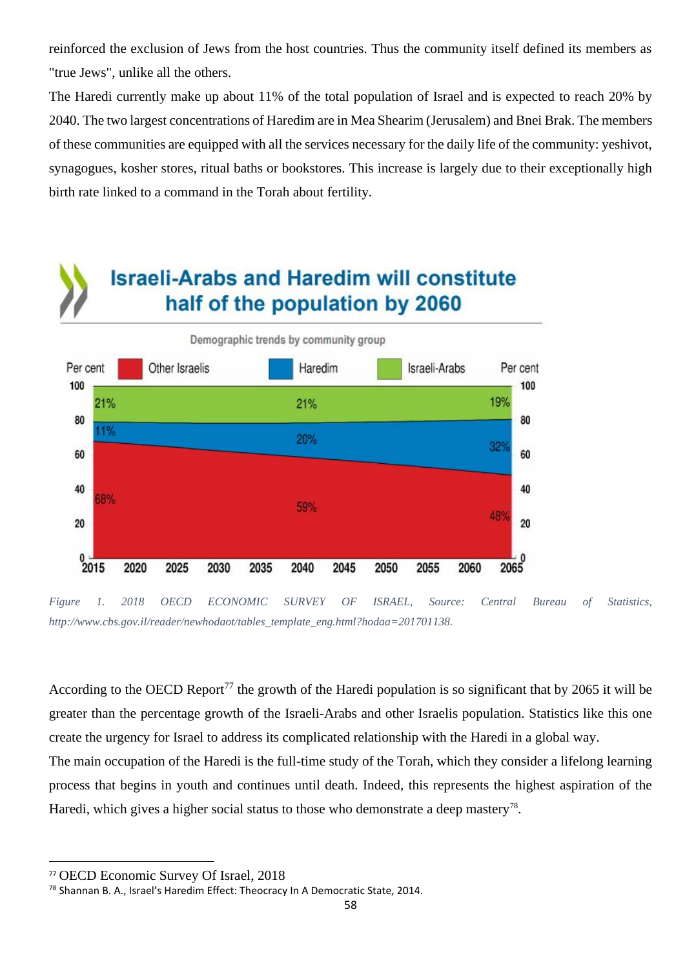reinforced the exclusion of Jews from the host countries. Thus the community itself defined its members as "true Jews", unlike all the others.

The Haredi currently make up about 11% of the total population of Israel and is expected to reach 20% by 2040. The two largest concentrations of Haredim are in Mea Shearim (Jerusalem) and Bnei Brak. The members of these communities are equipped with all the services necessary for the daily life of the community: yeshivot, synagogues, kosher stores, ritual baths or bookstores. This increase is largely due to their exceptionally high birth rate linked to a command in the Torah about fertility.

# **Israeli-Arabs and Haredim will constitute** half of the population by 2060



*Figure 1. 2018 OECD ECONOMIC SURVEY OF ISRAEL, Source: Central Bureau of Statistics, http://www.cbs.gov.il/reader/newhodaot/tables\_template\_eng.html?hodaa=201701138.*

According to the OECD Report<sup>77</sup> the growth of the Haredi population is so significant that by 2065 it will be greater than the percentage growth of the Israeli-Arabs and other Israelis population. Statistics like this one create the urgency for Israel to address its complicated relationship with the Haredi in a global way.

The main occupation of the Haredi is the full-time study of the Torah, which they consider a lifelong learning process that begins in youth and continues until death. Indeed, this represents the highest aspiration of the Haredi, which gives a higher social status to those who demonstrate a deep mastery<sup>78</sup>.

<sup>77</sup> OECD Economic Survey Of Israel, 2018

<sup>&</sup>lt;sup>78</sup> Shannan B. A., Israel's Haredim Effect: Theocracy In A Democratic State, 2014.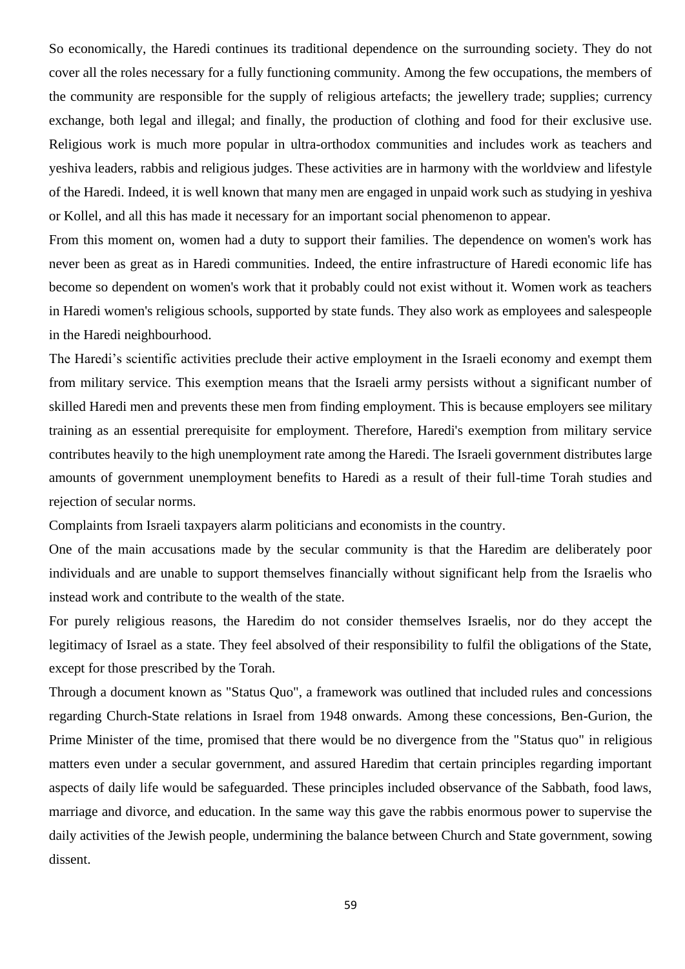So economically, the Haredi continues its traditional dependence on the surrounding society. They do not cover all the roles necessary for a fully functioning community. Among the few occupations, the members of the community are responsible for the supply of religious artefacts; the jewellery trade; supplies; currency exchange, both legal and illegal; and finally, the production of clothing and food for their exclusive use. Religious work is much more popular in ultra-orthodox communities and includes work as teachers and yeshiva leaders, rabbis and religious judges. These activities are in harmony with the worldview and lifestyle of the Haredi. Indeed, it is well known that many men are engaged in unpaid work such as studying in yeshiva or Kollel, and all this has made it necessary for an important social phenomenon to appear.

From this moment on, women had a duty to support their families. The dependence on women's work has never been as great as in Haredi communities. Indeed, the entire infrastructure of Haredi economic life has become so dependent on women's work that it probably could not exist without it. Women work as teachers in Haredi women's religious schools, supported by state funds. They also work as employees and salespeople in the Haredi neighbourhood.

The Haredi's scientific activities preclude their active employment in the Israeli economy and exempt them from military service. This exemption means that the Israeli army persists without a significant number of skilled Haredi men and prevents these men from finding employment. This is because employers see military training as an essential prerequisite for employment. Therefore, Haredi's exemption from military service contributes heavily to the high unemployment rate among the Haredi. The Israeli government distributes large amounts of government unemployment benefits to Haredi as a result of their full-time Torah studies and rejection of secular norms.

Complaints from Israeli taxpayers alarm politicians and economists in the country.

One of the main accusations made by the secular community is that the Haredim are deliberately poor individuals and are unable to support themselves financially without significant help from the Israelis who instead work and contribute to the wealth of the state.

For purely religious reasons, the Haredim do not consider themselves Israelis, nor do they accept the legitimacy of Israel as a state. They feel absolved of their responsibility to fulfil the obligations of the State, except for those prescribed by the Torah.

Through a document known as "Status Quo", a framework was outlined that included rules and concessions regarding Church-State relations in Israel from 1948 onwards. Among these concessions, Ben-Gurion, the Prime Minister of the time, promised that there would be no divergence from the "Status quo" in religious matters even under a secular government, and assured Haredim that certain principles regarding important aspects of daily life would be safeguarded. These principles included observance of the Sabbath, food laws, marriage and divorce, and education. In the same way this gave the rabbis enormous power to supervise the daily activities of the Jewish people, undermining the balance between Church and State government, sowing dissent.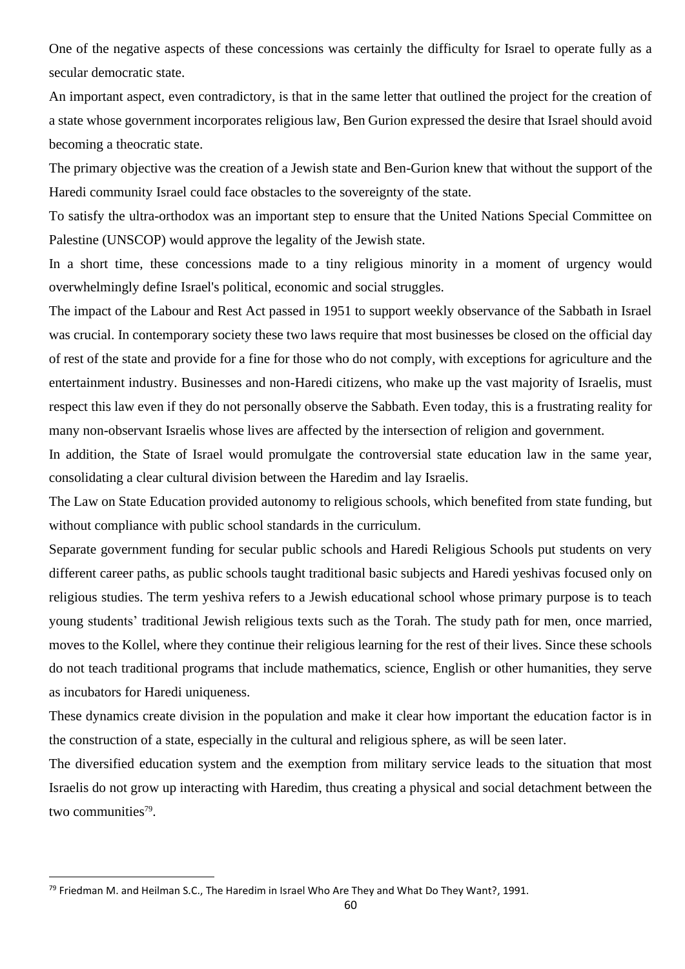One of the negative aspects of these concessions was certainly the difficulty for Israel to operate fully as a secular democratic state.

An important aspect, even contradictory, is that in the same letter that outlined the project for the creation of a state whose government incorporates religious law, Ben Gurion expressed the desire that Israel should avoid becoming a theocratic state.

The primary objective was the creation of a Jewish state and Ben-Gurion knew that without the support of the Haredi community Israel could face obstacles to the sovereignty of the state.

To satisfy the ultra-orthodox was an important step to ensure that the United Nations Special Committee on Palestine (UNSCOP) would approve the legality of the Jewish state.

In a short time, these concessions made to a tiny religious minority in a moment of urgency would overwhelmingly define Israel's political, economic and social struggles.

The impact of the Labour and Rest Act passed in 1951 to support weekly observance of the Sabbath in Israel was crucial. In contemporary society these two laws require that most businesses be closed on the official day of rest of the state and provide for a fine for those who do not comply, with exceptions for agriculture and the entertainment industry. Businesses and non-Haredi citizens, who make up the vast majority of Israelis, must respect this law even if they do not personally observe the Sabbath. Even today, this is a frustrating reality for many non-observant Israelis whose lives are affected by the intersection of religion and government.

In addition, the State of Israel would promulgate the controversial state education law in the same year, consolidating a clear cultural division between the Haredim and lay Israelis.

The Law on State Education provided autonomy to religious schools, which benefited from state funding, but without compliance with public school standards in the curriculum.

Separate government funding for secular public schools and Haredi Religious Schools put students on very different career paths, as public schools taught traditional basic subjects and Haredi yeshivas focused only on religious studies. The term yeshiva refers to a Jewish educational school whose primary purpose is to teach young students' traditional Jewish religious texts such as the Torah. The study path for men, once married, moves to the Kollel, where they continue their religious learning for the rest of their lives. Since these schools do not teach traditional programs that include mathematics, science, English or other humanities, they serve as incubators for Haredi uniqueness.

These dynamics create division in the population and make it clear how important the education factor is in the construction of a state, especially in the cultural and religious sphere, as will be seen later.

The diversified education system and the exemption from military service leads to the situation that most Israelis do not grow up interacting with Haredim, thus creating a physical and social detachment between the two communities<sup>79</sup>.

<sup>&</sup>lt;sup>79</sup> Friedman M. and Heilman S.C., The Haredim in Israel Who Are They and What Do They Want?, 1991.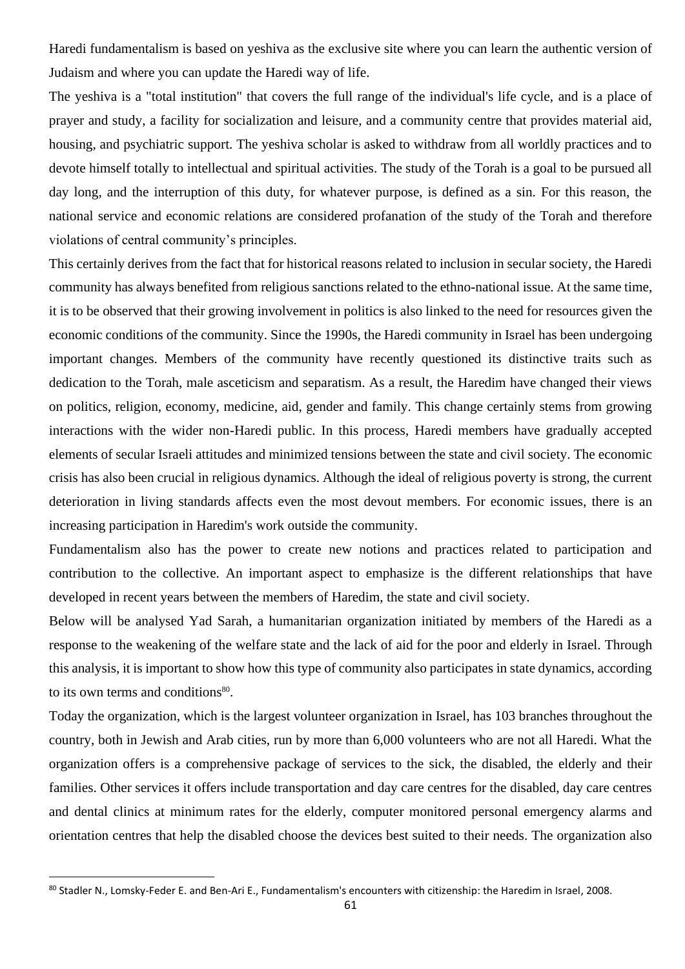Haredi fundamentalism is based on yeshiva as the exclusive site where you can learn the authentic version of Judaism and where you can update the Haredi way of life.

The yeshiva is a "total institution" that covers the full range of the individual's life cycle, and is a place of prayer and study, a facility for socialization and leisure, and a community centre that provides material aid, housing, and psychiatric support. The yeshiva scholar is asked to withdraw from all worldly practices and to devote himself totally to intellectual and spiritual activities. The study of the Torah is a goal to be pursued all day long, and the interruption of this duty, for whatever purpose, is defined as a sin. For this reason, the national service and economic relations are considered profanation of the study of the Torah and therefore violations of central community's principles.

This certainly derives from the fact that for historical reasons related to inclusion in secular society, the Haredi community has always benefited from religious sanctions related to the ethno-national issue. At the same time, it is to be observed that their growing involvement in politics is also linked to the need for resources given the economic conditions of the community. Since the 1990s, the Haredi community in Israel has been undergoing important changes. Members of the community have recently questioned its distinctive traits such as dedication to the Torah, male asceticism and separatism. As a result, the Haredim have changed their views on politics, religion, economy, medicine, aid, gender and family. This change certainly stems from growing interactions with the wider non-Haredi public. In this process, Haredi members have gradually accepted elements of secular Israeli attitudes and minimized tensions between the state and civil society. The economic crisis has also been crucial in religious dynamics. Although the ideal of religious poverty is strong, the current deterioration in living standards affects even the most devout members. For economic issues, there is an increasing participation in Haredim's work outside the community.

Fundamentalism also has the power to create new notions and practices related to participation and contribution to the collective. An important aspect to emphasize is the different relationships that have developed in recent years between the members of Haredim, the state and civil society.

Below will be analysed Yad Sarah, a humanitarian organization initiated by members of the Haredi as a response to the weakening of the welfare state and the lack of aid for the poor and elderly in Israel. Through this analysis, it is important to show how this type of community also participates in state dynamics, according to its own terms and conditions<sup>80</sup>.

Today the organization, which is the largest volunteer organization in Israel, has 103 branches throughout the country, both in Jewish and Arab cities, run by more than 6,000 volunteers who are not all Haredi. What the organization offers is a comprehensive package of services to the sick, the disabled, the elderly and their families. Other services it offers include transportation and day care centres for the disabled, day care centres and dental clinics at minimum rates for the elderly, computer monitored personal emergency alarms and orientation centres that help the disabled choose the devices best suited to their needs. The organization also

<sup>80</sup> Stadler N., Lomsky-Feder E. and Ben-Ari E., Fundamentalism's encounters with citizenship: the Haredim in Israel, 2008.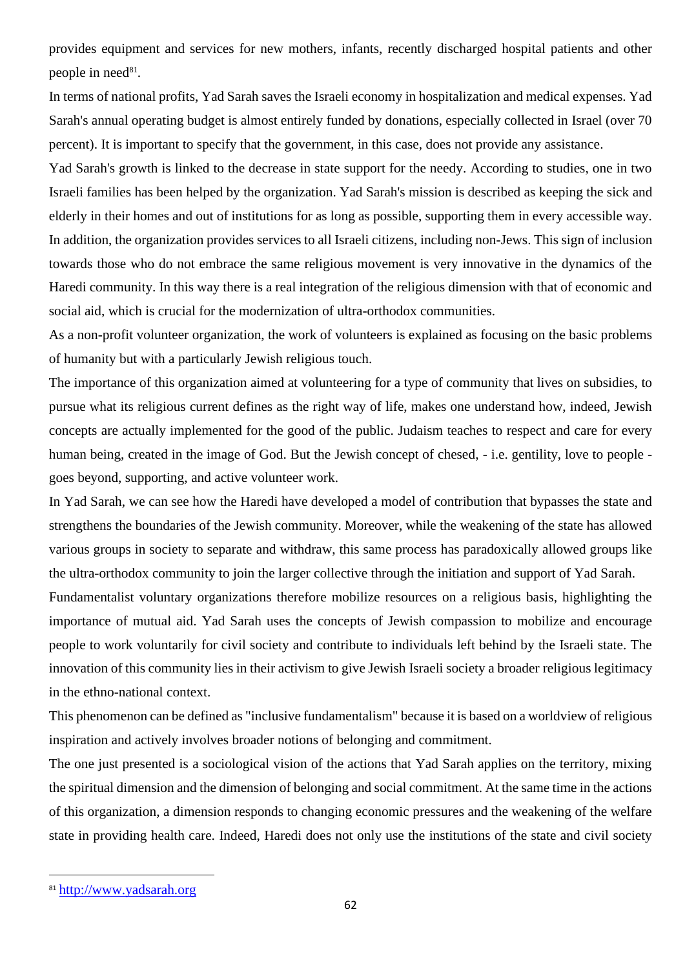provides equipment and services for new mothers, infants, recently discharged hospital patients and other people in need $81$ .

In terms of national profits, Yad Sarah saves the Israeli economy in hospitalization and medical expenses. Yad Sarah's annual operating budget is almost entirely funded by donations, especially collected in Israel (over 70 percent). It is important to specify that the government, in this case, does not provide any assistance.

Yad Sarah's growth is linked to the decrease in state support for the needy. According to studies, one in two Israeli families has been helped by the organization. Yad Sarah's mission is described as keeping the sick and elderly in their homes and out of institutions for as long as possible, supporting them in every accessible way. In addition, the organization provides services to all Israeli citizens, including non-Jews. This sign of inclusion towards those who do not embrace the same religious movement is very innovative in the dynamics of the Haredi community. In this way there is a real integration of the religious dimension with that of economic and social aid, which is crucial for the modernization of ultra-orthodox communities.

As a non-profit volunteer organization, the work of volunteers is explained as focusing on the basic problems of humanity but with a particularly Jewish religious touch.

The importance of this organization aimed at volunteering for a type of community that lives on subsidies, to pursue what its religious current defines as the right way of life, makes one understand how, indeed, Jewish concepts are actually implemented for the good of the public. Judaism teaches to respect and care for every human being, created in the image of God. But the Jewish concept of chesed, - i.e. gentility, love to people goes beyond, supporting, and active volunteer work.

In Yad Sarah, we can see how the Haredi have developed a model of contribution that bypasses the state and strengthens the boundaries of the Jewish community. Moreover, while the weakening of the state has allowed various groups in society to separate and withdraw, this same process has paradoxically allowed groups like the ultra-orthodox community to join the larger collective through the initiation and support of Yad Sarah.

Fundamentalist voluntary organizations therefore mobilize resources on a religious basis, highlighting the importance of mutual aid. Yad Sarah uses the concepts of Jewish compassion to mobilize and encourage people to work voluntarily for civil society and contribute to individuals left behind by the Israeli state. The innovation of this community lies in their activism to give Jewish Israeli society a broader religious legitimacy in the ethno-national context.

This phenomenon can be defined as "inclusive fundamentalism" because it is based on a worldview of religious inspiration and actively involves broader notions of belonging and commitment.

The one just presented is a sociological vision of the actions that Yad Sarah applies on the territory, mixing the spiritual dimension and the dimension of belonging and social commitment. At the same time in the actions of this organization, a dimension responds to changing economic pressures and the weakening of the welfare state in providing health care. Indeed, Haredi does not only use the institutions of the state and civil society

<sup>81</sup> [http://www.yadsarah.org](http://www.yadsarah.org/)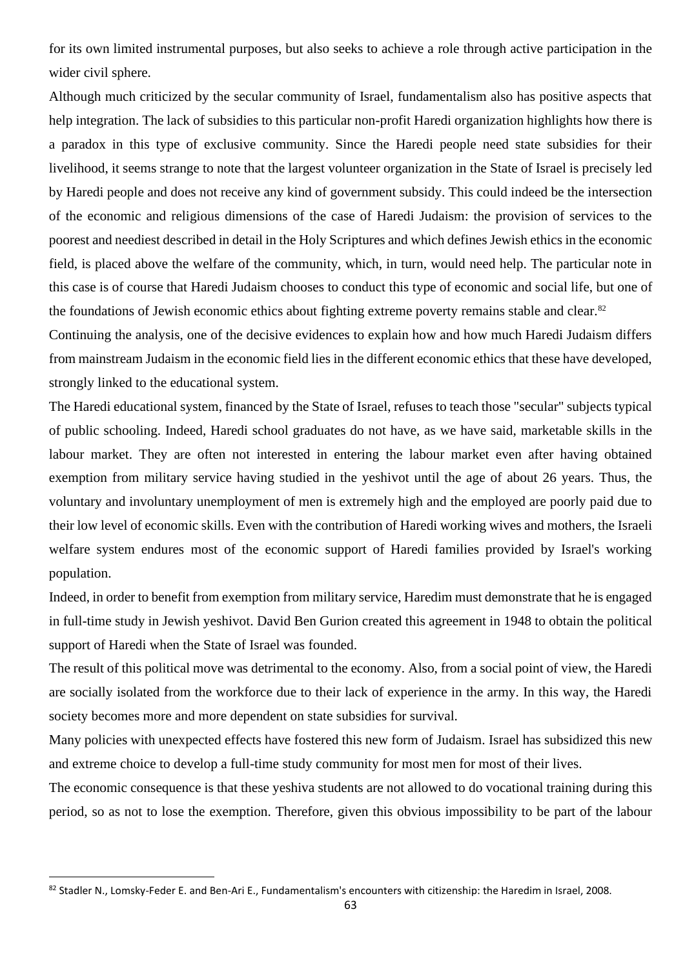for its own limited instrumental purposes, but also seeks to achieve a role through active participation in the wider civil sphere.

Although much criticized by the secular community of Israel, fundamentalism also has positive aspects that help integration. The lack of subsidies to this particular non-profit Haredi organization highlights how there is a paradox in this type of exclusive community. Since the Haredi people need state subsidies for their livelihood, it seems strange to note that the largest volunteer organization in the State of Israel is precisely led by Haredi people and does not receive any kind of government subsidy. This could indeed be the intersection of the economic and religious dimensions of the case of Haredi Judaism: the provision of services to the poorest and neediest described in detail in the Holy Scriptures and which defines Jewish ethics in the economic field, is placed above the welfare of the community, which, in turn, would need help. The particular note in this case is of course that Haredi Judaism chooses to conduct this type of economic and social life, but one of the foundations of Jewish economic ethics about fighting extreme poverty remains stable and clear.<sup>82</sup>

Continuing the analysis, one of the decisive evidences to explain how and how much Haredi Judaism differs from mainstream Judaism in the economic field lies in the different economic ethics that these have developed, strongly linked to the educational system.

The Haredi educational system, financed by the State of Israel, refuses to teach those "secular" subjects typical of public schooling. Indeed, Haredi school graduates do not have, as we have said, marketable skills in the labour market. They are often not interested in entering the labour market even after having obtained exemption from military service having studied in the yeshivot until the age of about 26 years. Thus, the voluntary and involuntary unemployment of men is extremely high and the employed are poorly paid due to their low level of economic skills. Even with the contribution of Haredi working wives and mothers, the Israeli welfare system endures most of the economic support of Haredi families provided by Israel's working population.

Indeed, in order to benefit from exemption from military service, Haredim must demonstrate that he is engaged in full-time study in Jewish yeshivot. David Ben Gurion created this agreement in 1948 to obtain the political support of Haredi when the State of Israel was founded.

The result of this political move was detrimental to the economy. Also, from a social point of view, the Haredi are socially isolated from the workforce due to their lack of experience in the army. In this way, the Haredi society becomes more and more dependent on state subsidies for survival.

Many policies with unexpected effects have fostered this new form of Judaism. Israel has subsidized this new and extreme choice to develop a full-time study community for most men for most of their lives.

The economic consequence is that these yeshiva students are not allowed to do vocational training during this period, so as not to lose the exemption. Therefore, given this obvious impossibility to be part of the labour

<sup>82</sup> Stadler N., Lomsky-Feder E. and Ben-Ari E., Fundamentalism's encounters with citizenship: the Haredim in Israel, 2008.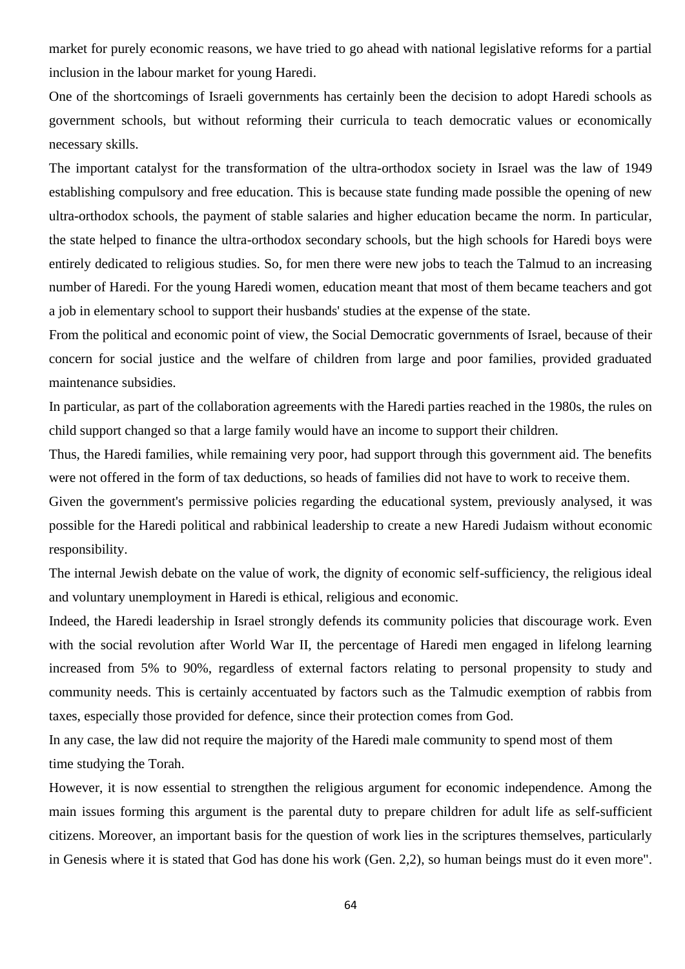market for purely economic reasons, we have tried to go ahead with national legislative reforms for a partial inclusion in the labour market for young Haredi.

One of the shortcomings of Israeli governments has certainly been the decision to adopt Haredi schools as government schools, but without reforming their curricula to teach democratic values or economically necessary skills.

The important catalyst for the transformation of the ultra-orthodox society in Israel was the law of 1949 establishing compulsory and free education. This is because state funding made possible the opening of new ultra-orthodox schools, the payment of stable salaries and higher education became the norm. In particular, the state helped to finance the ultra-orthodox secondary schools, but the high schools for Haredi boys were entirely dedicated to religious studies. So, for men there were new jobs to teach the Talmud to an increasing number of Haredi. For the young Haredi women, education meant that most of them became teachers and got a job in elementary school to support their husbands' studies at the expense of the state.

From the political and economic point of view, the Social Democratic governments of Israel, because of their concern for social justice and the welfare of children from large and poor families, provided graduated maintenance subsidies.

In particular, as part of the collaboration agreements with the Haredi parties reached in the 1980s, the rules on child support changed so that a large family would have an income to support their children.

Thus, the Haredi families, while remaining very poor, had support through this government aid. The benefits were not offered in the form of tax deductions, so heads of families did not have to work to receive them.

Given the government's permissive policies regarding the educational system, previously analysed, it was possible for the Haredi political and rabbinical leadership to create a new Haredi Judaism without economic responsibility.

The internal Jewish debate on the value of work, the dignity of economic self-sufficiency, the religious ideal and voluntary unemployment in Haredi is ethical, religious and economic.

Indeed, the Haredi leadership in Israel strongly defends its community policies that discourage work. Even with the social revolution after World War II, the percentage of Haredi men engaged in lifelong learning increased from 5% to 90%, regardless of external factors relating to personal propensity to study and community needs. This is certainly accentuated by factors such as the Talmudic exemption of rabbis from taxes, especially those provided for defence, since their protection comes from God.

In any case, the law did not require the majority of the Haredi male community to spend most of them time studying the Torah.

However, it is now essential to strengthen the religious argument for economic independence. Among the main issues forming this argument is the parental duty to prepare children for adult life as self-sufficient citizens. Moreover, an important basis for the question of work lies in the scriptures themselves, particularly in Genesis where it is stated that God has done his work (Gen. 2,2), so human beings must do it even more".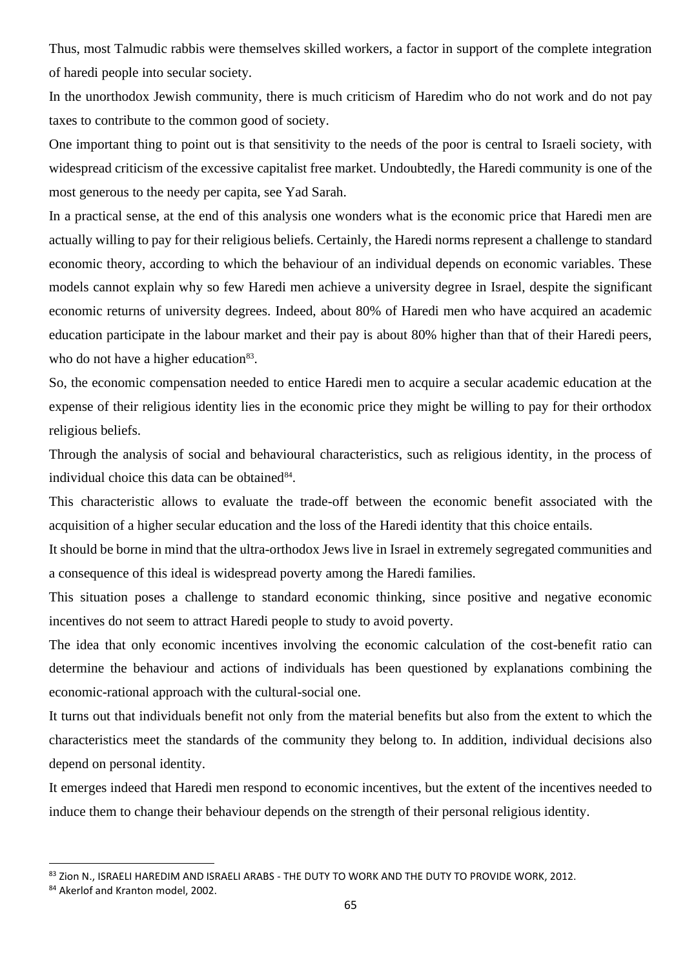Thus, most Talmudic rabbis were themselves skilled workers, a factor in support of the complete integration of haredi people into secular society.

In the unorthodox Jewish community, there is much criticism of Haredim who do not work and do not pay taxes to contribute to the common good of society.

One important thing to point out is that sensitivity to the needs of the poor is central to Israeli society, with widespread criticism of the excessive capitalist free market. Undoubtedly, the Haredi community is one of the most generous to the needy per capita, see Yad Sarah.

In a practical sense, at the end of this analysis one wonders what is the economic price that Haredi men are actually willing to pay for their religious beliefs. Certainly, the Haredi norms represent a challenge to standard economic theory, according to which the behaviour of an individual depends on economic variables. These models cannot explain why so few Haredi men achieve a university degree in Israel, despite the significant economic returns of university degrees. Indeed, about 80% of Haredi men who have acquired an academic education participate in the labour market and their pay is about 80% higher than that of their Haredi peers, who do not have a higher education<sup>83</sup>.

So, the economic compensation needed to entice Haredi men to acquire a secular academic education at the expense of their religious identity lies in the economic price they might be willing to pay for their orthodox religious beliefs.

Through the analysis of social and behavioural characteristics, such as religious identity, in the process of individual choice this data can be obtained<sup>84</sup>.

This characteristic allows to evaluate the trade-off between the economic benefit associated with the acquisition of a higher secular education and the loss of the Haredi identity that this choice entails.

It should be borne in mind that the ultra-orthodox Jews live in Israel in extremely segregated communities and a consequence of this ideal is widespread poverty among the Haredi families.

This situation poses a challenge to standard economic thinking, since positive and negative economic incentives do not seem to attract Haredi people to study to avoid poverty.

The idea that only economic incentives involving the economic calculation of the cost-benefit ratio can determine the behaviour and actions of individuals has been questioned by explanations combining the economic-rational approach with the cultural-social one.

It turns out that individuals benefit not only from the material benefits but also from the extent to which the characteristics meet the standards of the community they belong to. In addition, individual decisions also depend on personal identity.

It emerges indeed that Haredi men respond to economic incentives, but the extent of the incentives needed to induce them to change their behaviour depends on the strength of their personal religious identity.

<sup>83</sup> Zion N., ISRAELI HAREDIM AND ISRAELI ARABS - THE DUTY TO WORK AND THE DUTY TO PROVIDE WORK, 2012.

<sup>84</sup> Akerlof and Kranton model, 2002.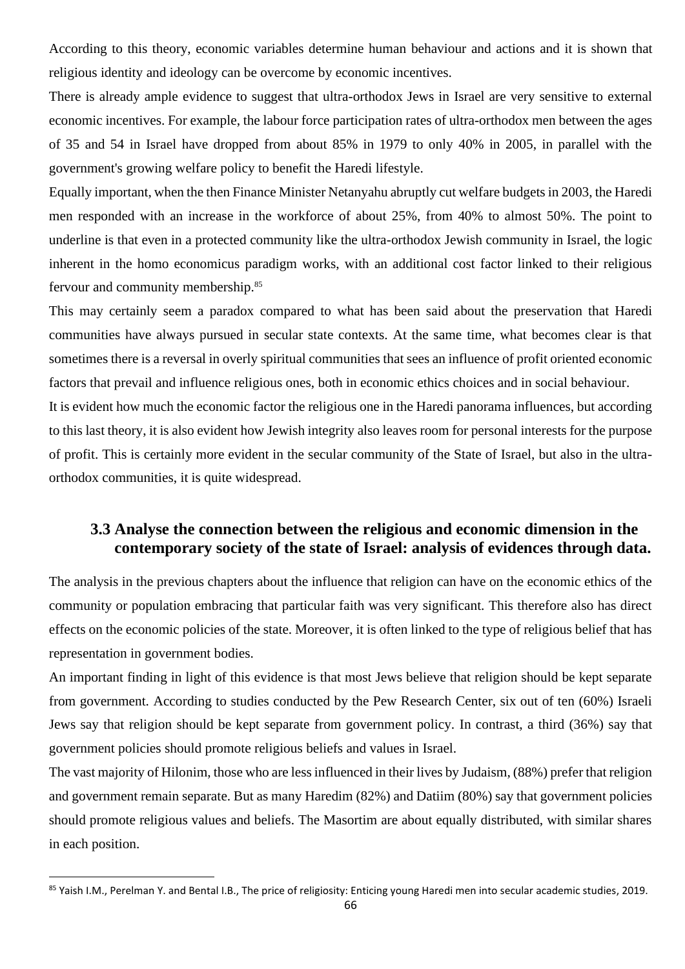According to this theory, economic variables determine human behaviour and actions and it is shown that religious identity and ideology can be overcome by economic incentives.

There is already ample evidence to suggest that ultra-orthodox Jews in Israel are very sensitive to external economic incentives. For example, the labour force participation rates of ultra-orthodox men between the ages of 35 and 54 in Israel have dropped from about 85% in 1979 to only 40% in 2005, in parallel with the government's growing welfare policy to benefit the Haredi lifestyle.

Equally important, when the then Finance Minister Netanyahu abruptly cut welfare budgets in 2003, the Haredi men responded with an increase in the workforce of about 25%, from 40% to almost 50%. The point to underline is that even in a protected community like the ultra-orthodox Jewish community in Israel, the logic inherent in the homo economicus paradigm works, with an additional cost factor linked to their religious fervour and community membership.<sup>85</sup>

This may certainly seem a paradox compared to what has been said about the preservation that Haredi communities have always pursued in secular state contexts. At the same time, what becomes clear is that sometimes there is a reversal in overly spiritual communities that sees an influence of profit oriented economic factors that prevail and influence religious ones, both in economic ethics choices and in social behaviour.

It is evident how much the economic factor the religious one in the Haredi panorama influences, but according to this last theory, it is also evident how Jewish integrity also leaves room for personal interests for the purpose of profit. This is certainly more evident in the secular community of the State of Israel, but also in the ultraorthodox communities, it is quite widespread.

### **3.3 Analyse the connection between the religious and economic dimension in the contemporary society of the state of Israel: analysis of evidences through data.**

The analysis in the previous chapters about the influence that religion can have on the economic ethics of the community or population embracing that particular faith was very significant. This therefore also has direct effects on the economic policies of the state. Moreover, it is often linked to the type of religious belief that has representation in government bodies.

An important finding in light of this evidence is that most Jews believe that religion should be kept separate from government. According to studies conducted by the Pew Research Center, six out of ten (60%) Israeli Jews say that religion should be kept separate from government policy. In contrast, a third (36%) say that government policies should promote religious beliefs and values in Israel.

The vast majority of Hilonim, those who are less influenced in their lives by Judaism, (88%) prefer that religion and government remain separate. But as many Haredim (82%) and Datiim (80%) say that government policies should promote religious values and beliefs. The Masortim are about equally distributed, with similar shares in each position.

<sup>85</sup> Yaish I.M., Perelman Y. and Bental I.B., The price of religiosity: Enticing young Haredi men into secular academic studies, 2019.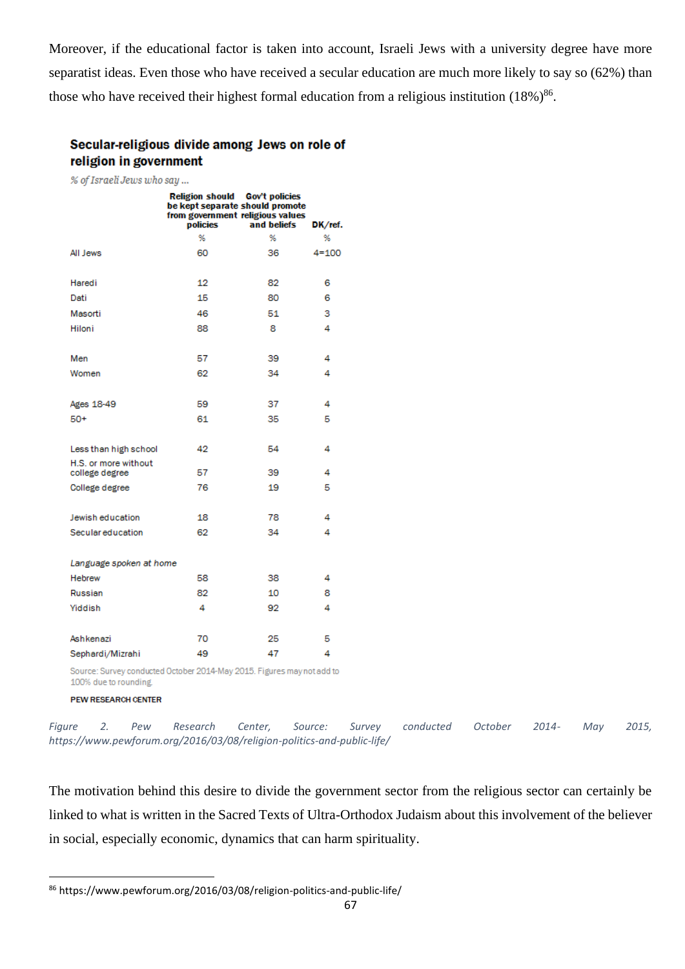Moreover, if the educational factor is taken into account, Israeli Jews with a university degree have more separatist ideas. Even those who have received a secular education are much more likely to say so (62%) than those who have received their highest formal education from a religious institution  $(18\%)^{86}$ .

#### Secular-religious divide among Jews on role of religion in government

% of Israeli Jews who say ...

|                                        | Religion should Gov't policies<br>be kept separate should promote<br>from government religious values<br>policies | and beliefs | DK/ref.   |
|----------------------------------------|-------------------------------------------------------------------------------------------------------------------|-------------|-----------|
|                                        | %                                                                                                                 | %           | %         |
| All Jews                               | 60                                                                                                                | 36          | $4 = 100$ |
| Haredi                                 | 12                                                                                                                | 82          | 6         |
| Dati                                   | 15                                                                                                                | 80          | 6         |
| Masorti                                | 46                                                                                                                | 51          | 3         |
| Hiloni                                 | 88                                                                                                                | 8           | 4         |
| Men                                    | 57                                                                                                                | 39          | 4         |
| Women                                  | 62                                                                                                                | 34          | 4         |
| <b>Ages 18-49</b>                      | 59                                                                                                                | 37          | 4         |
| $50+$                                  | 61                                                                                                                | 35          | 5         |
| Less than high school                  | 42                                                                                                                | 54          | 4         |
| H.S. or more without<br>college degree | 57                                                                                                                | 39          | 4         |
| College degree                         | 76                                                                                                                | 19          | 5         |
| Jewish education                       | 18                                                                                                                | 78          | 4         |
| Secular education                      | 62                                                                                                                | 34          | 4         |
| Language spoken at home                |                                                                                                                   |             |           |
| <b>Hebrew</b>                          | 58                                                                                                                | 38          | 4         |
| Russian                                | 82                                                                                                                | 10          | 8         |
| Yiddish                                | 4                                                                                                                 | 92          | 4         |
| Ashkenazi                              | 70                                                                                                                | 25          | 5         |
| Sephardi/Mizrahi                       | 49                                                                                                                | 47          | 4         |

Source: Survey conducted October 2014-May 2015. Figures may not add to 100% due to rounding.

**PEW RESEARCH CENTER** 

*Figure 2. Pew Research Center, Source: Survey conducted October 2014- May 2015, https://www.pewforum.org/2016/03/08/religion-politics-and-public-life/*

The motivation behind this desire to divide the government sector from the religious sector can certainly be linked to what is written in the Sacred Texts of Ultra-Orthodox Judaism about this involvement of the believer in social, especially economic, dynamics that can harm spirituality.

<sup>86</sup> https://www.pewforum.org/2016/03/08/religion-politics-and-public-life/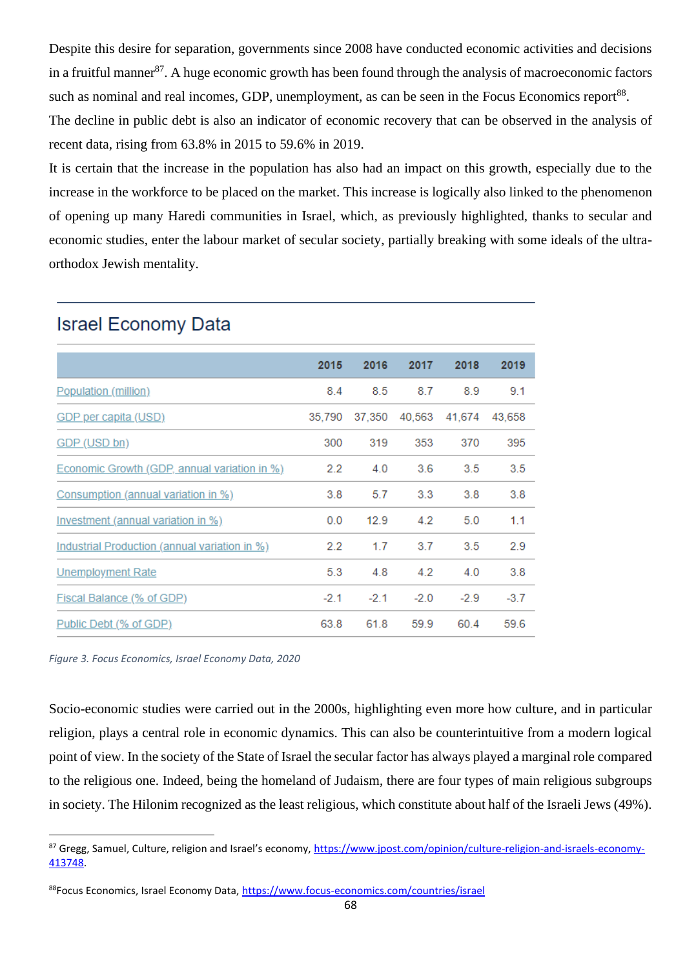Despite this desire for separation, governments since 2008 have conducted economic activities and decisions in a fruitful manner<sup>87</sup>. A huge economic growth has been found through the analysis of macroeconomic factors such as nominal and real incomes, GDP, unemployment, as can be seen in the Focus Economics report<sup>88</sup>. The decline in public debt is also an indicator of economic recovery that can be observed in the analysis of recent data, rising from 63.8% in 2015 to 59.6% in 2019.

It is certain that the increase in the population has also had an impact on this growth, especially due to the increase in the workforce to be placed on the market. This increase is logically also linked to the phenomenon of opening up many Haredi communities in Israel, which, as previously highlighted, thanks to secular and economic studies, enter the labour market of secular society, partially breaking with some ideals of the ultraorthodox Jewish mentality.

|                                               | 2015          | 2016   | 2017   | 2018          | 2019   |
|-----------------------------------------------|---------------|--------|--------|---------------|--------|
| Population (million)                          | 8.4           | 8.5    | 8.7    | 8.9           | 9.1    |
| <b>GDP</b> per capita (USD)                   | 35.790        | 37.350 |        | 40.563 41.674 | 43,658 |
| GDP (USD bn)                                  | 300           | 319    | 353    | 370           | 395    |
| Economic Growth (GDP, annual variation in %)  | $2.2^{\circ}$ | 4.0    | 3.6    | 3.5           | 3.5    |
| Consumption (annual variation in %)           | 3.8           | 5.7    | 3.3    | 3.8           | 3.8    |
| Investment (annual variation in %)            | 0.0           | 12.9   | 4.2    | 5.0           | 1.1    |
| Industrial Production (annual variation in %) | $2.2^{\circ}$ | 1.7    | 3.7    | 3.5           | 2.9    |
| <b>Unemployment Rate</b>                      | 5.3           | 4.8    | 4.2    | 4.0           | 3.8    |
| Fiscal Balance (% of GDP)                     | $-2.1$        | $-2.1$ | $-2.0$ | $-2.9$        | $-3.7$ |
| Public Debt (% of GDP)                        | 63.8          | 61.8   | 59.9   | 60.4          | 59.6   |

## **Israel Economy Data**

*Figure 3. Focus Economics, Israel Economy Data, 2020*

Socio-economic studies were carried out in the 2000s, highlighting even more how culture, and in particular religion, plays a central role in economic dynamics. This can also be counterintuitive from a modern logical point of view. In the society of the State of Israel the secular factor has always played a marginal role compared to the religious one. Indeed, being the homeland of Judaism, there are four types of main religious subgroups in society. The Hilonim recognized as the least religious, which constitute about half of the Israeli Jews (49%).

<sup>87</sup> Gregg, Samuel, Culture, religion and Israel's economy, [https://www.jpost.com/opinion/culture-religion-and-israels-economy-](https://www.jpost.com/opinion/culture-religion-and-israels-economy-413748)[413748.](https://www.jpost.com/opinion/culture-religion-and-israels-economy-413748)

<sup>88</sup>Focus Economics, Israel Economy Data[, https://www.focus-economics.com/countries/israel](https://www.focus-economics.com/countries/israel)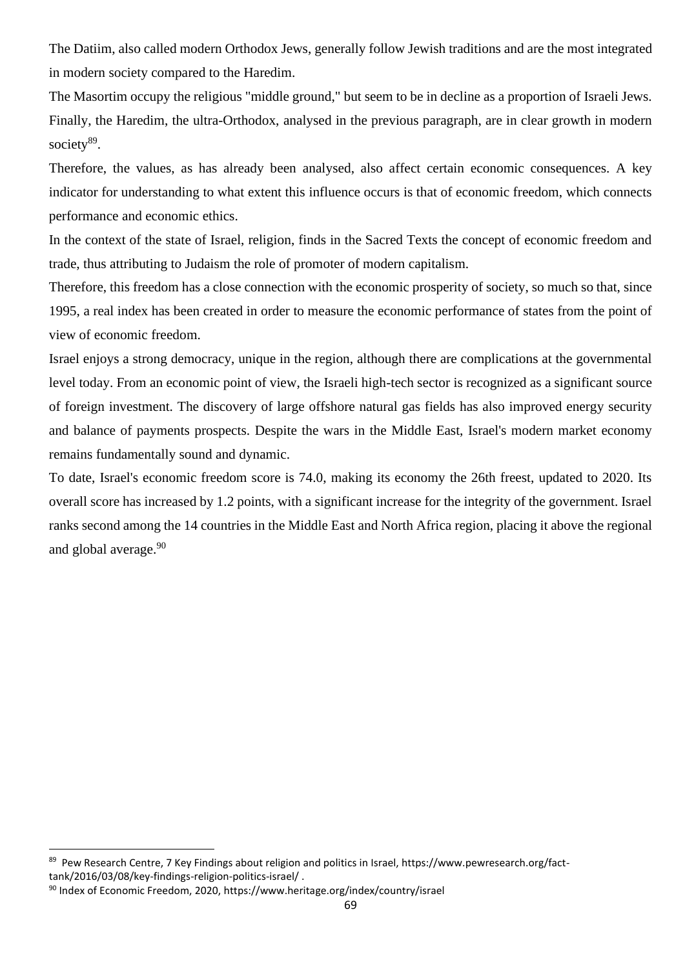The Datiim, also called modern Orthodox Jews, generally follow Jewish traditions and are the most integrated in modern society compared to the Haredim.

The Masortim occupy the religious "middle ground," but seem to be in decline as a proportion of Israeli Jews. Finally, the Haredim, the ultra-Orthodox, analysed in the previous paragraph, are in clear growth in modern society<sup>89</sup>.

Therefore, the values, as has already been analysed, also affect certain economic consequences. A key indicator for understanding to what extent this influence occurs is that of economic freedom, which connects performance and economic ethics.

In the context of the state of Israel, religion, finds in the Sacred Texts the concept of economic freedom and trade, thus attributing to Judaism the role of promoter of modern capitalism.

Therefore, this freedom has a close connection with the economic prosperity of society, so much so that, since 1995, a real index has been created in order to measure the economic performance of states from the point of view of economic freedom.

Israel enjoys a strong democracy, unique in the region, although there are complications at the governmental level today. From an economic point of view, the Israeli high-tech sector is recognized as a significant source of foreign investment. The discovery of large offshore natural gas fields has also improved energy security and balance of payments prospects. Despite the wars in the Middle East, Israel's modern market economy remains fundamentally sound and dynamic.

To date, Israel's economic freedom score is 74.0, making its economy the 26th freest, updated to 2020. Its overall score has increased by 1.2 points, with a significant increase for the integrity of the government. Israel ranks second among the 14 countries in the Middle East and North Africa region, placing it above the regional and global average.<sup>90</sup>

<sup>&</sup>lt;sup>89</sup> Pew Research Centre, 7 Key Findings about religion and politics in Israel, https://www.pewresearch.org/facttank/2016/03/08/key-findings-religion-politics-israel/ .

<sup>90</sup> Index of Economic Freedom, 2020, https://www.heritage.org/index/country/israel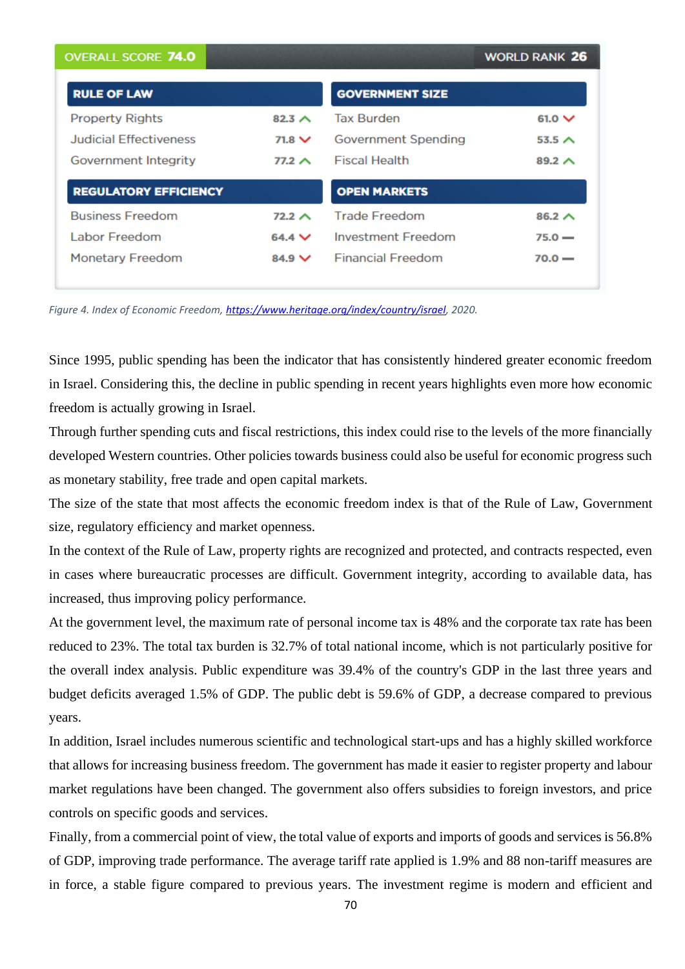| <b>OVERALL SCORE 74.0</b>     |               |                          | <b>WORLD RANK 26</b> |
|-------------------------------|---------------|--------------------------|----------------------|
| <b>RULE OF LAW</b>            |               | <b>GOVERNMENT SIZE</b>   |                      |
| <b>Property Rights</b>        | 82.3 $\land$  | <b>Tax Burden</b>        | $61.0 \vee$          |
| <b>Judicial Effectiveness</b> | $71.8 \vee$   | Government Spending      | 53.5 $\land$         |
| Government Integrity          | $77.2 \wedge$ | <b>Fiscal Health</b>     | $89.2 \wedge$        |
| <b>REGULATORY EFFICIENCY</b>  |               | <b>OPEN MARKETS</b>      |                      |
| <b>Business Freedom</b>       | $72.2 \wedge$ | <b>Trade Freedom</b>     | $86.2 \wedge$        |
| <b>Labor Freedom</b>          | $64.4 \vee$   | Investment Freedom       | $75.0 -$             |
| <b>Monetary Freedom</b>       | $84.9 \vee$   | <b>Financial Freedom</b> | $70.0 -$             |

*Figure 4. Index of Economic Freedom, [https://www.heritage.org/index/country/israel,](https://www.heritage.org/index/country/israel) 2020.*

Since 1995, public spending has been the indicator that has consistently hindered greater economic freedom in Israel. Considering this, the decline in public spending in recent years highlights even more how economic freedom is actually growing in Israel.

Through further spending cuts and fiscal restrictions, this index could rise to the levels of the more financially developed Western countries. Other policies towards business could also be useful for economic progress such as monetary stability, free trade and open capital markets.

The size of the state that most affects the economic freedom index is that of the Rule of Law, Government size, regulatory efficiency and market openness.

In the context of the Rule of Law, property rights are recognized and protected, and contracts respected, even in cases where bureaucratic processes are difficult. Government integrity, according to available data, has increased, thus improving policy performance.

At the government level, the maximum rate of personal income tax is 48% and the corporate tax rate has been reduced to 23%. The total tax burden is 32.7% of total national income, which is not particularly positive for the overall index analysis. Public expenditure was 39.4% of the country's GDP in the last three years and budget deficits averaged 1.5% of GDP. The public debt is 59.6% of GDP, a decrease compared to previous years.

In addition, Israel includes numerous scientific and technological start-ups and has a highly skilled workforce that allows for increasing business freedom. The government has made it easier to register property and labour market regulations have been changed. The government also offers subsidies to foreign investors, and price controls on specific goods and services.

Finally, from a commercial point of view, the total value of exports and imports of goods and services is 56.8% of GDP, improving trade performance. The average tariff rate applied is 1.9% and 88 non-tariff measures are in force, a stable figure compared to previous years. The investment regime is modern and efficient and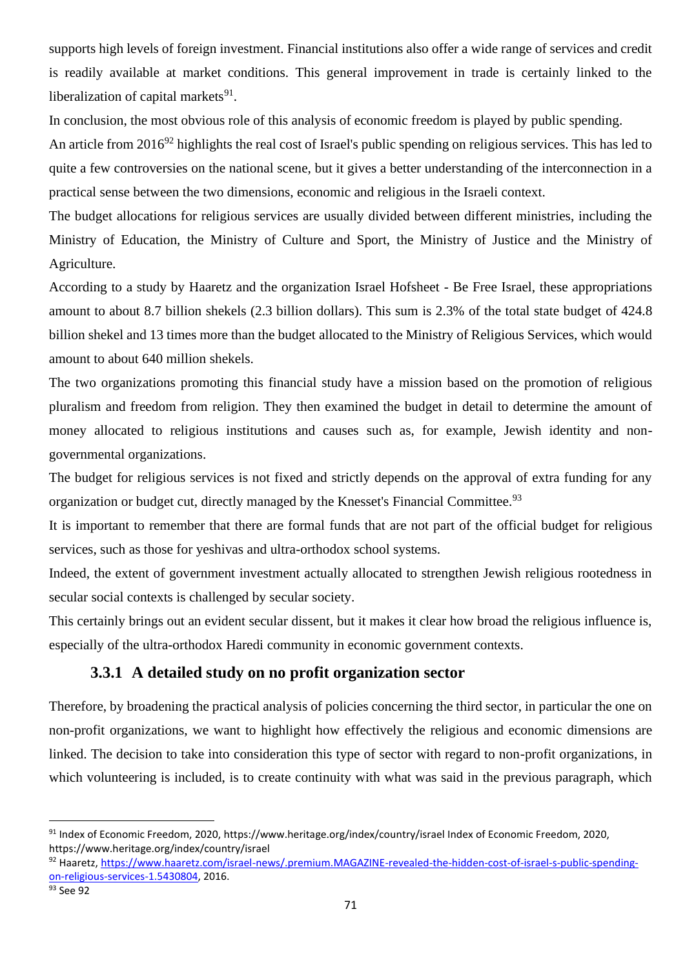supports high levels of foreign investment. Financial institutions also offer a wide range of services and credit is readily available at market conditions. This general improvement in trade is certainly linked to the liberalization of capital markets<sup>91</sup>.

In conclusion, the most obvious role of this analysis of economic freedom is played by public spending.

An article from 2016<sup>92</sup> highlights the real cost of Israel's public spending on religious services. This has led to quite a few controversies on the national scene, but it gives a better understanding of the interconnection in a practical sense between the two dimensions, economic and religious in the Israeli context.

The budget allocations for religious services are usually divided between different ministries, including the Ministry of Education, the Ministry of Culture and Sport, the Ministry of Justice and the Ministry of Agriculture.

According to a study by Haaretz and the organization Israel Hofsheet - Be Free Israel, these appropriations amount to about 8.7 billion shekels (2.3 billion dollars). This sum is 2.3% of the total state budget of 424.8 billion shekel and 13 times more than the budget allocated to the Ministry of Religious Services, which would amount to about 640 million shekels.

The two organizations promoting this financial study have a mission based on the promotion of religious pluralism and freedom from religion. They then examined the budget in detail to determine the amount of money allocated to religious institutions and causes such as, for example, Jewish identity and nongovernmental organizations.

The budget for religious services is not fixed and strictly depends on the approval of extra funding for any organization or budget cut, directly managed by the Knesset's Financial Committee.<sup>93</sup>

It is important to remember that there are formal funds that are not part of the official budget for religious services, such as those for yeshivas and ultra-orthodox school systems.

Indeed, the extent of government investment actually allocated to strengthen Jewish religious rootedness in secular social contexts is challenged by secular society.

This certainly brings out an evident secular dissent, but it makes it clear how broad the religious influence is, especially of the ultra-orthodox Haredi community in economic government contexts.

### **3.3.1 A detailed study on no profit organization sector**

Therefore, by broadening the practical analysis of policies concerning the third sector, in particular the one on non-profit organizations, we want to highlight how effectively the religious and economic dimensions are linked. The decision to take into consideration this type of sector with regard to non-profit organizations, in which volunteering is included, is to create continuity with what was said in the previous paragraph, which

<sup>91</sup> Index of Economic Freedom, 2020, https://www.heritage.org/index/country/israel Index of Economic Freedom, 2020, https://www.heritage.org/index/country/israel

<sup>92</sup> Haaretz[, https://www.haaretz.com/israel-news/.premium.MAGAZINE-revealed-the-hidden-cost-of-israel-s-public-spending](https://www.haaretz.com/israel-news/.premium.MAGAZINE-revealed-the-hidden-cost-of-israel-s-public-spending-on-religious-services-1.5430804)[on-religious-services-1.5430804,](https://www.haaretz.com/israel-news/.premium.MAGAZINE-revealed-the-hidden-cost-of-israel-s-public-spending-on-religious-services-1.5430804) 2016.

<sup>93</sup> See 92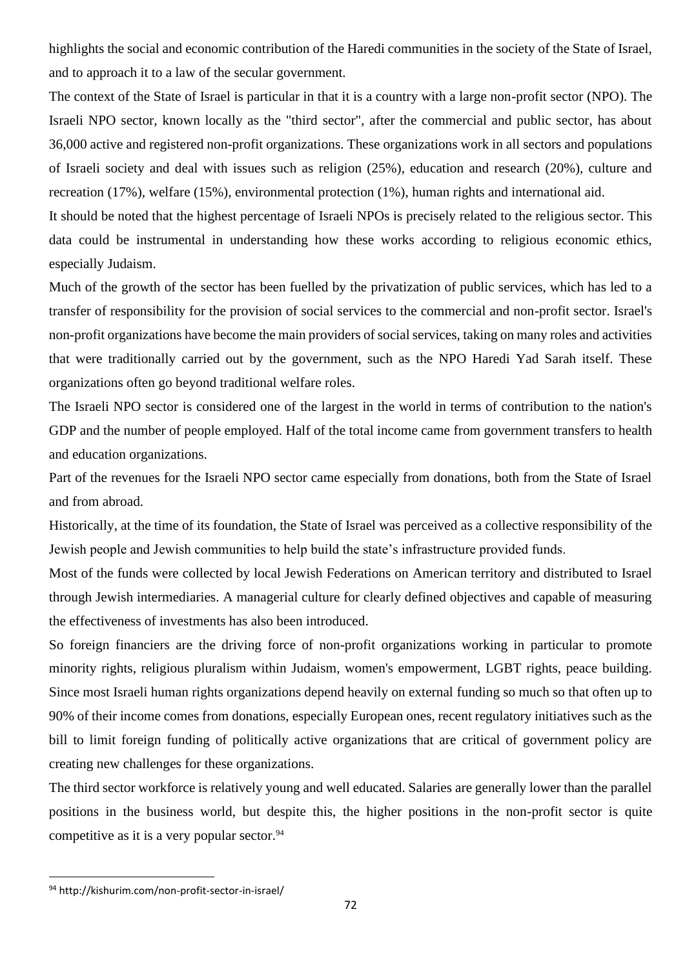highlights the social and economic contribution of the Haredi communities in the society of the State of Israel, and to approach it to a law of the secular government.

The context of the State of Israel is particular in that it is a country with a large non-profit sector (NPO). The Israeli NPO sector, known locally as the "third sector", after the commercial and public sector, has about 36,000 active and registered non-profit organizations. These organizations work in all sectors and populations of Israeli society and deal with issues such as religion (25%), education and research (20%), culture and recreation (17%), welfare (15%), environmental protection (1%), human rights and international aid.

It should be noted that the highest percentage of Israeli NPOs is precisely related to the religious sector. This data could be instrumental in understanding how these works according to religious economic ethics, especially Judaism.

Much of the growth of the sector has been fuelled by the privatization of public services, which has led to a transfer of responsibility for the provision of social services to the commercial and non-profit sector. Israel's non-profit organizations have become the main providers of social services, taking on many roles and activities that were traditionally carried out by the government, such as the NPO Haredi Yad Sarah itself. These organizations often go beyond traditional welfare roles.

The Israeli NPO sector is considered one of the largest in the world in terms of contribution to the nation's GDP and the number of people employed. Half of the total income came from government transfers to health and education organizations.

Part of the revenues for the Israeli NPO sector came especially from donations, both from the State of Israel and from abroad.

Historically, at the time of its foundation, the State of Israel was perceived as a collective responsibility of the Jewish people and Jewish communities to help build the state's infrastructure provided funds.

Most of the funds were collected by local Jewish Federations on American territory and distributed to Israel through Jewish intermediaries. A managerial culture for clearly defined objectives and capable of measuring the effectiveness of investments has also been introduced.

So foreign financiers are the driving force of non-profit organizations working in particular to promote minority rights, religious pluralism within Judaism, women's empowerment, LGBT rights, peace building. Since most Israeli human rights organizations depend heavily on external funding so much so that often up to 90% of their income comes from donations, especially European ones, recent regulatory initiatives such as the bill to limit foreign funding of politically active organizations that are critical of government policy are creating new challenges for these organizations.

The third sector workforce is relatively young and well educated. Salaries are generally lower than the parallel positions in the business world, but despite this, the higher positions in the non-profit sector is quite competitive as it is a very popular sector.<sup>94</sup>

<sup>94</sup> http://kishurim.com/non-profit-sector-in-israel/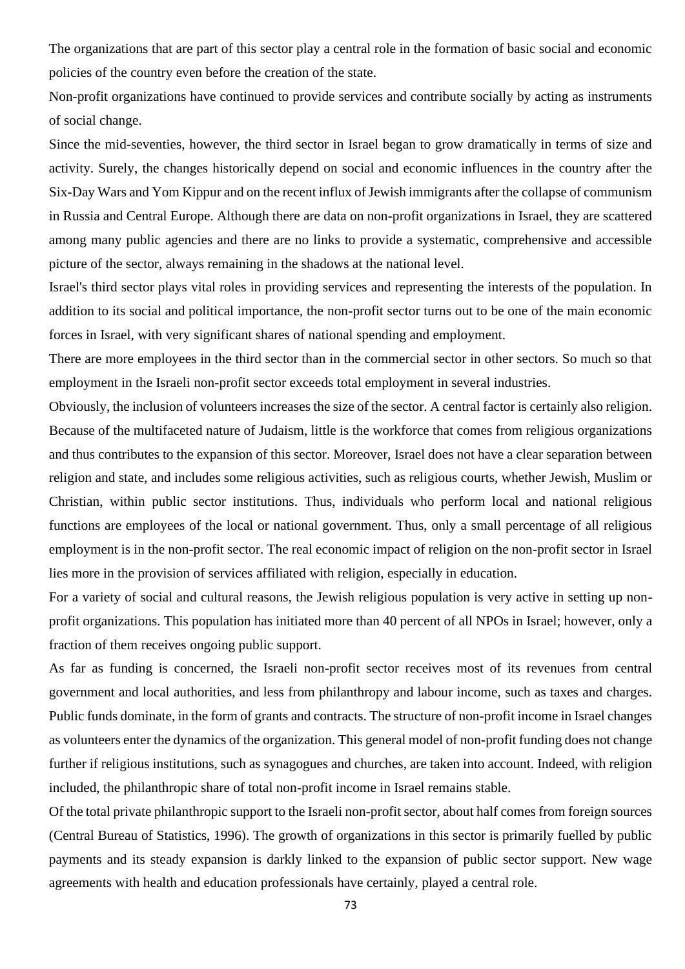The organizations that are part of this sector play a central role in the formation of basic social and economic policies of the country even before the creation of the state.

Non-profit organizations have continued to provide services and contribute socially by acting as instruments of social change.

Since the mid-seventies, however, the third sector in Israel began to grow dramatically in terms of size and activity. Surely, the changes historically depend on social and economic influences in the country after the Six-Day Wars and Yom Kippur and on the recent influx of Jewish immigrants after the collapse of communism in Russia and Central Europe. Although there are data on non-profit organizations in Israel, they are scattered among many public agencies and there are no links to provide a systematic, comprehensive and accessible picture of the sector, always remaining in the shadows at the national level.

Israel's third sector plays vital roles in providing services and representing the interests of the population. In addition to its social and political importance, the non-profit sector turns out to be one of the main economic forces in Israel, with very significant shares of national spending and employment.

There are more employees in the third sector than in the commercial sector in other sectors. So much so that employment in the Israeli non-profit sector exceeds total employment in several industries.

Obviously, the inclusion of volunteers increases the size of the sector. A central factor is certainly also religion. Because of the multifaceted nature of Judaism, little is the workforce that comes from religious organizations and thus contributes to the expansion of this sector. Moreover, Israel does not have a clear separation between religion and state, and includes some religious activities, such as religious courts, whether Jewish, Muslim or Christian, within public sector institutions. Thus, individuals who perform local and national religious functions are employees of the local or national government. Thus, only a small percentage of all religious employment is in the non-profit sector. The real economic impact of religion on the non-profit sector in Israel lies more in the provision of services affiliated with religion, especially in education.

For a variety of social and cultural reasons, the Jewish religious population is very active in setting up nonprofit organizations. This population has initiated more than 40 percent of all NPOs in Israel; however, only a fraction of them receives ongoing public support.

As far as funding is concerned, the Israeli non-profit sector receives most of its revenues from central government and local authorities, and less from philanthropy and labour income, such as taxes and charges. Public funds dominate, in the form of grants and contracts. The structure of non-profit income in Israel changes as volunteers enter the dynamics of the organization. This general model of non-profit funding does not change further if religious institutions, such as synagogues and churches, are taken into account. Indeed, with religion included, the philanthropic share of total non-profit income in Israel remains stable.

Of the total private philanthropic support to the Israeli non-profit sector, about half comes from foreign sources (Central Bureau of Statistics, 1996). The growth of organizations in this sector is primarily fuelled by public payments and its steady expansion is darkly linked to the expansion of public sector support. New wage agreements with health and education professionals have certainly, played a central role.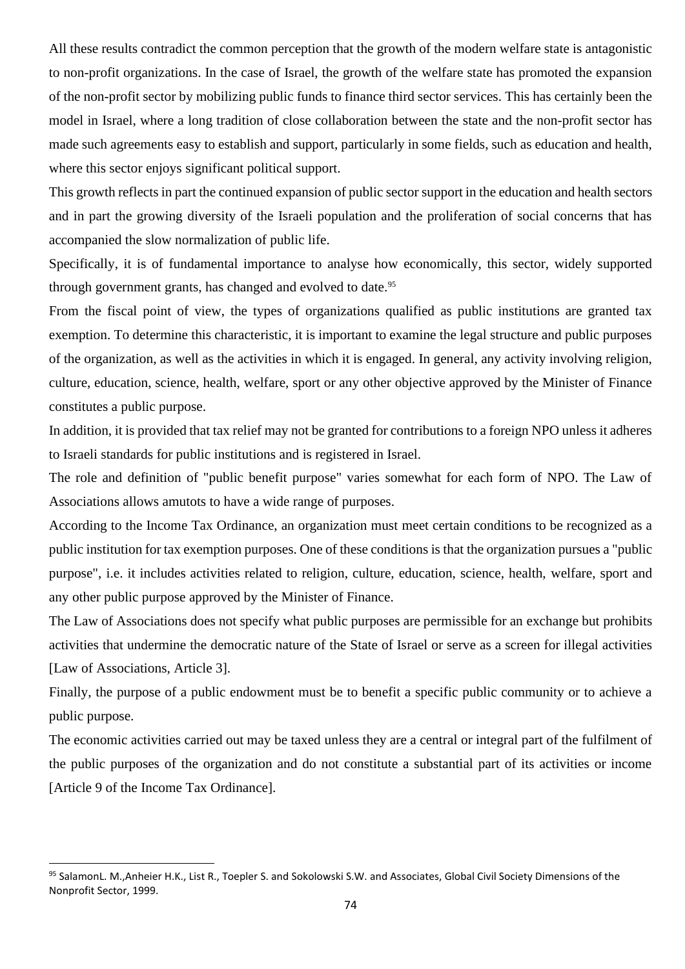All these results contradict the common perception that the growth of the modern welfare state is antagonistic to non-profit organizations. In the case of Israel, the growth of the welfare state has promoted the expansion of the non-profit sector by mobilizing public funds to finance third sector services. This has certainly been the model in Israel, where a long tradition of close collaboration between the state and the non-profit sector has made such agreements easy to establish and support, particularly in some fields, such as education and health, where this sector enjoys significant political support.

This growth reflects in part the continued expansion of public sector support in the education and health sectors and in part the growing diversity of the Israeli population and the proliferation of social concerns that has accompanied the slow normalization of public life.

Specifically, it is of fundamental importance to analyse how economically, this sector, widely supported through government grants, has changed and evolved to date.<sup>95</sup>

From the fiscal point of view, the types of organizations qualified as public institutions are granted tax exemption. To determine this characteristic, it is important to examine the legal structure and public purposes of the organization, as well as the activities in which it is engaged. In general, any activity involving religion, culture, education, science, health, welfare, sport or any other objective approved by the Minister of Finance constitutes a public purpose.

In addition, it is provided that tax relief may not be granted for contributions to a foreign NPO unless it adheres to Israeli standards for public institutions and is registered in Israel.

The role and definition of "public benefit purpose" varies somewhat for each form of NPO. The Law of Associations allows amutots to have a wide range of purposes.

According to the Income Tax Ordinance, an organization must meet certain conditions to be recognized as a public institution for tax exemption purposes. One of these conditions is that the organization pursues a "public purpose", i.e. it includes activities related to religion, culture, education, science, health, welfare, sport and any other public purpose approved by the Minister of Finance.

The Law of Associations does not specify what public purposes are permissible for an exchange but prohibits activities that undermine the democratic nature of the State of Israel or serve as a screen for illegal activities [Law of Associations, Article 3].

Finally, the purpose of a public endowment must be to benefit a specific public community or to achieve a public purpose.

The economic activities carried out may be taxed unless they are a central or integral part of the fulfilment of the public purposes of the organization and do not constitute a substantial part of its activities or income [Article 9 of the Income Tax Ordinance].

<sup>95</sup> SalamonL. M.,Anheier H.K., List R., Toepler S. and Sokolowski S.W. and Associates, Global Civil Society Dimensions of the Nonprofit Sector, 1999.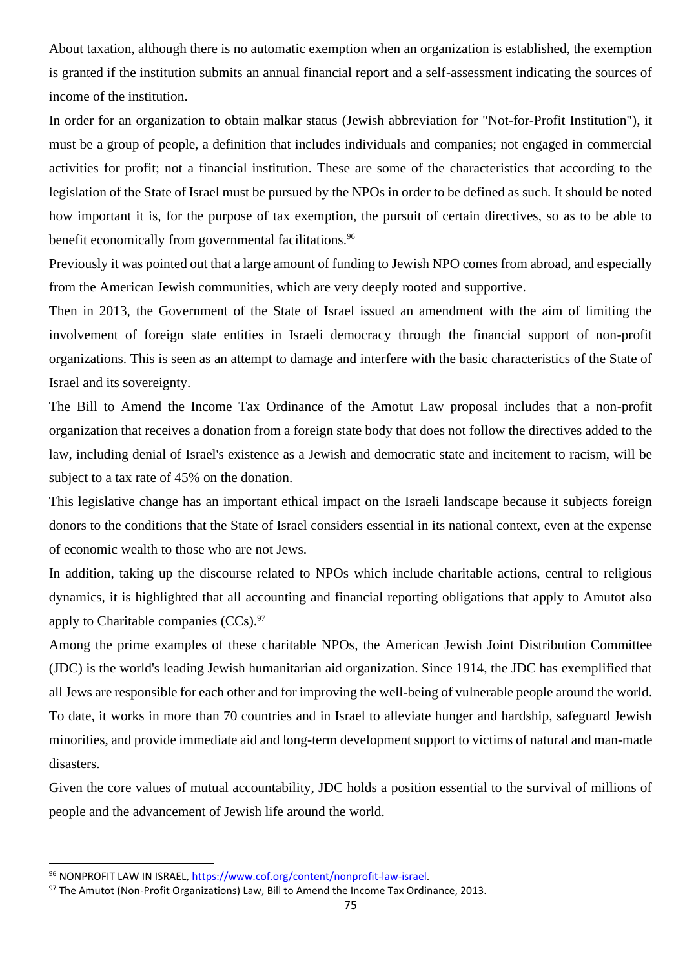About taxation, although there is no automatic exemption when an organization is established, the exemption is granted if the institution submits an annual financial report and a self-assessment indicating the sources of income of the institution.

In order for an organization to obtain malkar status (Jewish abbreviation for "Not-for-Profit Institution"), it must be a group of people, a definition that includes individuals and companies; not engaged in commercial activities for profit; not a financial institution. These are some of the characteristics that according to the legislation of the State of Israel must be pursued by the NPOs in order to be defined as such. It should be noted how important it is, for the purpose of tax exemption, the pursuit of certain directives, so as to be able to benefit economically from governmental facilitations.<sup>96</sup>

Previously it was pointed out that a large amount of funding to Jewish NPO comes from abroad, and especially from the American Jewish communities, which are very deeply rooted and supportive.

Then in 2013, the Government of the State of Israel issued an amendment with the aim of limiting the involvement of foreign state entities in Israeli democracy through the financial support of non-profit organizations. This is seen as an attempt to damage and interfere with the basic characteristics of the State of Israel and its sovereignty.

The Bill to Amend the Income Tax Ordinance of the Amotut Law proposal includes that a non-profit organization that receives a donation from a foreign state body that does not follow the directives added to the law, including denial of Israel's existence as a Jewish and democratic state and incitement to racism, will be subject to a tax rate of 45% on the donation.

This legislative change has an important ethical impact on the Israeli landscape because it subjects foreign donors to the conditions that the State of Israel considers essential in its national context, even at the expense of economic wealth to those who are not Jews.

In addition, taking up the discourse related to NPOs which include charitable actions, central to religious dynamics, it is highlighted that all accounting and financial reporting obligations that apply to Amutot also apply to Charitable companies  $(CCs)$ .<sup>97</sup>

Among the prime examples of these charitable NPOs, the American Jewish Joint Distribution Committee (JDC) is the world's leading Jewish humanitarian aid organization. Since 1914, the JDC has exemplified that all Jews are responsible for each other and for improving the well-being of vulnerable people around the world. To date, it works in more than 70 countries and in Israel to alleviate hunger and hardship, safeguard Jewish minorities, and provide immediate aid and long-term development support to victims of natural and man-made disasters.

Given the core values of mutual accountability, JDC holds a position essential to the survival of millions of people and the advancement of Jewish life around the world.

<sup>96</sup> NONPROFIT LAW IN ISRAEL, [https://www.cof.org/content/nonprofit-law-israel.](https://www.cof.org/content/nonprofit-law-israel)

<sup>97</sup> The Amutot (Non-Profit Organizations) Law, Bill to Amend the Income Tax Ordinance, 2013.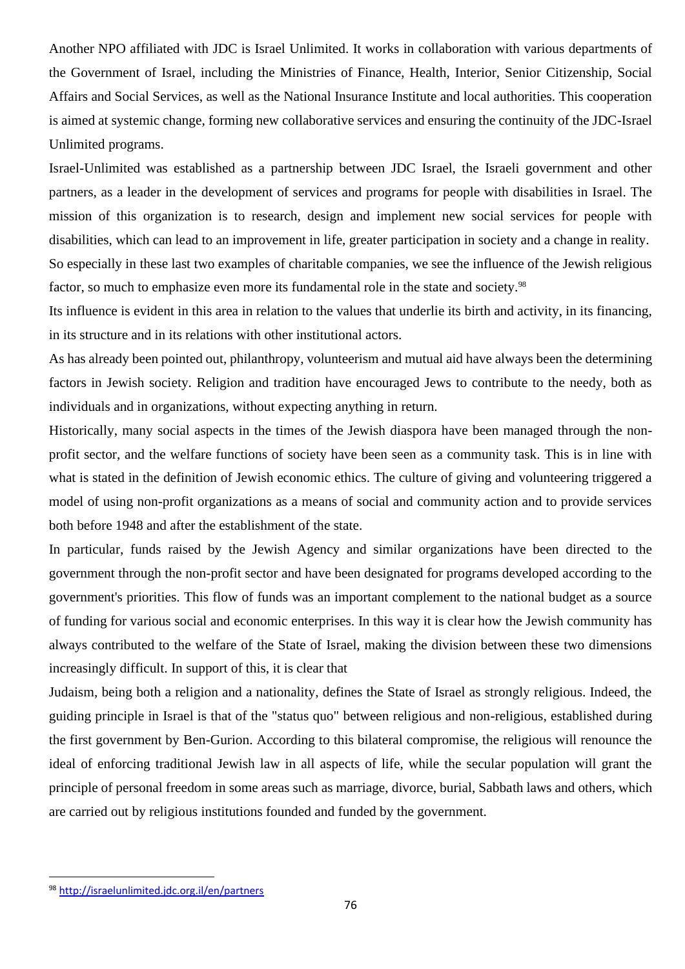Another NPO affiliated with JDC is Israel Unlimited. It works in collaboration with various departments of the Government of Israel, including the Ministries of Finance, Health, Interior, Senior Citizenship, Social Affairs and Social Services, as well as the National Insurance Institute and local authorities. This cooperation is aimed at systemic change, forming new collaborative services and ensuring the continuity of the JDC-Israel Unlimited programs.

Israel-Unlimited was established as a partnership between JDC Israel, the Israeli government and other partners, as a leader in the development of services and programs for people with disabilities in Israel. The mission of this organization is to research, design and implement new social services for people with disabilities, which can lead to an improvement in life, greater participation in society and a change in reality. So especially in these last two examples of charitable companies, we see the influence of the Jewish religious factor, so much to emphasize even more its fundamental role in the state and society.<sup>98</sup>

Its influence is evident in this area in relation to the values that underlie its birth and activity, in its financing, in its structure and in its relations with other institutional actors.

As has already been pointed out, philanthropy, volunteerism and mutual aid have always been the determining factors in Jewish society. Religion and tradition have encouraged Jews to contribute to the needy, both as individuals and in organizations, without expecting anything in return.

Historically, many social aspects in the times of the Jewish diaspora have been managed through the nonprofit sector, and the welfare functions of society have been seen as a community task. This is in line with what is stated in the definition of Jewish economic ethics. The culture of giving and volunteering triggered a model of using non-profit organizations as a means of social and community action and to provide services both before 1948 and after the establishment of the state.

In particular, funds raised by the Jewish Agency and similar organizations have been directed to the government through the non-profit sector and have been designated for programs developed according to the government's priorities. This flow of funds was an important complement to the national budget as a source of funding for various social and economic enterprises. In this way it is clear how the Jewish community has always contributed to the welfare of the State of Israel, making the division between these two dimensions increasingly difficult. In support of this, it is clear that

Judaism, being both a religion and a nationality, defines the State of Israel as strongly religious. Indeed, the guiding principle in Israel is that of the "status quo" between religious and non-religious, established during the first government by Ben-Gurion. According to this bilateral compromise, the religious will renounce the ideal of enforcing traditional Jewish law in all aspects of life, while the secular population will grant the principle of personal freedom in some areas such as marriage, divorce, burial, Sabbath laws and others, which are carried out by religious institutions founded and funded by the government.

<sup>98</sup> <http://israelunlimited.jdc.org.il/en/partners>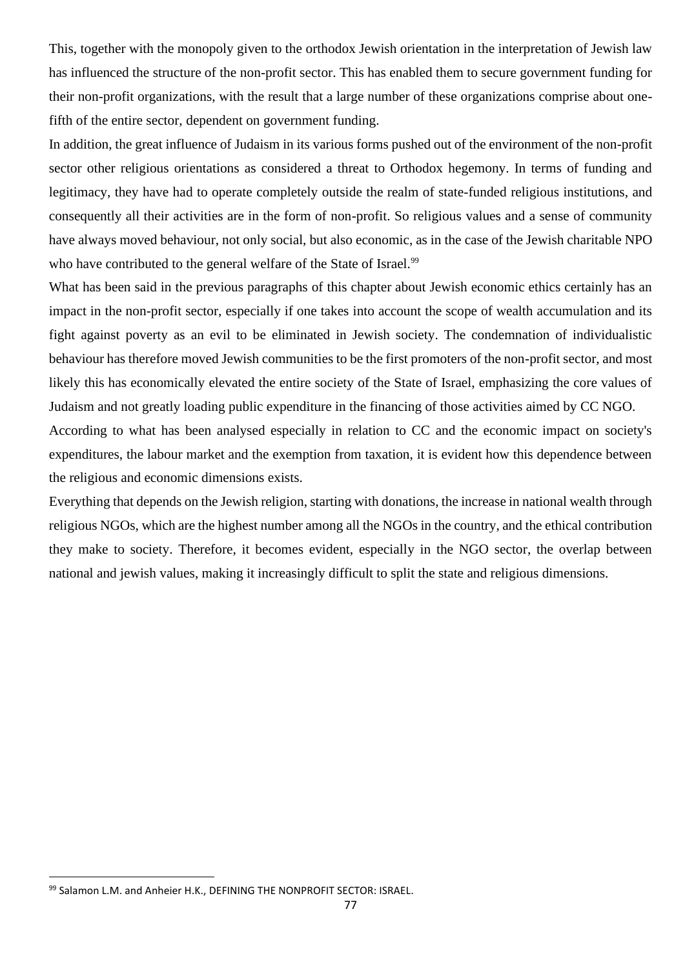This, together with the monopoly given to the orthodox Jewish orientation in the interpretation of Jewish law has influenced the structure of the non-profit sector. This has enabled them to secure government funding for their non-profit organizations, with the result that a large number of these organizations comprise about onefifth of the entire sector, dependent on government funding.

In addition, the great influence of Judaism in its various forms pushed out of the environment of the non-profit sector other religious orientations as considered a threat to Orthodox hegemony. In terms of funding and legitimacy, they have had to operate completely outside the realm of state-funded religious institutions, and consequently all their activities are in the form of non-profit. So religious values and a sense of community have always moved behaviour, not only social, but also economic, as in the case of the Jewish charitable NPO who have contributed to the general welfare of the State of Israel.<sup>99</sup>

What has been said in the previous paragraphs of this chapter about Jewish economic ethics certainly has an impact in the non-profit sector, especially if one takes into account the scope of wealth accumulation and its fight against poverty as an evil to be eliminated in Jewish society. The condemnation of individualistic behaviour has therefore moved Jewish communities to be the first promoters of the non-profit sector, and most likely this has economically elevated the entire society of the State of Israel, emphasizing the core values of Judaism and not greatly loading public expenditure in the financing of those activities aimed by CC NGO.

According to what has been analysed especially in relation to CC and the economic impact on society's expenditures, the labour market and the exemption from taxation, it is evident how this dependence between the religious and economic dimensions exists.

Everything that depends on the Jewish religion, starting with donations, the increase in national wealth through religious NGOs, which are the highest number among all the NGOs in the country, and the ethical contribution they make to society. Therefore, it becomes evident, especially in the NGO sector, the overlap between national and jewish values, making it increasingly difficult to split the state and religious dimensions.

<sup>99</sup> Salamon L.M. and Anheier H.K., DEFINING THE NONPROFIT SECTOR: ISRAEL.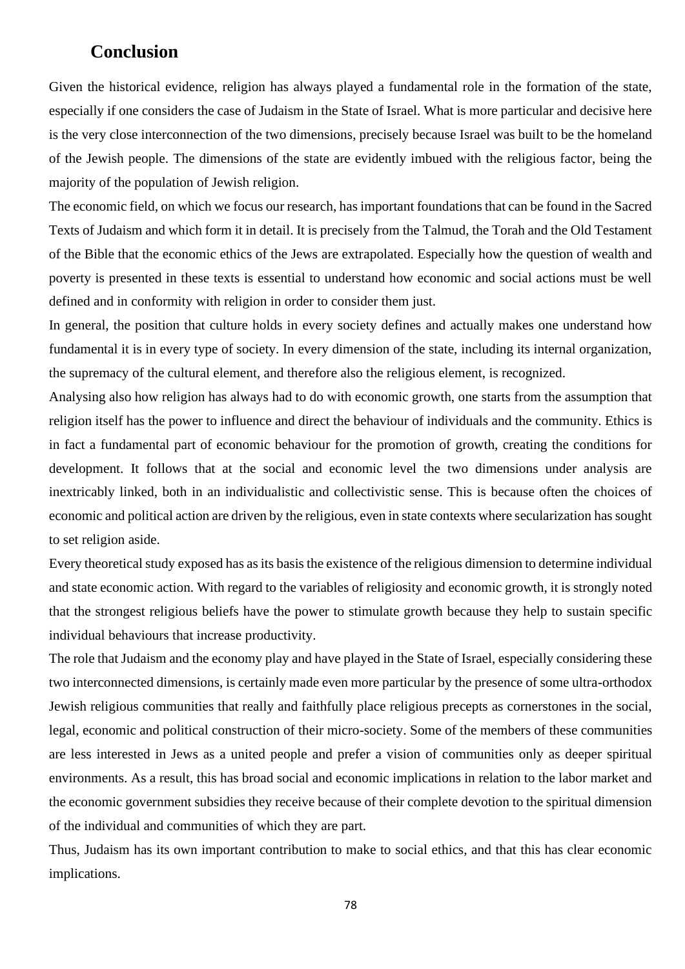## **Conclusion**

Given the historical evidence, religion has always played a fundamental role in the formation of the state, especially if one considers the case of Judaism in the State of Israel. What is more particular and decisive here is the very close interconnection of the two dimensions, precisely because Israel was built to be the homeland of the Jewish people. The dimensions of the state are evidently imbued with the religious factor, being the majority of the population of Jewish religion.

The economic field, on which we focus our research, has important foundations that can be found in the Sacred Texts of Judaism and which form it in detail. It is precisely from the Talmud, the Torah and the Old Testament of the Bible that the economic ethics of the Jews are extrapolated. Especially how the question of wealth and poverty is presented in these texts is essential to understand how economic and social actions must be well defined and in conformity with religion in order to consider them just.

In general, the position that culture holds in every society defines and actually makes one understand how fundamental it is in every type of society. In every dimension of the state, including its internal organization, the supremacy of the cultural element, and therefore also the religious element, is recognized.

Analysing also how religion has always had to do with economic growth, one starts from the assumption that religion itself has the power to influence and direct the behaviour of individuals and the community. Ethics is in fact a fundamental part of economic behaviour for the promotion of growth, creating the conditions for development. It follows that at the social and economic level the two dimensions under analysis are inextricably linked, both in an individualistic and collectivistic sense. This is because often the choices of economic and political action are driven by the religious, even in state contexts where secularization has sought to set religion aside.

Every theoretical study exposed has as its basis the existence of the religious dimension to determine individual and state economic action. With regard to the variables of religiosity and economic growth, it is strongly noted that the strongest religious beliefs have the power to stimulate growth because they help to sustain specific individual behaviours that increase productivity.

The role that Judaism and the economy play and have played in the State of Israel, especially considering these two interconnected dimensions, is certainly made even more particular by the presence of some ultra-orthodox Jewish religious communities that really and faithfully place religious precepts as cornerstones in the social, legal, economic and political construction of their micro-society. Some of the members of these communities are less interested in Jews as a united people and prefer a vision of communities only as deeper spiritual environments. As a result, this has broad social and economic implications in relation to the labor market and the economic government subsidies they receive because of their complete devotion to the spiritual dimension of the individual and communities of which they are part.

Thus, Judaism has its own important contribution to make to social ethics, and that this has clear economic implications.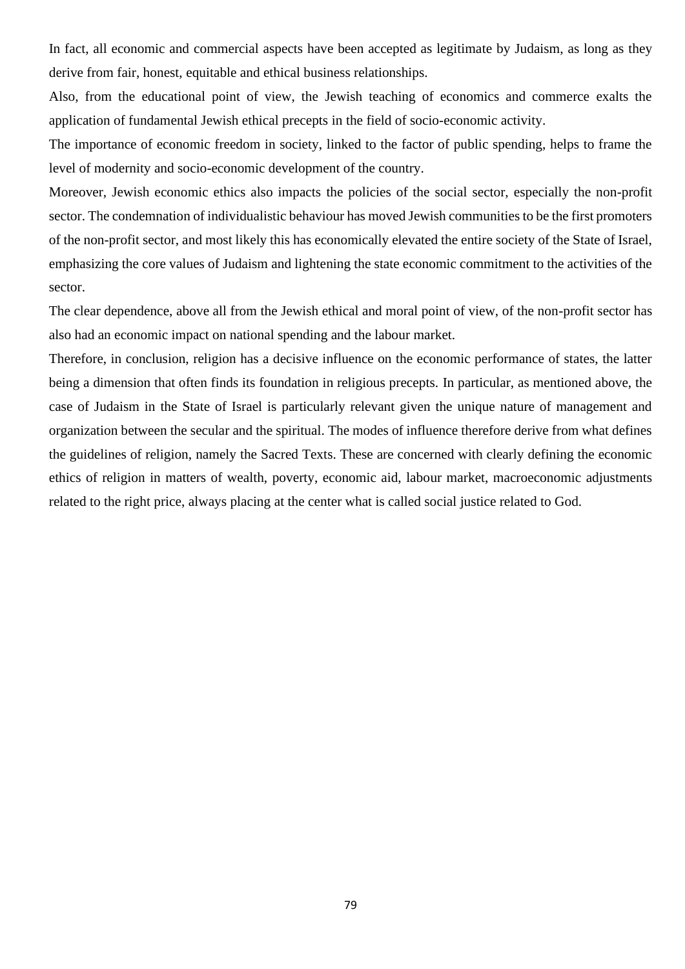In fact, all economic and commercial aspects have been accepted as legitimate by Judaism, as long as they derive from fair, honest, equitable and ethical business relationships.

Also, from the educational point of view, the Jewish teaching of economics and commerce exalts the application of fundamental Jewish ethical precepts in the field of socio-economic activity.

The importance of economic freedom in society, linked to the factor of public spending, helps to frame the level of modernity and socio-economic development of the country.

Moreover, Jewish economic ethics also impacts the policies of the social sector, especially the non-profit sector. The condemnation of individualistic behaviour has moved Jewish communities to be the first promoters of the non-profit sector, and most likely this has economically elevated the entire society of the State of Israel, emphasizing the core values of Judaism and lightening the state economic commitment to the activities of the sector.

The clear dependence, above all from the Jewish ethical and moral point of view, of the non-profit sector has also had an economic impact on national spending and the labour market.

Therefore, in conclusion, religion has a decisive influence on the economic performance of states, the latter being a dimension that often finds its foundation in religious precepts. In particular, as mentioned above, the case of Judaism in the State of Israel is particularly relevant given the unique nature of management and organization between the secular and the spiritual. The modes of influence therefore derive from what defines the guidelines of religion, namely the Sacred Texts. These are concerned with clearly defining the economic ethics of religion in matters of wealth, poverty, economic aid, labour market, macroeconomic adjustments related to the right price, always placing at the center what is called social justice related to God.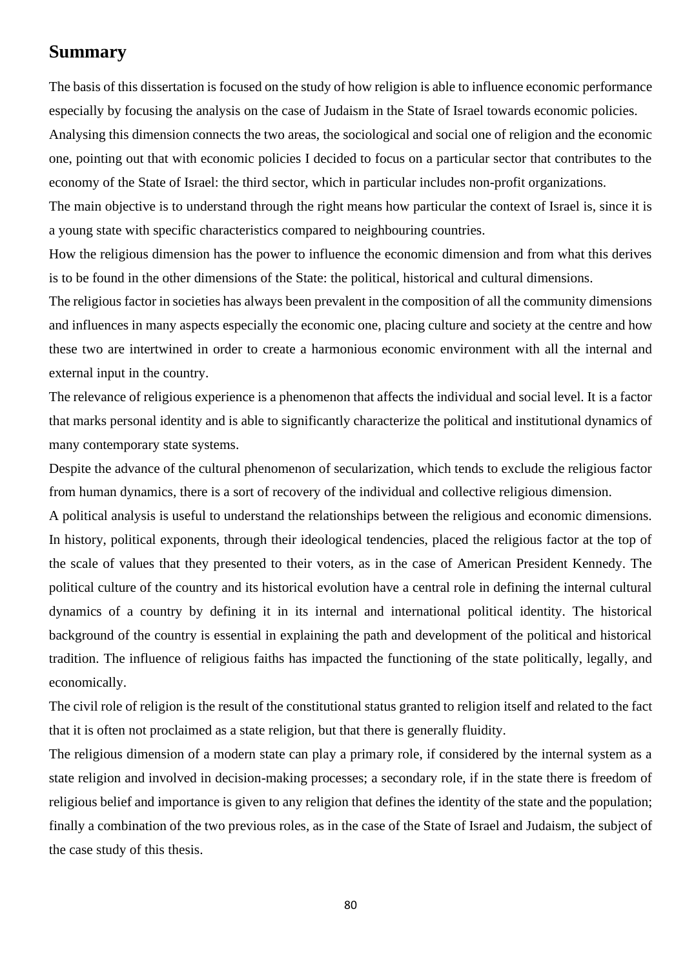## **Summary**

The basis of this dissertation is focused on the study of how religion is able to influence economic performance especially by focusing the analysis on the case of Judaism in the State of Israel towards economic policies.

Analysing this dimension connects the two areas, the sociological and social one of religion and the economic one, pointing out that with economic policies I decided to focus on a particular sector that contributes to the economy of the State of Israel: the third sector, which in particular includes non-profit organizations.

The main objective is to understand through the right means how particular the context of Israel is, since it is a young state with specific characteristics compared to neighbouring countries.

How the religious dimension has the power to influence the economic dimension and from what this derives is to be found in the other dimensions of the State: the political, historical and cultural dimensions.

The religious factor in societies has always been prevalent in the composition of all the community dimensions and influences in many aspects especially the economic one, placing culture and society at the centre and how these two are intertwined in order to create a harmonious economic environment with all the internal and external input in the country.

The relevance of religious experience is a phenomenon that affects the individual and social level. It is a factor that marks personal identity and is able to significantly characterize the political and institutional dynamics of many contemporary state systems.

Despite the advance of the cultural phenomenon of secularization, which tends to exclude the religious factor from human dynamics, there is a sort of recovery of the individual and collective religious dimension.

A political analysis is useful to understand the relationships between the religious and economic dimensions. In history, political exponents, through their ideological tendencies, placed the religious factor at the top of the scale of values that they presented to their voters, as in the case of American President Kennedy. The political culture of the country and its historical evolution have a central role in defining the internal cultural dynamics of a country by defining it in its internal and international political identity. The historical background of the country is essential in explaining the path and development of the political and historical tradition. The influence of religious faiths has impacted the functioning of the state politically, legally, and economically.

The civil role of religion is the result of the constitutional status granted to religion itself and related to the fact that it is often not proclaimed as a state religion, but that there is generally fluidity.

The religious dimension of a modern state can play a primary role, if considered by the internal system as a state religion and involved in decision-making processes; a secondary role, if in the state there is freedom of religious belief and importance is given to any religion that defines the identity of the state and the population; finally a combination of the two previous roles, as in the case of the State of Israel and Judaism, the subject of the case study of this thesis.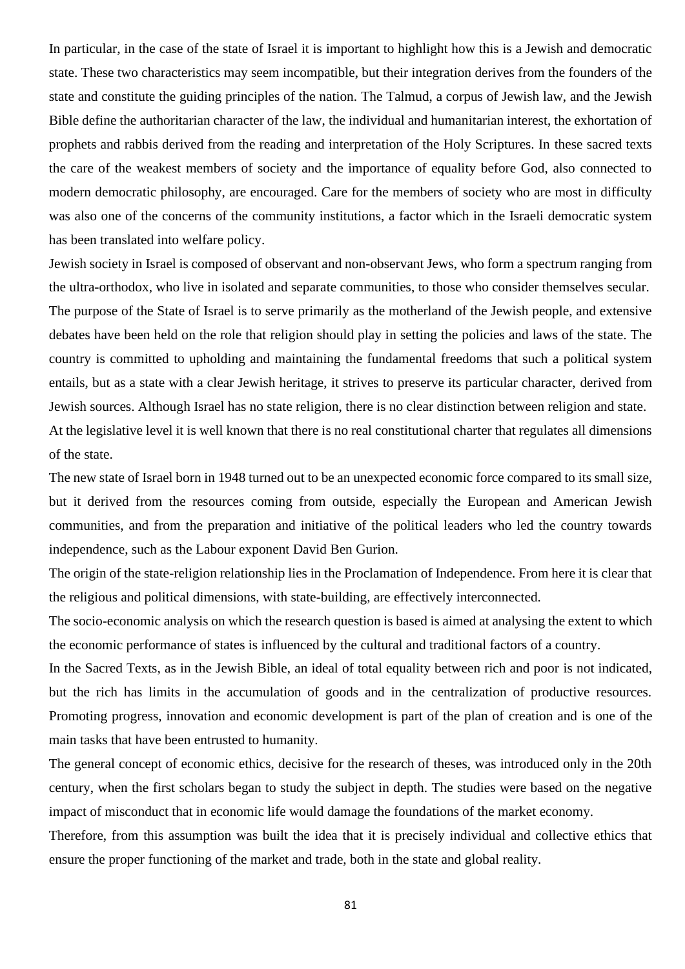In particular, in the case of the state of Israel it is important to highlight how this is a Jewish and democratic state. These two characteristics may seem incompatible, but their integration derives from the founders of the state and constitute the guiding principles of the nation. The Talmud, a corpus of Jewish law, and the Jewish Bible define the authoritarian character of the law, the individual and humanitarian interest, the exhortation of prophets and rabbis derived from the reading and interpretation of the Holy Scriptures. In these sacred texts the care of the weakest members of society and the importance of equality before God, also connected to modern democratic philosophy, are encouraged. Care for the members of society who are most in difficulty was also one of the concerns of the community institutions, a factor which in the Israeli democratic system has been translated into welfare policy.

Jewish society in Israel is composed of observant and non-observant Jews, who form a spectrum ranging from the ultra-orthodox, who live in isolated and separate communities, to those who consider themselves secular. The purpose of the State of Israel is to serve primarily as the motherland of the Jewish people, and extensive debates have been held on the role that religion should play in setting the policies and laws of the state. The country is committed to upholding and maintaining the fundamental freedoms that such a political system entails, but as a state with a clear Jewish heritage, it strives to preserve its particular character, derived from Jewish sources. Although Israel has no state religion, there is no clear distinction between religion and state. At the legislative level it is well known that there is no real constitutional charter that regulates all dimensions of the state.

The new state of Israel born in 1948 turned out to be an unexpected economic force compared to its small size, but it derived from the resources coming from outside, especially the European and American Jewish communities, and from the preparation and initiative of the political leaders who led the country towards independence, such as the Labour exponent David Ben Gurion.

The origin of the state-religion relationship lies in the Proclamation of Independence. From here it is clear that the religious and political dimensions, with state-building, are effectively interconnected.

The socio-economic analysis on which the research question is based is aimed at analysing the extent to which the economic performance of states is influenced by the cultural and traditional factors of a country.

In the Sacred Texts, as in the Jewish Bible, an ideal of total equality between rich and poor is not indicated, but the rich has limits in the accumulation of goods and in the centralization of productive resources. Promoting progress, innovation and economic development is part of the plan of creation and is one of the main tasks that have been entrusted to humanity.

The general concept of economic ethics, decisive for the research of theses, was introduced only in the 20th century, when the first scholars began to study the subject in depth. The studies were based on the negative impact of misconduct that in economic life would damage the foundations of the market economy.

Therefore, from this assumption was built the idea that it is precisely individual and collective ethics that ensure the proper functioning of the market and trade, both in the state and global reality.

81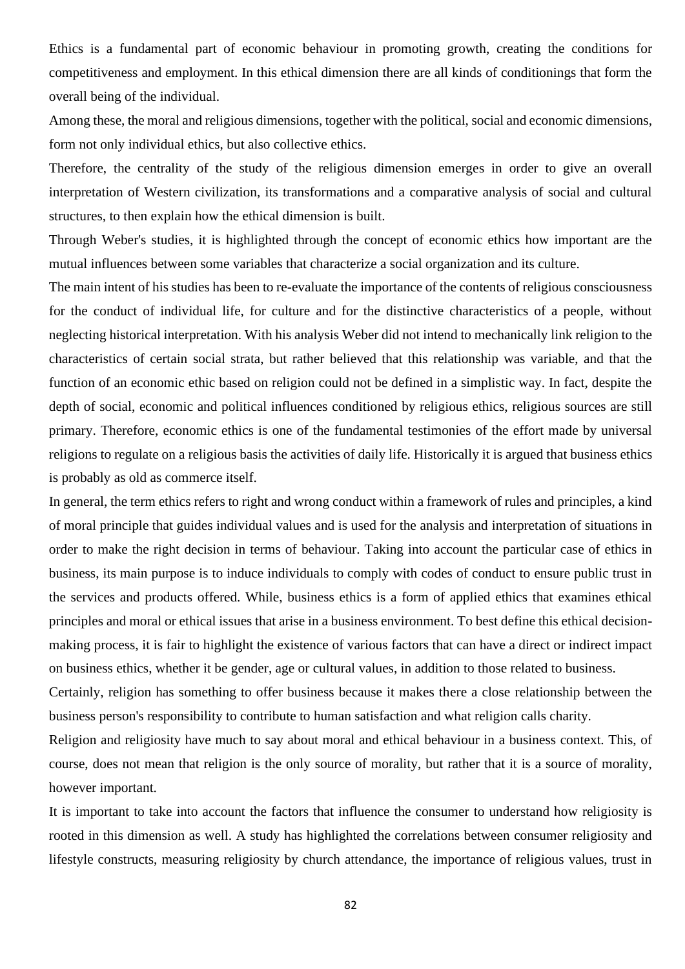Ethics is a fundamental part of economic behaviour in promoting growth, creating the conditions for competitiveness and employment. In this ethical dimension there are all kinds of conditionings that form the overall being of the individual.

Among these, the moral and religious dimensions, together with the political, social and economic dimensions, form not only individual ethics, but also collective ethics.

Therefore, the centrality of the study of the religious dimension emerges in order to give an overall interpretation of Western civilization, its transformations and a comparative analysis of social and cultural structures, to then explain how the ethical dimension is built.

Through Weber's studies, it is highlighted through the concept of economic ethics how important are the mutual influences between some variables that characterize a social organization and its culture.

The main intent of his studies has been to re-evaluate the importance of the contents of religious consciousness for the conduct of individual life, for culture and for the distinctive characteristics of a people, without neglecting historical interpretation. With his analysis Weber did not intend to mechanically link religion to the characteristics of certain social strata, but rather believed that this relationship was variable, and that the function of an economic ethic based on religion could not be defined in a simplistic way. In fact, despite the depth of social, economic and political influences conditioned by religious ethics, religious sources are still primary. Therefore, economic ethics is one of the fundamental testimonies of the effort made by universal religions to regulate on a religious basis the activities of daily life. Historically it is argued that business ethics is probably as old as commerce itself.

In general, the term ethics refers to right and wrong conduct within a framework of rules and principles, a kind of moral principle that guides individual values and is used for the analysis and interpretation of situations in order to make the right decision in terms of behaviour. Taking into account the particular case of ethics in business, its main purpose is to induce individuals to comply with codes of conduct to ensure public trust in the services and products offered. While, business ethics is a form of applied ethics that examines ethical principles and moral or ethical issues that arise in a business environment. To best define this ethical decisionmaking process, it is fair to highlight the existence of various factors that can have a direct or indirect impact on business ethics, whether it be gender, age or cultural values, in addition to those related to business.

Certainly, religion has something to offer business because it makes there a close relationship between the business person's responsibility to contribute to human satisfaction and what religion calls charity.

Religion and religiosity have much to say about moral and ethical behaviour in a business context. This, of course, does not mean that religion is the only source of morality, but rather that it is a source of morality, however important.

It is important to take into account the factors that influence the consumer to understand how religiosity is rooted in this dimension as well. A study has highlighted the correlations between consumer religiosity and lifestyle constructs, measuring religiosity by church attendance, the importance of religious values, trust in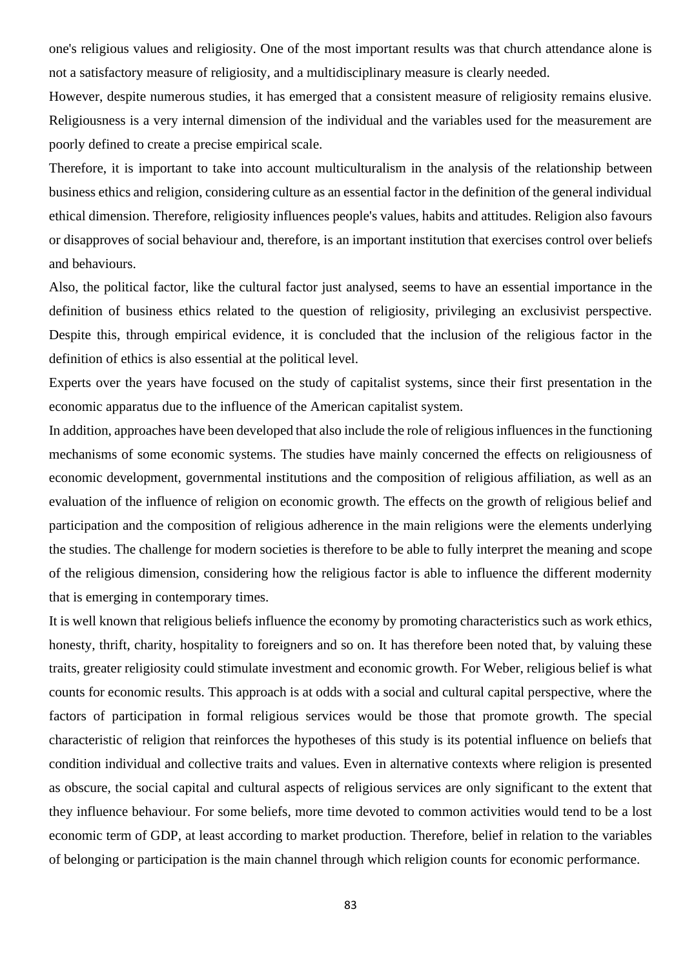one's religious values and religiosity. One of the most important results was that church attendance alone is not a satisfactory measure of religiosity, and a multidisciplinary measure is clearly needed.

However, despite numerous studies, it has emerged that a consistent measure of religiosity remains elusive. Religiousness is a very internal dimension of the individual and the variables used for the measurement are poorly defined to create a precise empirical scale.

Therefore, it is important to take into account multiculturalism in the analysis of the relationship between business ethics and religion, considering culture as an essential factor in the definition of the general individual ethical dimension. Therefore, religiosity influences people's values, habits and attitudes. Religion also favours or disapproves of social behaviour and, therefore, is an important institution that exercises control over beliefs and behaviours.

Also, the political factor, like the cultural factor just analysed, seems to have an essential importance in the definition of business ethics related to the question of religiosity, privileging an exclusivist perspective. Despite this, through empirical evidence, it is concluded that the inclusion of the religious factor in the definition of ethics is also essential at the political level.

Experts over the years have focused on the study of capitalist systems, since their first presentation in the economic apparatus due to the influence of the American capitalist system.

In addition, approaches have been developed that also include the role of religious influences in the functioning mechanisms of some economic systems. The studies have mainly concerned the effects on religiousness of economic development, governmental institutions and the composition of religious affiliation, as well as an evaluation of the influence of religion on economic growth. The effects on the growth of religious belief and participation and the composition of religious adherence in the main religions were the elements underlying the studies. The challenge for modern societies is therefore to be able to fully interpret the meaning and scope of the religious dimension, considering how the religious factor is able to influence the different modernity that is emerging in contemporary times.

It is well known that religious beliefs influence the economy by promoting characteristics such as work ethics, honesty, thrift, charity, hospitality to foreigners and so on. It has therefore been noted that, by valuing these traits, greater religiosity could stimulate investment and economic growth. For Weber, religious belief is what counts for economic results. This approach is at odds with a social and cultural capital perspective, where the factors of participation in formal religious services would be those that promote growth. The special characteristic of religion that reinforces the hypotheses of this study is its potential influence on beliefs that condition individual and collective traits and values. Even in alternative contexts where religion is presented as obscure, the social capital and cultural aspects of religious services are only significant to the extent that they influence behaviour. For some beliefs, more time devoted to common activities would tend to be a lost economic term of GDP, at least according to market production. Therefore, belief in relation to the variables of belonging or participation is the main channel through which religion counts for economic performance.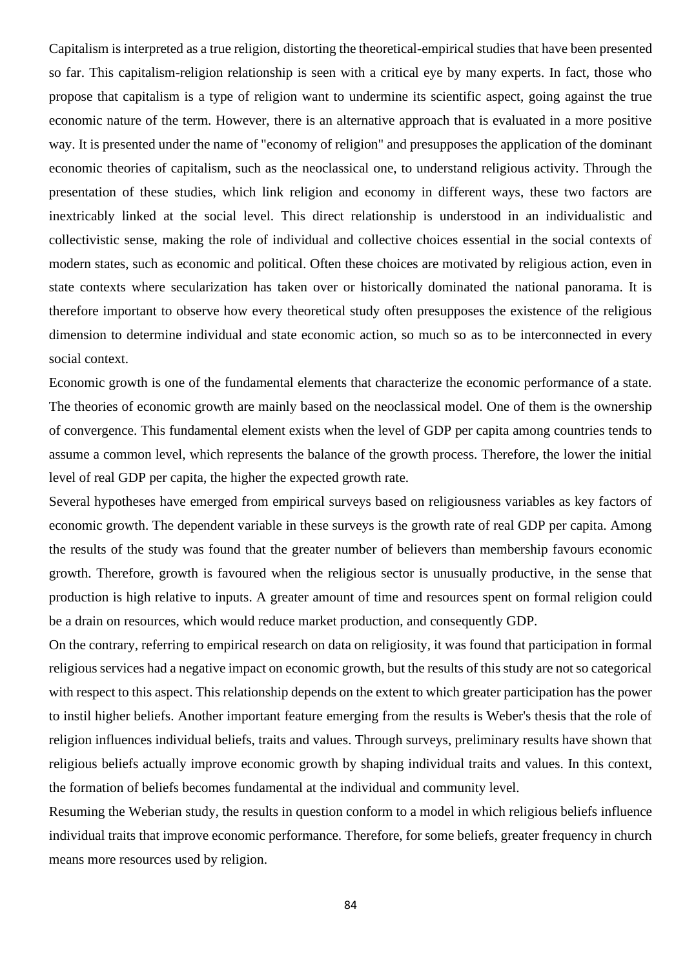Capitalism is interpreted as a true religion, distorting the theoretical-empirical studies that have been presented so far. This capitalism-religion relationship is seen with a critical eye by many experts. In fact, those who propose that capitalism is a type of religion want to undermine its scientific aspect, going against the true economic nature of the term. However, there is an alternative approach that is evaluated in a more positive way. It is presented under the name of "economy of religion" and presupposes the application of the dominant economic theories of capitalism, such as the neoclassical one, to understand religious activity. Through the presentation of these studies, which link religion and economy in different ways, these two factors are inextricably linked at the social level. This direct relationship is understood in an individualistic and collectivistic sense, making the role of individual and collective choices essential in the social contexts of modern states, such as economic and political. Often these choices are motivated by religious action, even in state contexts where secularization has taken over or historically dominated the national panorama. It is therefore important to observe how every theoretical study often presupposes the existence of the religious dimension to determine individual and state economic action, so much so as to be interconnected in every social context.

Economic growth is one of the fundamental elements that characterize the economic performance of a state. The theories of economic growth are mainly based on the neoclassical model. One of them is the ownership of convergence. This fundamental element exists when the level of GDP per capita among countries tends to assume a common level, which represents the balance of the growth process. Therefore, the lower the initial level of real GDP per capita, the higher the expected growth rate.

Several hypotheses have emerged from empirical surveys based on religiousness variables as key factors of economic growth. The dependent variable in these surveys is the growth rate of real GDP per capita. Among the results of the study was found that the greater number of believers than membership favours economic growth. Therefore, growth is favoured when the religious sector is unusually productive, in the sense that production is high relative to inputs. A greater amount of time and resources spent on formal religion could be a drain on resources, which would reduce market production, and consequently GDP.

On the contrary, referring to empirical research on data on religiosity, it was found that participation in formal religious services had a negative impact on economic growth, but the results of this study are not so categorical with respect to this aspect. This relationship depends on the extent to which greater participation has the power to instil higher beliefs. Another important feature emerging from the results is Weber's thesis that the role of religion influences individual beliefs, traits and values. Through surveys, preliminary results have shown that religious beliefs actually improve economic growth by shaping individual traits and values. In this context, the formation of beliefs becomes fundamental at the individual and community level.

Resuming the Weberian study, the results in question conform to a model in which religious beliefs influence individual traits that improve economic performance. Therefore, for some beliefs, greater frequency in church means more resources used by religion.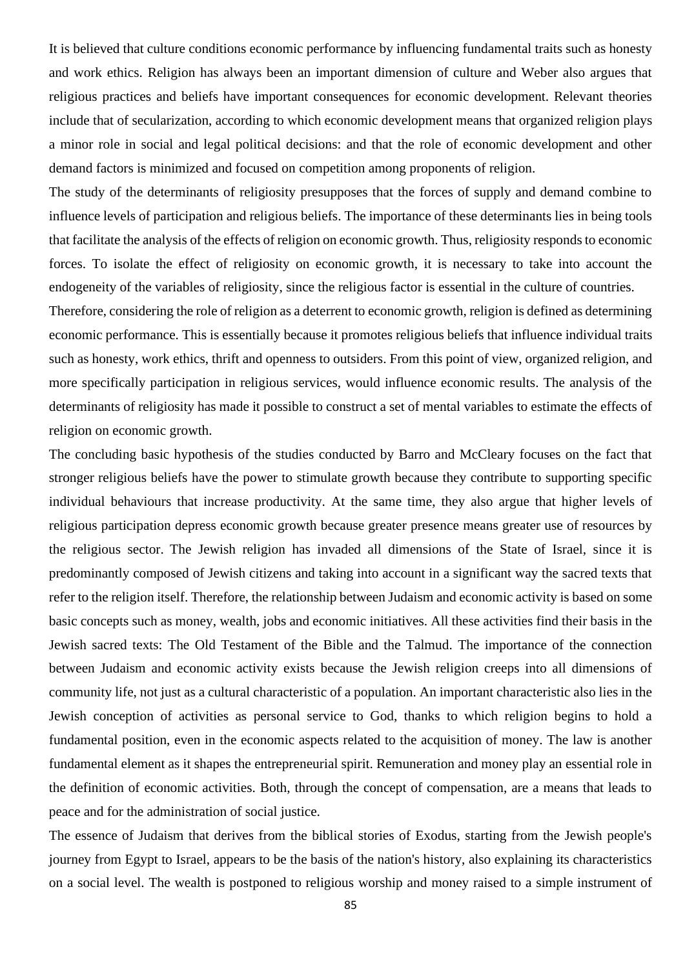It is believed that culture conditions economic performance by influencing fundamental traits such as honesty and work ethics. Religion has always been an important dimension of culture and Weber also argues that religious practices and beliefs have important consequences for economic development. Relevant theories include that of secularization, according to which economic development means that organized religion plays a minor role in social and legal political decisions: and that the role of economic development and other demand factors is minimized and focused on competition among proponents of religion.

The study of the determinants of religiosity presupposes that the forces of supply and demand combine to influence levels of participation and religious beliefs. The importance of these determinants lies in being tools that facilitate the analysis of the effects of religion on economic growth. Thus, religiosity responds to economic forces. To isolate the effect of religiosity on economic growth, it is necessary to take into account the endogeneity of the variables of religiosity, since the religious factor is essential in the culture of countries.

Therefore, considering the role of religion as a deterrent to economic growth, religion is defined as determining economic performance. This is essentially because it promotes religious beliefs that influence individual traits such as honesty, work ethics, thrift and openness to outsiders. From this point of view, organized religion, and more specifically participation in religious services, would influence economic results. The analysis of the determinants of religiosity has made it possible to construct a set of mental variables to estimate the effects of religion on economic growth.

The concluding basic hypothesis of the studies conducted by Barro and McCleary focuses on the fact that stronger religious beliefs have the power to stimulate growth because they contribute to supporting specific individual behaviours that increase productivity. At the same time, they also argue that higher levels of religious participation depress economic growth because greater presence means greater use of resources by the religious sector. The Jewish religion has invaded all dimensions of the State of Israel, since it is predominantly composed of Jewish citizens and taking into account in a significant way the sacred texts that refer to the religion itself. Therefore, the relationship between Judaism and economic activity is based on some basic concepts such as money, wealth, jobs and economic initiatives. All these activities find their basis in the Jewish sacred texts: The Old Testament of the Bible and the Talmud. The importance of the connection between Judaism and economic activity exists because the Jewish religion creeps into all dimensions of community life, not just as a cultural characteristic of a population. An important characteristic also lies in the Jewish conception of activities as personal service to God, thanks to which religion begins to hold a fundamental position, even in the economic aspects related to the acquisition of money. The law is another fundamental element as it shapes the entrepreneurial spirit. Remuneration and money play an essential role in the definition of economic activities. Both, through the concept of compensation, are a means that leads to peace and for the administration of social justice.

The essence of Judaism that derives from the biblical stories of Exodus, starting from the Jewish people's journey from Egypt to Israel, appears to be the basis of the nation's history, also explaining its characteristics on a social level. The wealth is postponed to religious worship and money raised to a simple instrument of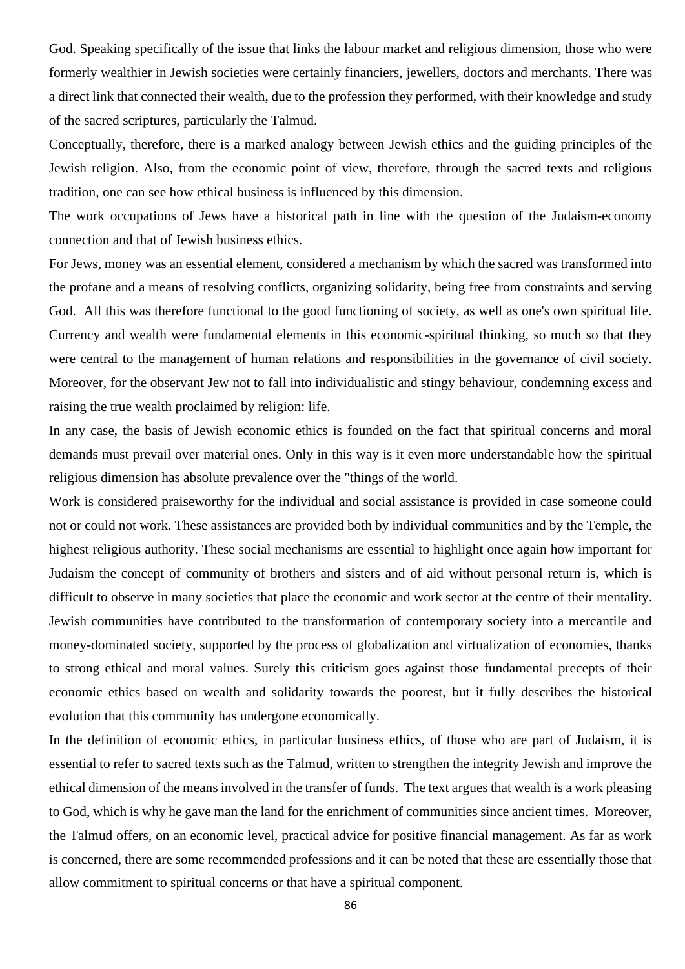God. Speaking specifically of the issue that links the labour market and religious dimension, those who were formerly wealthier in Jewish societies were certainly financiers, jewellers, doctors and merchants. There was a direct link that connected their wealth, due to the profession they performed, with their knowledge and study of the sacred scriptures, particularly the Talmud.

Conceptually, therefore, there is a marked analogy between Jewish ethics and the guiding principles of the Jewish religion. Also, from the economic point of view, therefore, through the sacred texts and religious tradition, one can see how ethical business is influenced by this dimension.

The work occupations of Jews have a historical path in line with the question of the Judaism-economy connection and that of Jewish business ethics.

For Jews, money was an essential element, considered a mechanism by which the sacred was transformed into the profane and a means of resolving conflicts, organizing solidarity, being free from constraints and serving God. All this was therefore functional to the good functioning of society, as well as one's own spiritual life. Currency and wealth were fundamental elements in this economic-spiritual thinking, so much so that they were central to the management of human relations and responsibilities in the governance of civil society. Moreover, for the observant Jew not to fall into individualistic and stingy behaviour, condemning excess and raising the true wealth proclaimed by religion: life.

In any case, the basis of Jewish economic ethics is founded on the fact that spiritual concerns and moral demands must prevail over material ones. Only in this way is it even more understandable how the spiritual religious dimension has absolute prevalence over the "things of the world.

Work is considered praiseworthy for the individual and social assistance is provided in case someone could not or could not work. These assistances are provided both by individual communities and by the Temple, the highest religious authority. These social mechanisms are essential to highlight once again how important for Judaism the concept of community of brothers and sisters and of aid without personal return is, which is difficult to observe in many societies that place the economic and work sector at the centre of their mentality. Jewish communities have contributed to the transformation of contemporary society into a mercantile and money-dominated society, supported by the process of globalization and virtualization of economies, thanks to strong ethical and moral values. Surely this criticism goes against those fundamental precepts of their economic ethics based on wealth and solidarity towards the poorest, but it fully describes the historical evolution that this community has undergone economically.

In the definition of economic ethics, in particular business ethics, of those who are part of Judaism, it is essential to refer to sacred texts such as the Talmud, written to strengthen the integrity Jewish and improve the ethical dimension of the means involved in the transfer of funds. The text argues that wealth is a work pleasing to God, which is why he gave man the land for the enrichment of communities since ancient times. Moreover, the Talmud offers, on an economic level, practical advice for positive financial management. As far as work is concerned, there are some recommended professions and it can be noted that these are essentially those that allow commitment to spiritual concerns or that have a spiritual component.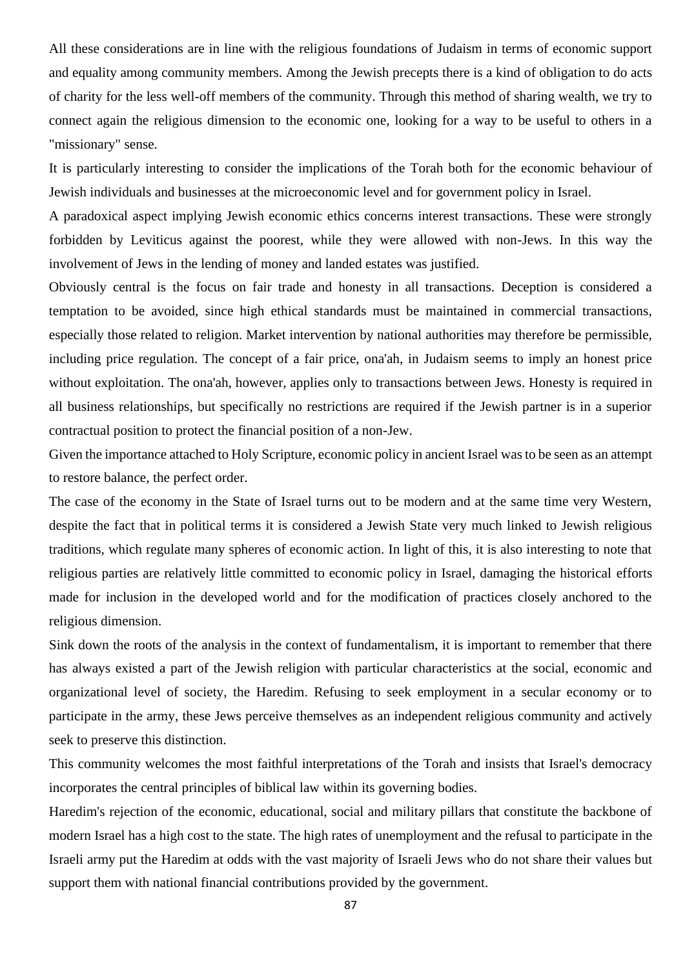All these considerations are in line with the religious foundations of Judaism in terms of economic support and equality among community members. Among the Jewish precepts there is a kind of obligation to do acts of charity for the less well-off members of the community. Through this method of sharing wealth, we try to connect again the religious dimension to the economic one, looking for a way to be useful to others in a "missionary" sense.

It is particularly interesting to consider the implications of the Torah both for the economic behaviour of Jewish individuals and businesses at the microeconomic level and for government policy in Israel.

A paradoxical aspect implying Jewish economic ethics concerns interest transactions. These were strongly forbidden by Leviticus against the poorest, while they were allowed with non-Jews. In this way the involvement of Jews in the lending of money and landed estates was justified.

Obviously central is the focus on fair trade and honesty in all transactions. Deception is considered a temptation to be avoided, since high ethical standards must be maintained in commercial transactions, especially those related to religion. Market intervention by national authorities may therefore be permissible, including price regulation. The concept of a fair price, ona'ah, in Judaism seems to imply an honest price without exploitation. The ona'ah, however, applies only to transactions between Jews. Honesty is required in all business relationships, but specifically no restrictions are required if the Jewish partner is in a superior contractual position to protect the financial position of a non-Jew.

Given the importance attached to Holy Scripture, economic policy in ancient Israel was to be seen as an attempt to restore balance, the perfect order.

The case of the economy in the State of Israel turns out to be modern and at the same time very Western, despite the fact that in political terms it is considered a Jewish State very much linked to Jewish religious traditions, which regulate many spheres of economic action. In light of this, it is also interesting to note that religious parties are relatively little committed to economic policy in Israel, damaging the historical efforts made for inclusion in the developed world and for the modification of practices closely anchored to the religious dimension.

Sink down the roots of the analysis in the context of fundamentalism, it is important to remember that there has always existed a part of the Jewish religion with particular characteristics at the social, economic and organizational level of society, the Haredim. Refusing to seek employment in a secular economy or to participate in the army, these Jews perceive themselves as an independent religious community and actively seek to preserve this distinction.

This community welcomes the most faithful interpretations of the Torah and insists that Israel's democracy incorporates the central principles of biblical law within its governing bodies.

Haredim's rejection of the economic, educational, social and military pillars that constitute the backbone of modern Israel has a high cost to the state. The high rates of unemployment and the refusal to participate in the Israeli army put the Haredim at odds with the vast majority of Israeli Jews who do not share their values but support them with national financial contributions provided by the government.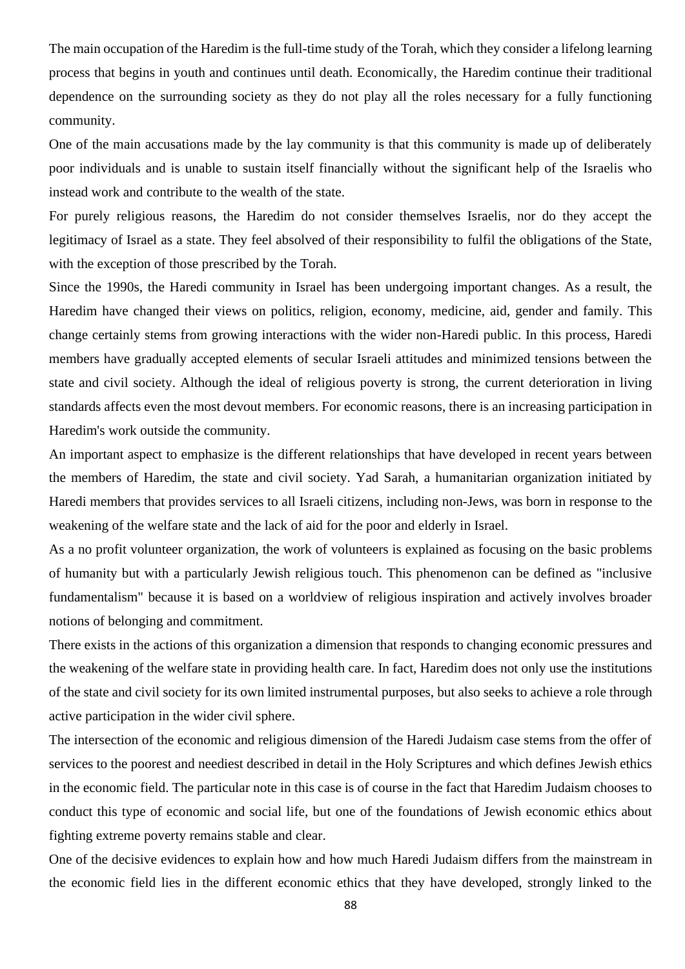The main occupation of the Haredim is the full-time study of the Torah, which they consider a lifelong learning process that begins in youth and continues until death. Economically, the Haredim continue their traditional dependence on the surrounding society as they do not play all the roles necessary for a fully functioning community.

One of the main accusations made by the lay community is that this community is made up of deliberately poor individuals and is unable to sustain itself financially without the significant help of the Israelis who instead work and contribute to the wealth of the state.

For purely religious reasons, the Haredim do not consider themselves Israelis, nor do they accept the legitimacy of Israel as a state. They feel absolved of their responsibility to fulfil the obligations of the State, with the exception of those prescribed by the Torah.

Since the 1990s, the Haredi community in Israel has been undergoing important changes. As a result, the Haredim have changed their views on politics, religion, economy, medicine, aid, gender and family. This change certainly stems from growing interactions with the wider non-Haredi public. In this process, Haredi members have gradually accepted elements of secular Israeli attitudes and minimized tensions between the state and civil society. Although the ideal of religious poverty is strong, the current deterioration in living standards affects even the most devout members. For economic reasons, there is an increasing participation in Haredim's work outside the community.

An important aspect to emphasize is the different relationships that have developed in recent years between the members of Haredim, the state and civil society. Yad Sarah, a humanitarian organization initiated by Haredi members that provides services to all Israeli citizens, including non-Jews, was born in response to the weakening of the welfare state and the lack of aid for the poor and elderly in Israel.

As a no profit volunteer organization, the work of volunteers is explained as focusing on the basic problems of humanity but with a particularly Jewish religious touch. This phenomenon can be defined as "inclusive fundamentalism" because it is based on a worldview of religious inspiration and actively involves broader notions of belonging and commitment.

There exists in the actions of this organization a dimension that responds to changing economic pressures and the weakening of the welfare state in providing health care. In fact, Haredim does not only use the institutions of the state and civil society for its own limited instrumental purposes, but also seeks to achieve a role through active participation in the wider civil sphere.

The intersection of the economic and religious dimension of the Haredi Judaism case stems from the offer of services to the poorest and neediest described in detail in the Holy Scriptures and which defines Jewish ethics in the economic field. The particular note in this case is of course in the fact that Haredim Judaism chooses to conduct this type of economic and social life, but one of the foundations of Jewish economic ethics about fighting extreme poverty remains stable and clear.

One of the decisive evidences to explain how and how much Haredi Judaism differs from the mainstream in the economic field lies in the different economic ethics that they have developed, strongly linked to the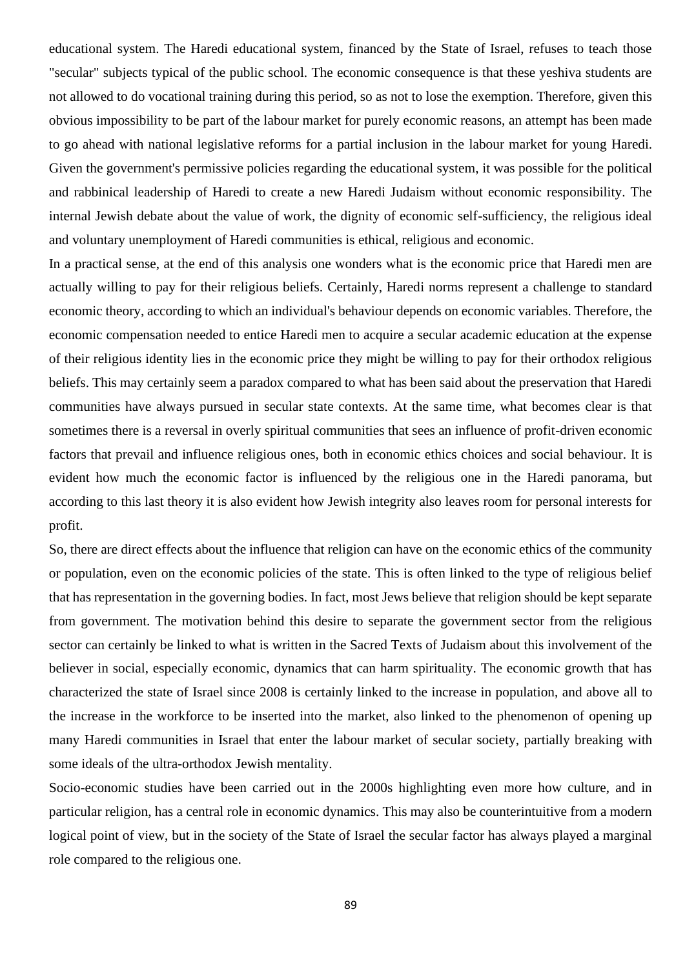educational system. The Haredi educational system, financed by the State of Israel, refuses to teach those "secular" subjects typical of the public school. The economic consequence is that these yeshiva students are not allowed to do vocational training during this period, so as not to lose the exemption. Therefore, given this obvious impossibility to be part of the labour market for purely economic reasons, an attempt has been made to go ahead with national legislative reforms for a partial inclusion in the labour market for young Haredi. Given the government's permissive policies regarding the educational system, it was possible for the political and rabbinical leadership of Haredi to create a new Haredi Judaism without economic responsibility. The internal Jewish debate about the value of work, the dignity of economic self-sufficiency, the religious ideal and voluntary unemployment of Haredi communities is ethical, religious and economic.

In a practical sense, at the end of this analysis one wonders what is the economic price that Haredi men are actually willing to pay for their religious beliefs. Certainly, Haredi norms represent a challenge to standard economic theory, according to which an individual's behaviour depends on economic variables. Therefore, the economic compensation needed to entice Haredi men to acquire a secular academic education at the expense of their religious identity lies in the economic price they might be willing to pay for their orthodox religious beliefs. This may certainly seem a paradox compared to what has been said about the preservation that Haredi communities have always pursued in secular state contexts. At the same time, what becomes clear is that sometimes there is a reversal in overly spiritual communities that sees an influence of profit-driven economic factors that prevail and influence religious ones, both in economic ethics choices and social behaviour. It is evident how much the economic factor is influenced by the religious one in the Haredi panorama, but according to this last theory it is also evident how Jewish integrity also leaves room for personal interests for profit.

So, there are direct effects about the influence that religion can have on the economic ethics of the community or population, even on the economic policies of the state. This is often linked to the type of religious belief that has representation in the governing bodies. In fact, most Jews believe that religion should be kept separate from government. The motivation behind this desire to separate the government sector from the religious sector can certainly be linked to what is written in the Sacred Texts of Judaism about this involvement of the believer in social, especially economic, dynamics that can harm spirituality. The economic growth that has characterized the state of Israel since 2008 is certainly linked to the increase in population, and above all to the increase in the workforce to be inserted into the market, also linked to the phenomenon of opening up many Haredi communities in Israel that enter the labour market of secular society, partially breaking with some ideals of the ultra-orthodox Jewish mentality.

Socio-economic studies have been carried out in the 2000s highlighting even more how culture, and in particular religion, has a central role in economic dynamics. This may also be counterintuitive from a modern logical point of view, but in the society of the State of Israel the secular factor has always played a marginal role compared to the religious one.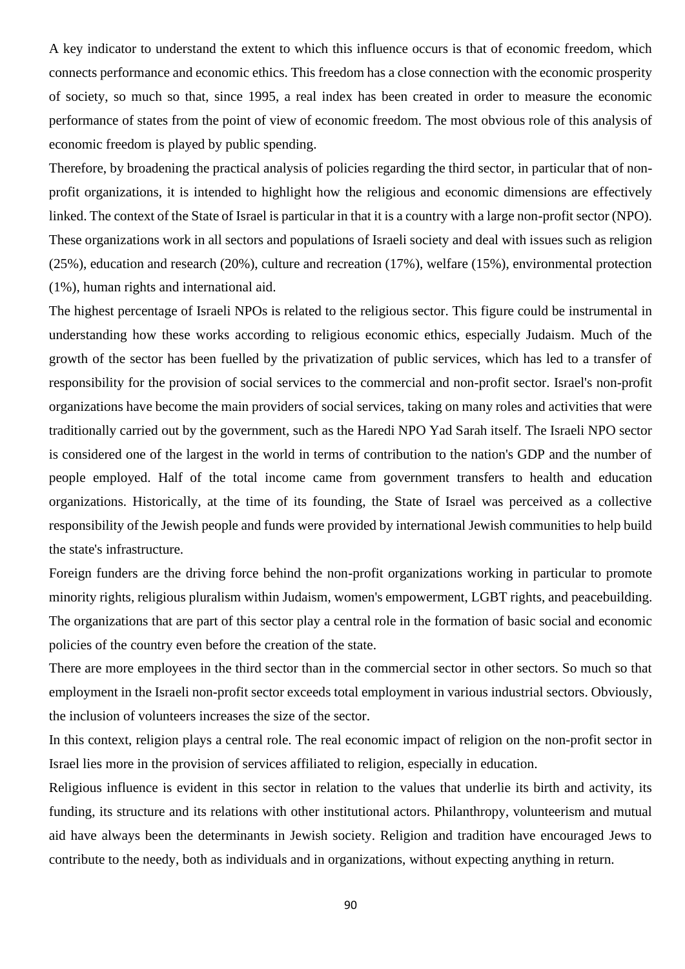A key indicator to understand the extent to which this influence occurs is that of economic freedom, which connects performance and economic ethics. This freedom has a close connection with the economic prosperity of society, so much so that, since 1995, a real index has been created in order to measure the economic performance of states from the point of view of economic freedom. The most obvious role of this analysis of economic freedom is played by public spending.

Therefore, by broadening the practical analysis of policies regarding the third sector, in particular that of nonprofit organizations, it is intended to highlight how the religious and economic dimensions are effectively linked. The context of the State of Israel is particular in that it is a country with a large non-profit sector (NPO). These organizations work in all sectors and populations of Israeli society and deal with issues such as religion (25%), education and research (20%), culture and recreation (17%), welfare (15%), environmental protection (1%), human rights and international aid.

The highest percentage of Israeli NPOs is related to the religious sector. This figure could be instrumental in understanding how these works according to religious economic ethics, especially Judaism. Much of the growth of the sector has been fuelled by the privatization of public services, which has led to a transfer of responsibility for the provision of social services to the commercial and non-profit sector. Israel's non-profit organizations have become the main providers of social services, taking on many roles and activities that were traditionally carried out by the government, such as the Haredi NPO Yad Sarah itself. The Israeli NPO sector is considered one of the largest in the world in terms of contribution to the nation's GDP and the number of people employed. Half of the total income came from government transfers to health and education organizations. Historically, at the time of its founding, the State of Israel was perceived as a collective responsibility of the Jewish people and funds were provided by international Jewish communities to help build the state's infrastructure.

Foreign funders are the driving force behind the non-profit organizations working in particular to promote minority rights, religious pluralism within Judaism, women's empowerment, LGBT rights, and peacebuilding. The organizations that are part of this sector play a central role in the formation of basic social and economic policies of the country even before the creation of the state.

There are more employees in the third sector than in the commercial sector in other sectors. So much so that employment in the Israeli non-profit sector exceeds total employment in various industrial sectors. Obviously, the inclusion of volunteers increases the size of the sector.

In this context, religion plays a central role. The real economic impact of religion on the non-profit sector in Israel lies more in the provision of services affiliated to religion, especially in education.

Religious influence is evident in this sector in relation to the values that underlie its birth and activity, its funding, its structure and its relations with other institutional actors. Philanthropy, volunteerism and mutual aid have always been the determinants in Jewish society. Religion and tradition have encouraged Jews to contribute to the needy, both as individuals and in organizations, without expecting anything in return.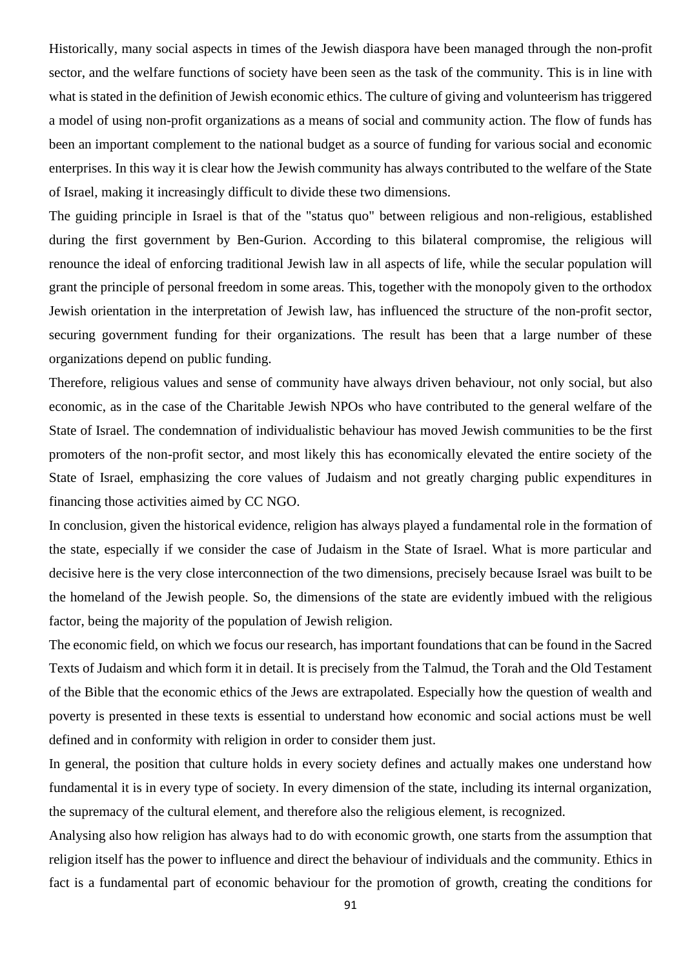Historically, many social aspects in times of the Jewish diaspora have been managed through the non-profit sector, and the welfare functions of society have been seen as the task of the community. This is in line with what is stated in the definition of Jewish economic ethics. The culture of giving and volunteerism has triggered a model of using non-profit organizations as a means of social and community action. The flow of funds has been an important complement to the national budget as a source of funding for various social and economic enterprises. In this way it is clear how the Jewish community has always contributed to the welfare of the State of Israel, making it increasingly difficult to divide these two dimensions.

The guiding principle in Israel is that of the "status quo" between religious and non-religious, established during the first government by Ben-Gurion. According to this bilateral compromise, the religious will renounce the ideal of enforcing traditional Jewish law in all aspects of life, while the secular population will grant the principle of personal freedom in some areas. This, together with the monopoly given to the orthodox Jewish orientation in the interpretation of Jewish law, has influenced the structure of the non-profit sector, securing government funding for their organizations. The result has been that a large number of these organizations depend on public funding.

Therefore, religious values and sense of community have always driven behaviour, not only social, but also economic, as in the case of the Charitable Jewish NPOs who have contributed to the general welfare of the State of Israel. The condemnation of individualistic behaviour has moved Jewish communities to be the first promoters of the non-profit sector, and most likely this has economically elevated the entire society of the State of Israel, emphasizing the core values of Judaism and not greatly charging public expenditures in financing those activities aimed by CC NGO.

In conclusion, given the historical evidence, religion has always played a fundamental role in the formation of the state, especially if we consider the case of Judaism in the State of Israel. What is more particular and decisive here is the very close interconnection of the two dimensions, precisely because Israel was built to be the homeland of the Jewish people. So, the dimensions of the state are evidently imbued with the religious factor, being the majority of the population of Jewish religion.

The economic field, on which we focus our research, has important foundations that can be found in the Sacred Texts of Judaism and which form it in detail. It is precisely from the Talmud, the Torah and the Old Testament of the Bible that the economic ethics of the Jews are extrapolated. Especially how the question of wealth and poverty is presented in these texts is essential to understand how economic and social actions must be well defined and in conformity with religion in order to consider them just.

In general, the position that culture holds in every society defines and actually makes one understand how fundamental it is in every type of society. In every dimension of the state, including its internal organization, the supremacy of the cultural element, and therefore also the religious element, is recognized.

Analysing also how religion has always had to do with economic growth, one starts from the assumption that religion itself has the power to influence and direct the behaviour of individuals and the community. Ethics in fact is a fundamental part of economic behaviour for the promotion of growth, creating the conditions for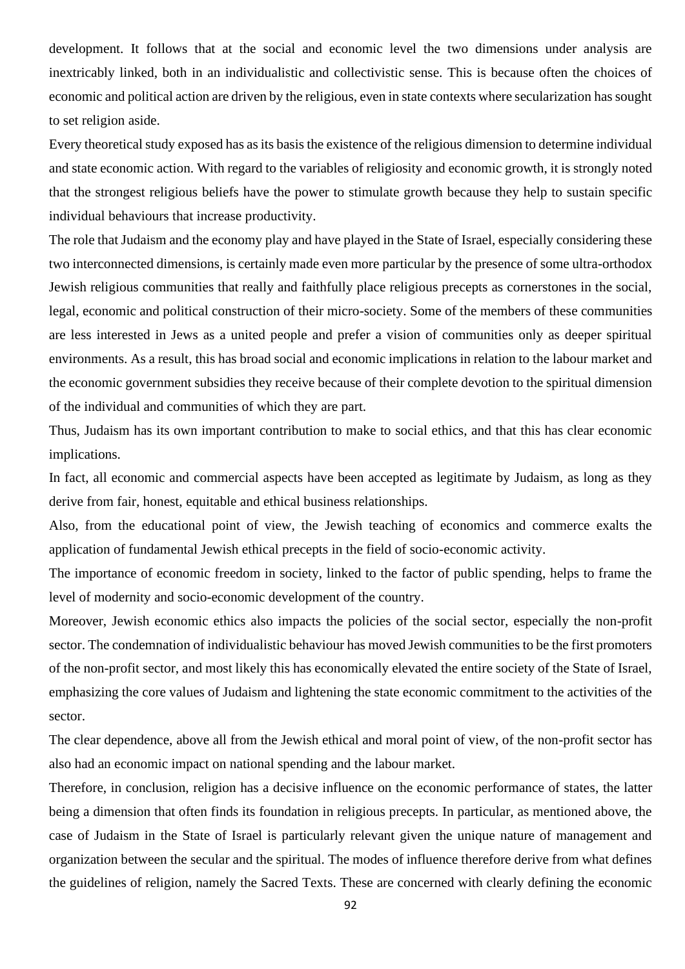development. It follows that at the social and economic level the two dimensions under analysis are inextricably linked, both in an individualistic and collectivistic sense. This is because often the choices of economic and political action are driven by the religious, even in state contexts where secularization has sought to set religion aside.

Every theoretical study exposed has as its basis the existence of the religious dimension to determine individual and state economic action. With regard to the variables of religiosity and economic growth, it is strongly noted that the strongest religious beliefs have the power to stimulate growth because they help to sustain specific individual behaviours that increase productivity.

The role that Judaism and the economy play and have played in the State of Israel, especially considering these two interconnected dimensions, is certainly made even more particular by the presence of some ultra-orthodox Jewish religious communities that really and faithfully place religious precepts as cornerstones in the social, legal, economic and political construction of their micro-society. Some of the members of these communities are less interested in Jews as a united people and prefer a vision of communities only as deeper spiritual environments. As a result, this has broad social and economic implications in relation to the labour market and the economic government subsidies they receive because of their complete devotion to the spiritual dimension of the individual and communities of which they are part.

Thus, Judaism has its own important contribution to make to social ethics, and that this has clear economic implications.

In fact, all economic and commercial aspects have been accepted as legitimate by Judaism, as long as they derive from fair, honest, equitable and ethical business relationships.

Also, from the educational point of view, the Jewish teaching of economics and commerce exalts the application of fundamental Jewish ethical precepts in the field of socio-economic activity.

The importance of economic freedom in society, linked to the factor of public spending, helps to frame the level of modernity and socio-economic development of the country.

Moreover, Jewish economic ethics also impacts the policies of the social sector, especially the non-profit sector. The condemnation of individualistic behaviour has moved Jewish communities to be the first promoters of the non-profit sector, and most likely this has economically elevated the entire society of the State of Israel, emphasizing the core values of Judaism and lightening the state economic commitment to the activities of the sector.

The clear dependence, above all from the Jewish ethical and moral point of view, of the non-profit sector has also had an economic impact on national spending and the labour market.

Therefore, in conclusion, religion has a decisive influence on the economic performance of states, the latter being a dimension that often finds its foundation in religious precepts. In particular, as mentioned above, the case of Judaism in the State of Israel is particularly relevant given the unique nature of management and organization between the secular and the spiritual. The modes of influence therefore derive from what defines the guidelines of religion, namely the Sacred Texts. These are concerned with clearly defining the economic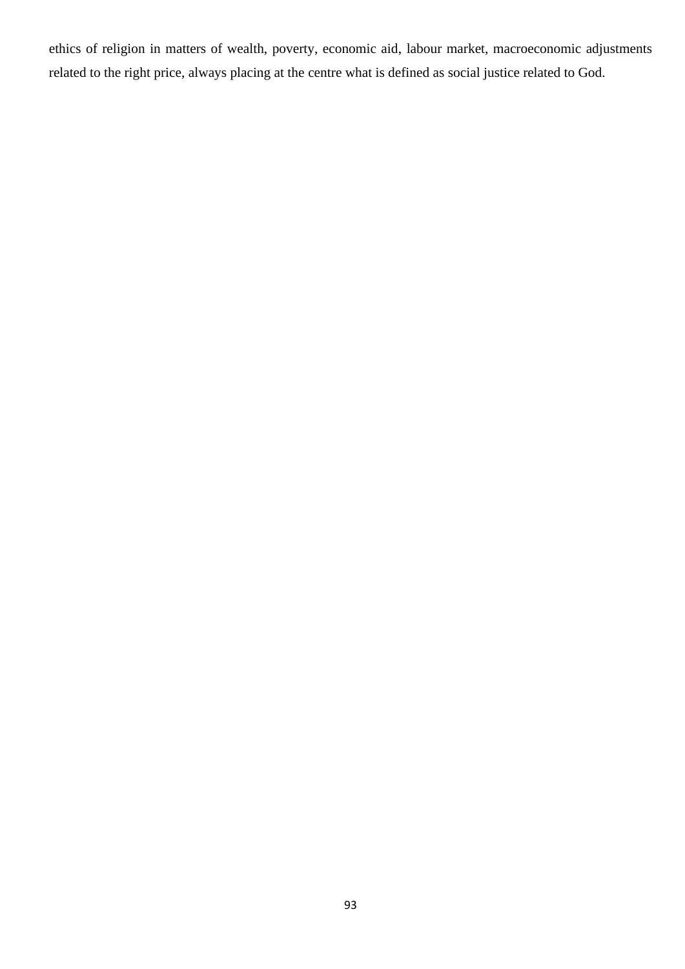ethics of religion in matters of wealth, poverty, economic aid, labour market, macroeconomic adjustments related to the right price, always placing at the centre what is defined as social justice related to God.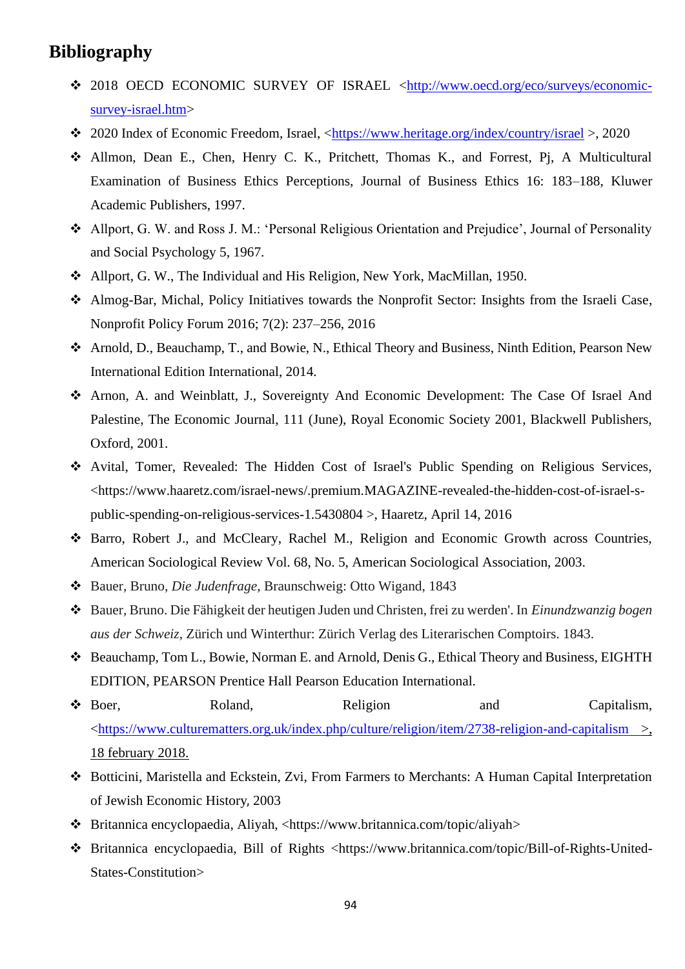## **Bibliography**

- ❖ 2018 OECD ECONOMIC SURVEY OF ISRAEL [<http://www.oecd.org/eco/surveys/economic](http://www.oecd.org/eco/surveys/economic-survey-israel.htm)[survey-israel.htm>](http://www.oecd.org/eco/surveys/economic-survey-israel.htm)
- ❖ 2020 Index of Economic Freedom, Israel, [<https://www.heritage.org/index/country/israel](https://www.heritage.org/index/country/israel) >, 2020
- ❖ Allmon, Dean E., Chen, Henry C. K., Pritchett, Thomas K., and Forrest, Pj, A Multicultural Examination of Business Ethics Perceptions, Journal of Business Ethics 16: 183–188, Kluwer Academic Publishers, 1997.
- ❖ Allport, G. W. and Ross J. M.: 'Personal Religious Orientation and Prejudice', Journal of Personality and Social Psychology 5, 1967.
- ❖ Allport, G. W., The Individual and His Religion, New York, MacMillan, 1950.
- ❖ Almog-Bar, Michal, Policy Initiatives towards the Nonprofit Sector: Insights from the Israeli Case, Nonprofit Policy Forum 2016; 7(2): 237–256, 2016
- ❖ Arnold, D., Beauchamp, T., and Bowie, N., Ethical Theory and Business, Ninth Edition, Pearson New International Edition International, 2014.
- ❖ Arnon, A. and Weinblatt, J., Sovereignty And Economic Development: The Case Of Israel And Palestine, The Economic Journal, 111 (June), Royal Economic Society 2001, Blackwell Publishers, Oxford, 2001.
- ❖ [Avital, Tomer, Revealed: The Hidden Cost of Israel's Public Spending on Religious Services,](file:///C:/Users/Mariaelena%20Zonetti/Desktop/TESI%20MAGISTRALE/Avital,%20Tomer,%20Revealed:%20The%20Hidden%20Cost%20of%20Israel)  [<https://www.haaretz.com/israel-news/.premium.MAGAZINE-revealed-the-hidden-cost-of-israel-s](file:///C:/Users/Mariaelena%20Zonetti/Desktop/TESI%20MAGISTRALE/Avital,%20Tomer,%20Revealed:%20The%20Hidden%20Cost%20of%20Israel)[public-spending-on-religious-services-1.5430804](file:///C:/Users/Mariaelena%20Zonetti/Desktop/TESI%20MAGISTRALE/Avital,%20Tomer,%20Revealed:%20The%20Hidden%20Cost%20of%20Israel) >, Haaretz, April 14, 2016
- ❖ Barro, Robert J., and McCleary, Rachel M., Religion and Economic Growth across Countries, American Sociological Review Vol. 68, No. 5, American Sociological Association, 2003.
- ❖ Bauer, Bruno, *Die Judenfrage*, Braunschweig: Otto Wigand, 1843
- ❖ Bauer, Bruno. Die Fähigkeit der heutigen Juden und Christen, frei zu werden'. In *Einundzwanzig bogen aus der Schweiz*, Zürich und Winterthur: Zürich Verlag des Literarischen Comptoirs. 1843.
- ❖ Beauchamp, Tom L., Bowie, Norman E. and Arnold, Denis G., Ethical Theory and Business, EIGHTH EDITION, PEARSON Prentice Hall Pearson Education International.
- ◆ Boer, Roland, Religion and Capitalism, [<https://www.culturematters.org.uk/index.php/culture/religion/item/2738-religion-and-capitalism](https://www.culturematters.org.uk/index.php/culture/religion/item/2738-religion-and-capitalism) >, 18 february 2018.
- ❖ Botticini, Maristella and Eckstein, Zvi, From Farmers to Merchants: A Human Capital Interpretation of Jewish Economic History, 2003
- ❖ Britannica encyclopaedia, Aliyah, [<https://www.britannica.com/topic/aliyah>](https://www.britannica.com/topic/aliyah)
- ❖ Britannica encyclopaedia, Bill of Rights [<https://www.britannica.com/topic/Bill-of-Rights-United-](https://www.britannica.com/topic/Bill-of-Rights-United-States-Constitution)[States-Constitution>](https://www.britannica.com/topic/Bill-of-Rights-United-States-Constitution)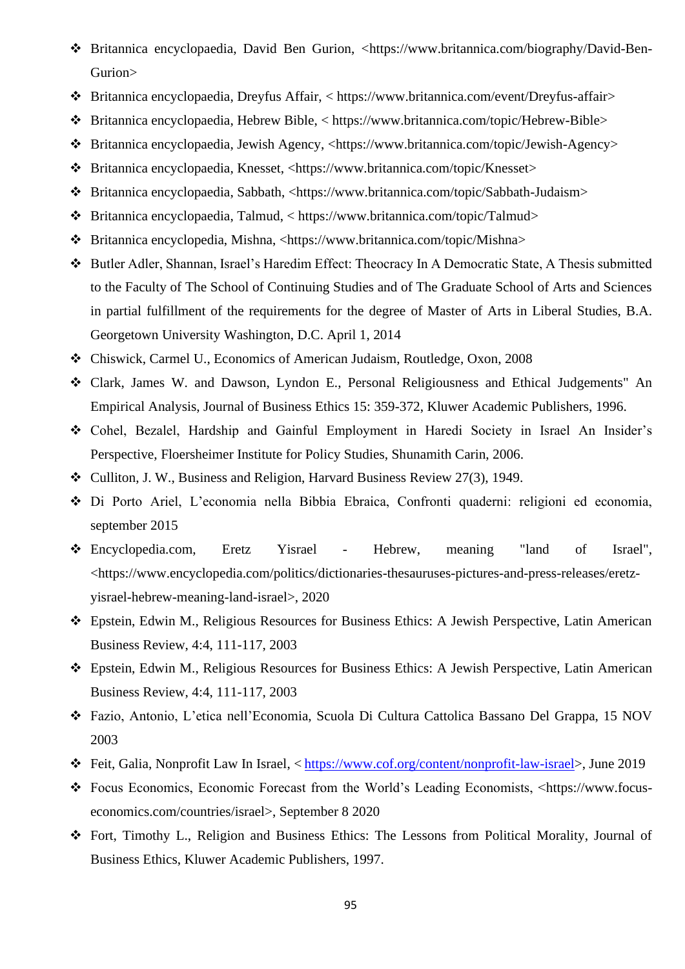- ❖ Britannica encyclopaedia, David Ben Gurion, [<https://www.britannica.com/biography/David-Ben-](https://www.britannica.com/biography/David-Ben-Gurion)[Gurion>](https://www.britannica.com/biography/David-Ben-Gurion)
- ❖ Britannica encyclopaedia, Dreyfus Affair, < [https://www.britannica.com/event/Dreyfus-affair>](https://www.britannica.com/event/Dreyfus-affair)
- ❖ Britannica encyclopaedia, Hebrew Bible, < [https://www.britannica.com/topic/Hebrew-Bible>](https://www.britannica.com/topic/Hebrew-Bible)
- ❖ Britannica encyclopaedia, Jewish Agency, [<https://www.britannica.com/topic/Jewish-Agency>](https://www.britannica.com/topic/Jewish-Agency)
- ❖ Britannica encyclopaedia, Knesset, [<https://www.britannica.com/topic/Knesset>](https://www.britannica.com/topic/Knesset)
- ❖ Britannica encyclopaedia, Sabbath, [<https://www.britannica.com/topic/Sabbath-Judaism>](https://www.britannica.com/topic/Sabbath-Judaism)
- ❖ Britannica encyclopaedia, Talmud, < [https://www.britannica.com/topic/Talmud>](https://www.britannica.com/topic/Talmud)
- ❖ Britannica encyclopedia, Mishna, [<https://www.britannica.com/topic/Mishna>](https://www.britannica.com/topic/Mishna)
- ❖ Butler Adler, Shannan, Israel's Haredim Effect: Theocracy In A Democratic State, A Thesis submitted to the Faculty of The School of Continuing Studies and of The Graduate School of Arts and Sciences in partial fulfillment of the requirements for the degree of Master of Arts in Liberal Studies, B.A. Georgetown University Washington, D.C. April 1, 2014
- ❖ Chiswick, Carmel U., Economics of American Judaism, Routledge, Oxon, 2008
- ❖ Clark, James W. and Dawson, Lyndon E., Personal Religiousness and Ethical Judgements" An Empirical Analysis, Journal of Business Ethics 15: 359-372, Kluwer Academic Publishers, 1996.
- ❖ Cohel, Bezalel, Hardship and Gainful Employment in Haredi Society in Israel An Insider's Perspective, Floersheimer Institute for Policy Studies, Shunamith Carin, 2006.
- ❖ Culliton, J. W., Business and Religion, Harvard Business Review 27(3), 1949.
- ❖ Di Porto Ariel, L'economia nella Bibbia Ebraica, Confronti quaderni: religioni ed economia, september 2015
- ❖ Encyclopedia.com, Eretz Yisrael Hebrew, meaning "land of Israel", [<https://www.encyclopedia.com/politics/dictionaries-thesauruses-pictures-and-press-releases/eretz](https://www.encyclopedia.com/politics/dictionaries-thesauruses-pictures-and-press-releases/eretz-yisrael-hebrew-meaning-land-israel)[yisrael-hebrew-meaning-land-israel>](https://www.encyclopedia.com/politics/dictionaries-thesauruses-pictures-and-press-releases/eretz-yisrael-hebrew-meaning-land-israel), 2020
- ❖ Epstein, Edwin M., Religious Resources for Business Ethics: A Jewish Perspective, Latin American Business Review, 4:4, 111-117, 2003
- ❖ Epstein, Edwin M., Religious Resources for Business Ethics: A Jewish Perspective, Latin American Business Review, 4:4, 111-117, 2003
- ❖ Fazio, Antonio, L'etica nell'Economia, Scuola Di Cultura Cattolica Bassano Del Grappa, 15 NOV 2003
- ❖ Feit, Galia, Nonprofit Law In Israel, < [https://www.cof.org/content/nonprofit-law-israel>](https://www.cof.org/content/nonprofit-law-israel), June 2019
- ❖ Focus Economics, Economic Forecast from the World's Leading Economists, [<https://www.focus](https://www.focus-economics.com/countries/israel)[economics.com/countries/israel>](https://www.focus-economics.com/countries/israel), September 8 2020
- ❖ Fort, Timothy L., Religion and Business Ethics: The Lessons from Political Morality, Journal of Business Ethics, Kluwer Academic Publishers, 1997.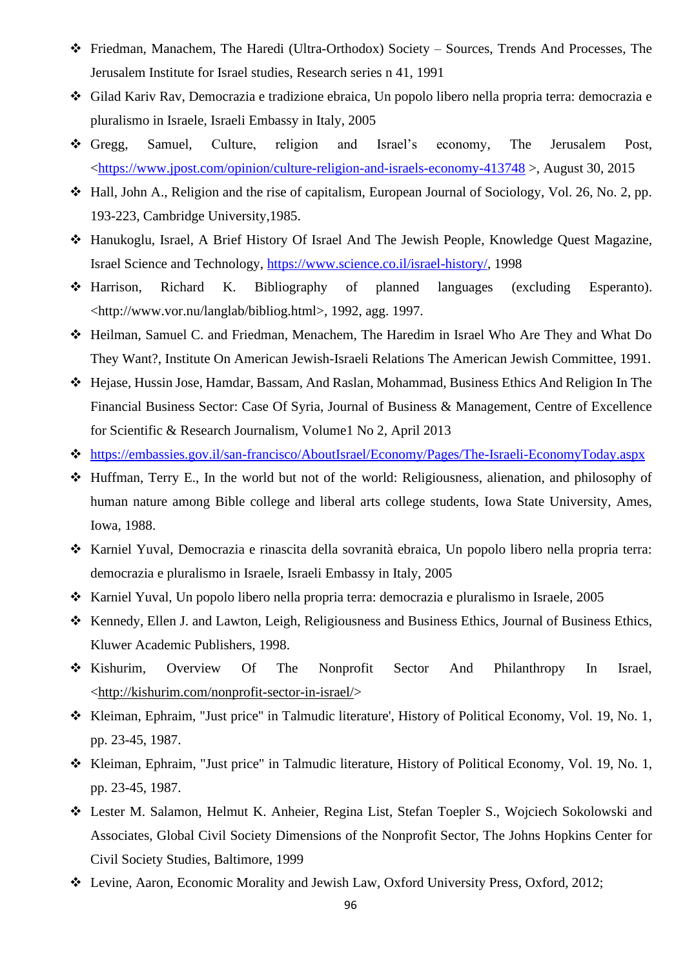- ❖ Friedman, Manachem, The Haredi (Ultra-Orthodox) Society Sources, Trends And Processes, The Jerusalem Institute for Israel studies, Research series n 41, 1991
- ❖ Gilad Kariv Rav, Democrazia e tradizione ebraica, Un popolo libero nella propria terra: democrazia e pluralismo in Israele, Israeli Embassy in Italy, 2005
- ❖ Gregg, Samuel, Culture, religion and Israel's economy, The Jerusalem Post, [<https://www.jpost.com/opinion/culture-religion-and-israels-economy-413748](https://www.jpost.com/opinion/culture-religion-and-israels-economy-413748) >, August 30, 2015
- ❖ Hall, John A., Religion and the rise of capitalism, European Journal of Sociology, Vol. 26, No. 2, pp. 193-223, Cambridge University,1985.
- ❖ Hanukoglu, Israel, A Brief History Of Israel And The Jewish People, Knowledge Quest Magazine, Israel Science and Technology, [https://www.science.co.il/israel-history/,](https://www.science.co.il/israel-history/) 1998
- ❖ Harrison, Richard K. Bibliography of planned languages (excluding Esperanto). <http://www.vor.nu/langlab/bibliog.html>, 1992, agg. 1997.
- ❖ Heilman, Samuel C. and Friedman, Menachem, The Haredim in Israel Who Are They and What Do They Want?, Institute On American Jewish-Israeli Relations The American Jewish Committee, 1991.
- ❖ Hejase, Hussin Jose, Hamdar, Bassam, And Raslan, Mohammad, Business Ethics And Religion In The Financial Business Sector: Case Of Syria, Journal of Business & Management, Centre of Excellence for Scientific & Research Journalism, Volume1 No 2, April 2013
- ❖ <https://embassies.gov.il/san-francisco/AboutIsrael/Economy/Pages/The-Israeli-EconomyToday.aspx>
- ❖ Huffman, Terry E., In the world but not of the world: Religiousness, alienation, and philosophy of human nature among Bible college and liberal arts college students, Iowa State University, Ames, Iowa, 1988.
- ❖ Karniel Yuval, Democrazia e rinascita della sovranità ebraica, Un popolo libero nella propria terra: democrazia e pluralismo in Israele, Israeli Embassy in Italy, 2005
- ❖ Karniel Yuval, Un popolo libero nella propria terra: democrazia e pluralismo in Israele, 2005
- ❖ Kennedy, Ellen J. and Lawton, Leigh, Religiousness and Business Ethics, Journal of Business Ethics, Kluwer Academic Publishers, 1998.
- ❖ Kishurim, Overview Of The Nonprofit Sector And Philanthropy In Israel, [<http://kishurim.com/nonprofit-sector-in-israel/>](http://kishurim.com/nonprofit-sector-in-israel/)
- ❖ Kleiman, Ephraim, "Just price" in Talmudic literature', History of Political Economy, Vol. 19, No. 1, pp. 23-45, 1987.
- ❖ Kleiman, Ephraim, "Just price" in Talmudic literature, History of Political Economy, Vol. 19, No. 1, pp. 23-45, 1987.
- ❖ Lester M. Salamon, Helmut K. Anheier, Regina List, Stefan Toepler S., Wojciech Sokolowski and Associates, Global Civil Society Dimensions of the Nonprofit Sector, The Johns Hopkins Center for Civil Society Studies, Baltimore, 1999
- ❖ Levine, Aaron, Economic Morality and Jewish Law, Oxford University Press, Oxford, 2012;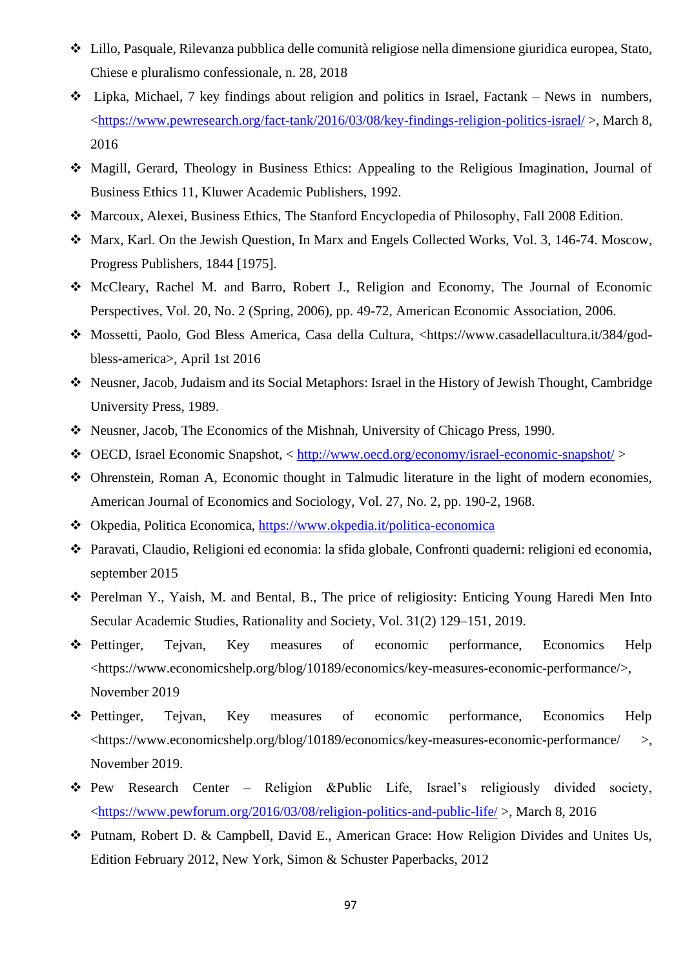- ❖ Lillo, Pasquale, Rilevanza pubblica delle comunità religiose nella dimensione giuridica europea, Stato, Chiese e pluralismo confessionale, n. 28, 2018
- ❖ Lipka, Michael, 7 key findings about religion and politics in Israel, Factank News in numbers, [<https://www.pewresearch.org/fact-tank/2016/03/08/key-findings-religion-politics-israel/](https://www.pewresearch.org/fact-tank/2016/03/08/key-findings-religion-politics-israel/) >, March 8, 2016
- ❖ Magill, Gerard, Theology in Business Ethics: Appealing to the Religious Imagination, Journal of Business Ethics 11, Kluwer Academic Publishers, 1992.
- ❖ Marcoux, Alexei, Business Ethics, The Stanford Encyclopedia of Philosophy, Fall 2008 Edition.
- ❖ Marx, Karl. On the Jewish Question, In Marx and Engels Collected Works, Vol. 3, 146-74. Moscow, Progress Publishers, 1844 [1975].
- ❖ McCleary, Rachel M. and Barro, Robert J., Religion and Economy, The Journal of Economic Perspectives, Vol. 20, No. 2 (Spring, 2006), pp. 49-72, American Economic Association, 2006.
- ❖ Mossetti, Paolo, God Bless America, Casa della Cultura, [<https://www.casadellacultura.it/384/god](https://www.casadellacultura.it/384/god-bless-america)[bless-america>](https://www.casadellacultura.it/384/god-bless-america), April 1st 2016
- ❖ Neusner, Jacob, Judaism and its Social Metaphors: Israel in the History of Jewish Thought, Cambridge University Press, 1989.
- ❖ Neusner, Jacob, The Economics of the Mishnah, University of Chicago Press, 1990.
- ❖ OECD, Israel Economic Snapshot, <<http://www.oecd.org/economy/israel-economic-snapshot/> >
- ❖ Ohrenstein, Roman A, Economic thought in Talmudic literature in the light of modern economies, American Journal of Economics and Sociology, Vol. 27, No. 2, pp. 190-2, 1968.
- ❖ Okpedia, Politica Economica,<https://www.okpedia.it/politica-economica>
- ❖ Paravati, Claudio, Religioni ed economia: la sfida globale, Confronti quaderni: religioni ed economia, september 2015
- ❖ Perelman Y., Yaish, M. and Bental, B., The price of religiosity: Enticing Young Haredi Men Into Secular Academic Studies, Rationality and Society, Vol. 31(2) 129–151, 2019.
- ❖ Pettinger, Tejvan, Key measures of economic performance, Economics Help [<https://www.economicshelp.org/blog/10189/economics/key-measures-economic-performance/>](https://www.economicshelp.org/blog/10189/economics/key-measures-economic-performance/), November 2019
- ❖ Pettinger, Tejvan, Key measures of economic performance, Economics Help [<https://www.economicshelp.org/blog/10189/economics/key-measures-economic-performance/](https://www.economicshelp.org/blog/10189/economics/key-measures-economic-performance/) >, November 2019.
- ❖ Pew Research Center Religion &Public Life, Israel's religiously divided society, [<https://www.pewforum.org/2016/03/08/religion-politics-and-public-life/](https://www.pewforum.org/2016/03/08/religion-politics-and-public-life/) >, March 8, 2016
- ❖ Putnam, Robert D. & Campbell, David E., American Grace: How Religion Divides and Unites Us, Edition February 2012, New York, Simon & Schuster Paperbacks, 2012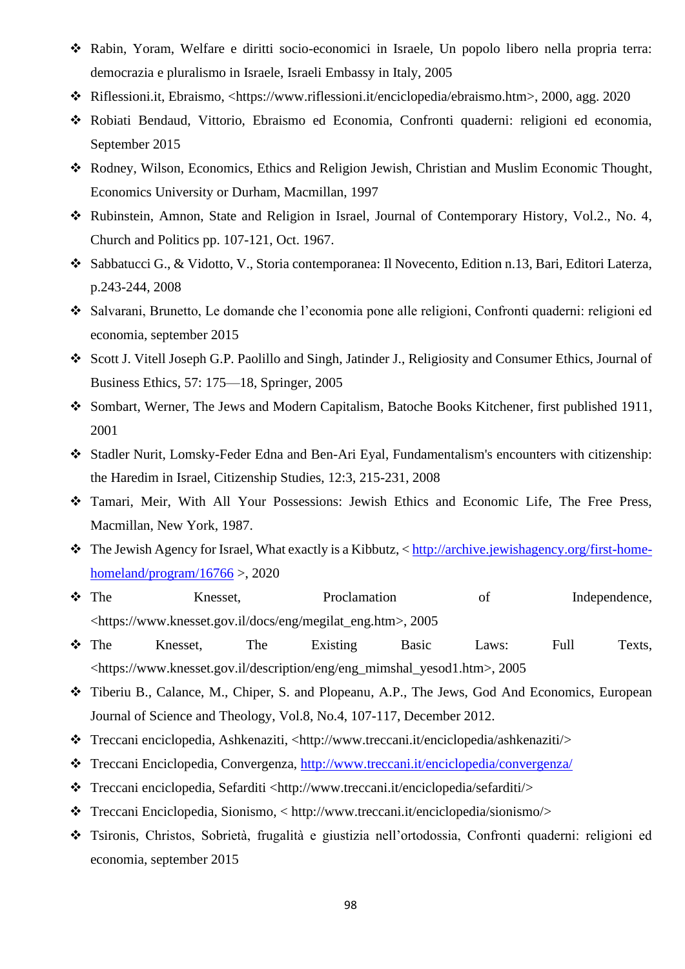- ❖ Rabin, Yoram, Welfare e diritti socio-economici in Israele, Un popolo libero nella propria terra: democrazia e pluralismo in Israele, Israeli Embassy in Italy, 2005
- ❖ Riflessioni.it, Ebraismo, [<https://www.riflessioni.it/enciclopedia/ebraismo.htm>](https://www.riflessioni.it/enciclopedia/ebraismo.htm), 2000, agg. 2020
- ❖ Robiati Bendaud, Vittorio, Ebraismo ed Economia, Confronti quaderni: religioni ed economia, September 2015
- ❖ Rodney, Wilson, Economics, Ethics and Religion Jewish, Christian and Muslim Economic Thought, Economics University or Durham, Macmillan, 1997
- ❖ Rubinstein, Amnon, State and Religion in Israel, Journal of Contemporary History, Vol.2., No. 4, Church and Politics pp. 107-121, Oct. 1967.
- ❖ Sabbatucci G., & Vidotto, V., Storia contemporanea: Il Novecento, Edition n.13, Bari, Editori Laterza, p.243-244, 2008
- ❖ Salvarani, Brunetto, Le domande che l'economia pone alle religioni, Confronti quaderni: religioni ed economia, september 2015
- ❖ Scott J. Vitell Joseph G.P. Paolillo and Singh, Jatinder J., Religiosity and Consumer Ethics, Journal of Business Ethics, 57: 175—18, Springer, 2005
- ❖ Sombart, Werner, The Jews and Modern Capitalism, Batoche Books Kitchener, first published 1911, 2001
- ❖ Stadler Nurit, Lomsky-Feder Edna and Ben-Ari Eyal, Fundamentalism's encounters with citizenship: the Haredim in Israel, Citizenship Studies, 12:3, 215-231, 2008
- ❖ Tamari, Meir, With All Your Possessions: Jewish Ethics and Economic Life, The Free Press, Macmillan, New York, 1987.
- ❖ The Jewish Agency for Israel, What exactly is a Kibbutz, [< http://archive.jewishagency.org/first-home](http://archive.jewishagency.org/first-home-homeland/program/16766)[homeland/program/16766](http://archive.jewishagency.org/first-home-homeland/program/16766) >, 2020
- ❖ The Knesset, Proclamation of Independence, [<https://www.knesset.gov.il/docs/eng/megilat\\_eng.htm>](https://www.knesset.gov.il/docs/eng/megilat_eng.htm), 2005
- ❖ The Knesset, The Existing Basic Laws: Full Texts, [<https://www.knesset.gov.il/description/eng/eng\\_mimshal\\_yesod1.htm>](https://www.knesset.gov.il/description/eng/eng_mimshal_yesod1.htm), 2005
- ❖ Tiberiu B., Calance, M., Chiper, S. and Plopeanu, A.P., The Jews, God And Economics, European Journal of Science and Theology, Vol.8, No.4, 107-117, December 2012.
- ❖ Treccani enciclopedia, Ashkenaziti, [<http://www.treccani.it/enciclopedia/ashkenaziti/>](http://www.treccani.it/enciclopedia/ashkenaziti/)
- ❖ Treccani Enciclopedia, Convergenza,<http://www.treccani.it/enciclopedia/convergenza/>
- ❖ Treccani enciclopedia, Sefarditi [<http://www.treccani.it/enciclopedia/sefarditi/>](http://www.treccani.it/enciclopedia/sefarditi/)
- ❖ Treccani Enciclopedia, Sionismo, < [http://www.treccani.it/enciclopedia/sionismo/>](http://www.treccani.it/enciclopedia/sionismo/)
- ❖ Tsironis, Christos, Sobrietà, frugalità e giustizia nell'ortodossia, Confronti quaderni: religioni ed economia, september 2015